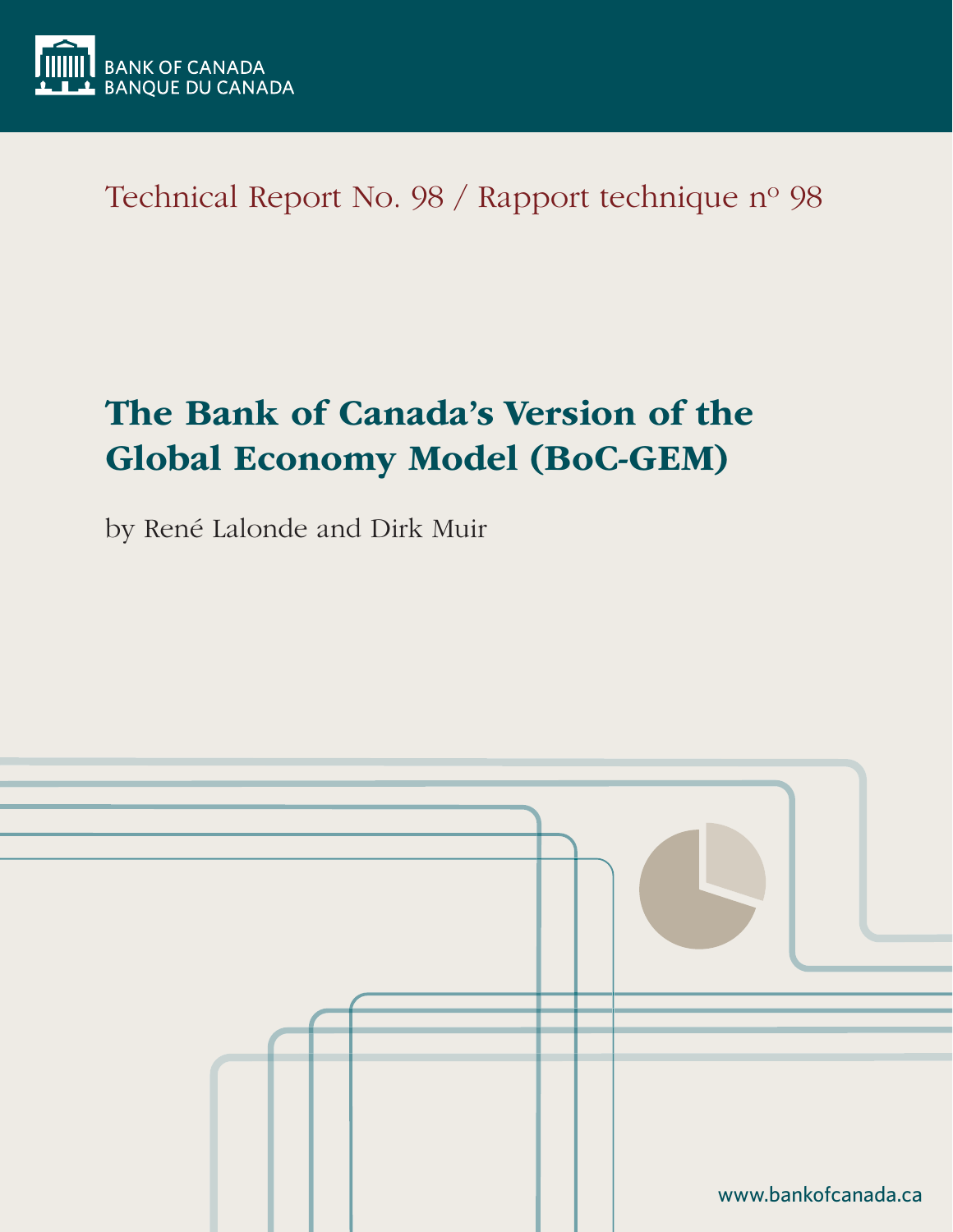

Technical Report No. 98 / Rapport technique nº 98

# The Bank of Canada's Version of the Global Economy Model (BoC-GEM)

by René Lalonde and Dirk Muir

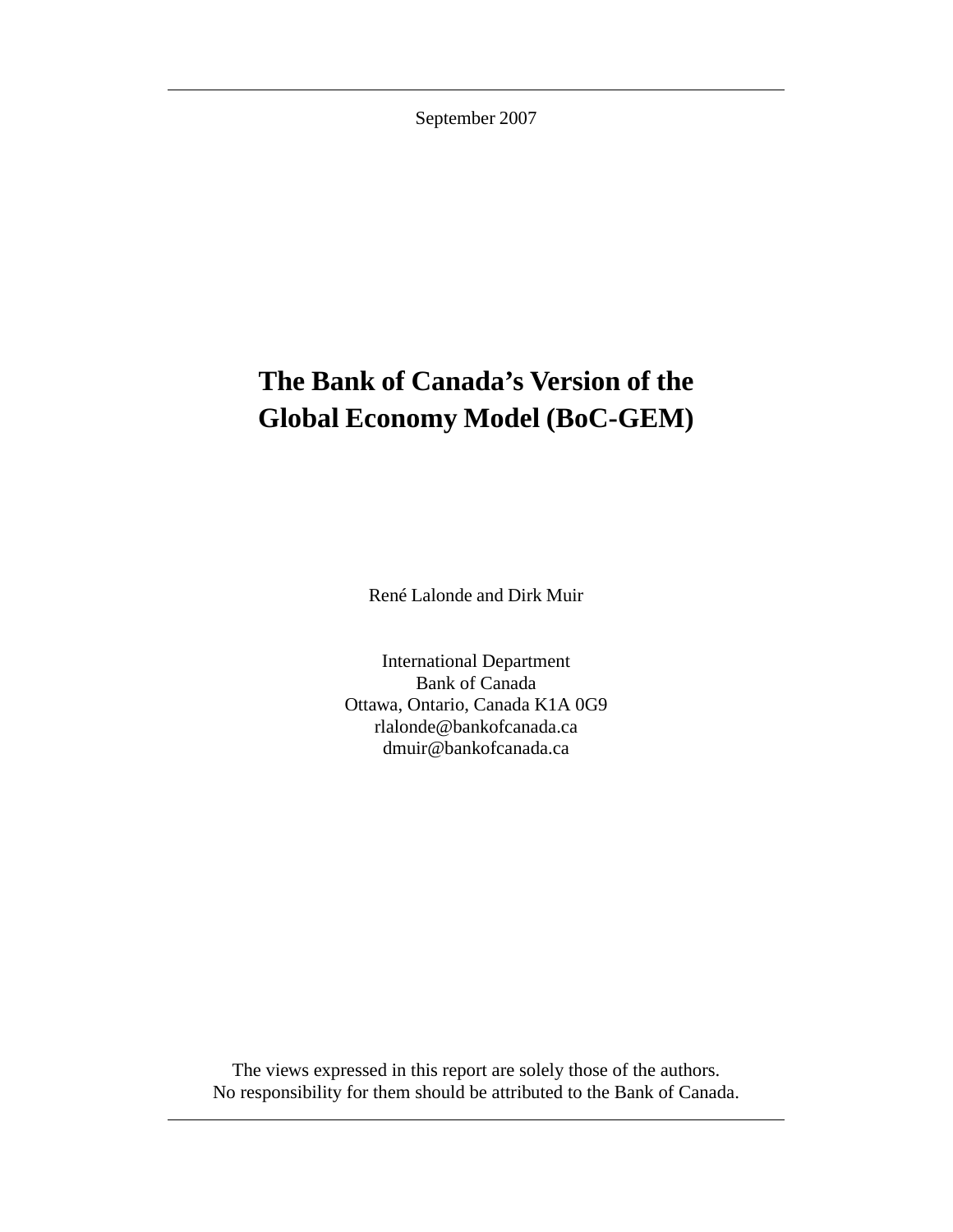September 2007

# **The Bank of Canada's Version of the Global Economy Model (BoC-GEM)**

René Lalonde and Dirk Muir

International Department Bank of Canada Ottawa, Ontario, Canada K1A 0G9 rlalonde@bankofcanada.ca dmuir@bankofcanada.ca

The views expressed in this report are solely those of the authors. No responsibility for them should be attributed to the Bank of Canada.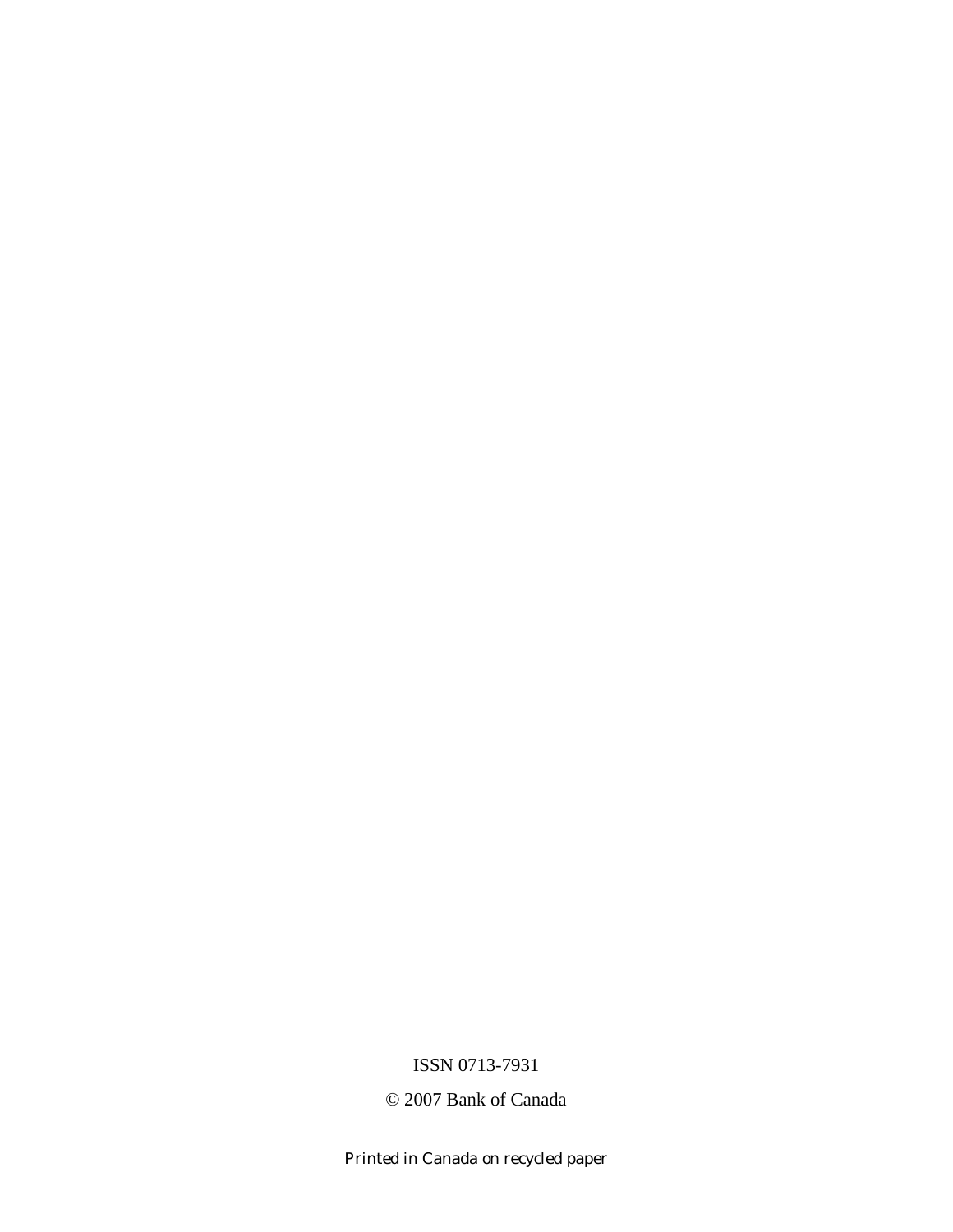ISSN 0713-7931

© 2007 Bank of Canada

Printed in Canada on recycled paper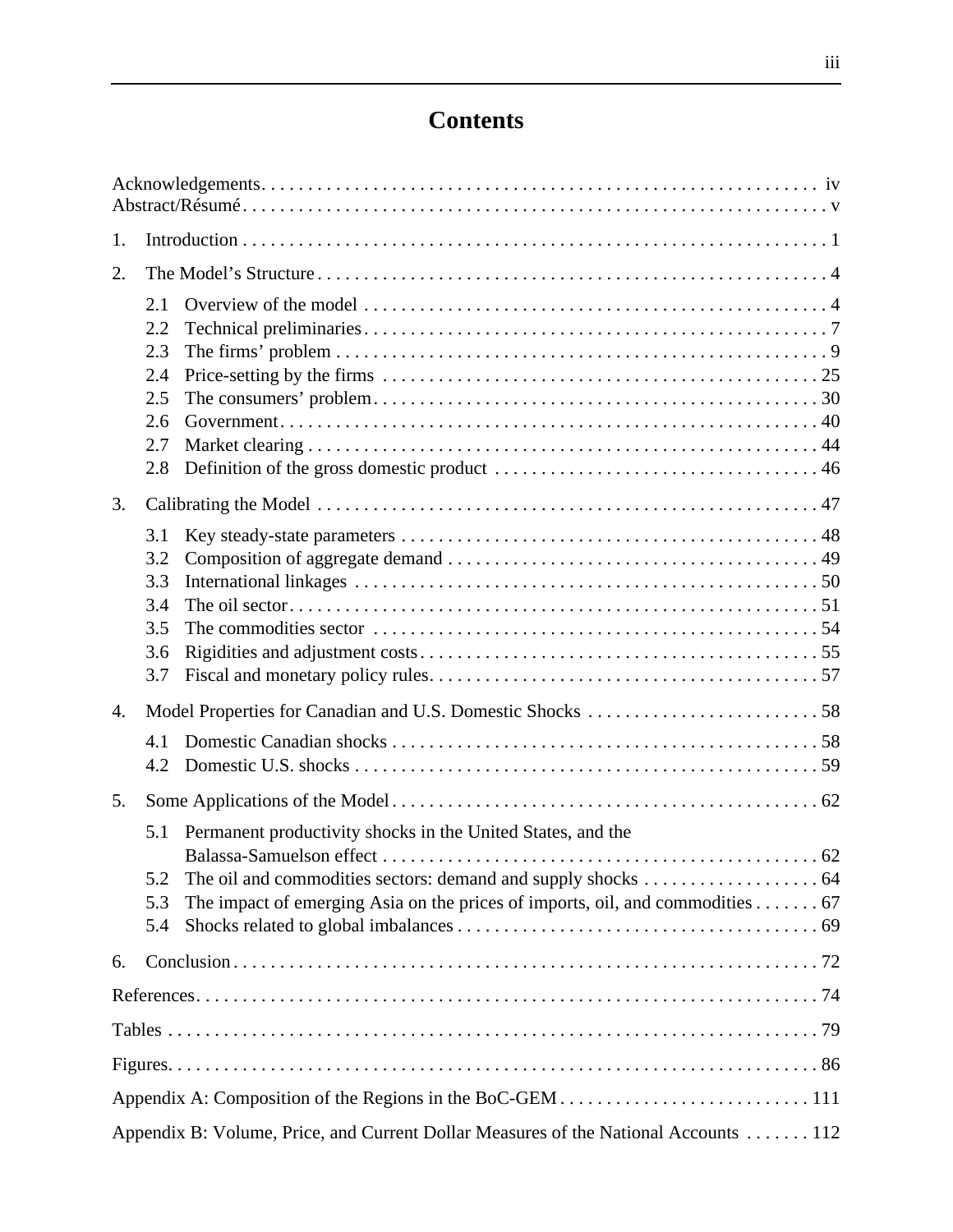# **Contents**

| 1.                                                                                  |                                                                                                                                              |
|-------------------------------------------------------------------------------------|----------------------------------------------------------------------------------------------------------------------------------------------|
| 2.                                                                                  |                                                                                                                                              |
| 2.1<br>2.2<br>2.3<br>2.4<br>2.5<br>2.6<br>2.7<br>2.8                                |                                                                                                                                              |
| 3.                                                                                  |                                                                                                                                              |
| 3.1<br>3.2<br>3.3<br>3.4<br>3.5<br>3.6<br>3.7                                       |                                                                                                                                              |
| 4.                                                                                  |                                                                                                                                              |
| 4.1<br>4.2                                                                          |                                                                                                                                              |
| 5.                                                                                  |                                                                                                                                              |
| 5.1<br>5.2<br>5.3<br>5.4                                                            | Permanent productivity shocks in the United States, and the<br>The impact of emerging Asia on the prices of imports, oil, and commodities 67 |
| 6.                                                                                  |                                                                                                                                              |
|                                                                                     |                                                                                                                                              |
|                                                                                     |                                                                                                                                              |
|                                                                                     |                                                                                                                                              |
|                                                                                     |                                                                                                                                              |
| Appendix B: Volume, Price, and Current Dollar Measures of the National Accounts 112 |                                                                                                                                              |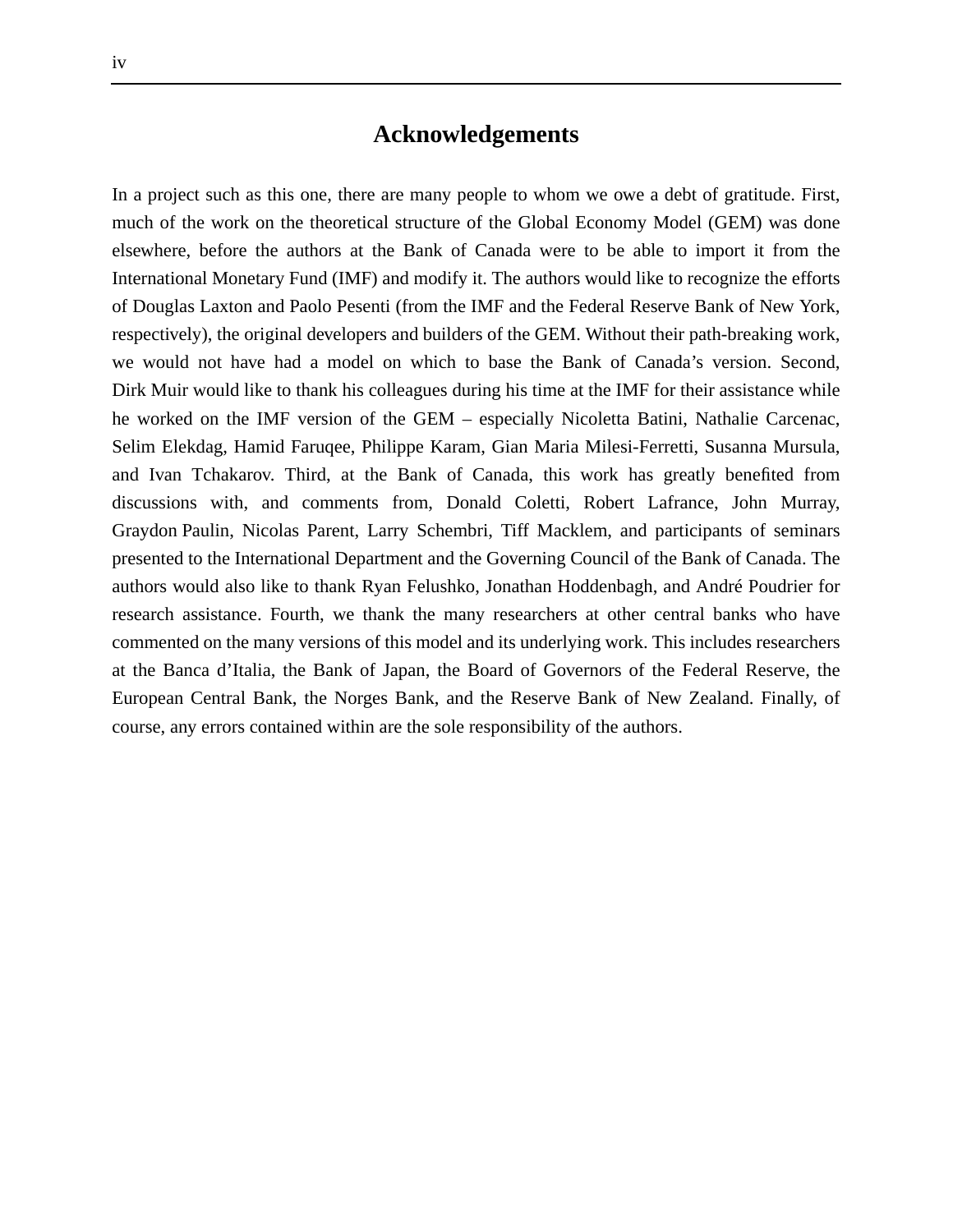# **Acknowledgements**

In a project such as this one, there are many people to whom we owe a debt of gratitude. First, much of the work on the theoretical structure of the Global Economy Model (GEM) was done elsewhere, before the authors at the Bank of Canada were to be able to import it from the International Monetary Fund (IMF) and modify it. The authors would like to recognize the efforts of Douglas Laxton and Paolo Pesenti (from the IMF and the Federal Reserve Bank of New York, respectively), the original developers and builders of the GEM. Without their path-breaking work, we would not have had a model on which to base the Bank of Canada's version. Second, Dirk Muir would like to thank his colleagues during his time at the IMF for their assistance while he worked on the IMF version of the GEM – especially Nicoletta Batini, Nathalie Carcenac, Selim Elekdag, Hamid Faruqee, Philippe Karam, Gian Maria Milesi-Ferretti, Susanna Mursula, and Ivan Tchakarov. Third, at the Bank of Canada, this work has greatly benefited from discussions with, and comments from, Donald Coletti, Robert Lafrance, John Murray, Graydon Paulin, Nicolas Parent, Larry Schembri, Tiff Macklem, and participants of seminars presented to the International Department and the Governing Council of the Bank of Canada. The authors would also like to thank Ryan Felushko, Jonathan Hoddenbagh, and André Poudrier for research assistance. Fourth, we thank the many researchers at other central banks who have commented on the many versions of this model and its underlying work. This includes researchers at the Banca d'Italia, the Bank of Japan, the Board of Governors of the Federal Reserve, the European Central Bank, the Norges Bank, and the Reserve Bank of New Zealand. Finally, of course, any errors contained within are the sole responsibility of the authors.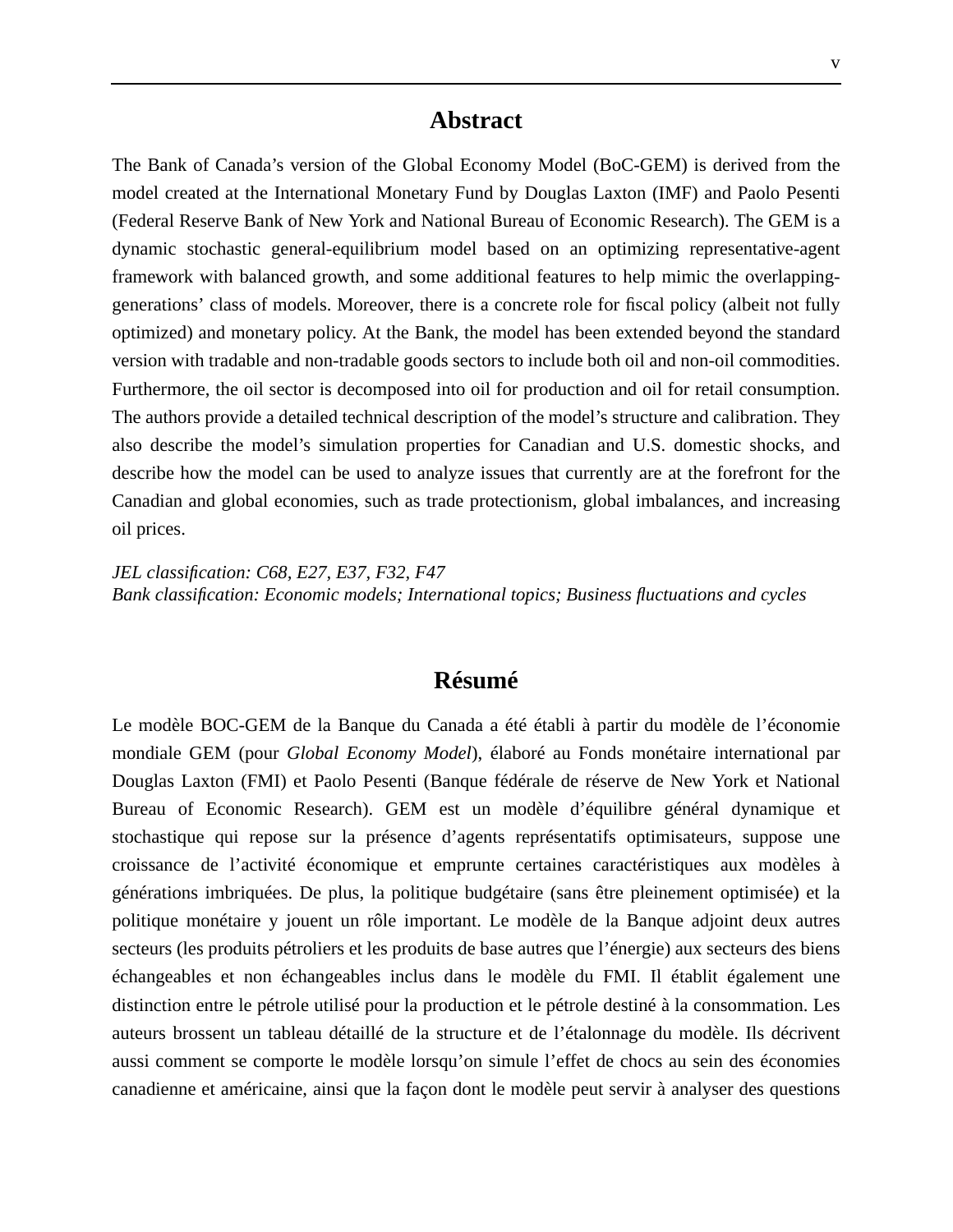The Bank of Canada's version of the Global Economy Model (BoC-GEM) is derived from the model created at the International Monetary Fund by Douglas Laxton (IMF) and Paolo Pesenti (Federal Reserve Bank of New York and National Bureau of Economic Research). The GEM is a dynamic stochastic general-equilibrium model based on an optimizing representative-agent framework with balanced growth, and some additional features to help mimic the overlappinggenerations' class of models. Moreover, there is a concrete role for fiscal policy (albeit not fully optimized) and monetary policy. At the Bank, the model has been extended beyond the standard version with tradable and non-tradable goods sectors to include both oil and non-oil commodities. Furthermore, the oil sector is decomposed into oil for production and oil for retail consumption. The authors provide a detailed technical description of the model's structure and calibration. They also describe the model's simulation properties for Canadian and U.S. domestic shocks, and describe how the model can be used to analyze issues that currently are at the forefront for the Canadian and global economies, such as trade protectionism, global imbalances, and increasing oil prices.

*JEL classification: C68, E27, E37, F32, F47 Bank classification: Economic models; International topics; Business fluctuations and cycles*

## **Résumé**

Le modèle BOC-GEM de la Banque du Canada a été établi à partir du modèle de l'économie mondiale GEM (pour *Global Economy Model*), élaboré au Fonds monétaire international par Douglas Laxton (FMI) et Paolo Pesenti (Banque fédérale de réserve de New York et National Bureau of Economic Research). GEM est un modèle d'équilibre général dynamique et stochastique qui repose sur la présence d'agents représentatifs optimisateurs, suppose une croissance de l'activité économique et emprunte certaines caractéristiques aux modèles à générations imbriquées. De plus, la politique budgétaire (sans être pleinement optimisée) et la politique monétaire y jouent un rôle important. Le modèle de la Banque adjoint deux autres secteurs (les produits pétroliers et les produits de base autres que l'énergie) aux secteurs des biens échangeables et non échangeables inclus dans le modèle du FMI. Il établit également une distinction entre le pétrole utilisé pour la production et le pétrole destiné à la consommation. Les auteurs brossent un tableau détaillé de la structure et de l'étalonnage du modèle. Ils décrivent aussi comment se comporte le modèle lorsqu'on simule l'effet de chocs au sein des économies canadienne et américaine, ainsi que la façon dont le modèle peut servir à analyser des questions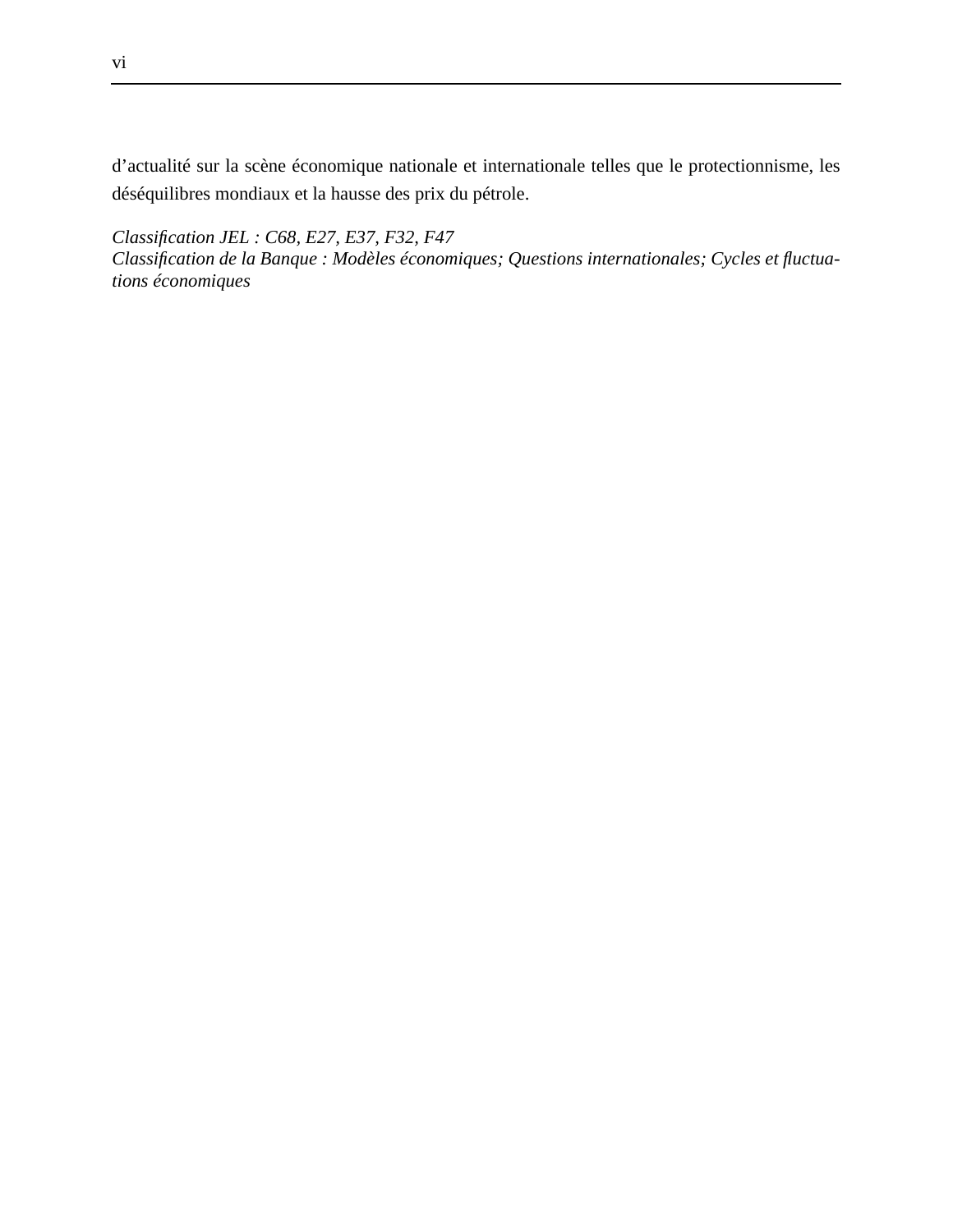d'actualité sur la scène économique nationale et internationale telles que le protectionnisme, les déséquilibres mondiaux et la hausse des prix du pétrole.

*Classification JEL : C68, E27, E37, F32, F47*

*Classification de la Banque : Modèles économiques; Questions internationales; Cycles et fluctuations économiques*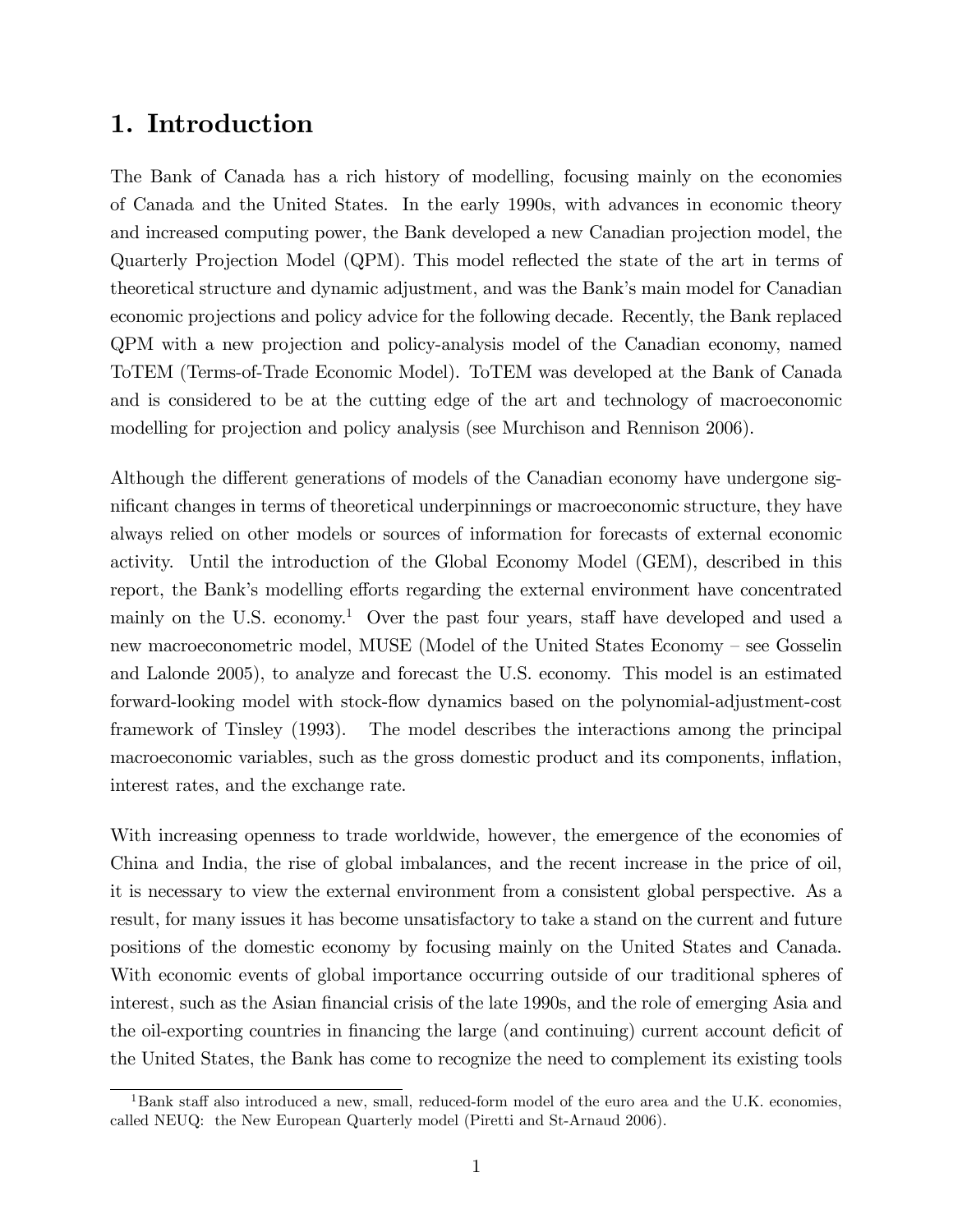# 1. Introduction

The Bank of Canada has a rich history of modelling, focusing mainly on the economies of Canada and the United States. In the early 1990s, with advances in economic theory and increased computing power, the Bank developed a new Canadian projection model, the Quarterly Projection Model (QPM). This model reflected the state of the art in terms of theoretical structure and dynamic adjustment, and was the Bank's main model for Canadian economic projections and policy advice for the following decade. Recently, the Bank replaced QPM with a new projection and policy-analysis model of the Canadian economy, named ToTEM (Terms-of-Trade Economic Model). ToTEM was developed at the Bank of Canada and is considered to be at the cutting edge of the art and technology of macroeconomic modelling for projection and policy analysis (see Murchison and Rennison 2006).

Although the different generations of models of the Canadian economy have undergone significant changes in terms of theoretical underpinnings or macroeconomic structure, they have always relied on other models or sources of information for forecasts of external economic activity. Until the introduction of the Global Economy Model (GEM), described in this report, the Bank's modelling efforts regarding the external environment have concentrated mainly on the U.S. economy.<sup>1</sup> Over the past four years, staff have developed and used a new macroeconometric model, MUSE (Model of the United States Economy - see Gosselin and Lalonde 2005), to analyze and forecast the U.S. economy. This model is an estimated forward-looking model with stock-áow dynamics based on the polynomial-adjustment-cost framework of Tinsley (1993). The model describes the interactions among the principal macroeconomic variables, such as the gross domestic product and its components, inflation, interest rates, and the exchange rate.

With increasing openness to trade worldwide, however, the emergence of the economies of China and India, the rise of global imbalances, and the recent increase in the price of oil, it is necessary to view the external environment from a consistent global perspective. As a result, for many issues it has become unsatisfactory to take a stand on the current and future positions of the domestic economy by focusing mainly on the United States and Canada. With economic events of global importance occurring outside of our traditional spheres of interest, such as the Asian financial crisis of the late 1990s, and the role of emerging Asia and the oil-exporting countries in financing the large (and continuing) current account deficit of the United States, the Bank has come to recognize the need to complement its existing tools

 ${}^{1}$ Bank staff also introduced a new, small, reduced-form model of the euro area and the U.K. economies, called NEUQ: the New European Quarterly model (Piretti and St-Arnaud 2006).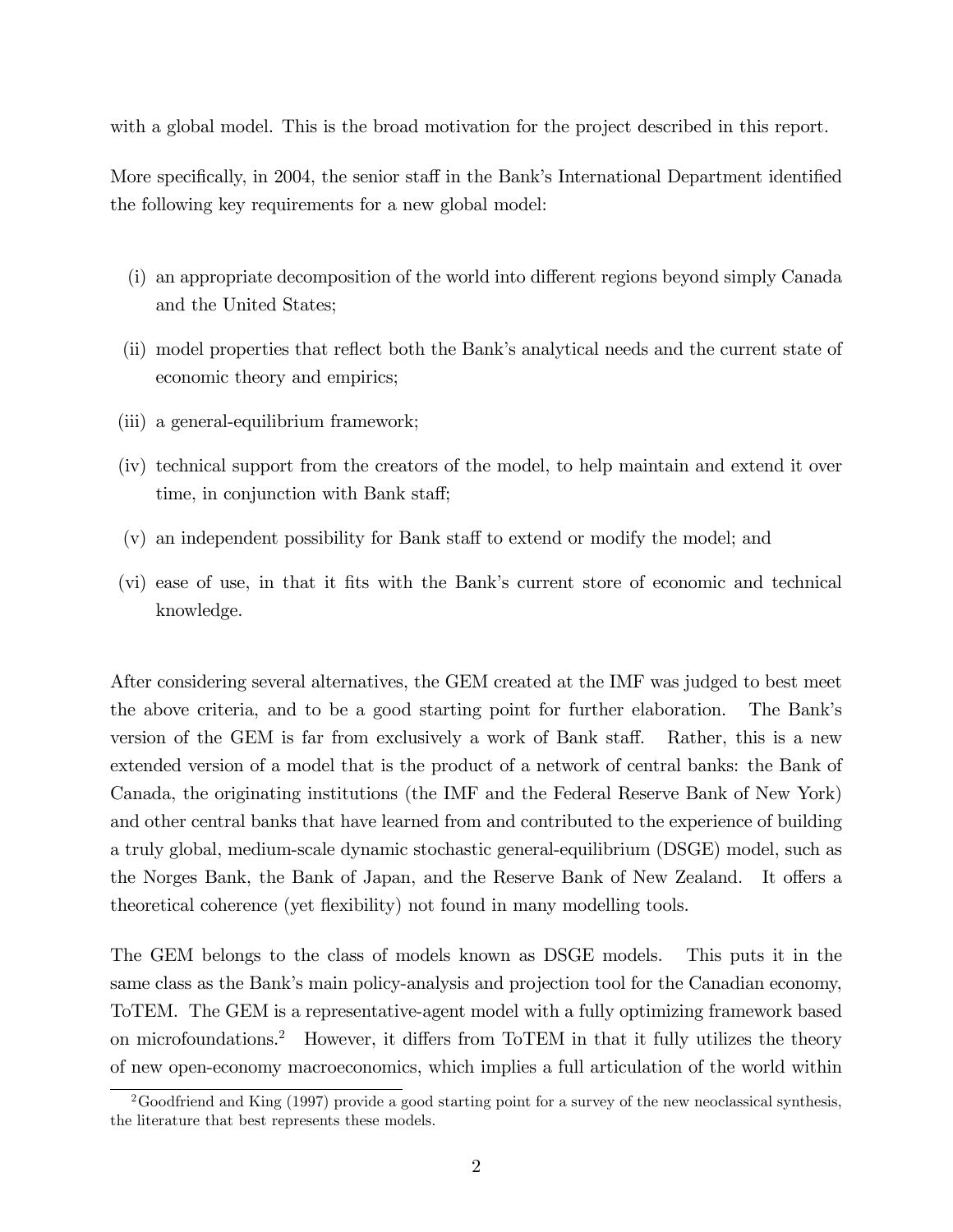with a global model. This is the broad motivation for the project described in this report.

More specifically, in 2004, the senior staff in the Bank's International Department identified the following key requirements for a new global model:

- (i) an appropriate decomposition of the world into different regions beyond simply Canada and the United States;
- (ii) model properties that reflect both the Bank's analytical needs and the current state of economic theory and empirics;
- (iii) a general-equilibrium framework;
- (iv) technical support from the creators of the model, to help maintain and extend it over time, in conjunction with Bank staff;
- $(v)$  an independent possibility for Bank staff to extend or modify the model; and
- (vi) ease of use, in that it fits with the Bank's current store of economic and technical knowledge.

After considering several alternatives, the GEM created at the IMF was judged to best meet the above criteria, and to be a good starting point for further elaboration. The Bankís version of the GEM is far from exclusively a work of Bank staff. Rather, this is a new extended version of a model that is the product of a network of central banks: the Bank of Canada, the originating institutions (the IMF and the Federal Reserve Bank of New York) and other central banks that have learned from and contributed to the experience of building a truly global, medium-scale dynamic stochastic general-equilibrium (DSGE) model, such as the Norges Bank, the Bank of Japan, and the Reserve Bank of New Zealand. It offers a theoretical coherence (yet áexibility) not found in many modelling tools.

The GEM belongs to the class of models known as DSGE models. This puts it in the same class as the Bank's main policy-analysis and projection tool for the Canadian economy, ToTEM. The GEM is a representative-agent model with a fully optimizing framework based on microfoundations.<sup>2</sup> However, it differs from ToTEM in that it fully utilizes the theory of new open-economy macroeconomics, which implies a full articulation of the world within

<sup>&</sup>lt;sup>2</sup>Goodfriend and King (1997) provide a good starting point for a survey of the new neoclassical synthesis, the literature that best represents these models.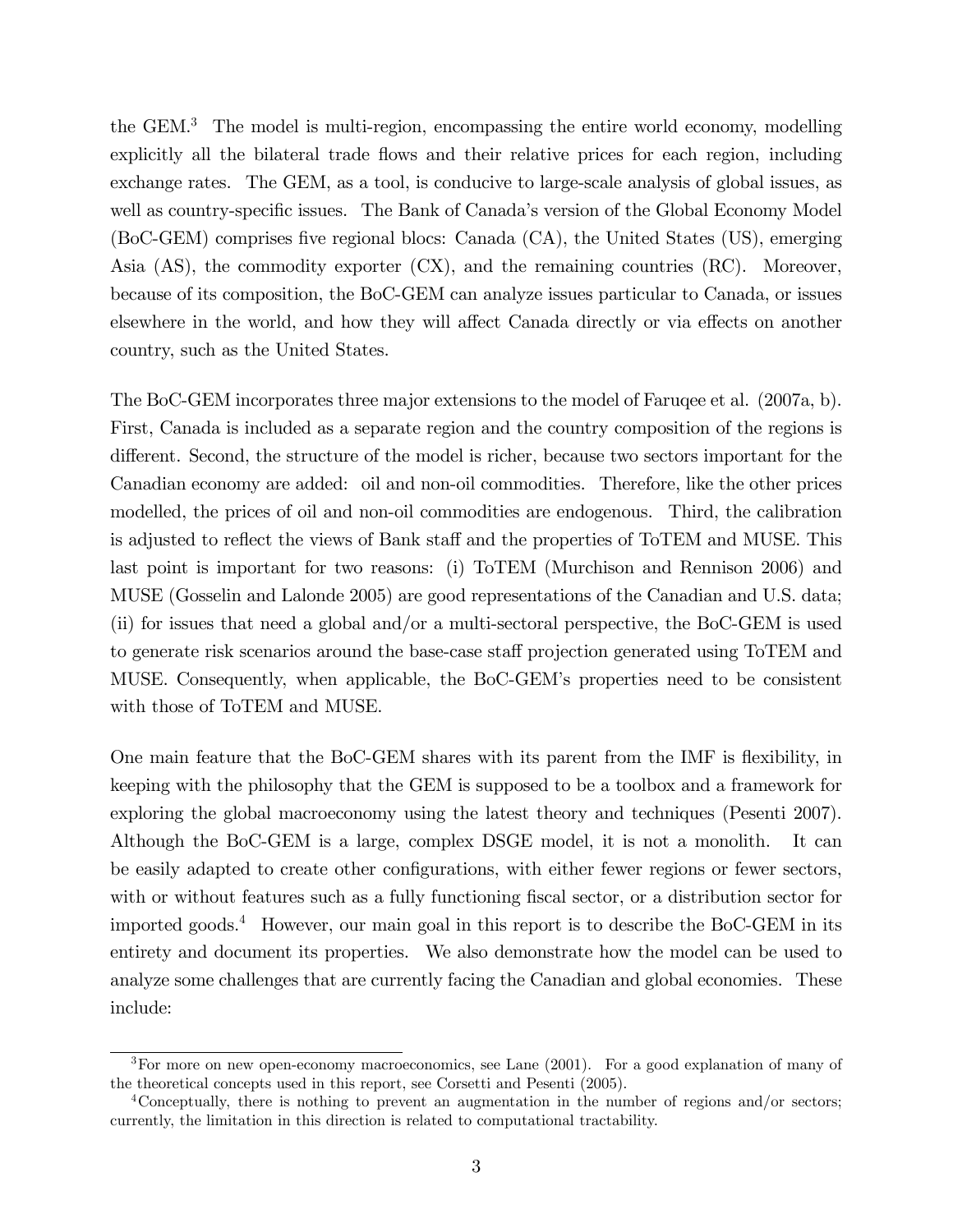the GEM.<sup>3</sup> The model is multi-region, encompassing the entire world economy, modelling explicitly all the bilateral trade flows and their relative prices for each region, including exchange rates. The GEM, as a tool, is conducive to large-scale analysis of global issues, as well as country-specific issues. The Bank of Canada's version of the Global Economy Model (BoC-GEM) comprises five regional blocs: Canada (CA), the United States (US), emerging Asia (AS), the commodity exporter (CX), and the remaining countries (RC). Moreover, because of its composition, the BoC-GEM can analyze issues particular to Canada, or issues elsewhere in the world, and how they will affect Canada directly or via effects on another country, such as the United States.

The BoC-GEM incorporates three major extensions to the model of Faruqee et al. (2007a, b). First, Canada is included as a separate region and the country composition of the regions is different. Second, the structure of the model is richer, because two sectors important for the Canadian economy are added: oil and non-oil commodities. Therefore, like the other prices modelled, the prices of oil and non-oil commodities are endogenous. Third, the calibration is adjusted to reflect the views of Bank staff and the properties of ToTEM and MUSE. This last point is important for two reasons: (i) ToTEM (Murchison and Rennison 2006) and MUSE (Gosselin and Lalonde 2005) are good representations of the Canadian and U.S. data; (ii) for issues that need a global and/or a multi-sectoral perspective, the BoC-GEM is used to generate risk scenarios around the base-case staff projection generated using ToTEM and MUSE. Consequently, when applicable, the BoC-GEMís properties need to be consistent with those of ToTEM and MUSE.

One main feature that the BoC-GEM shares with its parent from the IMF is flexibility, in keeping with the philosophy that the GEM is supposed to be a toolbox and a framework for exploring the global macroeconomy using the latest theory and techniques (Pesenti 2007). Although the BoC-GEM is a large, complex DSGE model, it is not a monolith. It can be easily adapted to create other configurations, with either fewer regions or fewer sectors, with or without features such as a fully functioning fiscal sector, or a distribution sector for imported goods.<sup>4</sup> However, our main goal in this report is to describe the BoC-GEM in its entirety and document its properties. We also demonstrate how the model can be used to analyze some challenges that are currently facing the Canadian and global economies. These include:

 ${}^{3}$  For more on new open-economy macroeconomics, see Lane (2001). For a good explanation of many of the theoretical concepts used in this report, see Corsetti and Pesenti (2005).

<sup>4</sup>Conceptually, there is nothing to prevent an augmentation in the number of regions and/or sectors; currently, the limitation in this direction is related to computational tractability.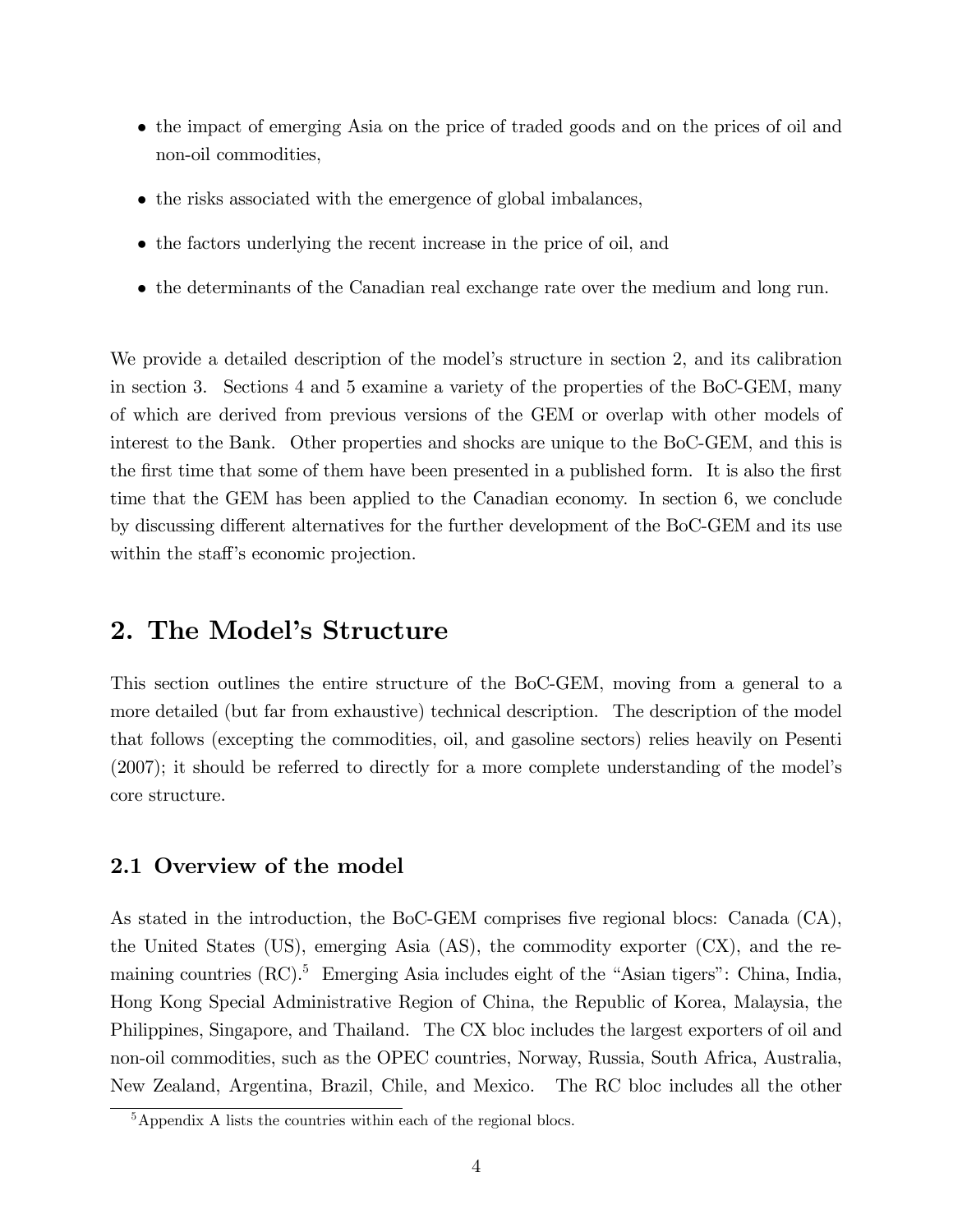- the impact of emerging Asia on the price of traded goods and on the prices of oil and non-oil commodities,
- the risks associated with the emergence of global imbalances,
- the factors underlying the recent increase in the price of oil, and
- the determinants of the Canadian real exchange rate over the medium and long run.

We provide a detailed description of the model's structure in section 2, and its calibration in section 3. Sections 4 and 5 examine a variety of the properties of the BoC-GEM, many of which are derived from previous versions of the GEM or overlap with other models of interest to the Bank. Other properties and shocks are unique to the BoC-GEM, and this is the first time that some of them have been presented in a published form. It is also the first time that the GEM has been applied to the Canadian economy. In section 6, we conclude by discussing different alternatives for the further development of the BoC-GEM and its use within the staff's economic projection.

# 2. The Model's Structure

This section outlines the entire structure of the BoC-GEM, moving from a general to a more detailed (but far from exhaustive) technical description. The description of the model that follows (excepting the commodities, oil, and gasoline sectors) relies heavily on Pesenti (2007); it should be referred to directly for a more complete understanding of the modelís core structure.

# 2.1 Overview of the model

As stated in the introduction, the BoC-GEM comprises five regional blocs: Canada  $(CA)$ , the United States (US), emerging Asia (AS), the commodity exporter (CX), and the remaining countries  $(RC)$ <sup>5</sup> Emerging Asia includes eight of the "Asian tigers": China, India, Hong Kong Special Administrative Region of China, the Republic of Korea, Malaysia, the Philippines, Singapore, and Thailand. The CX bloc includes the largest exporters of oil and non-oil commodities, such as the OPEC countries, Norway, Russia, South Africa, Australia, New Zealand, Argentina, Brazil, Chile, and Mexico. The RC bloc includes all the other

<sup>&</sup>lt;sup>5</sup>Appendix A lists the countries within each of the regional blocs.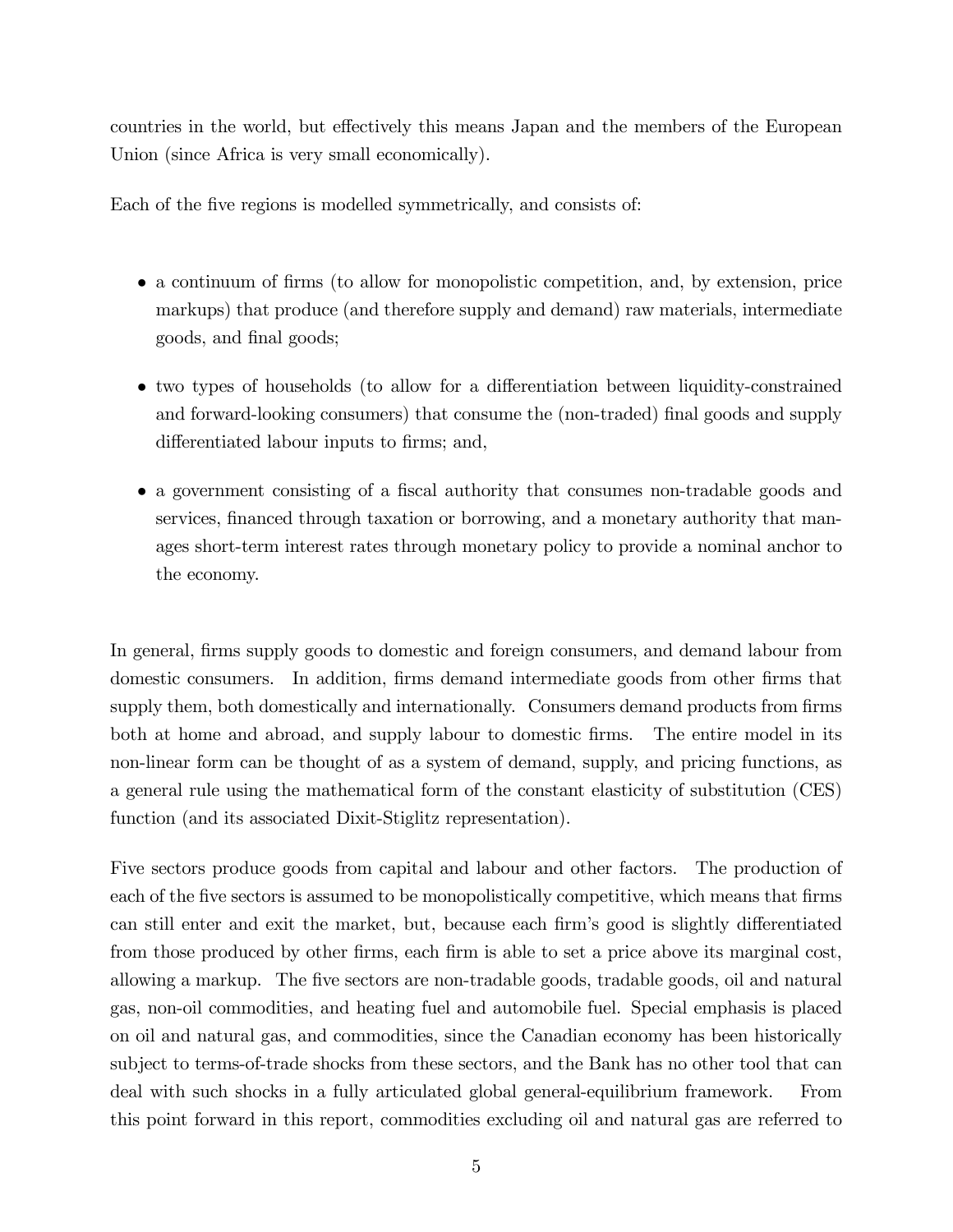countries in the world, but effectively this means Japan and the members of the European Union (since Africa is very small economically).

Each of the five regions is modelled symmetrically, and consists of:

- a continuum of firms (to allow for monopolistic competition, and, by extension, price markups) that produce (and therefore supply and demand) raw materials, intermediate goods, and final goods;
- two types of households (to allow for a differentiation between liquidity-constrained and forward-looking consumers) that consume the (non-traded) final goods and supply differentiated labour inputs to firms; and,
- a government consisting of a fiscal authority that consumes non-tradable goods and services, financed through taxation or borrowing, and a monetary authority that manages short-term interest rates through monetary policy to provide a nominal anchor to the economy.

In general, firms supply goods to domestic and foreign consumers, and demand labour from domestic consumers. In addition, firms demand intermediate goods from other firms that supply them, both domestically and internationally. Consumers demand products from firms both at home and abroad, and supply labour to domestic Örms. The entire model in its non-linear form can be thought of as a system of demand, supply, and pricing functions, as a general rule using the mathematical form of the constant elasticity of substitution (CES) function (and its associated Dixit-Stiglitz representation).

Five sectors produce goods from capital and labour and other factors. The production of each of the five sectors is assumed to be monopolistically competitive, which means that firms can still enter and exit the market, but, because each firm's good is slightly differentiated from those produced by other firms, each firm is able to set a price above its marginal cost, allowing a markup. The Öve sectors are non-tradable goods, tradable goods, oil and natural gas, non-oil commodities, and heating fuel and automobile fuel. Special emphasis is placed on oil and natural gas, and commodities, since the Canadian economy has been historically subject to terms-of-trade shocks from these sectors, and the Bank has no other tool that can deal with such shocks in a fully articulated global general-equilibrium framework. From this point forward in this report, commodities excluding oil and natural gas are referred to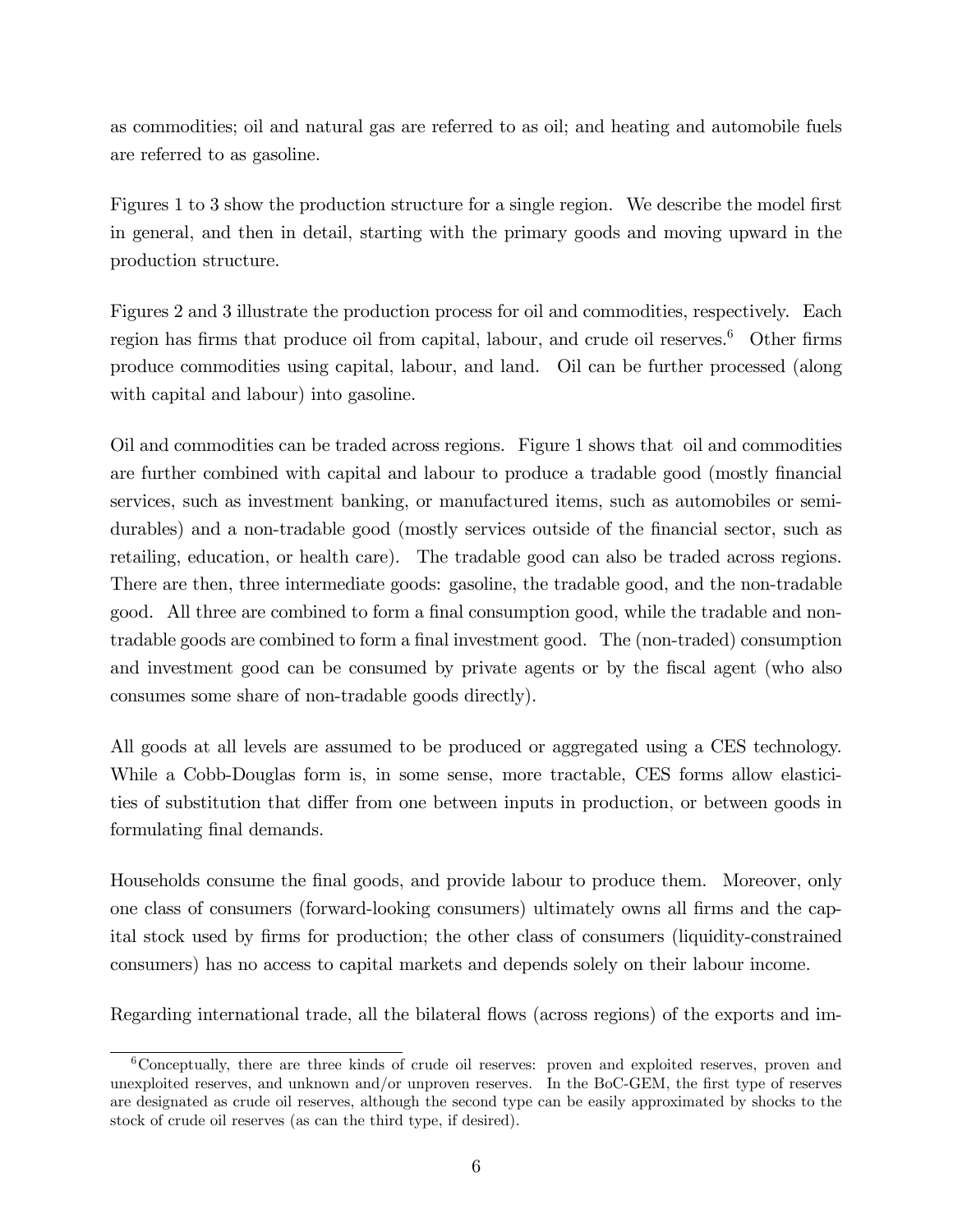as commodities; oil and natural gas are referred to as oil; and heating and automobile fuels are referred to as gasoline.

Figures 1 to 3 show the production structure for a single region. We describe the model first in general, and then in detail, starting with the primary goods and moving upward in the production structure.

Figures 2 and 3 illustrate the production process for oil and commodities, respectively. Each region has firms that produce oil from capital, labour, and crude oil reserves.<sup>6</sup> Other firms produce commodities using capital, labour, and land. Oil can be further processed (along with capital and labour) into gasoline.

Oil and commodities can be traded across regions. Figure 1 shows that oil and commodities are further combined with capital and labour to produce a tradable good (mostly financial services, such as investment banking, or manufactured items, such as automobiles or semidurables) and a non-tradable good (mostly services outside of the financial sector, such as retailing, education, or health care). The tradable good can also be traded across regions. There are then, three intermediate goods: gasoline, the tradable good, and the non-tradable good. All three are combined to form a final consumption good, while the tradable and nontradable goods are combined to form a final investment good. The (non-traded) consumption and investment good can be consumed by private agents or by the fiscal agent (who also consumes some share of non-tradable goods directly).

All goods at all levels are assumed to be produced or aggregated using a CES technology. While a Cobb-Douglas form is, in some sense, more tractable, CES forms allow elasticities of substitution that differ from one between inputs in production, or between goods in formulating final demands.

Households consume the final goods, and provide labour to produce them. Moreover, only one class of consumers (forward-looking consumers) ultimately owns all Örms and the capital stock used by Örms for production; the other class of consumers (liquidity-constrained consumers) has no access to capital markets and depends solely on their labour income.

Regarding international trade, all the bilateral flows (across regions) of the exports and im-

<sup>6</sup>Conceptually, there are three kinds of crude oil reserves: proven and exploited reserves, proven and unexploited reserves, and unknown and/or unproven reserves. In the BoC-GEM, the first type of reserves are designated as crude oil reserves, although the second type can be easily approximated by shocks to the stock of crude oil reserves (as can the third type, if desired).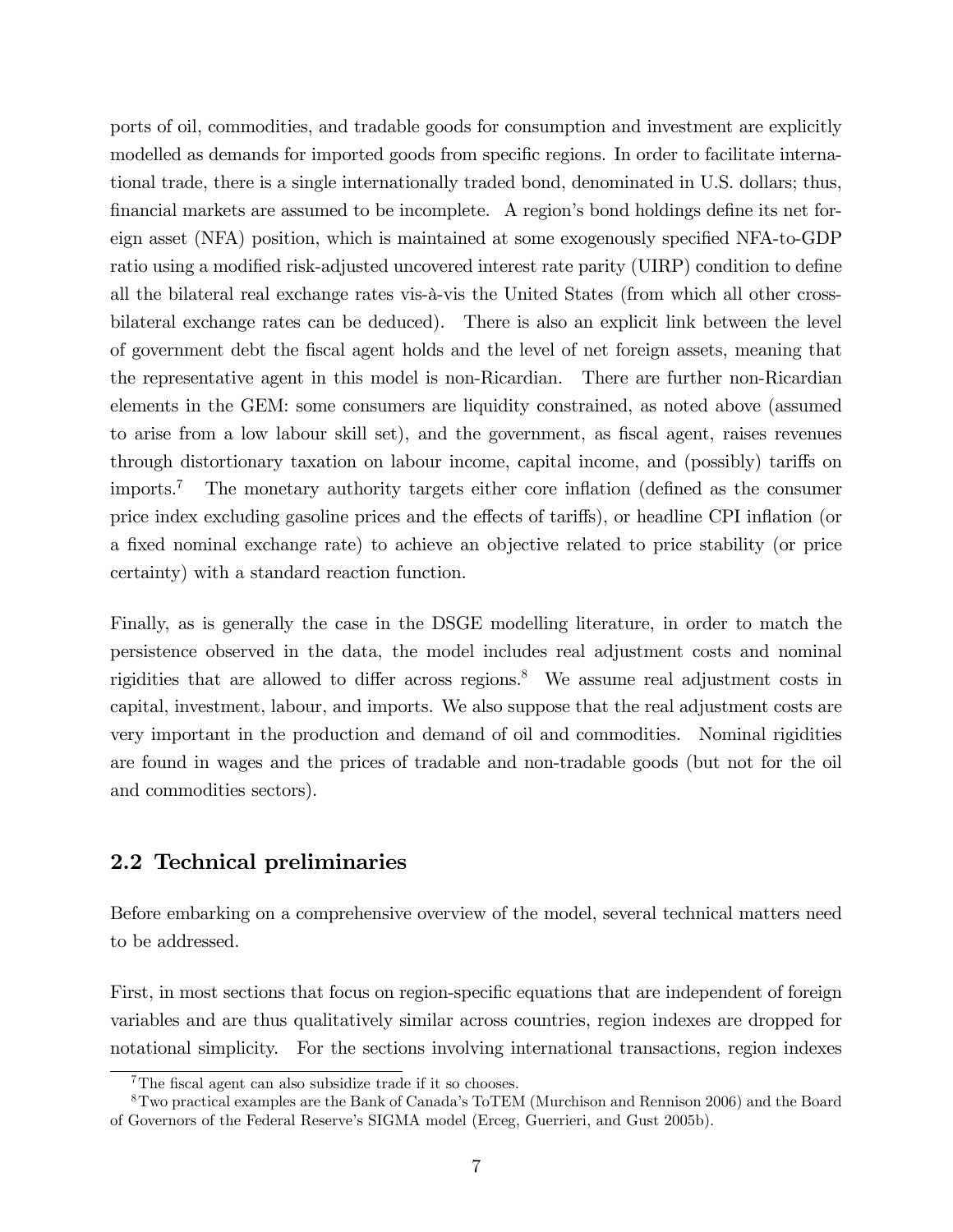ports of oil, commodities, and tradable goods for consumption and investment are explicitly modelled as demands for imported goods from specific regions. In order to facilitate international trade, there is a single internationally traded bond, denominated in U.S. dollars; thus, financial markets are assumed to be incomplete. A region's bond holdings define its net foreign asset (NFA) position, which is maintained at some exogenously specified NFA-to-GDP ratio using a modified risk-adjusted uncovered interest rate parity (UIRP) condition to define all the bilateral real exchange rates vis-à-vis the United States (from which all other crossbilateral exchange rates can be deduced). There is also an explicit link between the level of government debt the Öscal agent holds and the level of net foreign assets, meaning that the representative agent in this model is non-Ricardian. There are further non-Ricardian elements in the GEM: some consumers are liquidity constrained, as noted above (assumed to arise from a low labour skill set), and the government, as fiscal agent, raises revenues through distortionary taxation on labour income, capital income, and (possibly) tariffs on imports.<sup>7</sup> The monetary authority targets either core inflation (defined as the consumer price index excluding gasoline prices and the effects of tariffs), or headline CPI inflation (or a fixed nominal exchange rate) to achieve an objective related to price stability (or price certainty) with a standard reaction function.

Finally, as is generally the case in the DSGE modelling literature, in order to match the persistence observed in the data, the model includes real adjustment costs and nominal rigidities that are allowed to differ across regions.<sup>8</sup> We assume real adjustment costs in capital, investment, labour, and imports. We also suppose that the real adjustment costs are very important in the production and demand of oil and commodities. Nominal rigidities are found in wages and the prices of tradable and non-tradable goods (but not for the oil and commodities sectors).

## 2.2 Technical preliminaries

Before embarking on a comprehensive overview of the model, several technical matters need to be addressed.

First, in most sections that focus on region-specific equations that are independent of foreign variables and are thus qualitatively similar across countries, region indexes are dropped for notational simplicity. For the sections involving international transactions, region indexes

 $7$ The fiscal agent can also subsidize trade if it so chooses.

<sup>&</sup>lt;sup>8</sup>Two practical examples are the Bank of Canada's ToTEM (Murchison and Rennison 2006) and the Board of Governors of the Federal Reserveís SIGMA model (Erceg, Guerrieri, and Gust 2005b).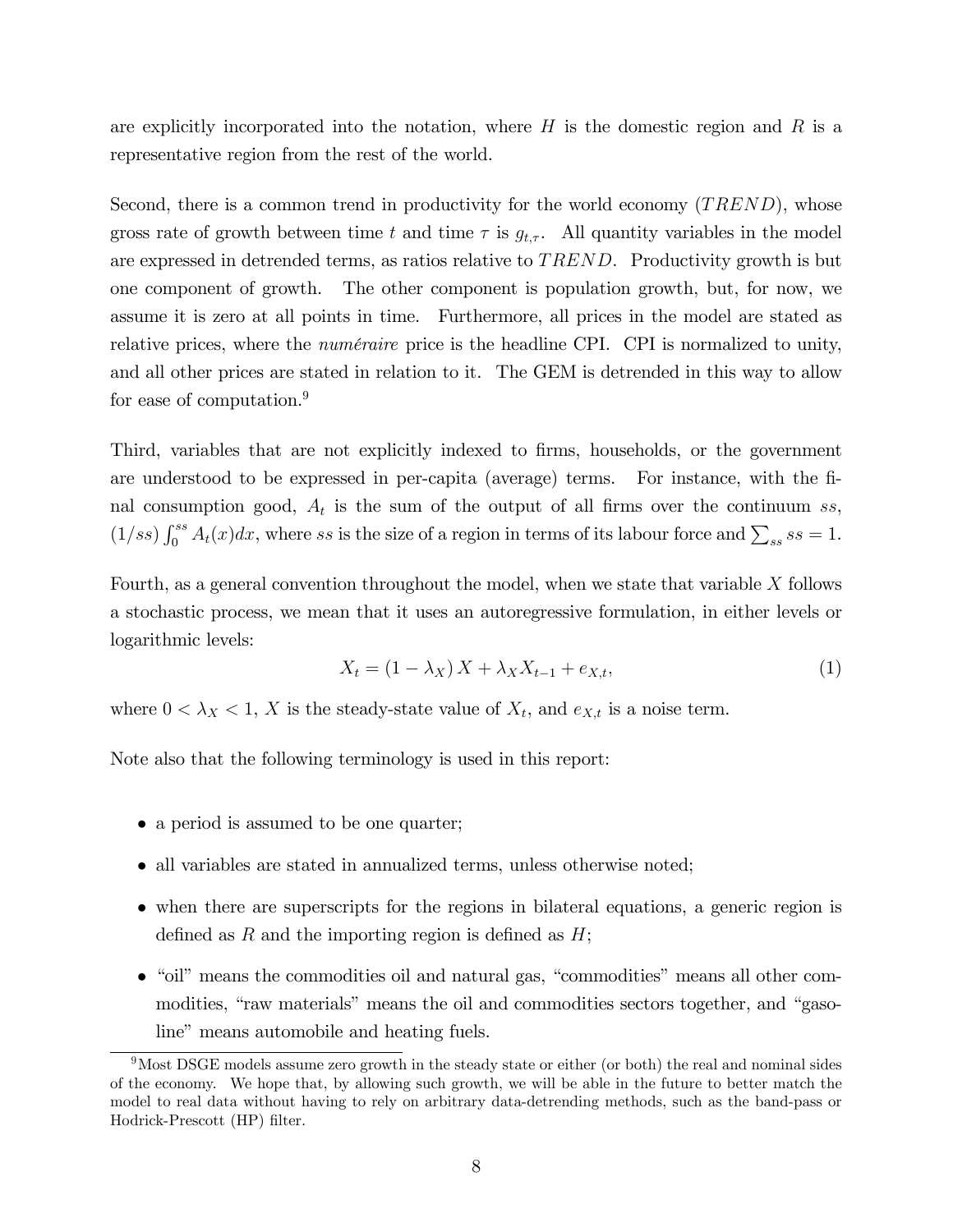are explicitly incorporated into the notation, where  $H$  is the domestic region and  $R$  is a representative region from the rest of the world.

Second, there is a common trend in productivity for the world economy  $(TREND)$ , whose gross rate of growth between time t and time  $\tau$  is  $g_{t,\tau}$ . All quantity variables in the model are expressed in detrended terms, as ratios relative to TREND. Productivity growth is but one component of growth. The other component is population growth, but, for now, we assume it is zero at all points in time. Furthermore, all prices in the model are stated as relative prices, where the *numéraire* price is the headline CPI. CPI is normalized to unity, and all other prices are stated in relation to it. The GEM is detrended in this way to allow for ease of computation.<sup>9</sup>

Third, variables that are not explicitly indexed to firms, households, or the government are understood to be expressed in per-capita (average) terms. For instance, with the Önal consumption good,  $A_t$  is the sum of the output of all firms over the continuum ss,  $(1/ss)\int_0^{ss} A_t(x)dx$ , where ss is the size of a region in terms of its labour force and  $\sum_{ss}$  ss = 1.

Fourth, as a general convention throughout the model, when we state that variable  $X$  follows a stochastic process, we mean that it uses an autoregressive formulation, in either levels or logarithmic levels:

$$
X_t = (1 - \lambda_X) X + \lambda_X X_{t-1} + e_{X,t},
$$
\n(1)

where  $0 < \lambda_X < 1$ , X is the steady-state value of  $X_t$ , and  $e_{X,t}$  is a noise term.

Note also that the following terminology is used in this report:

- a period is assumed to be one quarter;
- all variables are stated in annualized terms, unless otherwise noted;
- when there are superscripts for the regions in bilateral equations, a generic region is defined as R and the importing region is defined as  $H$ ;
- $\bullet$  "oil" means the commodities oil and natural gas, "commodities" means all other commodities, "raw materials" means the oil and commodities sectors together, and "gasoline" means automobile and heating fuels.

<sup>&</sup>lt;sup>9</sup>Most DSGE models assume zero growth in the steady state or either (or both) the real and nominal sides of the economy. We hope that, by allowing such growth, we will be able in the future to better match the model to real data without having to rely on arbitrary data-detrending methods, such as the band-pass or Hodrick-Prescott (HP) filter.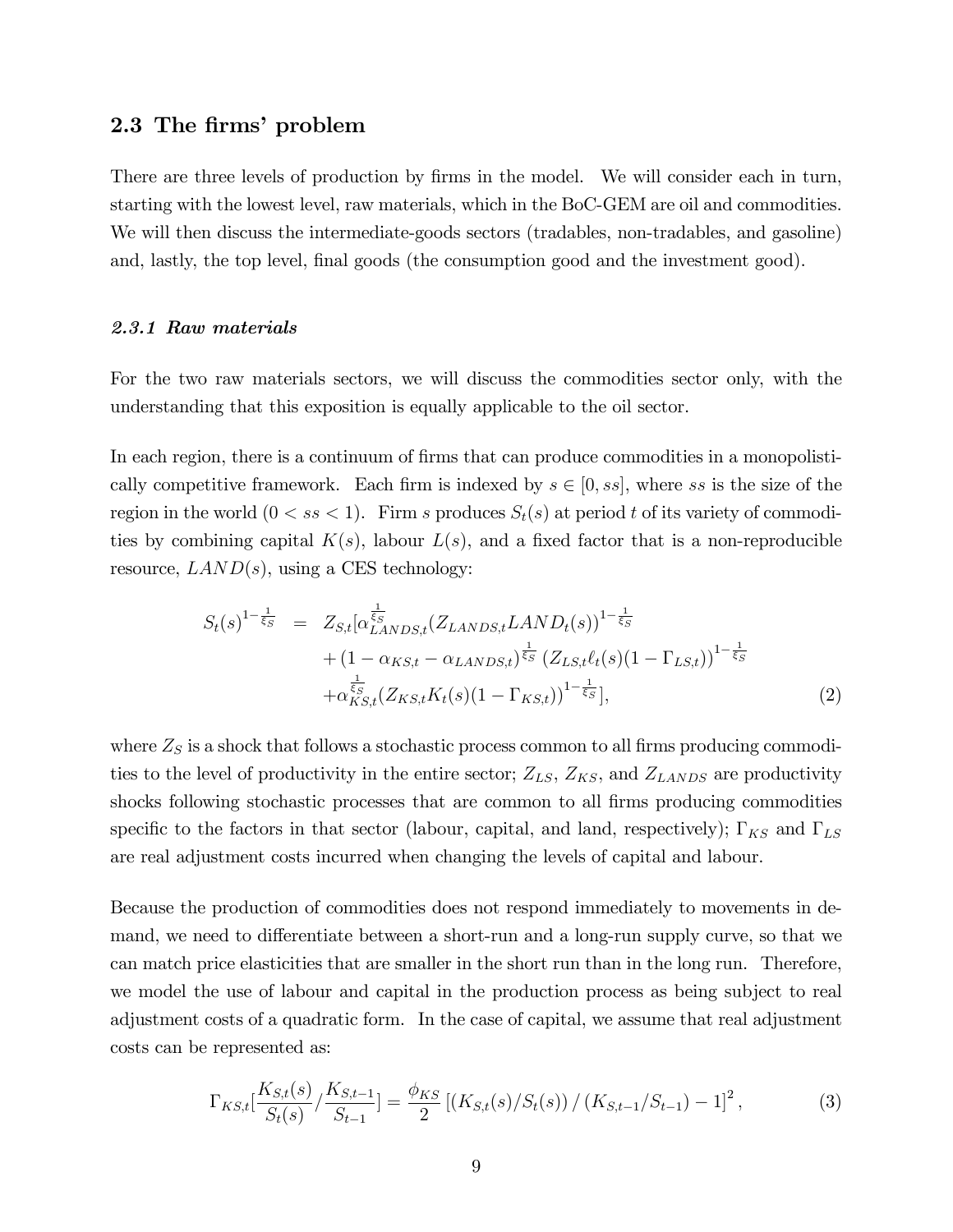## 2.3 The firms' problem

There are three levels of production by firms in the model. We will consider each in turn, starting with the lowest level, raw materials, which in the BoC-GEM are oil and commodities. We will then discuss the intermediate-goods sectors (tradables, non-tradables, and gasoline) and, lastly, the top level, final goods (the consumption good and the investment good).

#### 2.3.1 Raw materials

For the two raw materials sectors, we will discuss the commodities sector only, with the understanding that this exposition is equally applicable to the oil sector.

In each region, there is a continuum of firms that can produce commodities in a monopolistically competitive framework. Each firm is indexed by  $s \in [0, ss]$ , where ss is the size of the region in the world  $(0 < ss < 1)$ . Firm s produces  $S_t(s)$  at period t of its variety of commodities by combining capital  $K(s)$ , labour  $L(s)$ , and a fixed factor that is a non-reproducible resource,  $LAND(s)$ , using a CES technology:

$$
S_{t}(s)^{1-\frac{1}{\xi_{S}}} = Z_{S,t} [\alpha_{LANDS,t}^{\frac{1}{\xi_{S}}} (Z_{LANDS,t} LAND_{t}(s))^{1-\frac{1}{\xi_{S}}} + (1 - \alpha_{KS,t} - \alpha_{LANDS,t})^{\frac{1}{\xi_{S}}} (Z_{LS,t}\ell_{t}(s)(1 - \Gamma_{LS,t}))^{1-\frac{1}{\xi_{S}}} + \alpha_{KS,t}^{\frac{1}{\xi_{S}}} (Z_{KS,t} K_{t}(s)(1 - \Gamma_{KS,t}))^{1-\frac{1}{\xi_{S}}}],
$$
(2)

where  $Z<sub>S</sub>$  is a shock that follows a stochastic process common to all firms producing commodities to the level of productivity in the entire sector;  $Z_{LS}$ ,  $Z_{KS}$ , and  $Z_{LANDS}$  are productivity shocks following stochastic processes that are common to all firms producing commodities specific to the factors in that sector (labour, capital, and land, respectively);  $\Gamma_{KS}$  and  $\Gamma_{LS}$ are real adjustment costs incurred when changing the levels of capital and labour.

Because the production of commodities does not respond immediately to movements in demand, we need to differentiate between a short-run and a long-run supply curve, so that we can match price elasticities that are smaller in the short run than in the long run. Therefore, we model the use of labour and capital in the production process as being subject to real adjustment costs of a quadratic form. In the case of capital, we assume that real adjustment costs can be represented as:

$$
\Gamma_{KS,t} \left[ \frac{K_{S,t}(s)}{S_t(s)} / \frac{K_{S,t-1}}{S_{t-1}} \right] = \frac{\phi_{KS}}{2} \left[ \left( K_{S,t}(s) / S_t(s) \right) / \left( K_{S,t-1} / S_{t-1} \right) - 1 \right]^2, \tag{3}
$$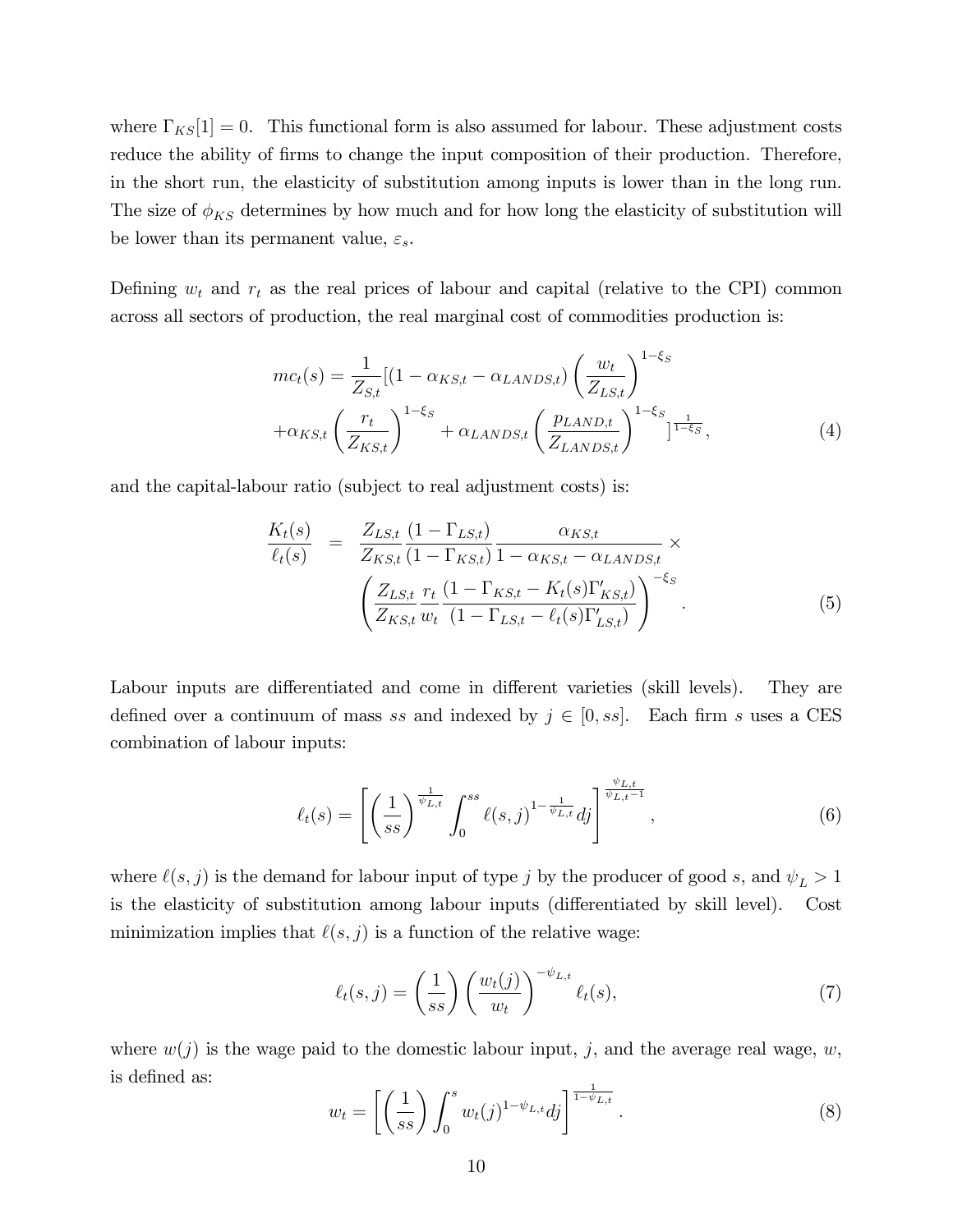where  $\Gamma_{KS}[1] = 0$ . This functional form is also assumed for labour. These adjustment costs reduce the ability of firms to change the input composition of their production. Therefore, in the short run, the elasticity of substitution among inputs is lower than in the long run. The size of  $\phi_{KS}$  determines by how much and for how long the elasticity of substitution will be lower than its permanent value,  $\varepsilon_s$ .

Defining  $w_t$  and  $r_t$  as the real prices of labour and capital (relative to the CPI) common across all sectors of production, the real marginal cost of commodities production is:

$$
mc_t(s) = \frac{1}{Z_{S,t}} [(1 - \alpha_{KS,t} - \alpha_{LANDS,t}) \left(\frac{w_t}{Z_{LS,t}}\right)^{1-\xi_S} + \alpha_{KSS,t} \left(\frac{r_t}{Z_{KS,t}}\right)^{1-\xi_S} + \alpha_{LANDS,t} \left(\frac{p_{LAND,t}}{Z_{LANDS,t}}\right)^{1-\xi_S}],
$$
(4)

and the capital-labour ratio (subject to real adjustment costs) is:

$$
\frac{K_{t}(s)}{\ell_{t}(s)} = \frac{Z_{LS,t}}{Z_{KS,t}} \frac{(1 - \Gamma_{LS,t})}{(1 - \Gamma_{KS,t})} \frac{\alpha_{KS,t}}{1 - \alpha_{KS,t} - \alpha_{LANDS,t}} \times \left( \frac{Z_{LS,t}}{Z_{KS,t}} \frac{r_{t}}{w_{t}} \frac{(1 - \Gamma_{KS,t} - K_{t}(s)\Gamma'_{KS,t})}{(1 - \Gamma_{LS,t} - \ell_{t}(s)\Gamma'_{LS,t})} \right)^{-\xi_{S}}.
$$
\n(5)

Labour inputs are differentiated and come in different varieties (skill levels). They are defined over a continuum of mass ss and indexed by  $j \in [0, ss]$ . Each firm s uses a CES combination of labour inputs:

$$
\ell_t(s) = \left[ \left( \frac{1}{ss} \right)^{\frac{1}{\psi_{L,t}}} \int_0^{ss} \ell(s,j)^{1-\frac{1}{\psi_{L,t}}} dj \right]^{\frac{\psi_{L,t}}{\psi_{L,t}-1}}, \tag{6}
$$

where  $\ell(s, j)$  is the demand for labour input of type j by the producer of good s, and  $\psi_L > 1$ is the elasticity of substitution among labour inputs (differentiated by skill level). Cost minimization implies that  $\ell(s, j)$  is a function of the relative wage:

$$
\ell_t(s,j) = \left(\frac{1}{ss}\right) \left(\frac{w_t(j)}{w_t}\right)^{-\psi_{L,t}} \ell_t(s),\tag{7}
$$

where  $w(j)$  is the wage paid to the domestic labour input, j, and the average real wage, w, is defined as:

$$
w_t = \left[ \left( \frac{1}{ss} \right) \int_0^s w_t(j)^{1-\psi_{L,t}} dj \right]^{\frac{1}{1-\psi_{L,t}}}.
$$
\n
$$
(8)
$$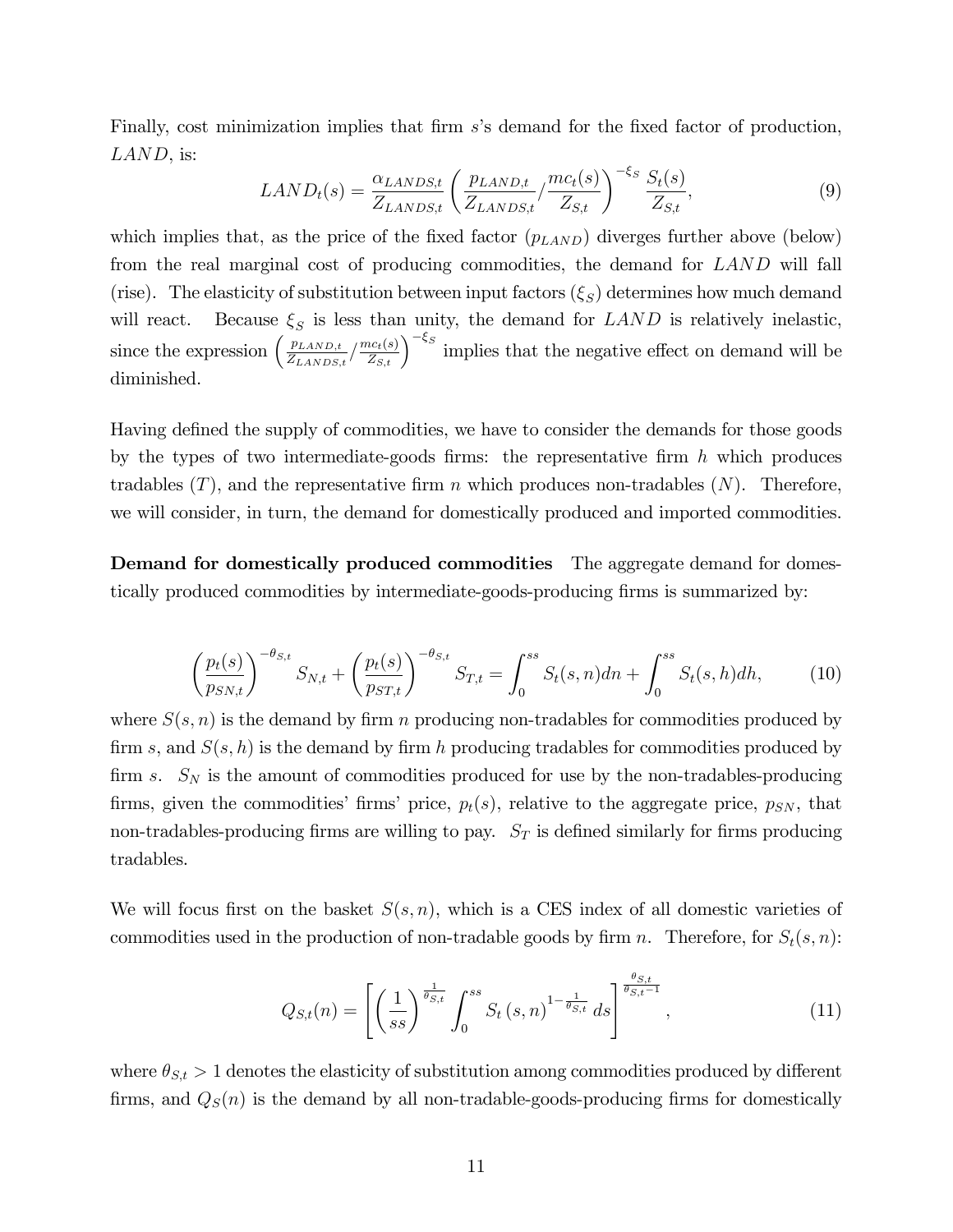Finally, cost minimization implies that firm s's demand for the fixed factor of production, LAND, is:

$$
LAND_t(s) = \frac{\alpha_{LANDS,t}}{Z_{LANDS,t}} \left( \frac{p_{LAND,t}}{Z_{LANDS,t}} / \frac{mc_t(s)}{Z_{S,t}} \right)^{-\xi_S} \frac{S_t(s)}{Z_{S,t}},
$$
(9)

which implies that, as the price of the fixed factor  $(p_{LAND})$  diverges further above (below) from the real marginal cost of producing commodities, the demand for LAND will fall (rise). The elasticity of substitution between input factors  $(\xi_S)$  determines how much demand will react. Because  $\xi_S$  is less than unity, the demand for  $LAND$  is relatively inelastic, since the expression  $\left(\frac{p_{LAND,t}}{Z_{LANDG}}\right)$  $\frac{p_{LAND,t}}{Z_{LAND,t}} / \frac{mc_t(s)}{Z_{S,t}}$  implies that the negative effect on demand will be diminished.

Having defined the supply of commodities, we have to consider the demands for those goods by the types of two intermediate-goods firms: the representative firm  $h$  which produces tradables  $(T)$ , and the representative firm n which produces non-tradables  $(N)$ . Therefore, we will consider, in turn, the demand for domestically produced and imported commodities.

Demand for domestically produced commodities The aggregate demand for domestically produced commodities by intermediate-goods-producing firms is summarized by:

$$
\left(\frac{p_t(s)}{p_{SN,t}}\right)^{-\theta_{S,t}} S_{N,t} + \left(\frac{p_t(s)}{p_{ST,t}}\right)^{-\theta_{S,t}} S_{T,t} = \int_0^{ss} S_t(s,n)dn + \int_0^{ss} S_t(s,h)dh,\tag{10}
$$

where  $S(s, n)$  is the demand by firm n producing non-tradables for commodities produced by firm s, and  $S(s, h)$  is the demand by firm h producing tradables for commodities produced by firm s.  $S_N$  is the amount of commodities produced for use by the non-tradables-producing firms, given the commodities' firms' price,  $p_t(s)$ , relative to the aggregate price,  $p_{SN}$ , that non-tradables-producing firms are willing to pay.  $S_T$  is defined similarly for firms producing tradables.

We will focus first on the basket  $S(s, n)$ , which is a CES index of all domestic varieties of commodities used in the production of non-tradable goods by firm n. Therefore, for  $S_t(s, n)$ :

$$
Q_{S,t}(n) = \left[ \left( \frac{1}{ss} \right)^{\frac{1}{\theta_{S,t}}} \int_0^{ss} S_t \left( s, n \right)^{1 - \frac{1}{\theta_{S,t}}} ds \right]^{\frac{\theta_{S,t}}{\theta_{S,t} - 1}}, \tag{11}
$$

where  $\theta_{S,t} > 1$  denotes the elasticity of substitution among commodities produced by different firms, and  $Q_S(n)$  is the demand by all non-tradable-goods-producing firms for domestically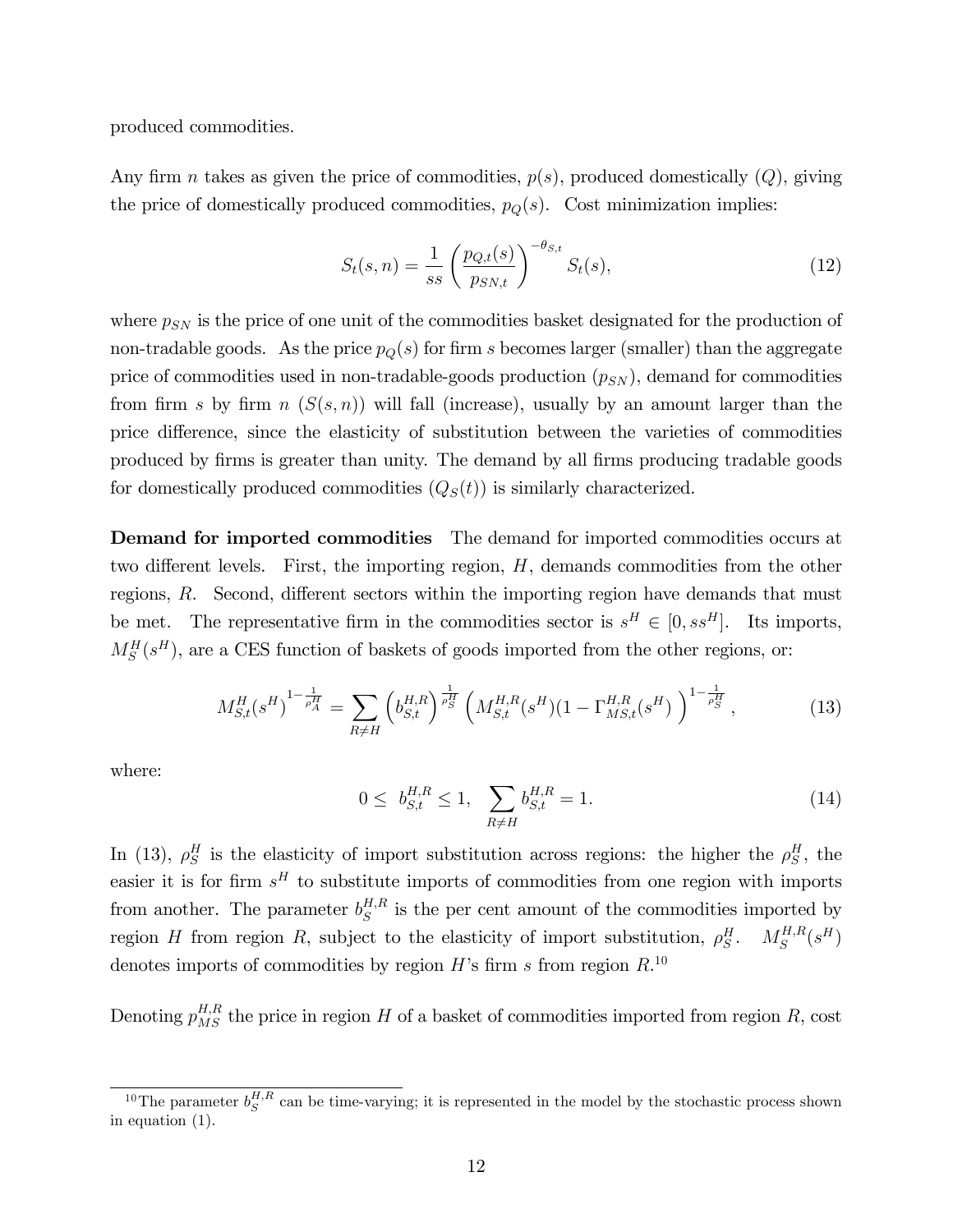produced commodities.

Any firm *n* takes as given the price of commodities,  $p(s)$ , produced domestically  $(Q)$ , giving the price of domestically produced commodities,  $p_Q(s)$ . Cost minimization implies:

$$
S_t(s, n) = \frac{1}{ss} \left( \frac{p_{Q,t}(s)}{p_{SN,t}} \right)^{-\theta_{S,t}} S_t(s), \tag{12}
$$

where  $p_{SN}$  is the price of one unit of the commodities basket designated for the production of non-tradable goods. As the price  $p_Q(s)$  for firm s becomes larger (smaller) than the aggregate price of commodities used in non-tradable-goods production  $(p_{SN})$ , demand for commodities from firm s by firm n  $(S(s, n))$  will fall (increase), usually by an amount larger than the price difference, since the elasticity of substitution between the varieties of commodities produced by Örms is greater than unity. The demand by all Örms producing tradable goods for domestically produced commodities  $(Q<sub>S</sub>(t))$  is similarly characterized.

Demand for imported commodities The demand for imported commodities occurs at two different levels. First, the importing region,  $H$ , demands commodities from the other regions,  $R$ . Second, different sectors within the importing region have demands that must be met. The representative firm in the commodities sector is  $s^H \in [0, s s^H]$ . Its imports,  $M_S^H(s^H)$ , are a CES function of baskets of goods imported from the other regions, or:

$$
M_{S,t}^H(s^H)^{1-\frac{1}{\rho_A^H}} = \sum_{R \neq H} \left( b_{S,t}^{H,R} \right)^{\frac{1}{\rho_S^H}} \left( M_{S,t}^{H,R}(s^H) (1 - \Gamma_{MS,t}^{H,R}(s^H) \right)^{1-\frac{1}{\rho_S^H}}, \tag{13}
$$

where:

$$
0 \leq b_{S,t}^{H,R} \leq 1, \quad \sum_{R \neq H} b_{S,t}^{H,R} = 1. \tag{14}
$$

In (13),  $\rho_S^H$  is the elasticity of import substitution across regions: the higher the  $\rho_S^H$ , the easier it is for firm  $s<sup>H</sup>$  to substitute imports of commodities from one region with imports from another. The parameter  $b_S^{H,R}$  $\mathbf{g}^{H,K}$  is the per cent amount of the commodities imported by region H from region R, subject to the elasticity of import substitution,  $\rho_S^H$ .  $M_S^{H,R}$  $S^{H,R}(s^H)$ denotes imports of commodities by region  $H$ 's firm s from region  $R$ <sup>10</sup>

Denoting  $p_{MS}^{H,R}$  the price in region H of a basket of commodities imported from region R, cost

<sup>&</sup>lt;sup>10</sup>The parameter  $b_S^{H,R}$  can be time-varying; it is represented in the model by the stochastic process shown in equation (1).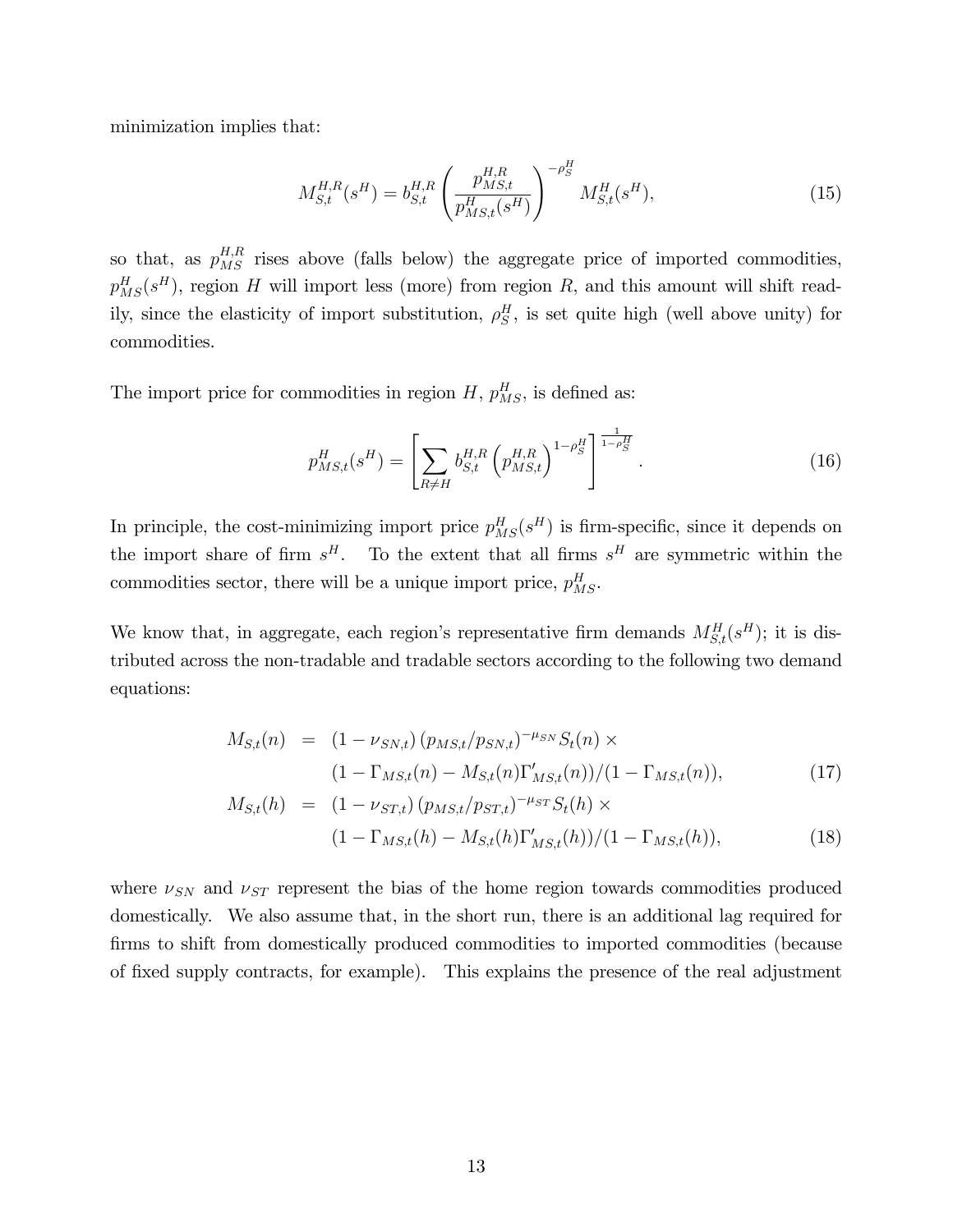minimization implies that:

$$
M_{S,t}^{H,R}(s^H) = b_{S,t}^{H,R} \left( \frac{p_{MS,t}^{H,R}}{p_{MS,t}^H(s^H)} \right)^{-\rho_S^H} M_{S,t}^H(s^H), \tag{15}
$$

so that, as  $p_{MS}^{H,R}$  rises above (falls below) the aggregate price of imported commodities,  $p_{MS}^H(s^H)$ , region H will import less (more) from region R, and this amount will shift readily, since the elasticity of import substitution,  $\rho_S^H$ , is set quite high (well above unity) for commodities.

The import price for commodities in region  $H$ ,  $p_{MS}^H$ , is defined as:

$$
p_{MS,t}^H(s^H) = \left[ \sum_{R \neq H} b_{S,t}^{H,R} \left( p_{MS,t}^{H,R} \right)^{1 - \rho_S^H} \right]^{\frac{1}{1 - \rho_S^H}}.
$$
 (16)

In principle, the cost-minimizing import price  $p_{MS}^H(s^H)$  is firm-specific, since it depends on the import share of firm  $s^H$ . To the extent that all firms  $s^H$  are symmetric within the commodities sector, there will be a unique import price,  $p_{MS}^H$ .

We know that, in aggregate, each region's representative firm demands  $M_{S,t}^H(s^H)$ ; it is distributed across the non-tradable and tradable sectors according to the following two demand equations:

$$
M_{S,t}(n) = (1 - \nu_{SN,t}) (p_{MS,t}/p_{SN,t})^{-\mu_{SN}} S_t(n) \times
$$
  

$$
(1 - \Gamma_{MS,t}(n) - M_{S,t}(n) \Gamma'_{MS,t}(n))/(1 - \Gamma_{MS,t}(n)),
$$
 (17)

$$
M_{S,t}(h) = (1 - \nu_{ST,t}) \left( p_{MS,t} / p_{ST,t} \right)^{-\mu_{ST}} S_t(h) \times
$$
  

$$
(1 - \Gamma_{MS,t}(h) - M_{S,t}(h) \Gamma'_{MS,t}(h)) / (1 - \Gamma_{MS,t}(h)),
$$
 (18)

where  $\nu_{SN}$  and  $\nu_{ST}$  represent the bias of the home region towards commodities produced domestically. We also assume that, in the short run, there is an additional lag required for firms to shift from domestically produced commodities to imported commodities (because of Öxed supply contracts, for example). This explains the presence of the real adjustment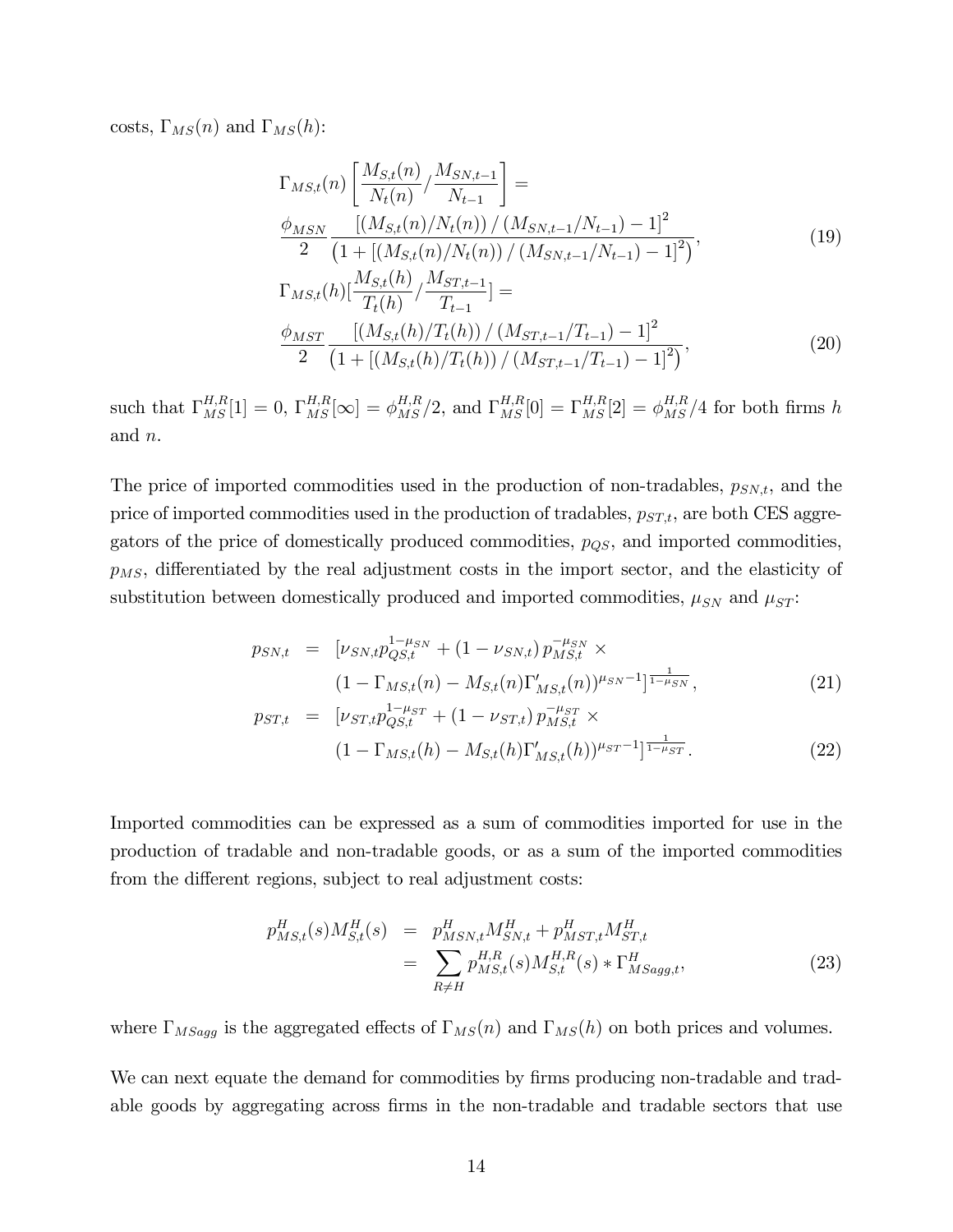costs,  $\Gamma_{MS}(n)$  and  $\Gamma_{MS}(h)$ :

$$
\Gamma_{MS,t}(n) \left[ \frac{M_{S,t}(n)}{N_t(n)} / \frac{M_{SN,t-1}}{N_{t-1}} \right] =
$$
\n
$$
\frac{\phi_{MSN}}{2} \frac{\left[ (M_{S,t}(n)/N_t(n)) / (M_{SN,t-1}/N_{t-1}) - 1 \right]^2}{\left( 1 + \left[ (M_{S,t}(n)/N_t(n)) / (M_{SN,t-1}/N_{t-1}) - 1 \right]^2 \right)},
$$
\n
$$
\Gamma_{MS,t}(h) \left[ \frac{M_{S,t}(h)}{T_t(h)} / \frac{M_{ST,t-1}}{T_{t-1}} \right] =
$$
\n
$$
\frac{\phi_{MST}}{2} \frac{\left[ (M_{S,t}(h)/T_t(h)) / (M_{ST,t-1}/T_{t-1}) - 1 \right]^2}{\left( 1 + \left[ (M_{S,t}(h)/T_t(h)) / (M_{ST,t-1}/T_{t-1}) - 1 \right]^2 \right)},
$$
\n(20)

such that  $\Gamma_{MS}^{H,R}[1] = 0$ ,  $\Gamma_{MS}^{H,R}[\infty] = \phi_{MS}^{H,R}/2$ , and  $\Gamma_{MS}^{H,R}[0] = \Gamma_{MS}^{H,R}[2] = \phi_{MS}^{H,R}/4$  for both firms h and n.

The price of imported commodities used in the production of non-tradables,  $p_{SN,t}$ , and the price of imported commodities used in the production of tradables,  $p_{ST,t}$ , are both CES aggregators of the price of domestically produced commodities,  $p_{QS}$ , and imported commodities,  $p_{MS}$ , differentiated by the real adjustment costs in the import sector, and the elasticity of substitution between domestically produced and imported commodities,  $\mu_{SN}$  and  $\mu_{ST}$ :

$$
p_{SN,t} = \left[ \nu_{SN,t} p_{QS,t}^{1-\mu_{SN}} + (1 - \nu_{SN,t}) p_{MS,t}^{-\mu_{SN}} \times \right. \\
\left. (1 - \Gamma_{MS,t}(n) - M_{S,t}(n) \Gamma'_{MS,t}(n) \right)^{\mu_{SN} - 1} \left]^{\frac{1}{1 - \mu_{SN}}},\n \tag{21}
$$

$$
p_{ST,t} = \left[ \nu_{ST,t} p_{QS,t}^{1-\mu_{ST}} + (1 - \nu_{ST,t}) p_{MS,t}^{-\mu_{ST}} \times \right. \\
\left. (1 - \Gamma_{MS,t}(h) - M_{S,t}(h) \Gamma'_{MS,t}(h) \right)^{\mu_{ST}-1} \right]_{1-\mu_{ST}}^{1}.
$$
\n(22)

Imported commodities can be expressed as a sum of commodities imported for use in the production of tradable and non-tradable goods, or as a sum of the imported commodities from the different regions, subject to real adjustment costs:

$$
p_{MS,t}^{H}(s)M_{S,t}^{H}(s) = p_{MSN,t}^{H}M_{SN,t}^{H} + p_{MST,t}^{H}M_{ST,t}^{H}
$$
  
= 
$$
\sum_{R \neq H} p_{MS,t}^{H,R}(s)M_{S,t}^{H,R}(s) * \Gamma_{MSagg,t}^{H},
$$
 (23)

where  $\Gamma_{MSagg}$  is the aggregated effects of  $\Gamma_{MS}(n)$  and  $\Gamma_{MS}(h)$  on both prices and volumes.

We can next equate the demand for commodities by firms producing non-tradable and tradable goods by aggregating across firms in the non-tradable and tradable sectors that use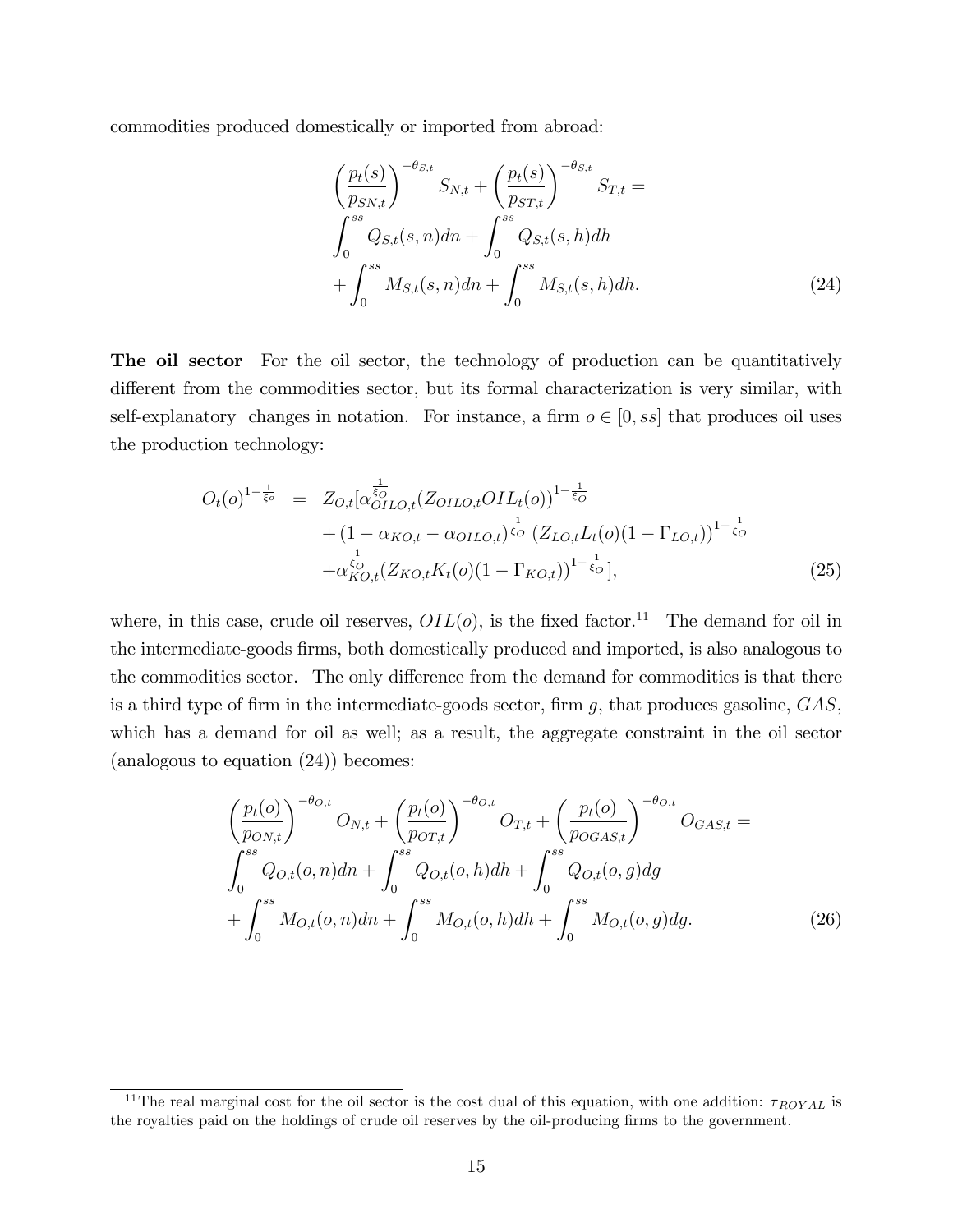commodities produced domestically or imported from abroad:

$$
\left(\frac{p_t(s)}{p_{SN,t}}\right)^{-\theta_{S,t}} S_{N,t} + \left(\frac{p_t(s)}{p_{ST,t}}\right)^{-\theta_{S,t}} S_{T,t} =
$$
\n
$$
\int_0^{ss} Q_{S,t}(s,n)dn + \int_0^{ss} Q_{S,t}(s,h)dh + \int_0^{ss} M_{S,t}(s,n)dn + \int_0^{ss} M_{S,t}(s,h)dh.
$$
\n(24)

The oil sector For the oil sector, the technology of production can be quantitatively different from the commodities sector, but its formal characterization is very similar, with self-explanatory changes in notation. For instance, a firm  $o \in [0, ss]$  that produces oil uses the production technology:

$$
O_t(o)^{1-\frac{1}{\xi_o}} = Z_{O,t}[\alpha_{OILO,t}^{\frac{1}{\xi_o}}(Z_{OILO,t}OIL_t(o))^{1-\frac{1}{\xi_o}} + (1 - \alpha_{KO,t} - \alpha_{OILO,t})^{\frac{1}{\xi_o}}(Z_{LO,t}L_t(o)(1 - \Gamma_{LO,t}))^{1-\frac{1}{\xi_o}} + \alpha_{KO,t}^{\frac{1}{\xi_o}}(Z_{KO,t}K_t(o)(1 - \Gamma_{KO,t}))^{1-\frac{1}{\xi_o}}],
$$
\n(25)

where, in this case, crude oil reserves,  $OIL(o)$ , is the fixed factor.<sup>11</sup> The demand for oil in the intermediate-goods Örms, both domestically produced and imported, is also analogous to the commodities sector. The only difference from the demand for commodities is that there is a third type of firm in the intermediate-goods sector, firm g, that produces gasoline,  $GAS$ , which has a demand for oil as well; as a result, the aggregate constraint in the oil sector (analogous to equation (24)) becomes:

$$
\left(\frac{p_t(o)}{p_{ON,t}}\right)^{-\theta_{O,t}} O_{N,t} + \left(\frac{p_t(o)}{p_{OT,t}}\right)^{-\theta_{O,t}} O_{T,t} + \left(\frac{p_t(o)}{p_{OGAS,t}}\right)^{-\theta_{O,t}} O_{GAS,t} =
$$
\n
$$
\int_0^{ss} Q_{O,t}(o, n) dn + \int_0^{ss} Q_{O,t}(o, h) dh + \int_0^{ss} Q_{O,t}(o, g) dg
$$
\n
$$
+ \int_0^{ss} M_{O,t}(o, n) dn + \int_0^{ss} M_{O,t}(o, h) dh + \int_0^{ss} M_{O,t}(o, g) dg. \tag{26}
$$

<sup>&</sup>lt;sup>11</sup>The real marginal cost for the oil sector is the cost dual of this equation, with one addition:  $\tau_{ROYAL}$  is the royalties paid on the holdings of crude oil reserves by the oil-producing firms to the government.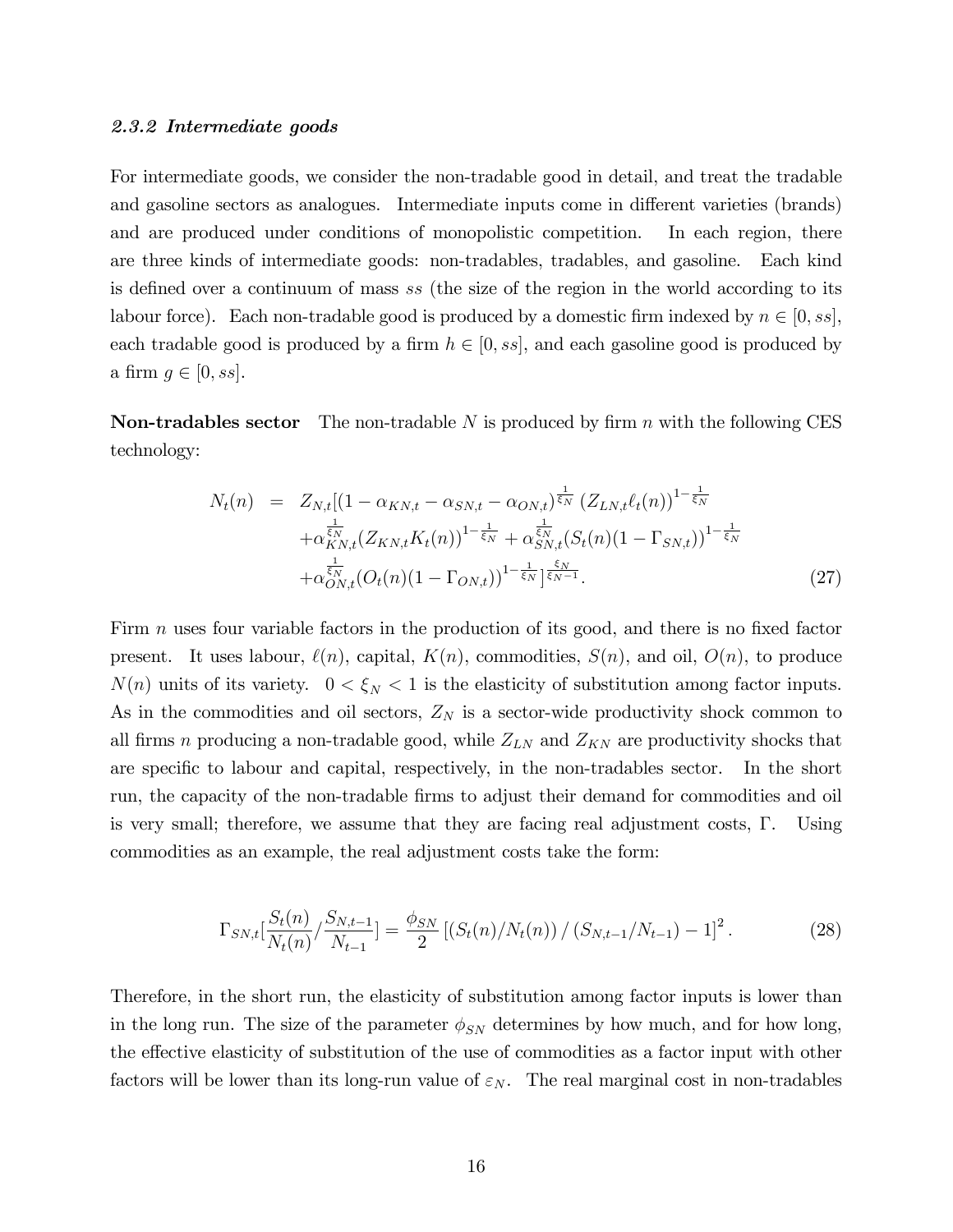#### 2.3.2 Intermediate goods

For intermediate goods, we consider the non-tradable good in detail, and treat the tradable and gasoline sectors as analogues. Intermediate inputs come in different varieties (brands) and are produced under conditions of monopolistic competition. In each region, there are three kinds of intermediate goods: non-tradables, tradables, and gasoline. Each kind is defined over a continuum of mass ss (the size of the region in the world according to its labour force). Each non-tradable good is produced by a domestic firm indexed by  $n \in [0, s_s]$ , each tradable good is produced by a firm  $h \in [0, ss]$ , and each gasoline good is produced by a firm  $g \in [0, ss]$ .

**Non-tradables sector** The non-tradable N is produced by firm n with the following CES technology:

$$
N_t(n) = Z_{N,t}[(1 - \alpha_{KN,t} - \alpha_{SN,t} - \alpha_{ON,t})^{\frac{1}{\xi_N}} (Z_{LN,t}\ell_t(n))^{1 - \frac{1}{\xi_N}} + \alpha_{KN,t}^{\frac{1}{\xi_N}} (Z_{KN,t}K_t(n))^{1 - \frac{1}{\xi_N}} + \alpha_{SN,t}^{\frac{1}{\xi_N}} (S_t(n)(1 - \Gamma_{SN,t}))^{1 - \frac{1}{\xi_N}} + \alpha_{ON,t}^{\frac{1}{\xi_N}} (O_t(n)(1 - \Gamma_{ON,t}))^{1 - \frac{1}{\xi_N} \frac{\xi_N}{\xi_N - 1}}.
$$
(27)

Firm  $n$  uses four variable factors in the production of its good, and there is no fixed factor present. It uses labour,  $\ell(n)$ , capital,  $K(n)$ , commodities,  $S(n)$ , and oil,  $O(n)$ , to produce  $N(n)$  units of its variety.  $0 < \xi_N < 1$  is the elasticity of substitution among factor inputs. As in the commodities and oil sectors,  $Z_N$  is a sector-wide productivity shock common to all firms n producing a non-tradable good, while  $Z_{LN}$  and  $Z_{KN}$  are productivity shocks that are specific to labour and capital, respectively, in the non-tradables sector. In the short run, the capacity of the non-tradable firms to adjust their demand for commodities and oil is very small; therefore, we assume that they are facing real adjustment costs,  $\Gamma$ . Using commodities as an example, the real adjustment costs take the form:

$$
\Gamma_{SN,t} \left[ \frac{S_t(n)}{N_t(n)} / \frac{S_{N,t-1}}{N_{t-1}} \right] = \frac{\phi_{SN}}{2} \left[ \left( S_t(n) / N_t(n) \right) / \left( S_{N,t-1} / N_{t-1} \right) - 1 \right]^2. \tag{28}
$$

Therefore, in the short run, the elasticity of substitution among factor inputs is lower than in the long run. The size of the parameter  $\phi_{SN}$  determines by how much, and for how long, the effective elasticity of substitution of the use of commodities as a factor input with other factors will be lower than its long-run value of  $\varepsilon_N$ . The real marginal cost in non-tradables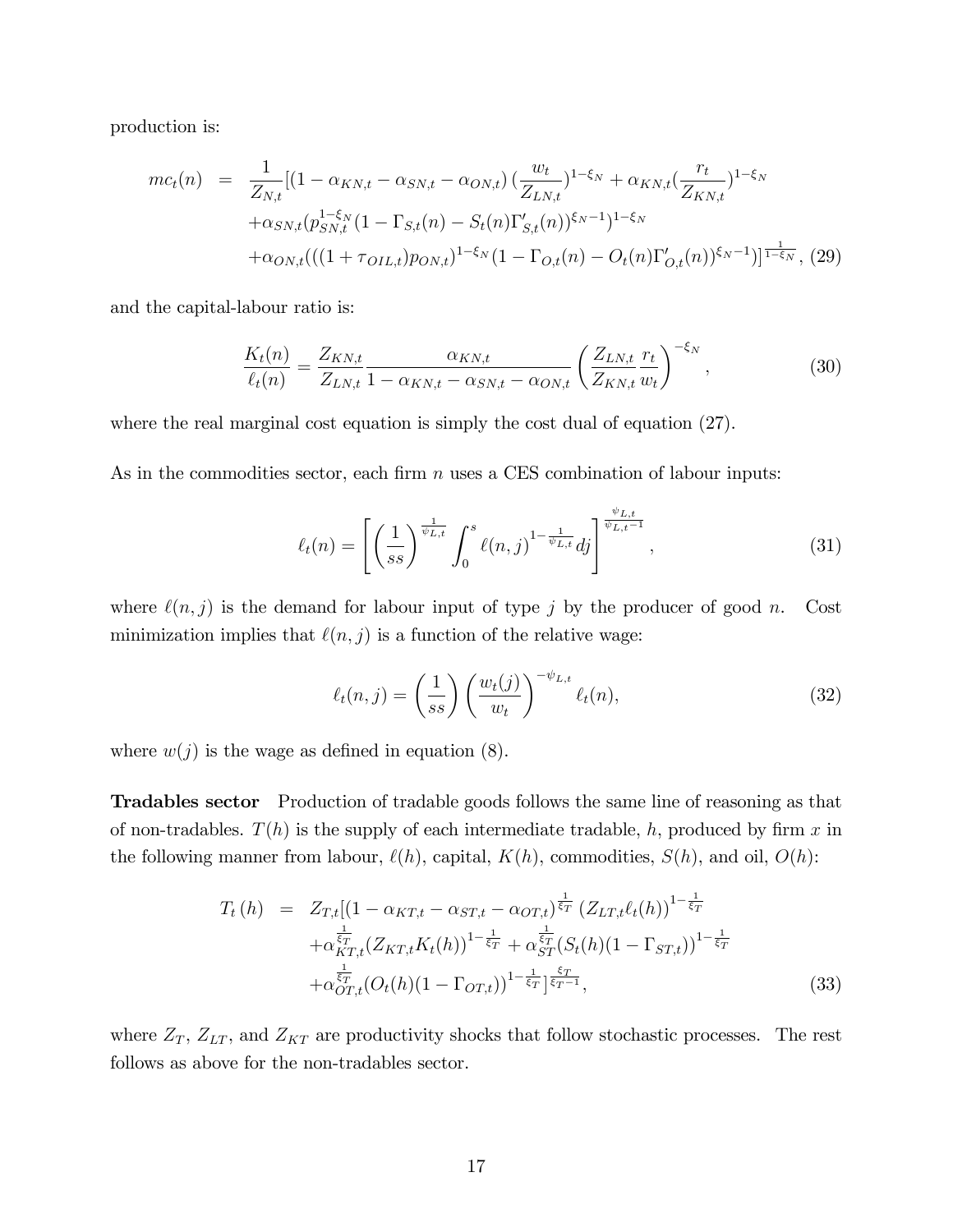production is:

$$
mc_t(n) = \frac{1}{Z_{N,t}} [(1 - \alpha_{KN,t} - \alpha_{SN,t} - \alpha_{ON,t}) (\frac{w_t}{Z_{LN,t}})^{1-\xi_N} + \alpha_{KN,t} (\frac{r_t}{Z_{KN,t}})^{1-\xi_N} + \alpha_{SN,t} (p_{SN,t}^{1-\xi_N} (1 - \Gamma_{S,t}(n) - S_t(n) \Gamma_{S,t}'(n))^{\xi_N - 1})^{1-\xi_N} + \alpha_{ON,t} ((1 + \tau_{OIL,t}) p_{ON,t})^{1-\xi_N} (1 - \Gamma_{O,t}(n) - O_t(n) \Gamma_{O,t}'(n))^{\xi_N - 1})]^{\frac{1}{1-\xi_N}}, (29)
$$

and the capital-labour ratio is:

$$
\frac{K_t(n)}{\ell_t(n)} = \frac{Z_{KN,t}}{Z_{LN,t}} \frac{\alpha_{KN,t}}{1 - \alpha_{KN,t} - \alpha_{SN,t} - \alpha_{ON,t}} \left(\frac{Z_{LN,t}}{Z_{KN,t}} \frac{r_t}{w_t}\right)^{-\xi_N},
$$
(30)

where the real marginal cost equation is simply the cost dual of equation (27).

As in the commodities sector, each firm  $n$  uses a CES combination of labour inputs:

$$
\ell_t(n) = \left[ \left( \frac{1}{ss} \right)^{\frac{1}{\psi_{L,t}}} \int_0^s \ell(n,j)^{1 - \frac{1}{\psi_{L,t}}} dj \right]^{\frac{\psi_{L,t}}{\psi_{L,t}-1}}, \tag{31}
$$

where  $\ell(n, j)$  is the demand for labour input of type j by the producer of good n. Cost minimization implies that  $\ell(n, j)$  is a function of the relative wage:

$$
\ell_t(n,j) = \left(\frac{1}{ss}\right) \left(\frac{w_t(j)}{w_t}\right)^{-\psi_{L,t}} \ell_t(n),\tag{32}
$$

where  $w(j)$  is the wage as defined in equation (8).

Tradables sector Production of tradable goods follows the same line of reasoning as that of non-tradables.  $T(h)$  is the supply of each intermediate tradable, h, produced by firm x in the following manner from labour,  $\ell(h)$ , capital,  $K(h)$ , commodities,  $S(h)$ , and oil,  $O(h)$ :

$$
T_t(h) = Z_{T,t}[(1 - \alpha_{KT,t} - \alpha_{ST,t} - \alpha_{OT,t})^{\frac{1}{\xi_T}} (Z_{LT,t}\ell_t(h))^{1 - \frac{1}{\xi_T}} + \alpha_{KT,t}^{\frac{1}{\xi_T}} (Z_{KT,t}K_t(h))^{1 - \frac{1}{\xi_T}} + \alpha_{ST}^{\frac{1}{\xi_T}} (S_t(h)(1 - \Gamma_{ST,t}))^{1 - \frac{1}{\xi_T}} + \alpha_{OT,t}^{\frac{1}{\xi_T}} (O_t(h)(1 - \Gamma_{OT,t}))^{1 - \frac{1}{\xi_T}}]^{\frac{\xi_T}{\xi_T - 1}},
$$
(33)

where  $Z_T$ ,  $Z_{LT}$ , and  $Z_{KT}$  are productivity shocks that follow stochastic processes. The rest follows as above for the non-tradables sector.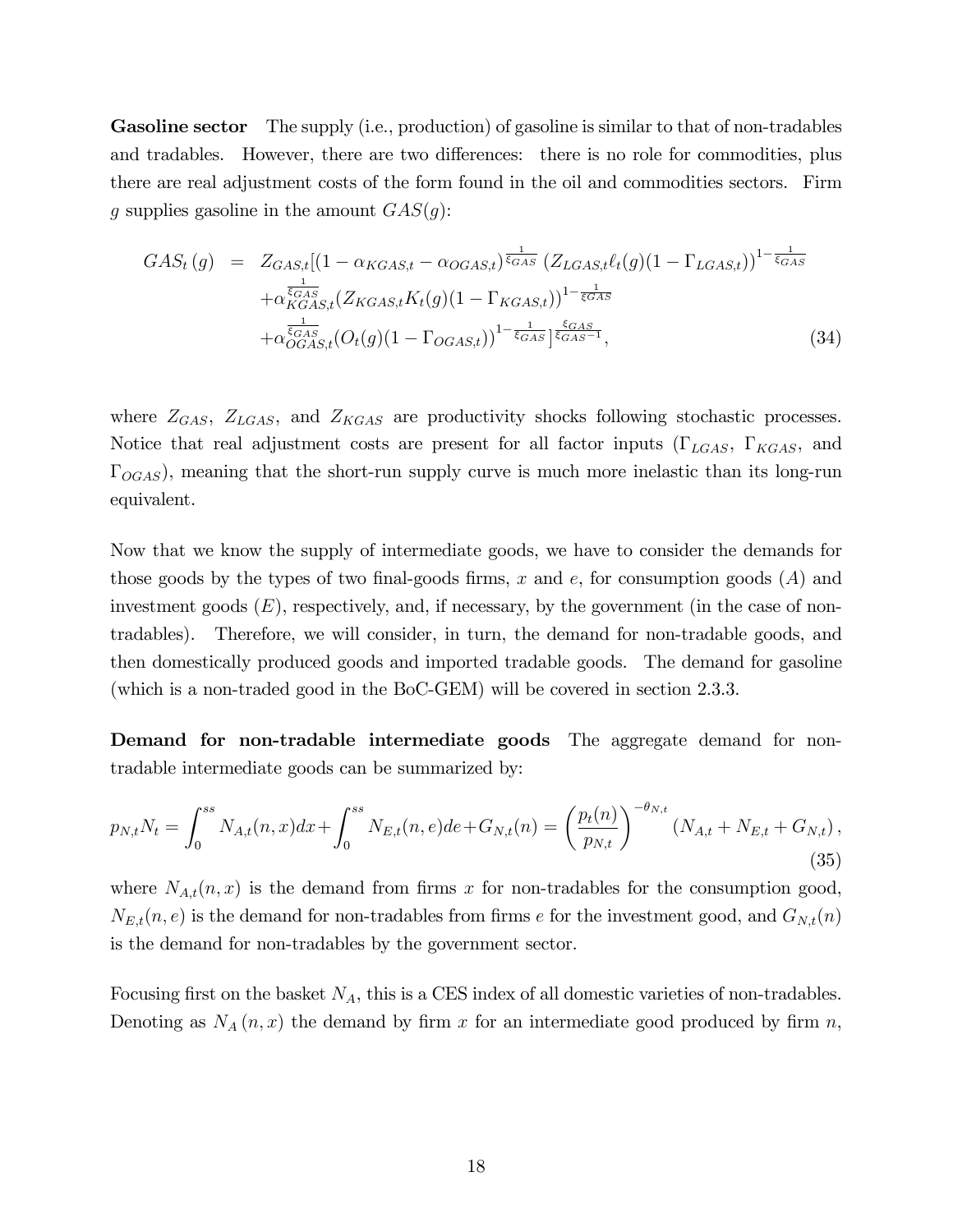Gasoline sector The supply (i.e., production) of gasoline is similar to that of non-tradables and tradables. However, there are two differences: there is no role for commodities, plus there are real adjustment costs of the form found in the oil and commodities sectors. Firm g supplies gasoline in the amount  $GAS(g)$ :

$$
GAS_t(g) = Z_{GAS,t}[(1 - \alpha_{KGAS,t} - \alpha_{OGAS,t})^{\frac{1}{\xi_{GAS}}} (Z_{LGAS,t}\ell_t(g)(1 - \Gamma_{LGAS,t}))^{1 - \frac{1}{\xi_{GAS}}}
$$

$$
+ \alpha_{KGAS,t}^{\frac{1}{\xi_{GAS}}}(Z_{KGAS,t}K_t(g)(1 - \Gamma_{KGAS,t}))^{1 - \frac{1}{\xi_{GAS}}}
$$

$$
+ \alpha_{OGAS,t}^{\frac{1}{\xi_{GAS}}}(O_t(g)(1 - \Gamma_{OGAS,t}))^{1 - \frac{1}{\xi_{GAS}}}]^{\frac{\xi_{GAS}}{\xi_{GAS} - 1}},
$$
(34)

where  $Z_{GAS}$ ,  $Z_{LGAS}$ , and  $Z_{KGAS}$  are productivity shocks following stochastic processes. Notice that real adjustment costs are present for all factor inputs  $(\Gamma_{LGAS}, \Gamma_{KGAS}, \Gamma_{KGAS})$  $\Gamma_{OGAS}$ , meaning that the short-run supply curve is much more inelastic than its long-run equivalent.

Now that we know the supply of intermediate goods, we have to consider the demands for those goods by the types of two final-goods firms, x and e, for consumption goods  $(A)$  and investment goods  $(E)$ , respectively, and, if necessary, by the government (in the case of nontradables). Therefore, we will consider, in turn, the demand for non-tradable goods, and then domestically produced goods and imported tradable goods. The demand for gasoline (which is a non-traded good in the BoC-GEM) will be covered in section 2.3.3.

Demand for non-tradable intermediate goods The aggregate demand for nontradable intermediate goods can be summarized by:

$$
p_{N,t}N_t = \int_0^{ss} N_{A,t}(n,x)dx + \int_0^{ss} N_{E,t}(n,e)de + G_{N,t}(n) = \left(\frac{p_t(n)}{p_{N,t}}\right)^{-\theta_{N,t}} (N_{A,t} + N_{E,t} + G_{N,t}),
$$
\n(35)

where  $N_{A,t}(n, x)$  is the demand from firms x for non-tradables for the consumption good,  $N_{E,t}(n, e)$  is the demand for non-tradables from firms e for the investment good, and  $G_{N,t}(n)$ is the demand for non-tradables by the government sector.

Focusing first on the basket  $N_A$ , this is a CES index of all domestic varieties of non-tradables. Denoting as  $N_A(n, x)$  the demand by firm x for an intermediate good produced by firm n,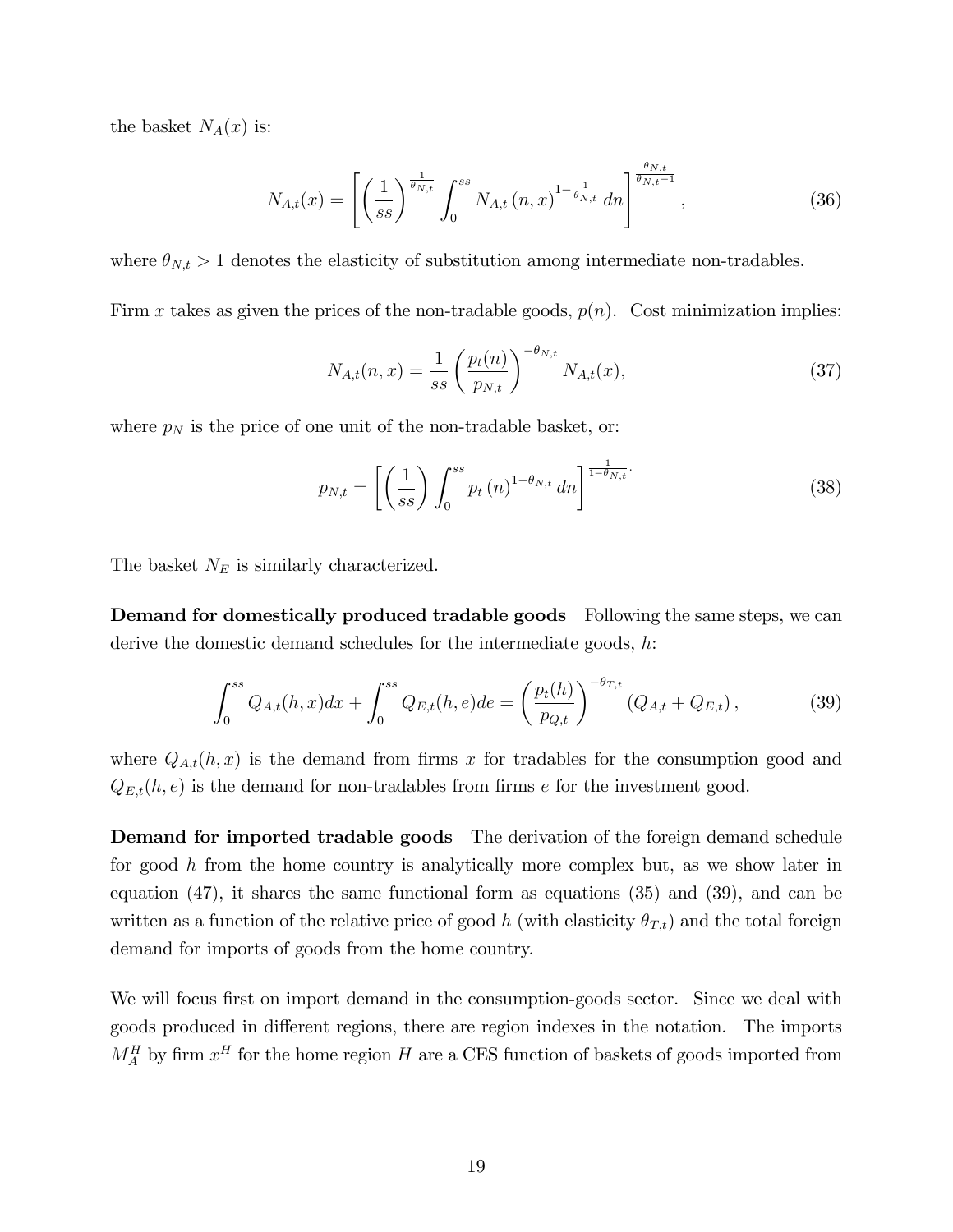the basket  $N_A(x)$  is:

$$
N_{A,t}(x) = \left[ \left( \frac{1}{ss} \right)^{\frac{1}{\theta_{N,t}}} \int_0^{ss} N_{A,t}(n,x)^{1-\frac{1}{\theta_{N,t}}} dn \right]^{\frac{\theta_{N,t}}{\theta_{N,t}-1}}, \tag{36}
$$

where  $\theta_{N,t} > 1$  denotes the elasticity of substitution among intermediate non-tradables.

Firm x takes as given the prices of the non-tradable goods,  $p(n)$ . Cost minimization implies:

$$
N_{A,t}(n,x) = \frac{1}{ss} \left(\frac{p_t(n)}{p_{N,t}}\right)^{-\theta_{N,t}} N_{A,t}(x), \tag{37}
$$

where  $p_N$  is the price of one unit of the non-tradable basket, or:

$$
p_{N,t} = \left[ \left( \frac{1}{ss} \right) \int_0^{ss} p_t(n)^{1-\theta_{N,t}} \, dn \right]^{\frac{1}{1-\theta_{N,t}}}.
$$
 (38)

The basket  $N_E$  is similarly characterized.

Demand for domestically produced tradable goods Following the same steps, we can derive the domestic demand schedules for the intermediate goods, h:

$$
\int_0^{ss} Q_{A,t}(h,x)dx + \int_0^{ss} Q_{E,t}(h,e)de = \left(\frac{p_t(h)}{p_{Q,t}}\right)^{-\theta_{T,t}} (Q_{A,t} + Q_{E,t}), \tag{39}
$$

where  $Q_{A,t}(h,x)$  is the demand from firms x for tradables for the consumption good and  $Q_{E,t}(h, e)$  is the demand for non-tradables from firms e for the investment good.

Demand for imported tradable goods The derivation of the foreign demand schedule for good h from the home country is analytically more complex but, as we show later in equation (47), it shares the same functional form as equations (35) and (39), and can be written as a function of the relative price of good h (with elasticity  $\theta_{T,t}$ ) and the total foreign demand for imports of goods from the home country.

We will focus first on import demand in the consumption-goods sector. Since we deal with goods produced in different regions, there are region indexes in the notation. The imports  $M_A^H$  by firm  $x^H$  for the home region H are a CES function of baskets of goods imported from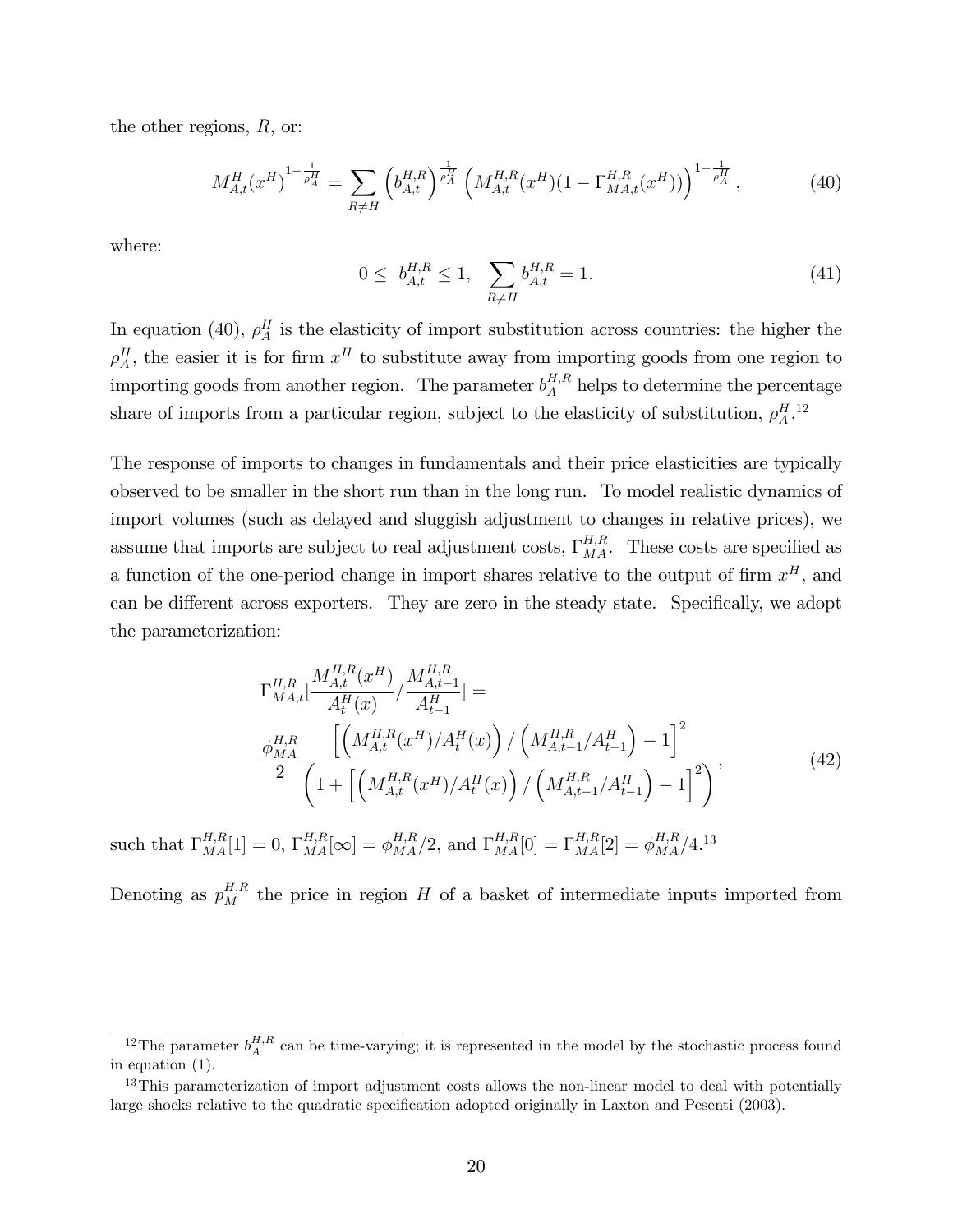the other regions, R, or:

$$
M_{A,t}^H(x^H)^{1-\frac{1}{\rho_A^H}} = \sum_{R \neq H} \left( b_{A,t}^{H,R} \right)^{\frac{1}{\rho_A^H}} \left( M_{A,t}^{H,R}(x^H)(1 - \Gamma_{MA,t}^{H,R}(x^H)) \right)^{1-\frac{1}{\rho_A^H}}, \tag{40}
$$

where:

$$
0 \leq b_{A,t}^{H,R} \leq 1, \quad \sum_{R \neq H} b_{A,t}^{H,R} = 1. \tag{41}
$$

In equation (40),  $\rho_A^H$  is the elasticity of import substitution across countries: the higher the  $\rho_A^H$ , the easier it is for firm  $x^H$  to substitute away from importing goods from one region to importing goods from another region. The parameter  $b_A^{H,R}$  helps to determine the percentage share of imports from a particular region, subject to the elasticity of substitution,  $\rho_A^H$ .<sup>12</sup>

The response of imports to changes in fundamentals and their price elasticities are typically observed to be smaller in the short run than in the long run. To model realistic dynamics of import volumes (such as delayed and sluggish adjustment to changes in relative prices), we assume that imports are subject to real adjustment costs,  $\Gamma_{MA}^{H,R}$ . These costs are specified as a function of the one-period change in import shares relative to the output of firm  $x^H$ , and can be different across exporters. They are zero in the steady state. Specifically, we adopt the parameterization:

$$
\Gamma_{MA,t}^{H,R} \left[ \frac{M_{A,t}^{H,R}(x^H)}{A_t^H(x)} / \frac{M_{A,t-1}^{H,R}}{A_{t-1}^H} \right] =
$$
\n
$$
\frac{\phi_{MA}^{H,R}}{2} \frac{\left[ \left( M_{A,t}^{H,R}(x^H) / A_t^H(x) \right) / \left( M_{A,t-1}^{H,R} / A_{t-1}^H \right) - 1 \right]^2}{\left( 1 + \left[ \left( M_{A,t}^{H,R}(x^H) / A_t^H(x) \right) / \left( M_{A,t-1}^{H,R} / A_{t-1}^H \right) - 1 \right]^2 \right)},
$$
\n(42)

such that  $\Gamma_{MA}^{H,R}[1] = 0$ ,  $\Gamma_{MA}^{H,R}[\infty] = \phi_{MA}^{H,R}/2$ , and  $\Gamma_{MA}^{H,R}[0] = \Gamma_{MA}^{H,R}[2] = \phi_{MA}^{H,R}/4$ .<sup>13</sup>

Denoting as  $p_M^{H,R}$  the price in region H of a basket of intermediate inputs imported from

<sup>&</sup>lt;sup>12</sup>The parameter  $b_A^{H,R}$  can be time-varying; it is represented in the model by the stochastic process found in equation (1).

 $13$ This parameterization of import adjustment costs allows the non-linear model to deal with potentially large shocks relative to the quadratic specification adopted originally in Laxton and Pesenti (2003).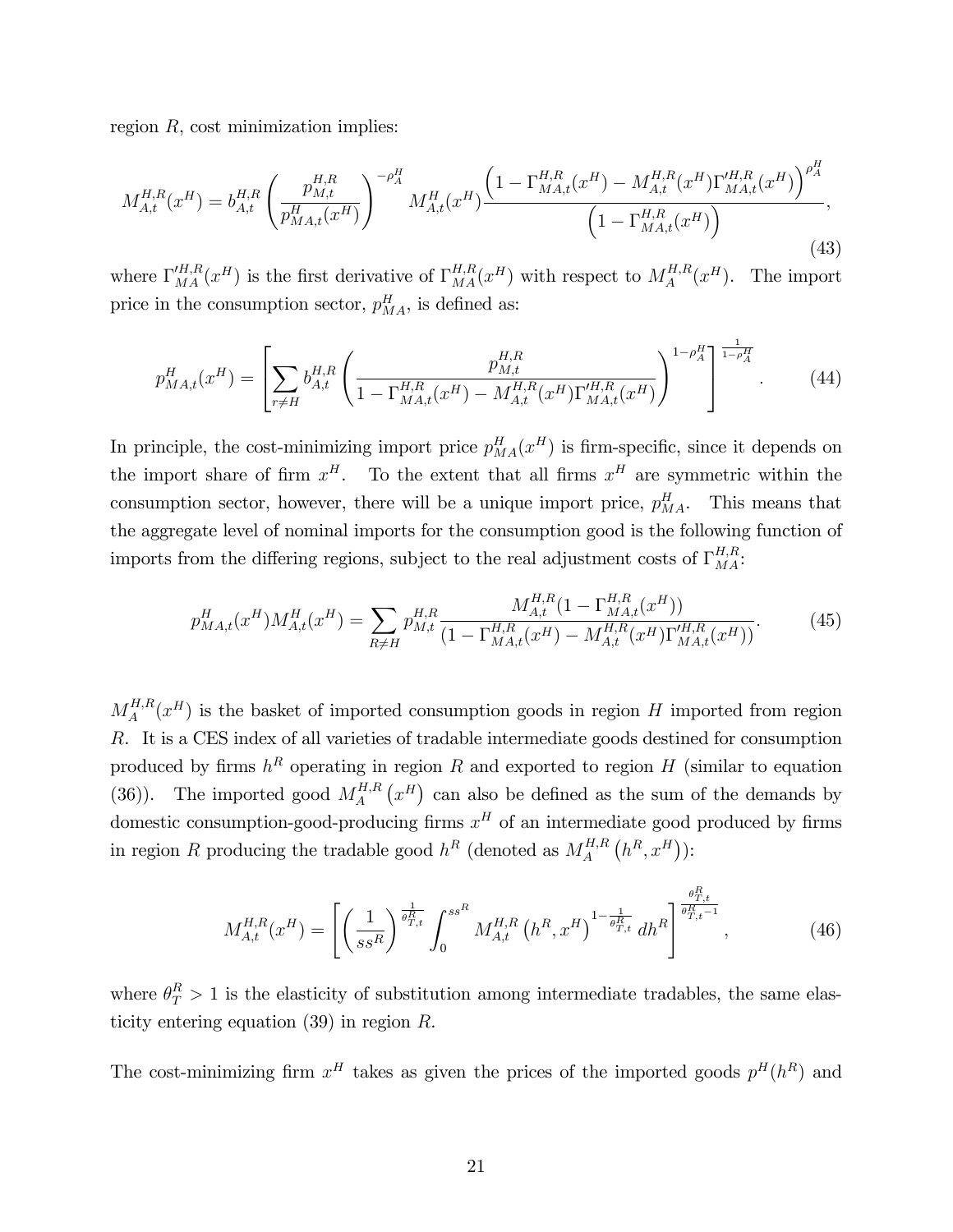region  $R$ , cost minimization implies:

$$
M_{A,t}^{H,R}(x^H) = b_{A,t}^{H,R} \left( \frac{p_{M,t}^{H,R}}{p_{MA,t}^H(x^H)} \right)^{-\rho_A^H} M_{A,t}^H(x^H) \frac{\left(1 - \Gamma_{MA,t}^{H,R}(x^H) - M_{A,t}^{H,R}(x^H) \Gamma_{MA,t}^{\prime H,R}(x^H) \right)^{\rho_A^H}}{\left(1 - \Gamma_{MA,t}^{H,R}(x^H)\right)},
$$
\n(43)

where  $\Gamma_{MA}^{'H,R}(x^H)$  is the first derivative of  $\Gamma_{MA}^{H,R}(x^H)$  with respect to  $M_A^{H,R}$  $A^{H,R}(x^H)$ . The import price in the consumption sector,  $p_{MA}^H$ , is defined as:

$$
p_{MA,t}^{H}(x^{H}) = \left[\sum_{r \neq H} b_{A,t}^{H,R} \left( \frac{p_{M,t}^{H,R}}{1 - \Gamma_{MA,t}^{H,R}(x^{H}) - M_{A,t}^{H,R}(x^{H}) \Gamma_{MA,t}^{\prime H,R}(x^{H})} \right)^{1 - \rho_{A}^{H}} \right]_{\text{-}1}^{\frac{1}{1 - \rho_{A}^{H}}}
$$
(44)

In principle, the cost-minimizing import price  $p_{MA}^H(x^H)$  is firm-specific, since it depends on the import share of firm  $x^H$ . To the extent that all firms  $x^H$  are symmetric within the consumption sector, however, there will be a unique import price,  $p_{MA}^H$ . This means that the aggregate level of nominal imports for the consumption good is the following function of imports from the differing regions, subject to the real adjustment costs of  $\Gamma_{MA}^{H,R}$ :

$$
p_{MA,t}^{H}(x^{H})M_{A,t}^{H}(x^{H}) = \sum_{R \neq H} p_{M,t}^{H,R} \frac{M_{A,t}^{H,R}(1 - \Gamma_{MA,t}^{H,R}(x^{H}))}{(1 - \Gamma_{MA,t}^{H,R}(x^{H}) - M_{A,t}^{H,R}(x^{H})\Gamma_{MA,t}'^{H,R}(x^{H}))}.
$$
(45)

 $M_A^{H,R}$  $A^{H,R}_A(x^H)$  is the basket of imported consumption goods in region H imported from region R. It is a CES index of all varieties of tradable intermediate goods destined for consumption produced by firms  $h^R$  operating in region R and exported to region H (similar to equation (36)). The imported good  $M_A^{H,R}$  $A^{H,R}_A(x^H)$  can also be defined as the sum of the demands by domestic consumption-good-producing firms  $x^H$  of an intermediate good produced by firms in region R producing the tradable good  $h^R$  (denoted as  $M_A^{H,R}$  $A^{H,R}\left( h^{R},x^{H}\right)$ ):

$$
M_{A,t}^{H,R}(x^H) = \left[ \left( \frac{1}{ss^R} \right)^{\frac{1}{\theta_{T,t}^R}} \int_0^{ss^R} M_{A,t}^{H,R} \left( h^R, x^H \right)^{1-\frac{1}{\theta_{T,t}^R}} dh^R \right]^{\frac{\theta_{T,t}^R}{\theta_{T,t}^R-1}}, \tag{46}
$$

where  $\theta_T^R > 1$  is the elasticity of substitution among intermediate tradables, the same elasticity entering equation  $(39)$  in region R.

The cost-minimizing firm  $x^H$  takes as given the prices of the imported goods  $p^H(h^R)$  and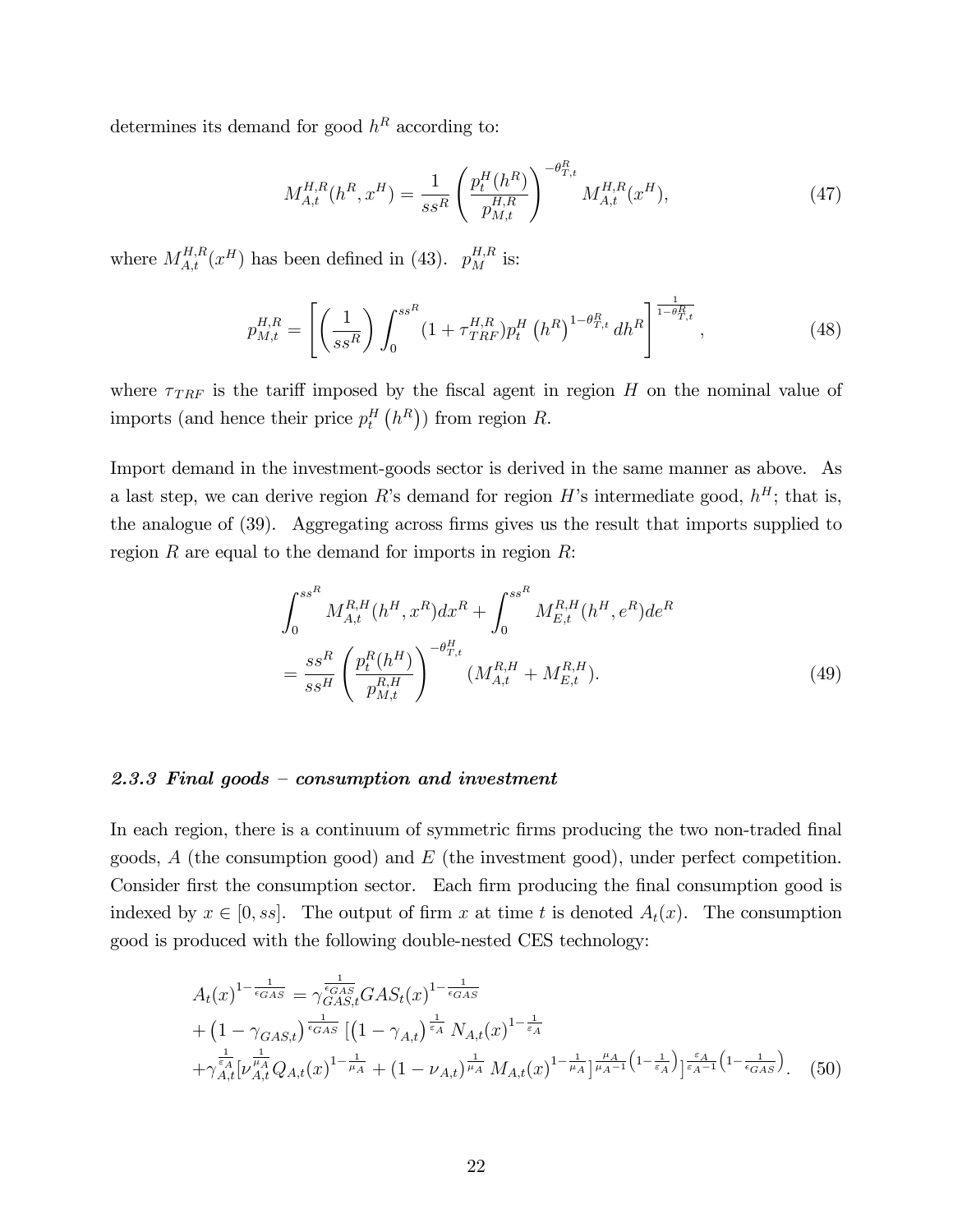determines its demand for good  $h^R$  according to:

$$
M_{A,t}^{H,R}(h^R, x^H) = \frac{1}{ss^R} \left( \frac{p_t^H(h^R)}{p_{M,t}^{H,R}} \right)^{-\theta_{T,t}^R} M_{A,t}^{H,R}(x^H), \tag{47}
$$

where  $M_{A,t}^{H,R}(x^H)$  has been defined in (43).  $p_M^{H,R}$  is:

$$
p_{M,t}^{H,R} = \left[ \left( \frac{1}{ss^R} \right) \int_0^{ss^R} (1 + \tau_{TRF}^{H,R}) p_t^H \left( h^R \right)^{1 - \theta_{T,t}^R} dh^R \right]^{1 - \theta_{T,t}^R}, \tag{48}
$$

where  $\tau_{TRF}$  is the tariff imposed by the fiscal agent in region H on the nominal value of imports (and hence their price  $p_t^H(h^R)$ ) from region R.

Import demand in the investment-goods sector is derived in the same manner as above. As a last step, we can derive region R's demand for region H's intermediate good,  $h^H$ ; that is, the analogue of (39). Aggregating across firms gives us the result that imports supplied to region R are equal to the demand for imports in region  $R$ :

$$
\int_{0}^{s s^{R}} M_{A,t}^{R,H}(h^{H}, x^{R}) dx^{R} + \int_{0}^{s s^{R}} M_{E,t}^{R,H}(h^{H}, e^{R}) de^{R}
$$

$$
= \frac{s s^{R}}{s s^{H}} \left(\frac{p_{t}^{R}(h^{H})}{p_{M,t}^{R,H}}\right)^{-\theta_{T,t}^{H}} (M_{A,t}^{R,H} + M_{E,t}^{R,H}). \tag{49}
$$

### 2.3.3 Final goods – consumption and investment

In each region, there is a continuum of symmetric firms producing the two non-traded final goods,  $A$  (the consumption good) and  $E$  (the investment good), under perfect competition. Consider first the consumption sector. Each firm producing the final consumption good is indexed by  $x \in [0, ss]$ . The output of firm x at time t is denoted  $A_t(x)$ . The consumption good is produced with the following double-nested CES technology:

$$
A_{t}(x)^{1-\frac{1}{\epsilon_{GAS}}} = \gamma_{GAS,t}^{\frac{1}{\epsilon_{GAS}}} GAS_{t}(x)^{1-\frac{1}{\epsilon_{GAS}}}
$$
  
+  $(1 - \gamma_{GAS,t})^{\frac{1}{\epsilon_{GAS}}} [(1 - \gamma_{A,t})^{\frac{1}{\epsilon_{A}}} N_{A,t}(x)^{1-\frac{1}{\epsilon_{A}}}$   
+  $\gamma_{A,t}^{\frac{1}{\epsilon_{A}}} [\nu_{A,t}^{\frac{1}{\mu_{A}}} Q_{A,t}(x)^{1-\frac{1}{\mu_{A}}} + (1 - \nu_{A,t})^{\frac{1}{\mu_{A}}} M_{A,t}(x)^{1-\frac{1}{\mu_{A}}} ]^{\frac{\mu_{A}}{\mu_{A}-1} (1-\frac{1}{\epsilon_{A}})}_{\frac{\epsilon_{A}}{\epsilon_{A}-1}} (1-\frac{1}{\epsilon_{GAS}}).$  (50)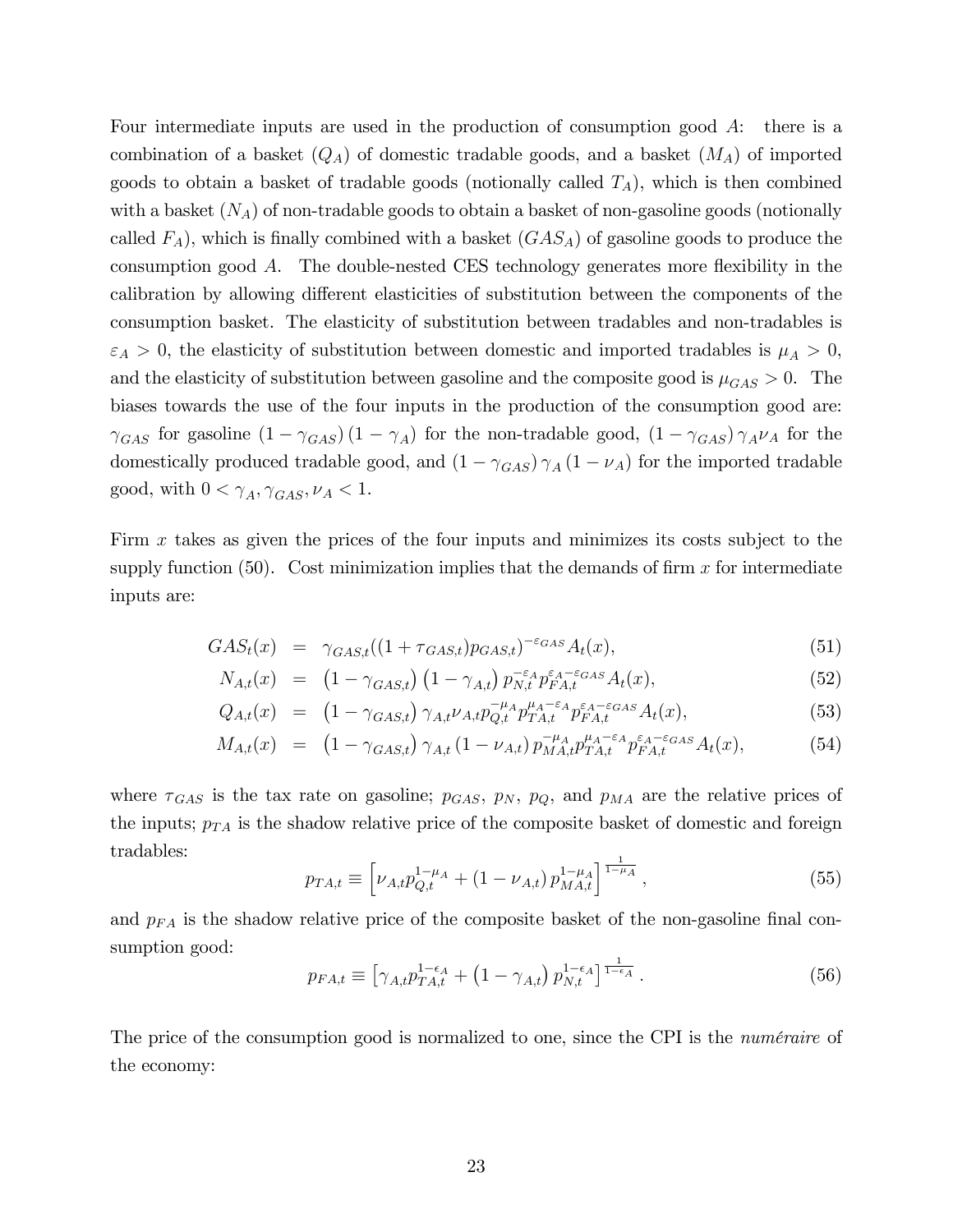Four intermediate inputs are used in the production of consumption good A: there is a combination of a basket  $(Q_A)$  of domestic tradable goods, and a basket  $(M_A)$  of imported goods to obtain a basket of tradable goods (notionally called  $T_A$ ), which is then combined with a basket  $(N_A)$  of non-tradable goods to obtain a basket of non-gasoline goods (notionally called  $F_A$ ), which is finally combined with a basket  $(GAS_A)$  of gasoline goods to produce the consumption good  $A$ . The double-nested CES technology generates more flexibility in the calibration by allowing different elasticities of substitution between the components of the consumption basket. The elasticity of substitution between tradables and non-tradables is  $\varepsilon_A > 0$ , the elasticity of substitution between domestic and imported tradables is  $\mu_A > 0$ , and the elasticity of substitution between gasoline and the composite good is  $\mu_{GAS} > 0$ . The biases towards the use of the four inputs in the production of the consumption good are:  $\gamma_{GAS}$  for gasoline  $(1 - \gamma_{GAS})(1 - \gamma_A)$  for the non-tradable good,  $(1 - \gamma_{GAS})\gamma_A \nu_A$  for the domestically produced tradable good, and  $(1 - \gamma_{GAS}) \gamma_A (1 - \nu_A)$  for the imported tradable good, with  $0 < \gamma_A, \gamma_{GAS}, \nu_A < 1$ .

Firm x takes as given the prices of the four inputs and minimizes its costs subject to the supply function  $(50)$ . Cost minimization implies that the demands of firm x for intermediate inputs are:

$$
GAS_t(x) = \gamma_{GAS,t}((1 + \tau_{GAS,t})p_{GAS,t})^{-\varepsilon_{GAS}}A_t(x), \qquad (51)
$$

$$
N_{A,t}(x) = \left(1 - \gamma_{GAS,t}\right) \left(1 - \gamma_{A,t}\right) p_{N,t}^{-\varepsilon_A} p_{FA,t}^{\varepsilon_A - \varepsilon_{GAS}} A_t(x),\tag{52}
$$

$$
Q_{A,t}(x) = (1 - \gamma_{GAS,t}) \gamma_{A,t} \nu_{A,t} p_{Q,t}^{-\mu_A} p_{TA,t}^{\mu_A - \varepsilon_A} p_{FA,t}^{\varepsilon_A - \varepsilon_{GAS}} A_t(x), \tag{53}
$$

$$
M_{A,t}(x) = (1 - \gamma_{GAS,t}) \gamma_{A,t} (1 - \nu_{A,t}) p_{MA,t}^{-\mu_A} p_{TA,t}^{\mu_A - \epsilon_A} p_{FA,t}^{\epsilon_A - \epsilon_{GAS}} A_t(x), \qquad (54)
$$

where  $\tau_{GAS}$  is the tax rate on gasoline;  $p_{GAS}$ ,  $p_N$ ,  $p_Q$ , and  $p_{MA}$  are the relative prices of the inputs;  $p_{TA}$  is the shadow relative price of the composite basket of domestic and foreign tradables:

$$
p_{TA,t} \equiv \left[ \nu_{A,t} p_{Q,t}^{1-\mu_A} + (1 - \nu_{A,t}) p_{MA,t}^{1-\mu_A} \right]^{\frac{1}{1-\mu_A}}, \tag{55}
$$

and  $p_{FA}$  is the shadow relative price of the composite basket of the non-gasoline final consumption good:

$$
p_{FA,t} \equiv \left[ \gamma_{A,t} p_{TA,t}^{1-\epsilon_A} + \left( 1 - \gamma_{A,t} \right) p_{N,t}^{1-\epsilon_A} \right]_{\frac{1}{1-\epsilon_A}}.
$$
 (56)

The price of the consumption good is normalized to one, since the CPI is the *numéraire* of the economy: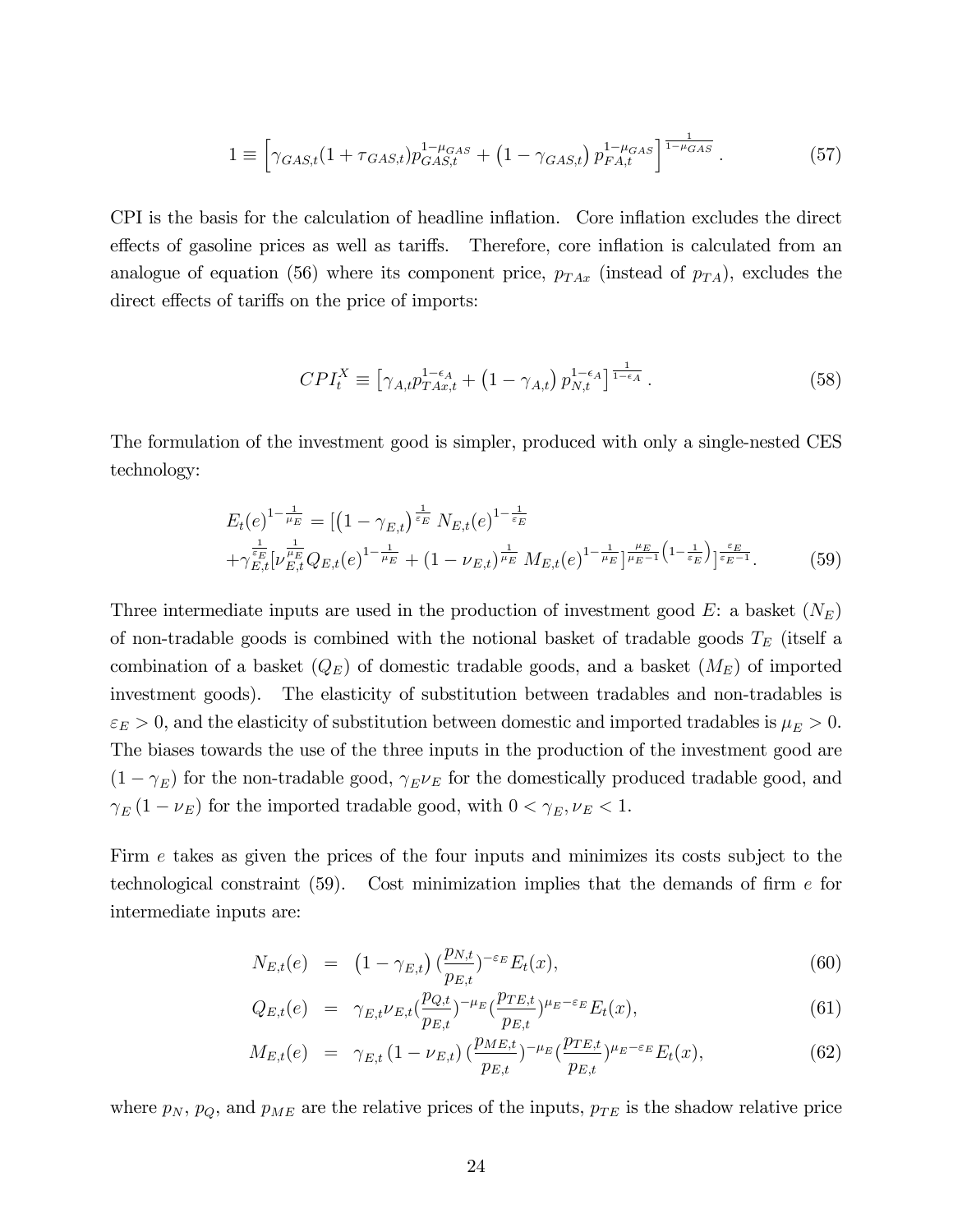$$
1 \equiv \left[ \gamma_{GAS,t} (1 + \tau_{GAS,t}) p_{GAS,t}^{1 - \mu_{GAS}} + (1 - \gamma_{GAS,t}) p_{FA,t}^{1 - \mu_{GAS}} \right]^{\frac{1}{1 - \mu_{GAS}}}.
$$
 (57)

CPI is the basis for the calculation of headline inflation. Core inflation excludes the direct effects of gasoline prices as well as tariffs. Therefore, core inflation is calculated from an analogue of equation (56) where its component price,  $p_{TAx}$  (instead of  $p_{TA}$ ), excludes the direct effects of tariffs on the price of imports:

$$
CPI_t^X \equiv \left[ \gamma_{A,t} p_{TAx,t}^{1-\epsilon_A} + \left( 1 - \gamma_{A,t} \right) p_{N,t}^{1-\epsilon_A} \right]_{\bar{1}-\epsilon_A}^{\bar{1}} . \tag{58}
$$

The formulation of the investment good is simpler, produced with only a single-nested CES technology:

$$
E_t(e)^{1-\frac{1}{\mu_E}} = \left[ \left( 1 - \gamma_{E,t} \right)^{\frac{1}{\varepsilon_E}} N_{E,t}(e)^{1-\frac{1}{\varepsilon_E}} + \gamma_{E,t}^{\frac{1}{\varepsilon_E}} (v_{E,t}^{\frac{1}{\mu_E}}(e)^{1-\frac{1}{\mu_E}} + (1 - \nu_{E,t})^{\frac{1}{\mu_E}} M_{E,t}(e)^{1-\frac{1}{\mu_E}} \right]_{\mu_E-1}^{\frac{\mu_E}{\mu_E-1}} (1 - \frac{1}{\varepsilon_E}) e^{-\frac{\varepsilon_E}{\varepsilon_E - 1}}.
$$
 (59)

Three intermediate inputs are used in the production of investment good  $E$ : a basket  $(N_E)$ of non-tradable goods is combined with the notional basket of tradable goods  $T_E$  (itself a combination of a basket  $(Q_E)$  of domestic tradable goods, and a basket  $(M_E)$  of imported investment goods). The elasticity of substitution between tradables and non-tradables is  $\varepsilon_E > 0$ , and the elasticity of substitution between domestic and imported tradables is  $\mu_E > 0$ . The biases towards the use of the three inputs in the production of the investment good are  $(1 - \gamma_E)$  for the non-tradable good,  $\gamma_E \nu_E$  for the domestically produced tradable good, and  $\gamma_E(1-\nu_E)$  for the imported tradable good, with  $0 < \gamma_E, \nu_E < 1$ .

Firm e takes as given the prices of the four inputs and minimizes its costs subject to the technological constraint  $(59)$ . Cost minimization implies that the demands of firm e for intermediate inputs are:

$$
N_{E,t}(e) = (1 - \gamma_{E,t}) \left(\frac{p_{N,t}}{p_{E,t}}\right)^{-\varepsilon_E} E_t(x), \tag{60}
$$

$$
Q_{E,t}(e) = \gamma_{E,t} \nu_{E,t} \left(\frac{p_{Q,t}}{p_{E,t}}\right)^{-\mu_E} \left(\frac{p_{TE,t}}{p_{E,t}}\right)^{\mu_E - \varepsilon_E} E_t(x), \tag{61}
$$

$$
M_{E,t}(e) = \gamma_{E,t} \left(1 - \nu_{E,t}\right) \left(\frac{p_{ME,t}}{p_{E,t}}\right)^{-\mu_E} \left(\frac{p_{TE,t}}{p_{E,t}}\right)^{\mu_E - \varepsilon_E} E_t(x),\tag{62}
$$

where  $p_N$ ,  $p_Q$ , and  $p_{ME}$  are the relative prices of the inputs,  $p_{TE}$  is the shadow relative price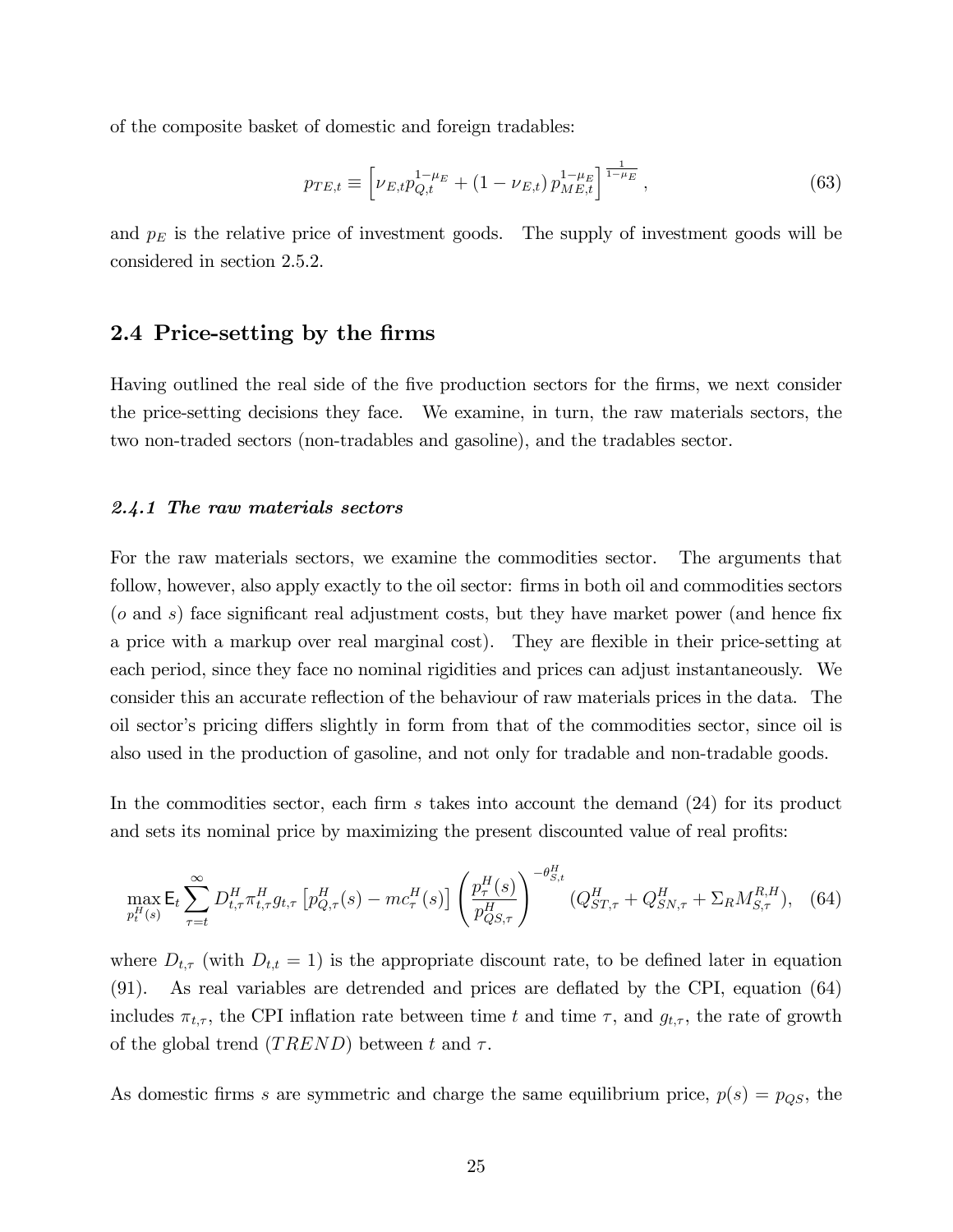of the composite basket of domestic and foreign tradables:

$$
p_{TE,t} \equiv \left[\nu_{E,t}p_{Q,t}^{1-\mu_E} + (1-\nu_{E,t})p_{ME,t}^{1-\mu_E}\right]^{\frac{1}{1-\mu_E}},\tag{63}
$$

and  $p_E$  is the relative price of investment goods. The supply of investment goods will be considered in section 2.5.2.

## 2.4 Price-setting by the firms

Having outlined the real side of the Öve production sectors for the Örms, we next consider the price-setting decisions they face. We examine, in turn, the raw materials sectors, the two non-traded sectors (non-tradables and gasoline), and the tradables sector.

### 2.4.1 The raw materials sectors

For the raw materials sectors, we examine the commodities sector. The arguments that follow, however, also apply exactly to the oil sector: firms in both oil and commodities sectors  $(o \text{ and } s)$  face significant real adjustment costs, but they have market power (and hence fix a price with a markup over real marginal cost). They are flexible in their price-setting at each period, since they face no nominal rigidities and prices can adjust instantaneously. We consider this an accurate reflection of the behaviour of raw materials prices in the data. The oil sector's pricing differs slightly in form from that of the commodities sector, since oil is also used in the production of gasoline, and not only for tradable and non-tradable goods.

In the commodities sector, each firm s takes into account the demand  $(24)$  for its product and sets its nominal price by maximizing the present discounted value of real profits:

$$
\max_{p_t^H(s)} \mathsf{E}_t \sum_{\tau=t}^{\infty} D_{t,\tau}^H \pi_{t,\tau}^H g_{t,\tau} \left[ p_{Q,\tau}^H(s) - mc_{\tau}^H(s) \right] \left( \frac{p_{\tau}^H(s)}{p_{QS,\tau}^H} \right)^{-\theta_{S,t}^H} (Q_{ST,\tau}^H + Q_{SN,\tau}^H + \Sigma_R M_{S,\tau}^{R,H}), \tag{64}
$$

where  $D_{t,\tau}$  (with  $D_{t,t} = 1$ ) is the appropriate discount rate, to be defined later in equation  $(91)$ . As real variables are detrended and prices are deflated by the CPI, equation  $(64)$ includes  $\pi_{t,\tau}$ , the CPI inflation rate between time t and time  $\tau$ , and  $g_{t,\tau}$ , the rate of growth of the global trend  $(TREND)$  between t and  $\tau$ .

As domestic firms s are symmetric and charge the same equilibrium price,  $p(s) = p_{QS}$ , the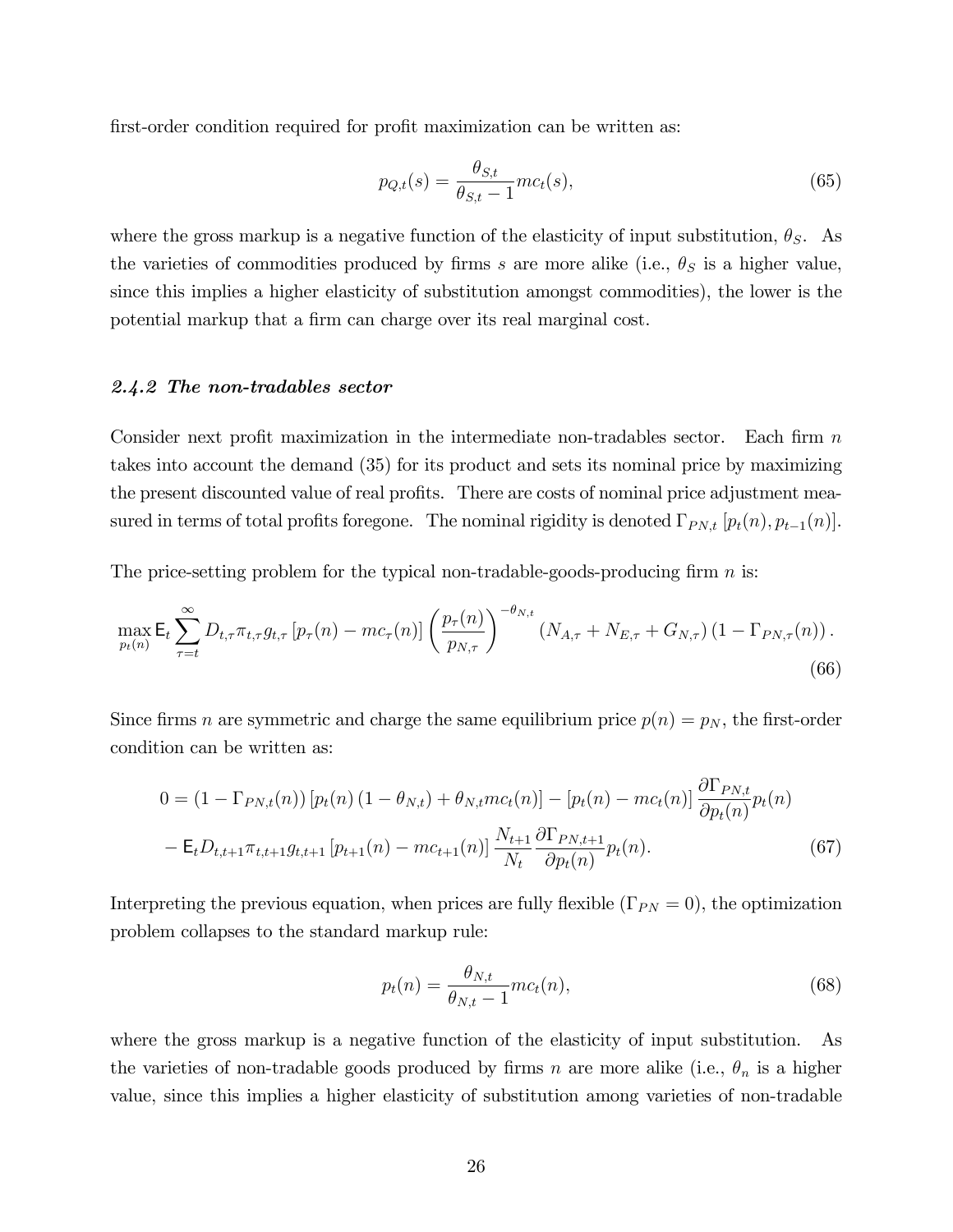first-order condition required for profit maximization can be written as:

$$
p_{Q,t}(s) = \frac{\theta_{S,t}}{\theta_{S,t} - 1} m c_t(s),
$$
\n(65)

where the gross markup is a negative function of the elasticity of input substitution,  $\theta_S$ . As the varieties of commodities produced by firms s are more alike (i.e.,  $\theta_S$  is a higher value, since this implies a higher elasticity of substitution amongst commodities), the lower is the potential markup that a firm can charge over its real marginal cost.

## 2.4.2 The non-tradables sector

Consider next profit maximization in the intermediate non-tradables sector. Each firm  $n$ takes into account the demand (35) for its product and sets its nominal price by maximizing the present discounted value of real profits. There are costs of nominal price adjustment measured in terms of total profits foregone. The nominal rigidity is denoted  $\Gamma_{PN,t}$   $[p_t(n), p_{t-1}(n)]$ .

The price-setting problem for the typical non-tradable-goods-producing firm  $n$  is:

$$
\max_{p_t(n)} \mathsf{E}_t \sum_{\tau=t}^{\infty} D_{t,\tau} \pi_{t,\tau} g_{t,\tau} \left[ p_\tau(n) - mc_\tau(n) \right] \left( \frac{p_\tau(n)}{p_{N,\tau}} \right)^{-\theta_{N,t}} \left( N_{A,\tau} + N_{E,\tau} + G_{N,\tau} \right) \left( 1 - \Gamma_{PN,\tau}(n) \right). \tag{66}
$$

Since firms n are symmetric and charge the same equilibrium price  $p(n) = p_N$ , the first-order condition can be written as:

$$
0 = (1 - \Gamma_{PN,t}(n)) [p_t(n) (1 - \theta_{N,t}) + \theta_{N,t} mc_t(n)] - [p_t(n) - mc_t(n)] \frac{\partial \Gamma_{PN,t}}{\partial p_t(n)} p_t(n)
$$
  
-  $E_t D_{t,t+1} \pi_{t,t+1} g_{t,t+1} [p_{t+1}(n) - mc_{t+1}(n)] \frac{N_{t+1}}{N_t} \frac{\partial \Gamma_{PN,t+1}}{\partial p_t(n)} p_t(n).$  (67)

Interpreting the previous equation, when prices are fully flexible  $(\Gamma_{PN} = 0)$ , the optimization problem collapses to the standard markup rule:

$$
p_t(n) = \frac{\theta_{N,t}}{\theta_{N,t} - 1} m c_t(n),
$$
\n(68)

where the gross markup is a negative function of the elasticity of input substitution. As the varieties of non-tradable goods produced by firms n are more alike (i.e.,  $\theta_n$  is a higher value, since this implies a higher elasticity of substitution among varieties of non-tradable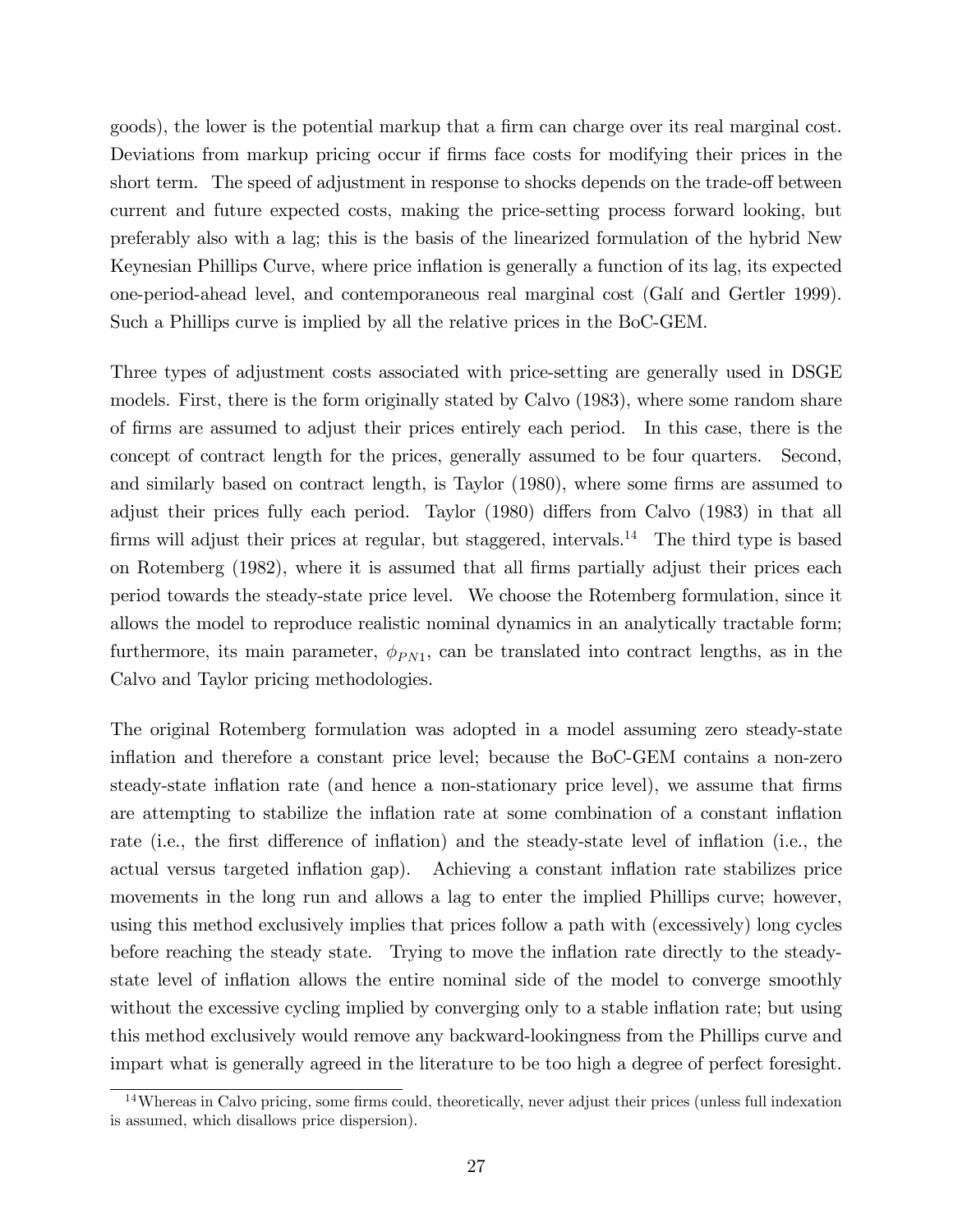goods), the lower is the potential markup that a firm can charge over its real marginal cost. Deviations from markup pricing occur if firms face costs for modifying their prices in the short term. The speed of adjustment in response to shocks depends on the trade-off between current and future expected costs, making the price-setting process forward looking, but preferably also with a lag; this is the basis of the linearized formulation of the hybrid New Keynesian Phillips Curve, where price ináation is generally a function of its lag, its expected one-period-ahead level, and contemporaneous real marginal cost (GalÌ and Gertler 1999). Such a Phillips curve is implied by all the relative prices in the BoC-GEM.

Three types of adjustment costs associated with price-setting are generally used in DSGE models. First, there is the form originally stated by Calvo (1983), where some random share of Örms are assumed to adjust their prices entirely each period. In this case, there is the concept of contract length for the prices, generally assumed to be four quarters. Second, and similarly based on contract length, is Taylor (1980), where some firms are assumed to adjust their prices fully each period. Taylor (1980) differs from Calvo (1983) in that all firms will adjust their prices at regular, but staggered, intervals.<sup>14</sup> The third type is based on Rotemberg (1982), where it is assumed that all Örms partially adjust their prices each period towards the steady-state price level. We choose the Rotemberg formulation, since it allows the model to reproduce realistic nominal dynamics in an analytically tractable form; furthermore, its main parameter,  $\phi_{PN1}$ , can be translated into contract lengths, as in the Calvo and Taylor pricing methodologies.

The original Rotemberg formulation was adopted in a model assuming zero steady-state inflation and therefore a constant price level; because the BoC-GEM contains a non-zero steady-state inflation rate (and hence a non-stationary price level), we assume that firms are attempting to stabilize the inflation rate at some combination of a constant inflation rate (i.e., the first difference of inflation) and the steady-state level of inflation (i.e., the actual versus targeted inflation gap). Achieving a constant inflation rate stabilizes price movements in the long run and allows a lag to enter the implied Phillips curve; however, using this method exclusively implies that prices follow a path with (excessively) long cycles before reaching the steady state. Trying to move the inflation rate directly to the steadystate level of inflation allows the entire nominal side of the model to converge smoothly without the excessive cycling implied by converging only to a stable inflation rate; but using this method exclusively would remove any backward-lookingness from the Phillips curve and impart what is generally agreed in the literature to be too high a degree of perfect foresight.

 $14$ Whereas in Calvo pricing, some firms could, theoretically, never adjust their prices (unless full indexation is assumed, which disallows price dispersion).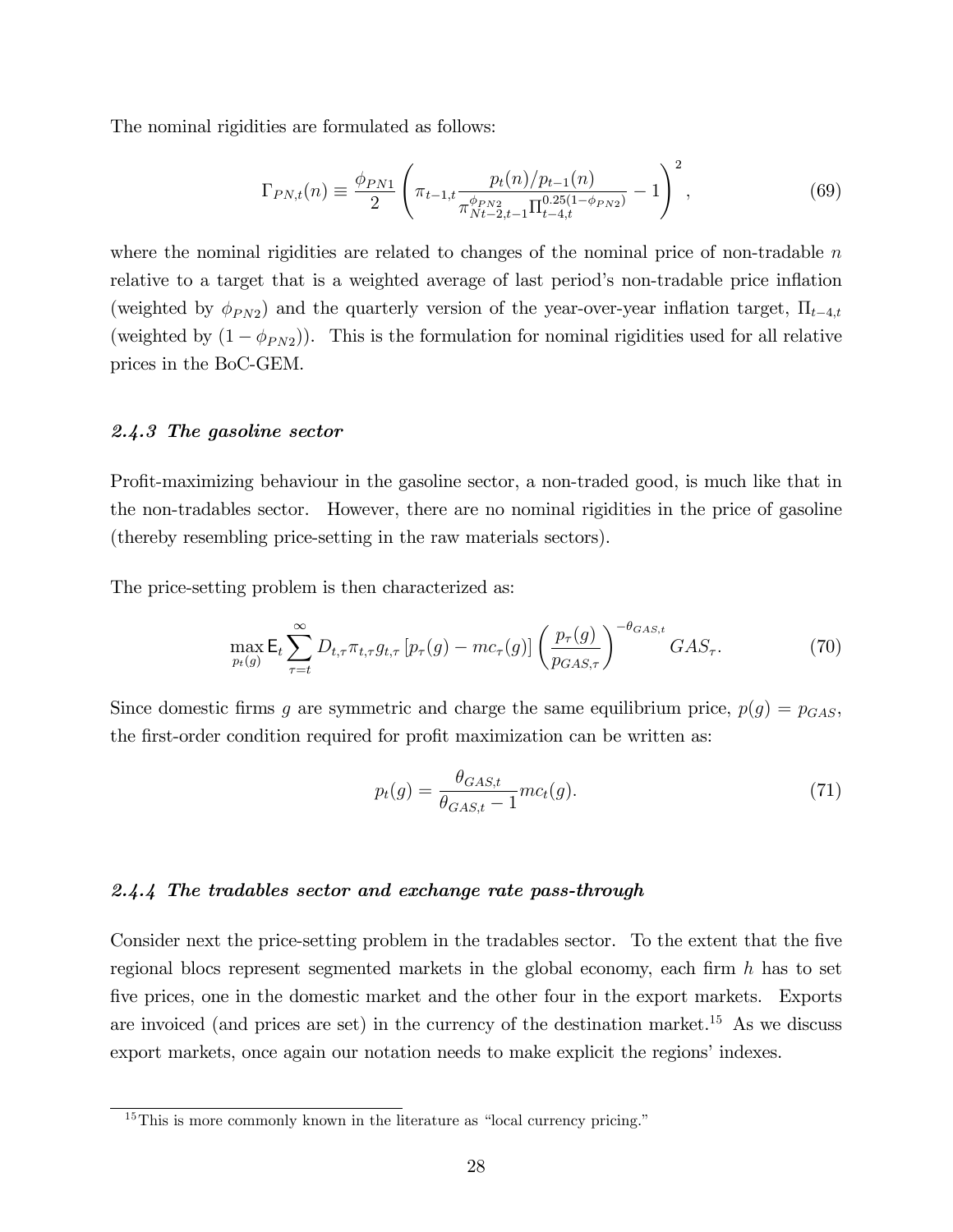The nominal rigidities are formulated as follows:

$$
\Gamma_{PN,t}(n) \equiv \frac{\phi_{PN1}}{2} \left( \pi_{t-1,t} \frac{p_t(n)/p_{t-1}(n)}{\pi_{N_t-2,t-1}^{\phi_{PN2}} \Pi_{t-4,t}^{0.25(1-\phi_{PN2})}} - 1 \right)^2, \tag{69}
$$

where the nominal rigidities are related to changes of the nominal price of non-tradable  $n$ relative to a target that is a weighted average of last period's non-tradable price inflation (weighted by  $\phi_{PN2}$ ) and the quarterly version of the year-over-year inflation target,  $\Pi_{t-4,t}$ (weighted by  $(1 - \phi_{PN2})$ ). This is the formulation for nominal rigidities used for all relative prices in the BoC-GEM.

### 2.4.3 The gasoline sector

Profit-maximizing behaviour in the gasoline sector, a non-traded good, is much like that in the non-tradables sector. However, there are no nominal rigidities in the price of gasoline (thereby resembling price-setting in the raw materials sectors).

The price-setting problem is then characterized as:

$$
\max_{p_t(g)} \mathsf{E}_t \sum_{\tau=t}^{\infty} D_{t,\tau} \pi_{t,\tau} g_{t,\tau} \left[ p_\tau(g) - mc_\tau(g) \right] \left( \frac{p_\tau(g)}{p_{GAS,\tau}} \right)^{-\theta_{GAS,t}} GAS_\tau.
$$
 (70)

Since domestic firms g are symmetric and charge the same equilibrium price,  $p(g) = p_{GAS}$ , the first-order condition required for profit maximization can be written as:

$$
p_t(g) = \frac{\theta_{GAS,t}}{\theta_{GAS,t} - 1} m c_t(g). \tag{71}
$$

### 2.4.4 The tradables sector and exchange rate pass-through

Consider next the price-setting problem in the tradables sector. To the extent that the five regional blocs represent segmented markets in the global economy, each firm  $h$  has to set five prices, one in the domestic market and the other four in the export markets. Exports are invoiced (and prices are set) in the currency of the destination market.<sup>15</sup> As we discuss export markets, once again our notation needs to make explicit the regions' indexes.

 $15$ This is more commonly known in the literature as "local currency pricing."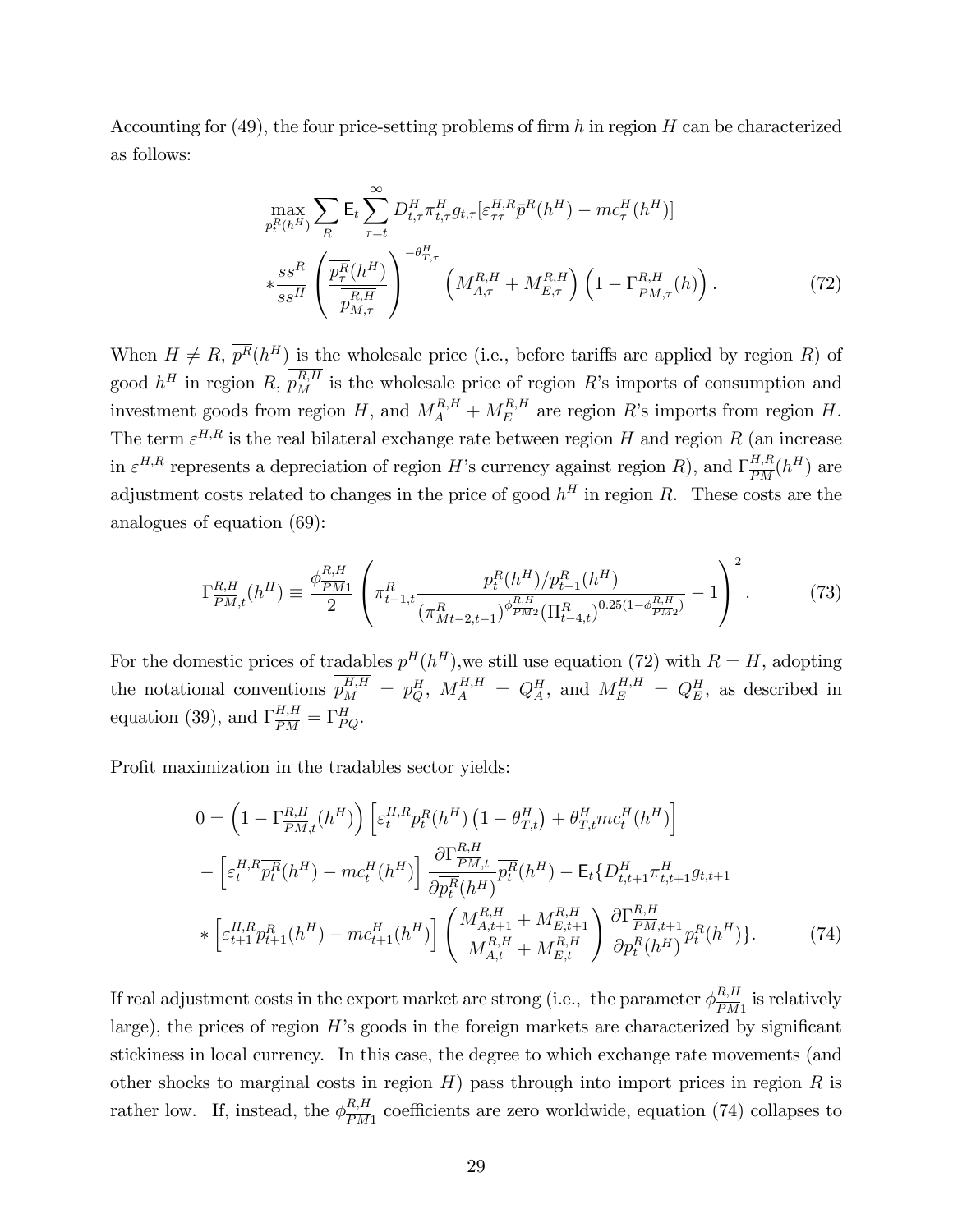Accounting for (49), the four price-setting problems of firm h in region H can be characterized as follows:

$$
\max_{p_t^R(h^H)} \sum_{R} \mathsf{E}_t \sum_{\tau=t}^{\infty} D_{t,\tau}^H \pi_{t,\tau}^H g_{t,\tau} \left[ \varepsilon_{\tau\tau}^{H,R} \bar{p}^R(h^H) - mc_{\tau}^H(h^H) \right] \n* \frac{ss^R}{ss^H} \left( \frac{\overline{p_{\tau}^R}(h^H)}{\overline{p_{M,\tau}^{R,H}}} \right)^{-\theta_{T,\tau}^H} \left( M_{A,\tau}^{R,H} + M_{E,\tau}^{R,H} \right) \left( 1 - \Gamma_{\overline{PM},\tau}^{R,H}(h) \right). \tag{72}
$$

When  $H \neq R$ ,  $\overline{p^R(h^H)}$  is the wholesale price (i.e., before tariffs are applied by region R) of good  $h^H$  in region R,  $p_M^{R,H}$  is the wholesale price of region R's imports of consumption and investment goods from region  $H$ , and  $M_A^{R,H} + M_E^{R,H}$  $E_E^{R,H}$  are region R's imports from region H. The term  $\varepsilon^{H,R}$  is the real bilateral exchange rate between region H and region R (an increase in  $\varepsilon^{H,R}$  represents a depreciation of region H's currency against region R), and  $\Gamma_{\overline{PM}}^{H,R}(h^H)$  are adjustment costs related to changes in the price of good  $h^H$  in region R. These costs are the analogues of equation (69):

$$
\Gamma_{\overline{PM},t}^{R,H}(h^H) \equiv \frac{\phi_{\overline{PM1}}^{R,H}}{2} \left( \pi_{t-1,t}^R \frac{\overline{p_t^R}(h^H) / \overline{p_{t-1}^R}(h^H)}{(\overline{\pi_{Mt-2,t-1}^R})^{\phi_{\overline{PM2}}^{R,H}} (\Pi_{t-4,t}^R)^{0.25(1-\phi_{\overline{PM2}}^{R,H})}} - 1 \right)^2.
$$
 (73)

For the domestic prices of tradables  $p^{H}(h^{H})$ , we still use equation (72) with  $R = H$ , adopting the notational conventions  $p_M^{H,H} = p_Q^H$ ,  $M_A^{H,H} = Q_A^H$ , and  $M_E^{H,H} = Q_E^H$ , as described in equation (39), and  $\Gamma_{\overline{PM}}^{H,H} = \Gamma_{PQ}^H$ .

Profit maximization in the tradables sector yields:

$$
0 = \left(1 - \Gamma_{\overline{PM},t}^{R,H}(h^H)\right) \left[\varepsilon_t^{H,R} \overline{p_t^R}(h^H) \left(1 - \theta_{T,t}^H\right) + \theta_{T,t}^H mc_t^H(h^H)\right]
$$

$$
- \left[\varepsilon_t^{H,R} \overline{p_t^R}(h^H) - mc_t^H(h^H)\right] \frac{\partial \Gamma_{\overline{PM},t}^{R,H}}{\partial \overline{p_t^R}(h^H)} \overline{p_t^R}(h^H) - \mathsf{E}_t \{D_{t,t+1}^H \pi_{t,t+1}^H g_{t,t+1}
$$

$$
* \left[\varepsilon_{t+1}^{H,R} \overline{p_{t+1}^R}(h^H) - mc_{t+1}^H(h^H)\right] \left(\frac{M_{A,t+1}^{R,H} + M_{E,t+1}^{R,H}}{M_{A,t}^{R,H} + M_{E,t}^{R,H}}\right) \frac{\partial \Gamma_{\overline{PM},t+1}^{R,H}}{\partial p_t^R(h^H)} \overline{p_t^R}(h^H)\}.
$$
(74)

If real adjustment costs in the export market are strong (i.e., the parameter  $\phi_{\overline{PM}}^{R,H}$  $\frac{R,H}{PM1}$  is relatively large), the prices of region  $H$ 's goods in the foreign markets are characterized by significant stickiness in local currency. In this case, the degree to which exchange rate movements (and other shocks to marginal costs in region  $H$ ) pass through into import prices in region  $R$  is rather low. If, instead, the  $\phi_{\overline{PM}}^{R,H}$  $\frac{R,H}{PM1}$  coefficients are zero worldwide, equation (74) collapses to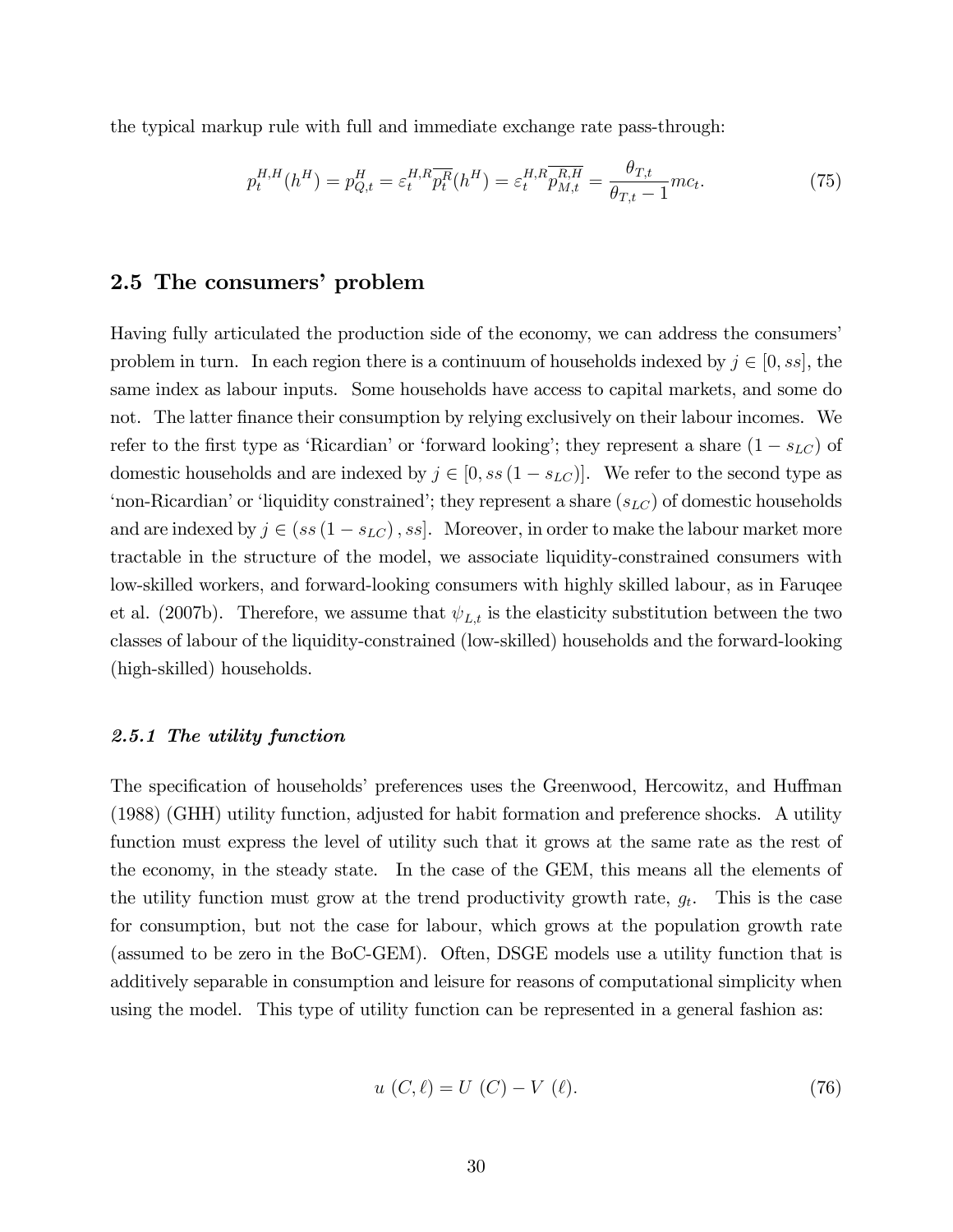the typical markup rule with full and immediate exchange rate pass-through:

$$
p_t^{H,H}(h^H) = p_{Q,t}^H = \varepsilon_t^{H,R} \overline{p_t^R}(h^H) = \varepsilon_t^{H,R} \overline{p_{M,t}^{R,H}} = \frac{\theta_{T,t}}{\theta_{T,t}-1} m c_t.
$$
 (75)

## 2.5 The consumers' problem

Having fully articulated the production side of the economy, we can address the consumersí problem in turn. In each region there is a continuum of households indexed by  $j \in [0, ss]$ , the same index as labour inputs. Some households have access to capital markets, and some do not. The latter finance their consumption by relying exclusively on their labour incomes. We refer to the first type as 'Ricardian' or 'forward looking'; they represent a share  $(1 - s_{LC})$  of domestic households and are indexed by  $j \in [0, ss(1 - s_{LC})]$ . We refer to the second type as 'non-Ricardian' or 'liquidity constrained'; they represent a share  $(s_{LC})$  of domestic households and are indexed by  $j \in (ss(1 - s_{LC}), ss]$ . Moreover, in order to make the labour market more tractable in the structure of the model, we associate liquidity-constrained consumers with low-skilled workers, and forward-looking consumers with highly skilled labour, as in Faruqee et al. (2007b). Therefore, we assume that  $\psi_{L,t}$  is the elasticity substitution between the two classes of labour of the liquidity-constrained (low-skilled) households and the forward-looking (high-skilled) households.

#### 2.5.1 The utility function

The specification of households' preferences uses the Greenwood, Hercowitz, and Huffman (1988) (GHH) utility function, adjusted for habit formation and preference shocks. A utility function must express the level of utility such that it grows at the same rate as the rest of the economy, in the steady state. In the case of the GEM, this means all the elements of the utility function must grow at the trend productivity growth rate,  $g_t$ . This is the case for consumption, but not the case for labour, which grows at the population growth rate (assumed to be zero in the BoC-GEM). Often, DSGE models use a utility function that is additively separable in consumption and leisure for reasons of computational simplicity when using the model. This type of utility function can be represented in a general fashion as:

$$
u(C,\ell) = U(C) - V(\ell). \tag{76}
$$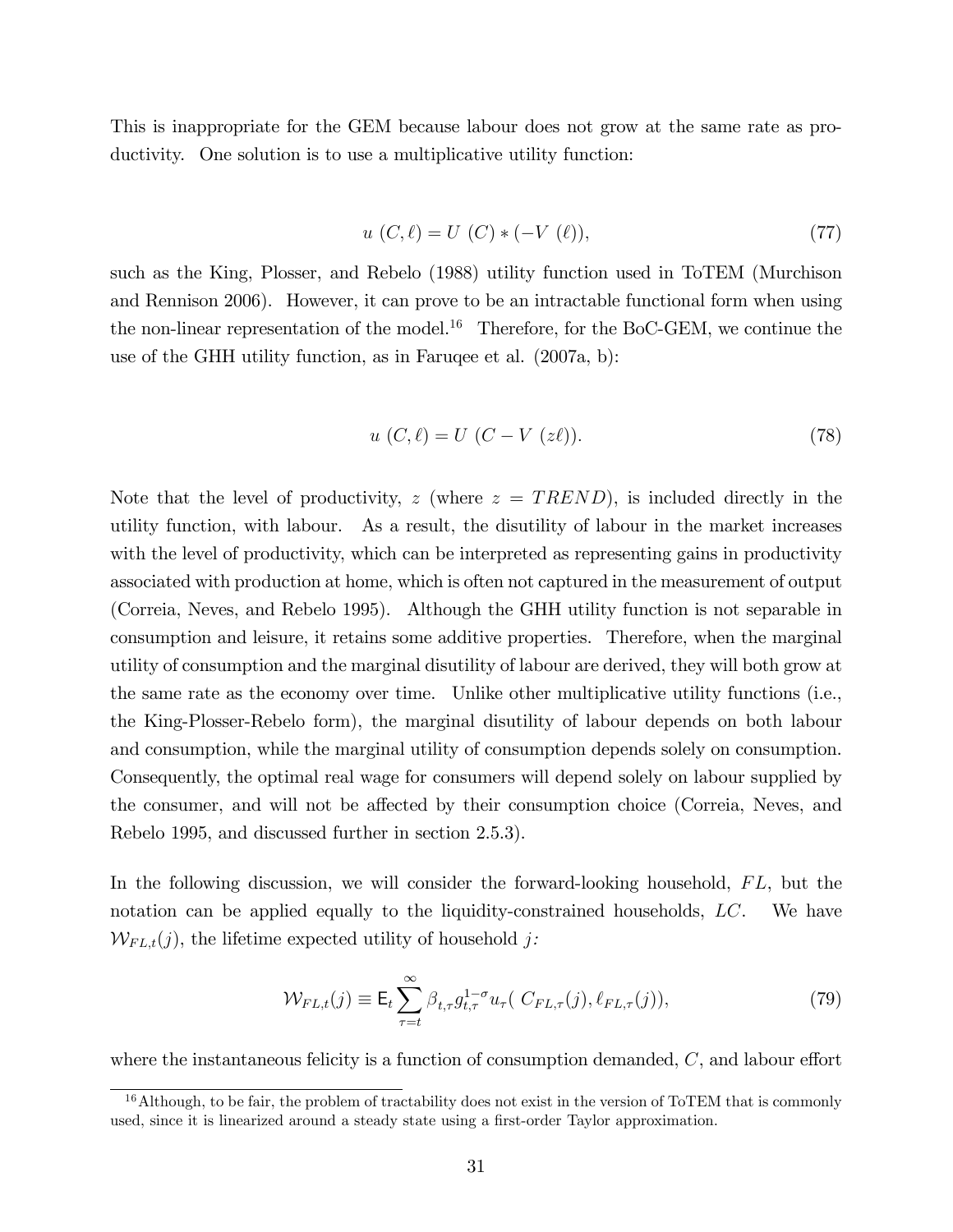This is inappropriate for the GEM because labour does not grow at the same rate as productivity. One solution is to use a multiplicative utility function:

$$
u(C, \ell) = U(C) * (-V(\ell)),
$$
\n(77)

such as the King, Plosser, and Rebelo (1988) utility function used in ToTEM (Murchison and Rennison 2006). However, it can prove to be an intractable functional form when using the non-linear representation of the model.<sup>16</sup> Therefore, for the BoC-GEM, we continue the use of the GHH utility function, as in Faruqee et al. (2007a, b):

$$
u(C, \ell) = U(C - V(z\ell)).
$$
\n(78)

Note that the level of productivity, z (where  $z = TREDD$ ), is included directly in the utility function, with labour. As a result, the disutility of labour in the market increases with the level of productivity, which can be interpreted as representing gains in productivity associated with production at home, which is often not captured in the measurement of output (Correia, Neves, and Rebelo 1995). Although the GHH utility function is not separable in consumption and leisure, it retains some additive properties. Therefore, when the marginal utility of consumption and the marginal disutility of labour are derived, they will both grow at the same rate as the economy over time. Unlike other multiplicative utility functions (i.e., the King-Plosser-Rebelo form), the marginal disutility of labour depends on both labour and consumption, while the marginal utility of consumption depends solely on consumption. Consequently, the optimal real wage for consumers will depend solely on labour supplied by the consumer, and will not be affected by their consumption choice (Correia, Neves, and Rebelo 1995, and discussed further in section 2.5.3).

In the following discussion, we will consider the forward-looking household,  $FL$ , but the notation can be applied equally to the liquidity-constrained households, LC. We have  $W_{FL,t}(j)$ , the lifetime expected utility of household j:

$$
\mathcal{W}_{FL,t}(j) \equiv \mathsf{E}_t \sum_{\tau=t}^{\infty} \beta_{t,\tau} g_{t,\tau}^{1-\sigma} u_{\tau} \big( C_{FL,\tau}(j), \ell_{FL,\tau}(j) \big), \tag{79}
$$

where the instantaneous felicity is a function of consumption demanded,  $C$ , and labour effort

 $16$ Although, to be fair, the problem of tractability does not exist in the version of ToTEM that is commonly used, since it is linearized around a steady state using a first-order Taylor approximation.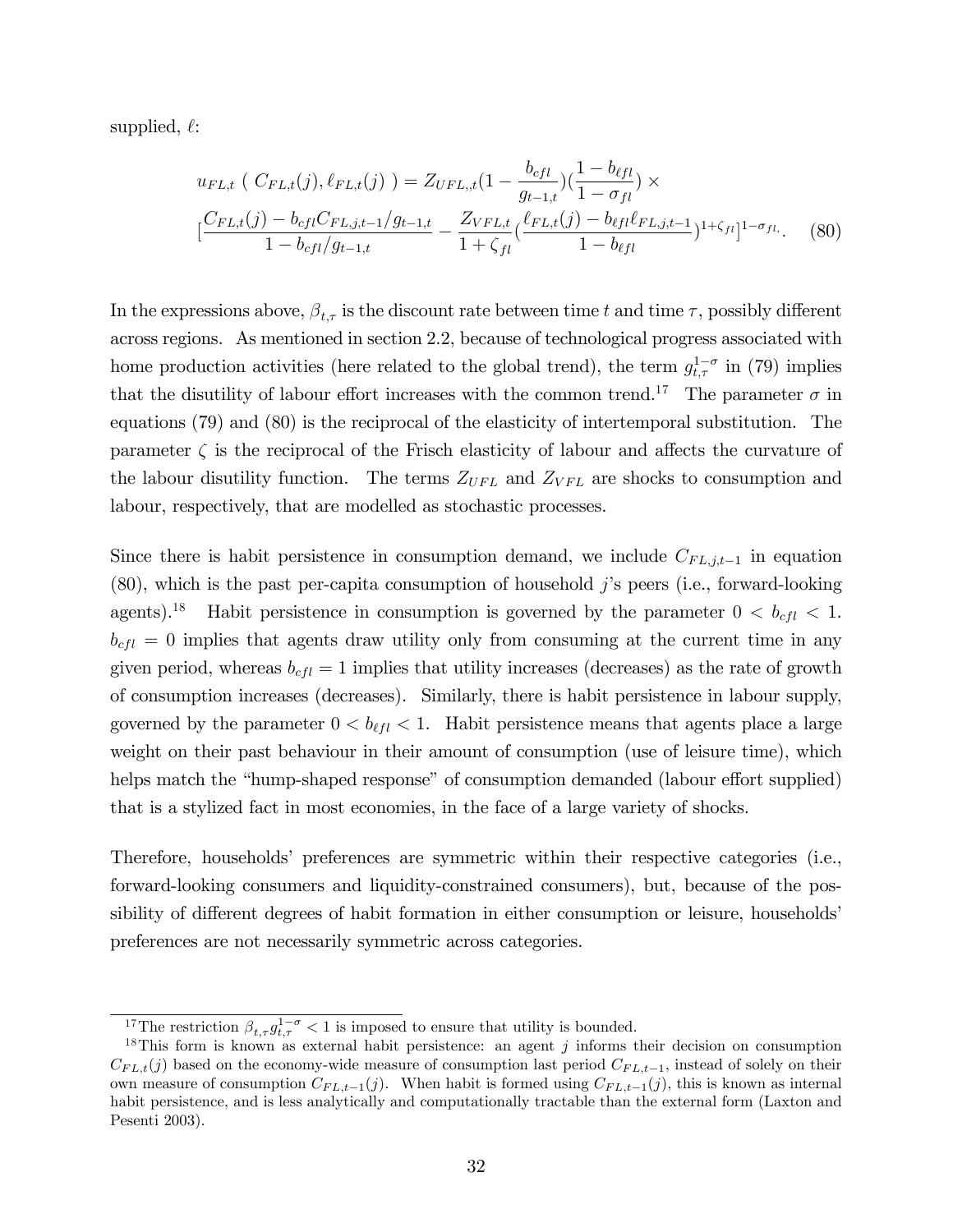supplied,  $\ell$ :

$$
u_{FL,t} (C_{FL,t}(j), \ell_{FL,t}(j)) = Z_{UFL,t}(1 - \frac{b_{cfl}}{g_{t-1,t}}) (\frac{1 - b_{\ell fl}}{1 - \sigma_{fl}}) \times
$$
  

$$
[\frac{C_{FL,t}(j) - b_{cfl}C_{FL,j,t-1}/g_{t-1,t}}{1 - b_{cfl}/g_{t-1,t}} - \frac{Z_{VFL,t}}{1 + \zeta_{fl}} (\frac{\ell_{FL,t}(j) - b_{\ell fl}\ell_{FL,j,t-1}}{1 - b_{\ell fl}})^{1 + \zeta_{fl}}]^{1 - \sigma_{fl}}.
$$
 (80)

In the expressions above,  $\beta_{t,\tau}$  is the discount rate between time t and time  $\tau$ , possibly different across regions. As mentioned in section 2.2, because of technological progress associated with home production activities (here related to the global trend), the term  $g_{t,\tau}^{1-\sigma}$  in (79) implies that the disutility of labour effort increases with the common trend.<sup>17</sup> The parameter  $\sigma$  in equations (79) and (80) is the reciprocal of the elasticity of intertemporal substitution. The parameter  $\zeta$  is the reciprocal of the Frisch elasticity of labour and affects the curvature of the labour disutility function. The terms  $Z_{UFL}$  and  $Z_{VFL}$  are shocks to consumption and labour, respectively, that are modelled as stochastic processes.

Since there is habit persistence in consumption demand, we include  $C_{FL,j,t-1}$  in equation  $(80)$ , which is the past per-capita consumption of household j's peers (i.e., forward-looking agents).<sup>18</sup> Habit persistence in consumption is governed by the parameter  $0 < b_{cfl} < 1$ .  $b_{cfl} = 0$  implies that agents draw utility only from consuming at the current time in any given period, whereas  $b_{cfl} = 1$  implies that utility increases (decreases) as the rate of growth of consumption increases (decreases). Similarly, there is habit persistence in labour supply, governed by the parameter  $0 < b_{\ell f} < 1$ . Habit persistence means that agents place a large weight on their past behaviour in their amount of consumption (use of leisure time), which helps match the "hump-shaped response" of consumption demanded (labour effort supplied) that is a stylized fact in most economies, in the face of a large variety of shocks.

Therefore, households' preferences are symmetric within their respective categories (i.e., forward-looking consumers and liquidity-constrained consumers), but, because of the possibility of different degrees of habit formation in either consumption or leisure, households preferences are not necessarily symmetric across categories.

<sup>&</sup>lt;sup>17</sup>The restriction  $\beta_{t,\tau} g_{t,\tau}^{1-\sigma} < 1$  is imposed to ensure that utility is bounded.

<sup>&</sup>lt;sup>18</sup>This form is known as external habit persistence: an agent  $j$  informs their decision on consumption  $C_{FL,t}(j)$  based on the economy-wide measure of consumption last period  $C_{FL,t-1}$ , instead of solely on their own measure of consumption  $C_{FL,t-1}(j)$ . When habit is formed using  $C_{FL,t-1}(j)$ , this is known as internal habit persistence, and is less analytically and computationally tractable than the external form (Laxton and Pesenti 2003).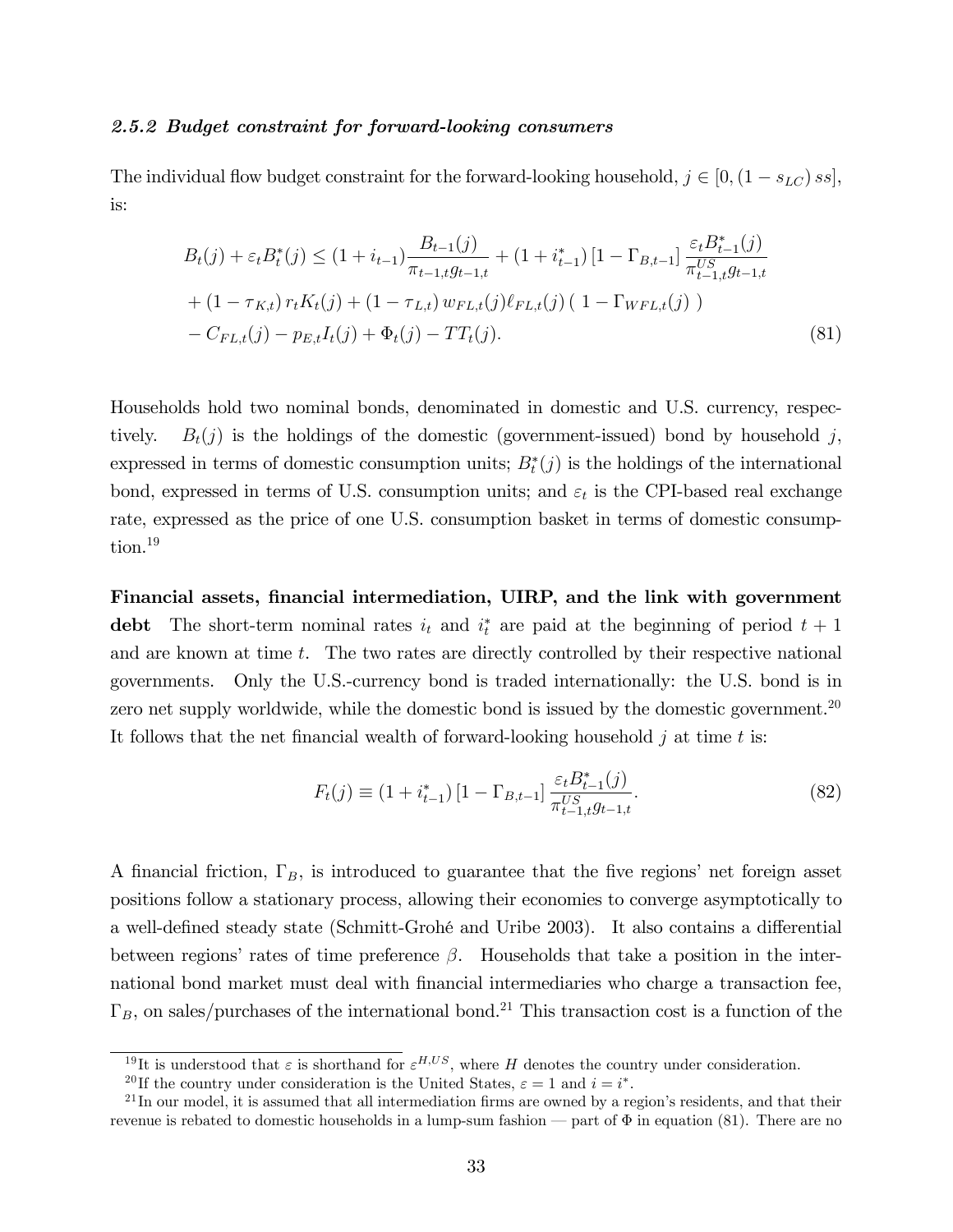#### 2.5.2 Budget constraint for forward-looking consumers

The individual flow budget constraint for the forward-looking household,  $j \in [0,(1 - s_{LC}) \,ss]$ , is:

$$
B_{t}(j) + \varepsilon_{t} B_{t}^{*}(j) \leq (1 + i_{t-1}) \frac{B_{t-1}(j)}{\pi_{t-1,t} g_{t-1,t}} + (1 + i_{t-1}^{*}) [1 - \Gamma_{B,t-1}] \frac{\varepsilon_{t} B_{t-1}^{*}(j)}{\pi_{t-1,t}^{US} g_{t-1,t}} + (1 - \tau_{K,t}) r_{t} K_{t}(j) + (1 - \tau_{L,t}) w_{FL,t}(j) \ell_{FL,t}(j) (1 - \Gamma_{WFL,t}(j)) - C_{FL,t}(j) - p_{E,t} I_{t}(j) + \Phi_{t}(j) - TT_{t}(j).
$$
\n(81)

Households hold two nominal bonds, denominated in domestic and U.S. currency, respectively.  $B_t(j)$  is the holdings of the domestic (government-issued) bond by household j, expressed in terms of domestic consumption units;  $B_t^*(j)$  is the holdings of the international bond, expressed in terms of U.S. consumption units; and  $\varepsilon_t$  is the CPI-based real exchange rate, expressed as the price of one U.S. consumption basket in terms of domestic consumption.<sup>19</sup>

Financial assets, Önancial intermediation, UIRP, and the link with government debt The short-term nominal rates  $i_t$  and  $i_t^*$  are paid at the beginning of period  $t + 1$ and are known at time t. The two rates are directly controlled by their respective national governments. Only the U.S.-currency bond is traded internationally: the U.S. bond is in zero net supply worldwide, while the domestic bond is issued by the domestic government.<sup>20</sup> It follows that the net financial wealth of forward-looking household  $j$  at time  $t$  is:

$$
F_t(j) \equiv (1 + i_{t-1}^*) \left[ 1 - \Gamma_{B,t-1} \right] \frac{\varepsilon_t B_{t-1}^*(j)}{\pi_{t-1,t}^{US} g_{t-1,t}}.
$$
\n(82)

A financial friction,  $\Gamma_B$ , is introduced to guarantee that the five regions' net foreign asset positions follow a stationary process, allowing their economies to converge asymptotically to a well-defined steady state (Schmitt-Grohé and Uribe 2003). It also contains a differential between regions' rates of time preference  $\beta$ . Households that take a position in the international bond market must deal with financial intermediaries who charge a transaction fee,  $\Gamma_B$ , on sales/purchases of the international bond.<sup>21</sup> This transaction cost is a function of the

<sup>&</sup>lt;sup>19</sup>It is understood that  $\varepsilon$  is shorthand for  $\varepsilon^{H,US}$ , where H denotes the country under consideration.

<sup>&</sup>lt;sup>20</sup>If the country under consideration is the United States,  $\varepsilon = 1$  and  $i = i^*$ .

 $^{21}$ In our model, it is assumed that all intermediation firms are owned by a region's residents, and that their revenue is rebated to domestic households in a lump-sum fashion – part of  $\Phi$  in equation (81). There are no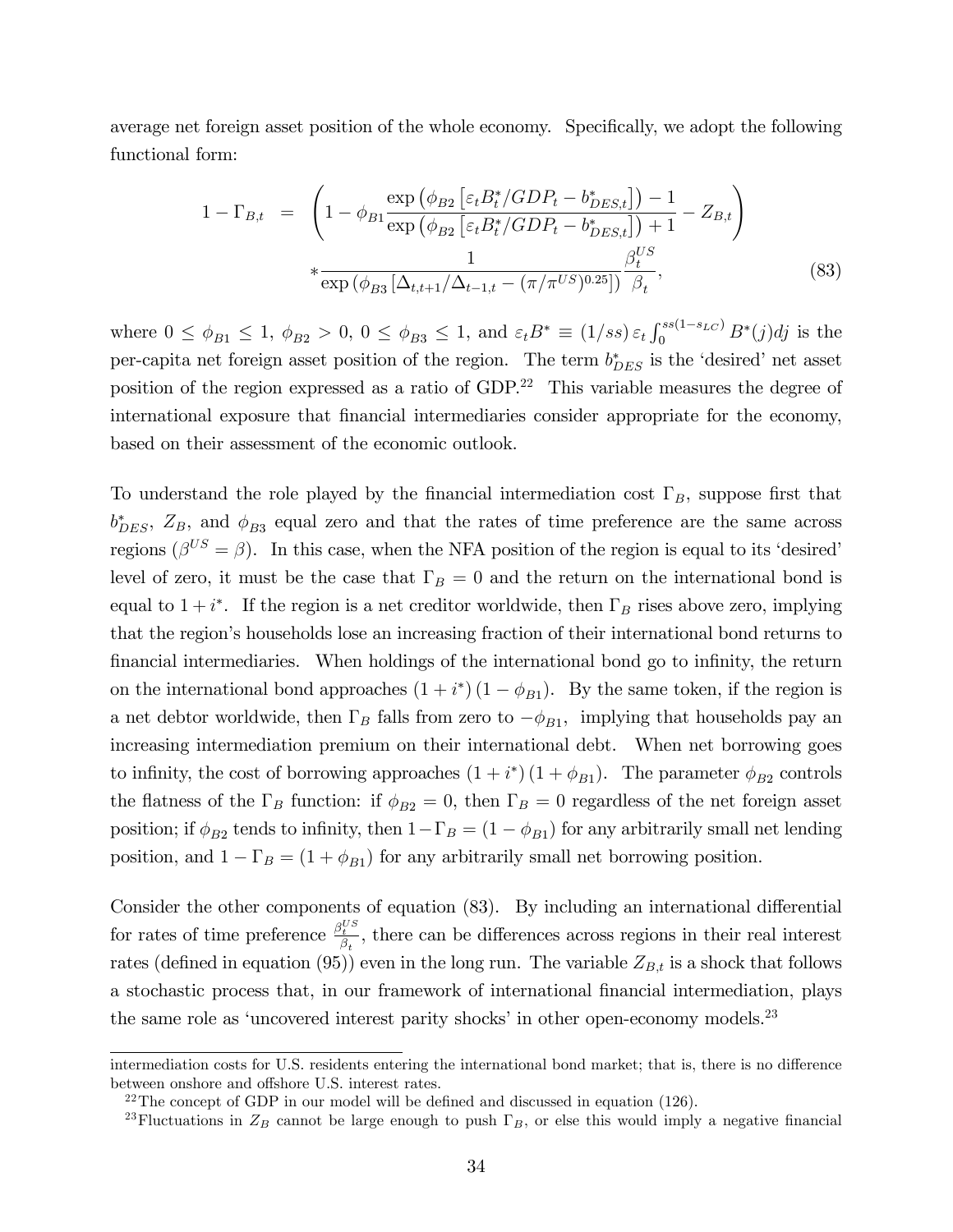average net foreign asset position of the whole economy. Specifically, we adopt the following functional form:

$$
1 - \Gamma_{B,t} = \left( 1 - \phi_{B1} \frac{\exp \left( \phi_{B2} \left[ \varepsilon_t B_t^* / GDP_t - b_{DES,t}^* \right] \right) - 1}{\exp \left( \phi_{B2} \left[ \varepsilon_t B_t^* / GDP_t - b_{DES,t}^* \right] \right) + 1} - Z_{B,t} \right)
$$
  
\* 
$$
\frac{1}{\exp \left( \phi_{B3} \left[ \Delta_{t,t+1} / \Delta_{t-1,t} - (\pi / \pi^{US})^{0.25} \right] \right)} \frac{\beta_t^{US}}{\beta_t},
$$
(83)

where  $0 \le \phi_{B1} \le 1$ ,  $\phi_{B2} > 0$ ,  $0 \le \phi_{B3} \le 1$ , and  $\varepsilon_t B^* \equiv (1/ss) \varepsilon_t \int_0^{ss(1-s_{LC})} B^*(j)dj$  is the per-capita net foreign asset position of the region. The term  $b_{DES}^*$  is the 'desired' net asset position of the region expressed as a ratio of GDP.<sup>22</sup> This variable measures the degree of international exposure that financial intermediaries consider appropriate for the economy, based on their assessment of the economic outlook.

To understand the role played by the financial intermediation cost  $\Gamma_B$ , suppose first that  $b_{DES}^*$ ,  $Z_B$ , and  $\phi_{B3}$  equal zero and that the rates of time preference are the same across regions  $(\beta^{US} = \beta)$ . In this case, when the NFA position of the region is equal to its 'desired' level of zero, it must be the case that  $\Gamma_B = 0$  and the return on the international bond is equal to  $1 + i^*$ . If the region is a net creditor worldwide, then  $\Gamma_B$  rises above zero, implying that the region's households lose an increasing fraction of their international bond returns to financial intermediaries. When holdings of the international bond go to infinity, the return on the international bond approaches  $(1 + i^*)(1 - \phi_{B_1})$ . By the same token, if the region is a net debtor worldwide, then  $\Gamma_B$  falls from zero to  $-\phi_{B1}$ , implying that households pay an increasing intermediation premium on their international debt. When net borrowing goes to infinity, the cost of borrowing approaches  $(1 + i^*) (1 + \phi_{B1})$ . The parameter  $\phi_{B2}$  controls the flatness of the  $\Gamma_B$  function: if  $\phi_{B2} = 0$ , then  $\Gamma_B = 0$  regardless of the net foreign asset position; if  $\phi_{B2}$  tends to infinity, then  $1-\Gamma_B = (1-\phi_{B1})$  for any arbitrarily small net lending position, and  $1 - \Gamma_B = (1 + \phi_{B1})$  for any arbitrarily small net borrowing position.

Consider the other components of equation (83). By including an international differential for rates of time preference  $\frac{\beta_t^{US}}{\beta_t}$ , there can be differences across regions in their real interest rates (defined in equation (95)) even in the long run. The variable  $Z_{B,t}$  is a shock that follows a stochastic process that, in our framework of international financial intermediation, plays the same role as 'uncovered interest parity shocks' in other open-economy models. $^{23}$ 

intermediation costs for U.S. residents entering the international bond market; that is, there is no difference between onshore and offshore U.S. interest rates.

 $22$ The concept of GDP in our model will be defined and discussed in equation (126).

<sup>&</sup>lt;sup>23</sup>Fluctuations in  $Z_B$  cannot be large enough to push  $\Gamma_B$ , or else this would imply a negative financial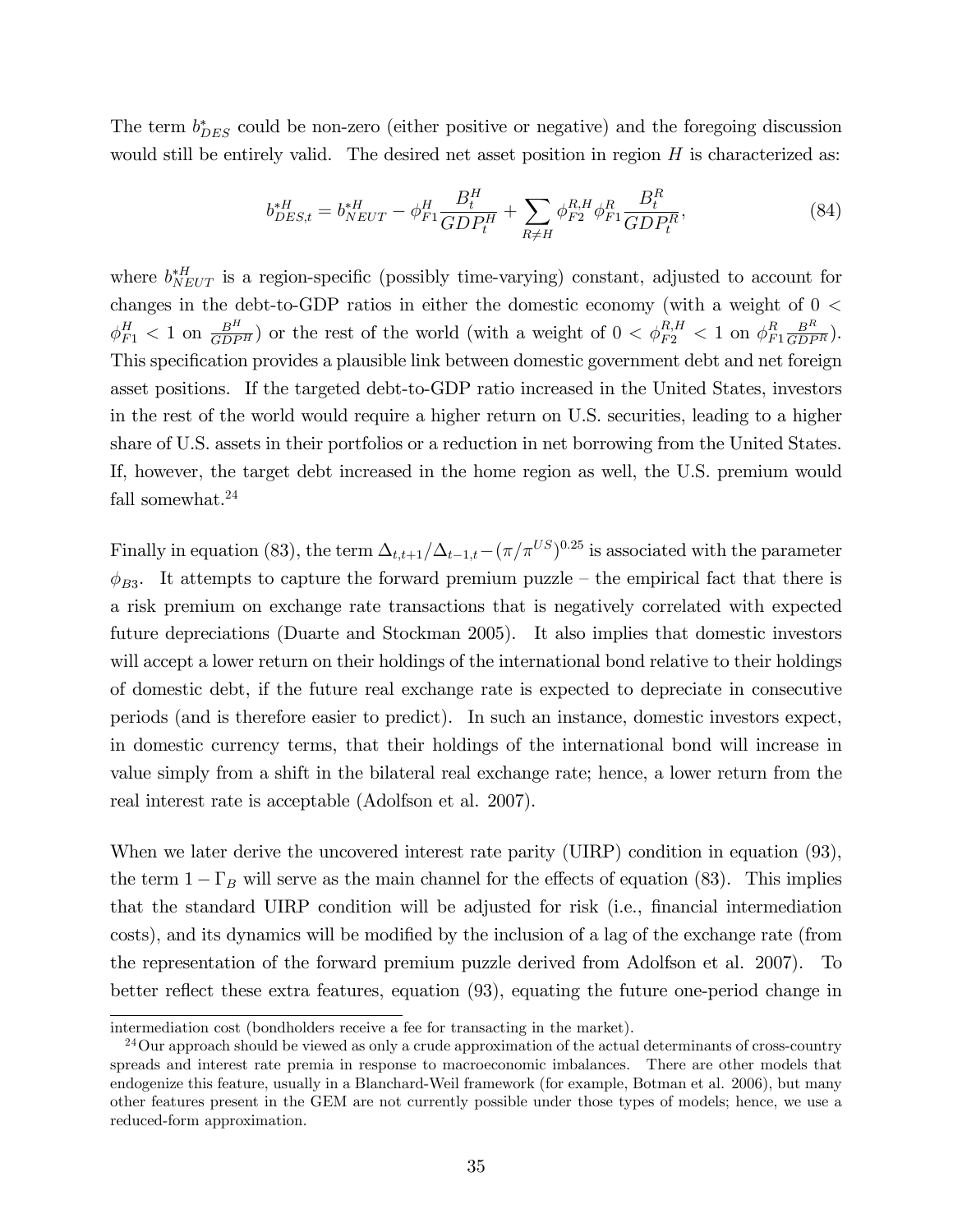The term  $b_{DES}^*$  could be non-zero (either positive or negative) and the foregoing discussion would still be entirely valid. The desired net asset position in region  $H$  is characterized as:

$$
b_{DES,t}^{*H} = b_{NEUT}^{*H} - \phi_{F1}^H \frac{B_t^H}{GDP_t^H} + \sum_{R \neq H} \phi_{F2}^{R,H} \phi_{F1}^R \frac{B_t^R}{GDP_t^R},\tag{84}
$$

where  $b_{NET}^{*H}$  is a region-specific (possibly time-varying) constant, adjusted to account for changes in the debt-to-GDP ratios in either the domestic economy (with a weight of 0 <  $\phi_{F1}^H$  < 1 on  $\frac{B^H}{GDP^H}$ ) or the rest of the world (with a weight of  $0 < \phi_{F2}^{R,H}$  < 1 on  $\phi_F^R$  $_{F1}^R \frac{B^R}{GDP^R}$ . This specification provides a plausible link between domestic government debt and net foreign asset positions. If the targeted debt-to-GDP ratio increased in the United States, investors in the rest of the world would require a higher return on U.S. securities, leading to a higher share of U.S. assets in their portfolios or a reduction in net borrowing from the United States. If, however, the target debt increased in the home region as well, the U.S. premium would fall somewhat.<sup>24</sup>

Finally in equation (83), the term  $\Delta_{t,t+1}/\Delta_{t-1,t}-(\pi/\pi^{US})^{0.25}$  is associated with the parameter  $\phi_{B3}$ . It attempts to capture the forward premium puzzle – the empirical fact that there is a risk premium on exchange rate transactions that is negatively correlated with expected future depreciations (Duarte and Stockman 2005). It also implies that domestic investors will accept a lower return on their holdings of the international bond relative to their holdings of domestic debt, if the future real exchange rate is expected to depreciate in consecutive periods (and is therefore easier to predict). In such an instance, domestic investors expect, in domestic currency terms, that their holdings of the international bond will increase in value simply from a shift in the bilateral real exchange rate; hence, a lower return from the real interest rate is acceptable (Adolfson et al. 2007).

When we later derive the uncovered interest rate parity (UIRP) condition in equation (93), the term  $1 - \Gamma_B$  will serve as the main channel for the effects of equation (83). This implies that the standard UIRP condition will be adjusted for risk (i.e., financial intermediation costs), and its dynamics will be modified by the inclusion of a lag of the exchange rate (from the representation of the forward premium puzzle derived from Adolfson et al. 2007). To better reflect these extra features, equation (93), equating the future one-period change in

intermediation cost (bondholders receive a fee for transacting in the market).

<sup>&</sup>lt;sup>24</sup>Our approach should be viewed as only a crude approximation of the actual determinants of cross-country spreads and interest rate premia in response to macroeconomic imbalances. There are other models that endogenize this feature, usually in a Blanchard-Weil framework (for example, Botman et al. 2006), but many other features present in the GEM are not currently possible under those types of models; hence, we use a reduced-form approximation.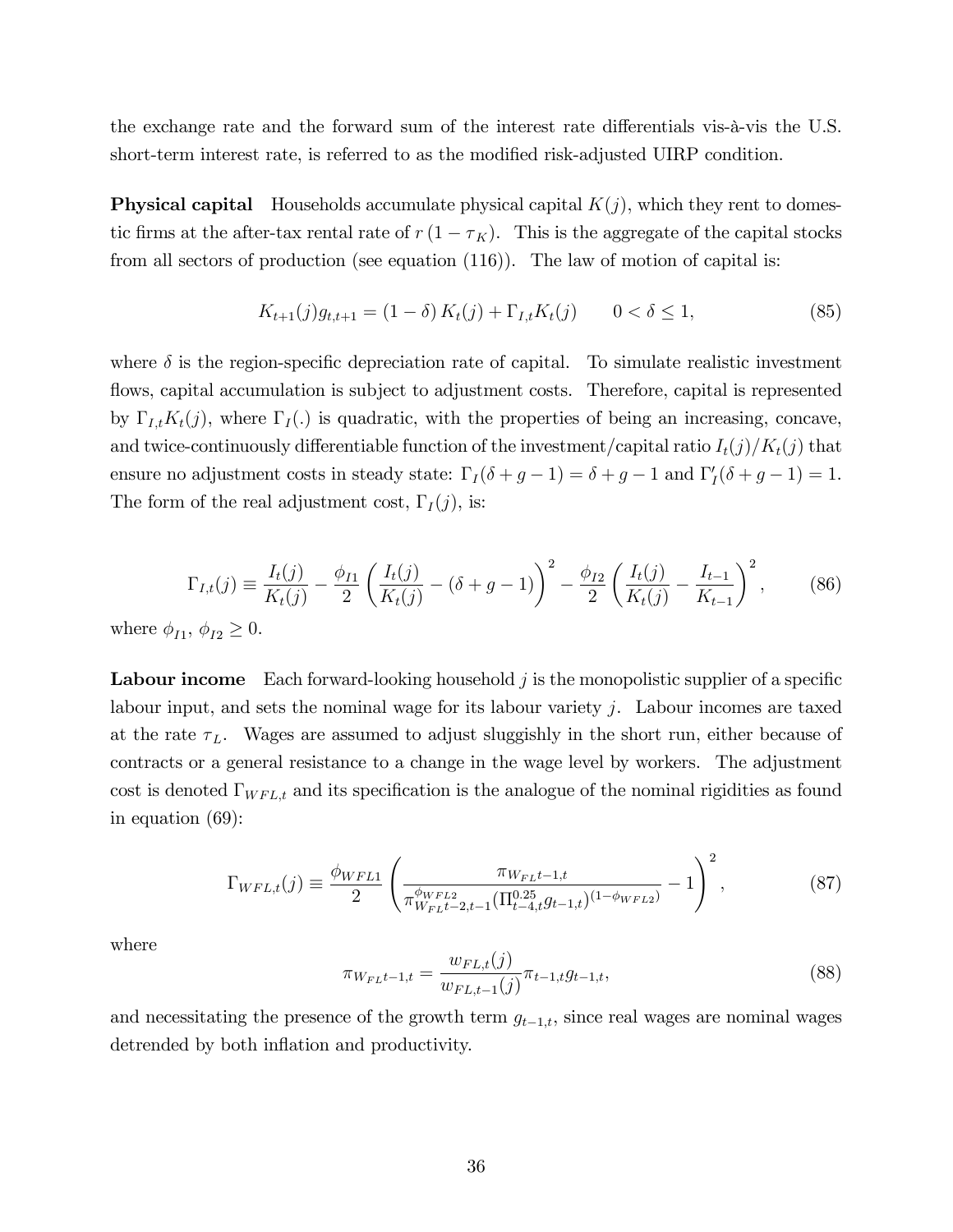the exchange rate and the forward sum of the interest rate differentials vis- $\alpha$ -vis the U.S. short-term interest rate, is referred to as the modified risk-adjusted UIRP condition.

**Physical capital** Households accumulate physical capital  $K(j)$ , which they rent to domestic firms at the after-tax rental rate of  $r(1 - \tau_K)$ . This is the aggregate of the capital stocks from all sectors of production (see equation (116)). The law of motion of capital is:

$$
K_{t+1}(j)g_{t,t+1} = (1 - \delta) K_t(j) + \Gamma_{I,t} K_t(j) \qquad 0 < \delta \le 1,
$$
\n(85)

where  $\delta$  is the region-specific depreciation rate of capital. To simulate realistic investment flows, capital accumulation is subject to adjustment costs. Therefore, capital is represented by  $\Gamma_{I,t}K_t(j)$ , where  $\Gamma_I(.)$  is quadratic, with the properties of being an increasing, concave, and twice-continuously differentiable function of the investment/capital ratio  $I_t(j)/K_t(j)$  that ensure no adjustment costs in steady state:  $\Gamma_I(\delta + g - 1) = \delta + g - 1$  and  $\Gamma_I'(\delta + g - 1) = 1$ . The form of the real adjustment cost,  $\Gamma_I(j)$ , is:

$$
\Gamma_{I,t}(j) \equiv \frac{I_t(j)}{K_t(j)} - \frac{\phi_{I1}}{2} \left( \frac{I_t(j)}{K_t(j)} - (\delta + g - 1) \right)^2 - \frac{\phi_{I2}}{2} \left( \frac{I_t(j)}{K_t(j)} - \frac{I_{t-1}}{K_{t-1}} \right)^2, \tag{86}
$$

where  $\phi_{I1}, \phi_{I2} \geq 0$ .

**Labour income** Each forward-looking household  $j$  is the monopolistic supplier of a specific labour input, and sets the nominal wage for its labour variety j. Labour incomes are taxed at the rate  $\tau_L$ . Wages are assumed to adjust sluggishly in the short run, either because of contracts or a general resistance to a change in the wage level by workers. The adjustment cost is denoted  $\Gamma_{WFL,t}$  and its specification is the analogue of the nominal rigidities as found in equation (69):

$$
\Gamma_{WFL,t}(j) \equiv \frac{\phi_{WFL1}}{2} \left( \frac{\pi_{WFLt-1,t}}{\pi_{WFLt-2,t-1}^{\phi_{WFL2}} (\Pi_{t-4,t}^{0.25} g_{t-1,t})^{(1-\phi_{WFL2})}} - 1 \right)^2, \tag{87}
$$

where

$$
\pi_{W_{FL}t-1,t} = \frac{w_{FL,t}(j)}{w_{FL,t-1}(j)} \pi_{t-1,t} g_{t-1,t},
$$
\n(88)

and necessitating the presence of the growth term  $g_{t-1,t}$ , since real wages are nominal wages detrended by both inflation and productivity.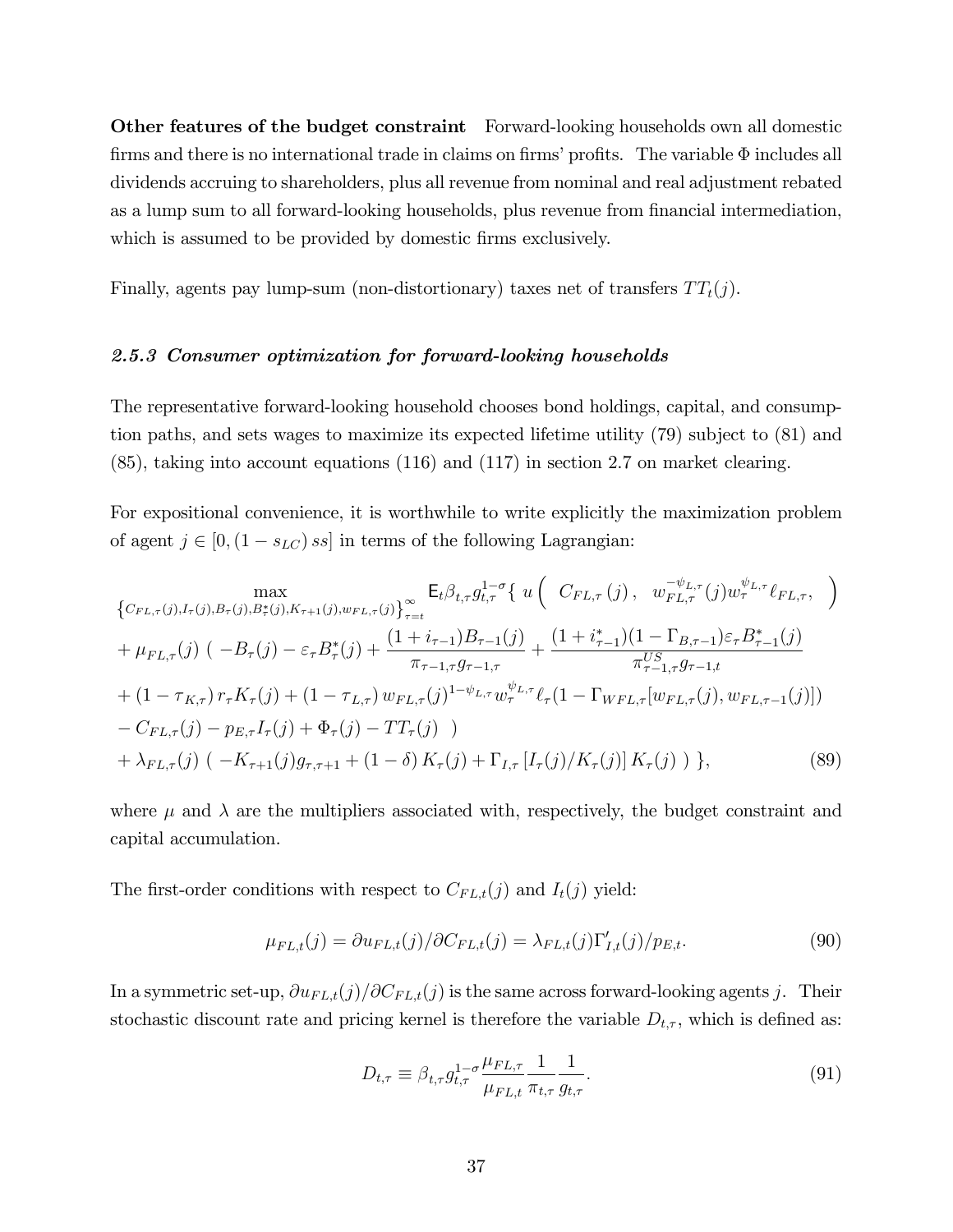Other features of the budget constraint Forward-looking households own all domestic firms and there is no international trade in claims on firms' profits. The variable  $\Phi$  includes all dividends accruing to shareholders, plus all revenue from nominal and real adjustment rebated as a lump sum to all forward-looking households, plus revenue from financial intermediation, which is assumed to be provided by domestic firms exclusively.

Finally, agents pay lump-sum (non-distortionary) taxes net of transfers  $TT_t(j)$ .

#### 2.5.3 Consumer optimization for forward-looking households

The representative forward-looking household chooses bond holdings, capital, and consumption paths, and sets wages to maximize its expected lifetime utility (79) subject to (81) and (85), taking into account equations (116) and (117) in section 2.7 on market clearing.

For expositional convenience, it is worthwhile to write explicitly the maximization problem of agent  $j \in [0,(1 - s_{LC}) s_{S}]$  in terms of the following Lagrangian:

$$
\begin{split}\n&\max_{\{C_{FL,\tau}(j),I_{\tau}(j),B_{\tau}(j),B_{\tau}(j),K_{\tau+1}(j),w_{FL,\tau}(j)\}_{\tau=t}}\mathsf{E}_{t}\beta_{t,\tau}g_{t,\tau}^{1-\sigma}\{\ u\left(\ C_{FL,\tau}(j),\ w_{FL,\tau}^{-\psi_{L,\tau}}(j)w_{\tau}^{\psi_{L,\tau}}\ell_{FL,\tau},\right) \\
&+\mu_{FL,\tau}(j)\left(-B_{\tau}(j)-\varepsilon_{\tau}B_{\tau}^{*}(j)+\frac{(1+i_{\tau-1})B_{\tau-1}(j)}{\pi_{\tau-1,\tau}g_{\tau-1,\tau}}+\frac{(1+i_{\tau-1}^{*})(1-\Gamma_{B,\tau-1})\varepsilon_{\tau}B_{\tau-1}^{*}(j)}{\pi_{\tau-1,\tau}^{US}g_{\tau-1,t}} \\
&+(1-\tau_{K,\tau})r_{\tau}K_{\tau}(j)+(1-\tau_{L,\tau})w_{FL,\tau}(j)^{1-\psi_{L,\tau}}w_{\tau}^{\psi_{L,\tau}}\ell_{\tau}(1-\Gamma_{WFL,\tau}[w_{FL,\tau}(j),w_{FL,\tau-1}(j)]) \\
&-C_{FL,\tau}(j)-p_{E,\tau}I_{\tau}(j)+\Phi_{\tau}(j)-TT_{\tau}(j)\n\end{split}
$$
\n
$$
+ \lambda_{FL,\tau}(j)\left(-K_{\tau+1}(j)g_{\tau,\tau+1}+(1-\delta)K_{\tau}(j)+\Gamma_{I,\tau}\left[I_{\tau}(j)/K_{\tau}(j)\right]K_{\tau}(j)\right),\n\tag{89}
$$

where  $\mu$  and  $\lambda$  are the multipliers associated with, respectively, the budget constraint and capital accumulation.

The first-order conditions with respect to  $C_{FL,t}(j)$  and  $I_t(j)$  yield:

$$
\mu_{FL,t}(j) = \partial u_{FL,t}(j) / \partial C_{FL,t}(j) = \lambda_{FL,t}(j) \Gamma'_{I,t}(j) / p_{E,t}.
$$
\n(90)

In a symmetric set-up,  $\partial u_{FL,t}(j)/\partial C_{FL,t}(j)$  is the same across forward-looking agents j. Their stochastic discount rate and pricing kernel is therefore the variable  $D_{t,\tau}$ , which is defined as:

$$
D_{t,\tau} \equiv \beta_{t,\tau} g_{t,\tau}^{1-\sigma} \frac{\mu_{FL,\tau}}{\mu_{FL,t}} \frac{1}{\pi_{t,\tau}} \frac{1}{g_{t,\tau}}.
$$
\n(91)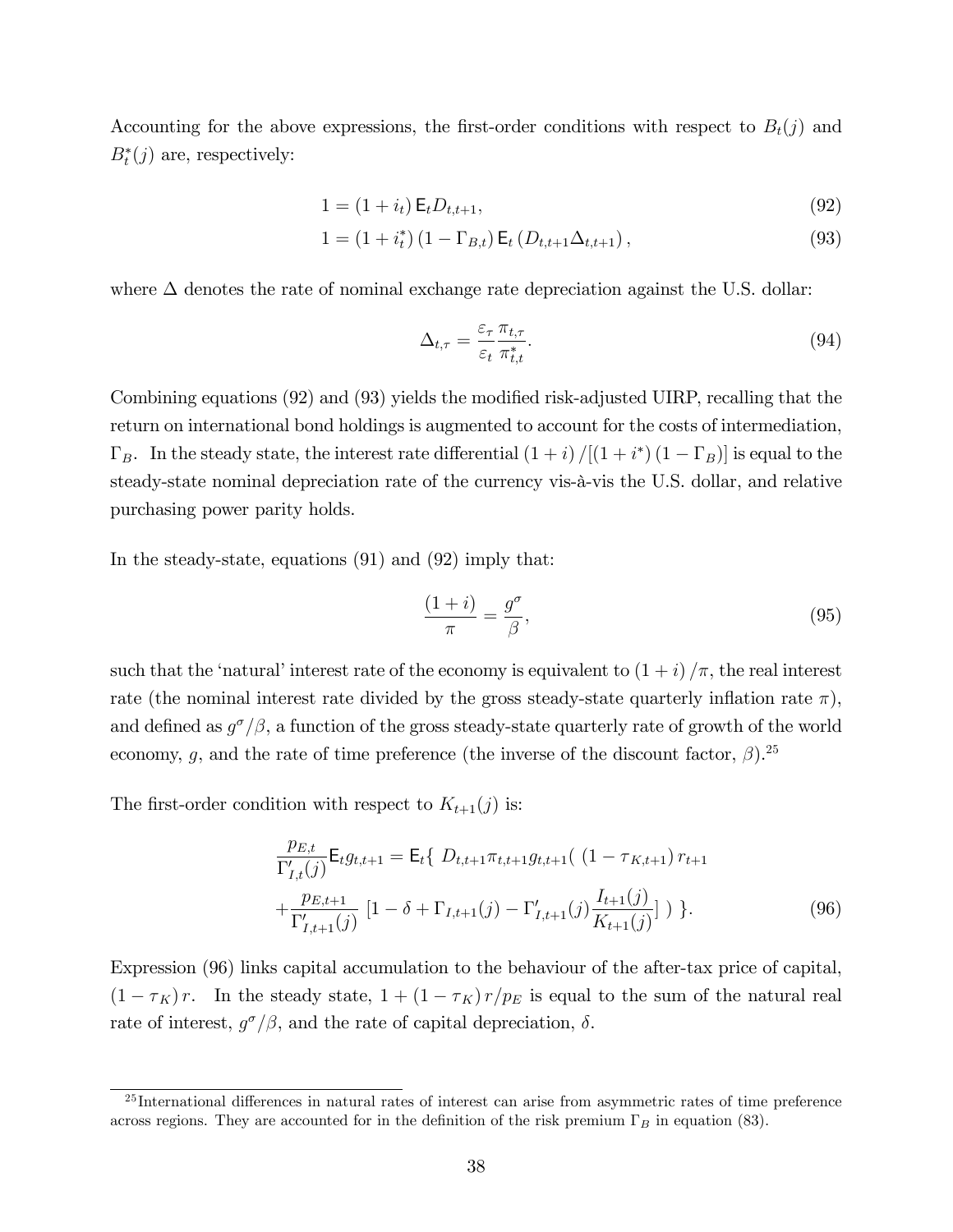Accounting for the above expressions, the first-order conditions with respect to  $B_t(j)$  and  $B_t^*(j)$  are, respectively:

$$
1 = (1 + i_t) \mathsf{E}_t D_{t,t+1},\tag{92}
$$

$$
1 = (1 + i_t^*) (1 - \Gamma_{B,t}) \mathsf{E}_t (D_{t,t+1} \Delta_{t,t+1}), \tag{93}
$$

where  $\Delta$  denotes the rate of nominal exchange rate depreciation against the U.S. dollar:

$$
\Delta_{t,\tau} = \frac{\varepsilon_{\tau}}{\varepsilon_t} \frac{\pi_{t,\tau}}{\pi_{t,t}^*}.
$$
\n(94)

Combining equations (92) and (93) yields the modified risk-adjusted UIRP, recalling that the return on international bond holdings is augmented to account for the costs of intermediation,  $\Gamma_B$ . In the steady state, the interest rate differential  $(1+i)/[(1+i^*)(1-\Gamma_B)]$  is equal to the steady-state nominal depreciation rate of the currency vis- $\hat{a}$ -vis the U.S. dollar, and relative purchasing power parity holds.

In the steady-state, equations (91) and (92) imply that:

$$
\frac{(1+i)}{\pi} = \frac{g^{\sigma}}{\beta},\tag{95}
$$

such that the 'natural' interest rate of the economy is equivalent to  $(1 + i)/\pi$ , the real interest rate (the nominal interest rate divided by the gross steady-state quarterly inflation rate  $\pi$ ), and defined as  $g^{\sigma}/\beta$ , a function of the gross steady-state quarterly rate of growth of the world economy, g, and the rate of time preference (the inverse of the discount factor,  $\beta$ ).<sup>25</sup>

The first-order condition with respect to  $K_{t+1}(j)$  is:

$$
\frac{p_{E,t}}{\Gamma'_{I,t}(j)} \mathsf{E}_t g_{t,t+1} = \mathsf{E}_t \{ D_{t,t+1} \pi_{t,t+1} g_{t,t+1} ( (1 - \tau_{K,t+1}) r_{t+1} + \frac{p_{E,t+1}}{\Gamma'_{I,t+1}(j)} [1 - \delta + \Gamma_{I,t+1}(j) - \Gamma'_{I,t+1}(j) \frac{I_{t+1}(j)}{K_{t+1}(j)}] ) \}.
$$
\n(96)

Expression (96) links capital accumulation to the behaviour of the after-tax price of capital,  $(1 - \tau_K) r$ . In the steady state,  $1 + (1 - \tau_K) r/p_E$  is equal to the sum of the natural real rate of interest,  $g^{\sigma}/\beta$ , and the rate of capital depreciation,  $\delta$ .

 $25$ International differences in natural rates of interest can arise from asymmetric rates of time preference across regions. They are accounted for in the definition of the risk premium  $\Gamma_B$  in equation (83).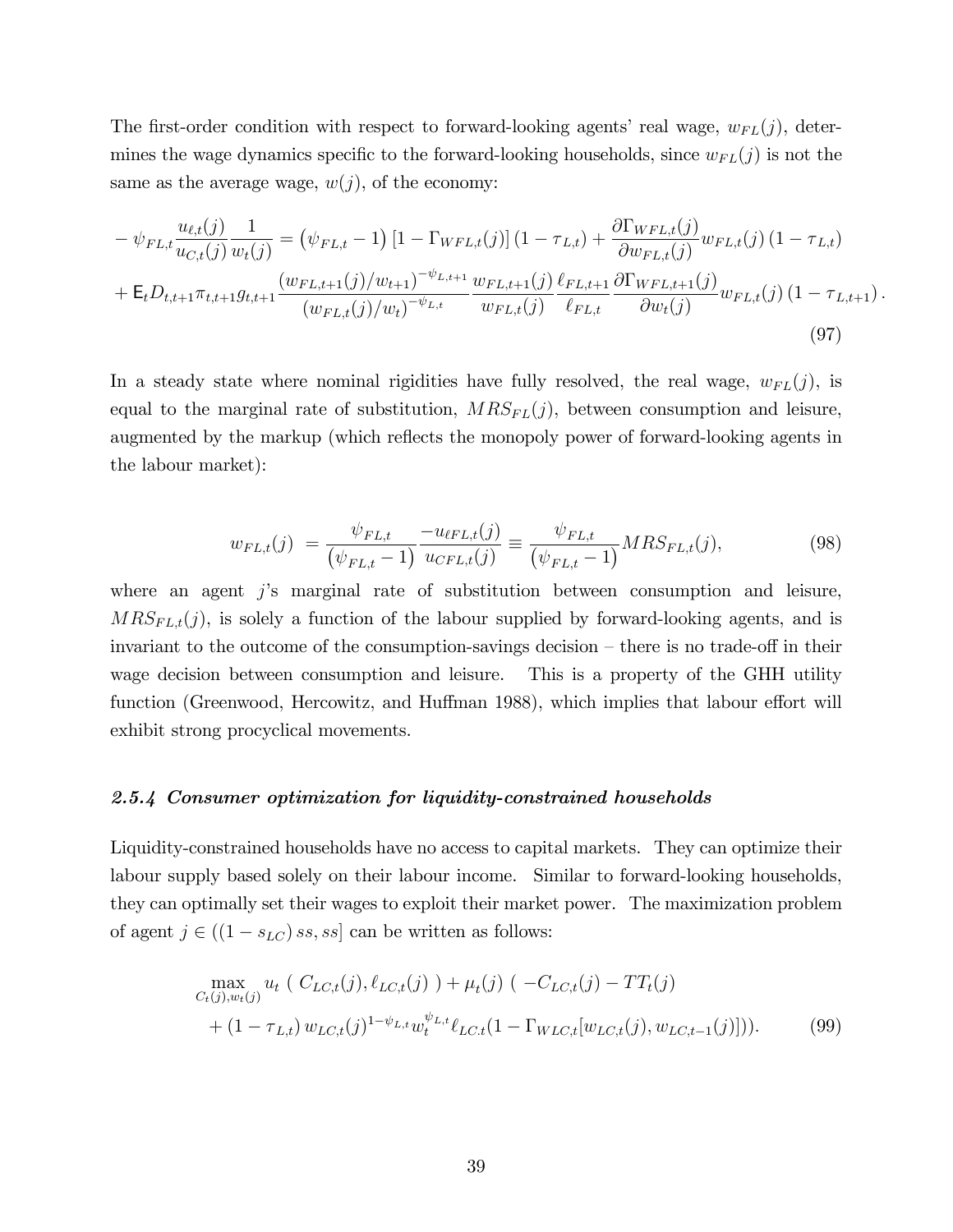The first-order condition with respect to forward-looking agents' real wage,  $w_{FL}(j)$ , determines the wage dynamics specific to the forward-looking households, since  $w_{FL}(j)$  is not the same as the average wage,  $w(j)$ , of the economy:

$$
- \psi_{FL,t} \frac{u_{\ell,t}(j)}{u_{C,t}(j)} \frac{1}{w_t(j)} = (\psi_{FL,t} - 1) \left[ 1 - \Gamma_{WFL,t}(j) \right] (1 - \tau_{L,t}) + \frac{\partial \Gamma_{WFL,t}(j)}{\partial w_{FL,t}(j)} w_{FL,t}(j) (1 - \tau_{L,t}) + \mathsf{E}_t D_{t,t+1} \pi_{t,t+1} g_{t,t+1} \frac{(w_{FL,t+1}(j)/w_{t+1})^{-\psi_{L,t+1}}}{(w_{FL,t}(j)/w_t)^{-\psi_{L,t}}} \frac{w_{FL,t+1}(j)}{w_{FL,t}(j)} \frac{\ell_{FL,t+1}}{\ell_{FL,t}} \frac{\partial \Gamma_{WFL,t+1}(j)}{\partial w_t(j)} w_{FL,t}(j) (1 - \tau_{L,t+1}).
$$
\n(97)

In a steady state where nominal rigidities have fully resolved, the real wage,  $w_{FL}(j)$ , is equal to the marginal rate of substitution,  $MRS_{FL}(j)$ , between consumption and leisure, augmented by the markup (which reflects the monopoly power of forward-looking agents in the labour market):

$$
w_{FL,t}(j) = \frac{\psi_{FL,t}}{\left(\psi_{FL,t} - 1\right)} \frac{-u_{\ell FL,t}(j)}{u_{\ell FL,t}(j)} \equiv \frac{\psi_{FL,t}}{\left(\psi_{FL,t} - 1\right)} MRS_{FL,t}(j),\tag{98}
$$

where an agent  $j$ 's marginal rate of substitution between consumption and leisure,  $MRS_{FL,t}(j)$ , is solely a function of the labour supplied by forward-looking agents, and is invariant to the outcome of the consumption-savings decision  $-$  there is no trade-off in their wage decision between consumption and leisure. This is a property of the GHH utility function (Greenwood, Hercowitz, and Huffman 1988), which implies that labour effort will exhibit strong procyclical movements.

#### 2.5.4 Consumer optimization for liquidity-constrained households

Liquidity-constrained households have no access to capital markets. They can optimize their labour supply based solely on their labour income. Similar to forward-looking households, they can optimally set their wages to exploit their market power. The maximization problem of agent  $j \in ((1 - s_{LC}) \, ss, ss]$  can be written as follows:

$$
\max_{C_t(j),w_t(j)} u_t \left( C_{LC,t}(j), \ell_{LC,t}(j) \right) + \mu_t(j) \left( -C_{LC,t}(j) - TT_t(j) + (1 - \tau_{L,t}) w_{LC,t}(j)^{1 - \psi_{L,t}} w_t^{\psi_{L,t}} \ell_{LC,t}(1 - \Gamma_{WLC,t}[w_{LC,t}(j), w_{LC,t-1}(j)] \right). \tag{99}
$$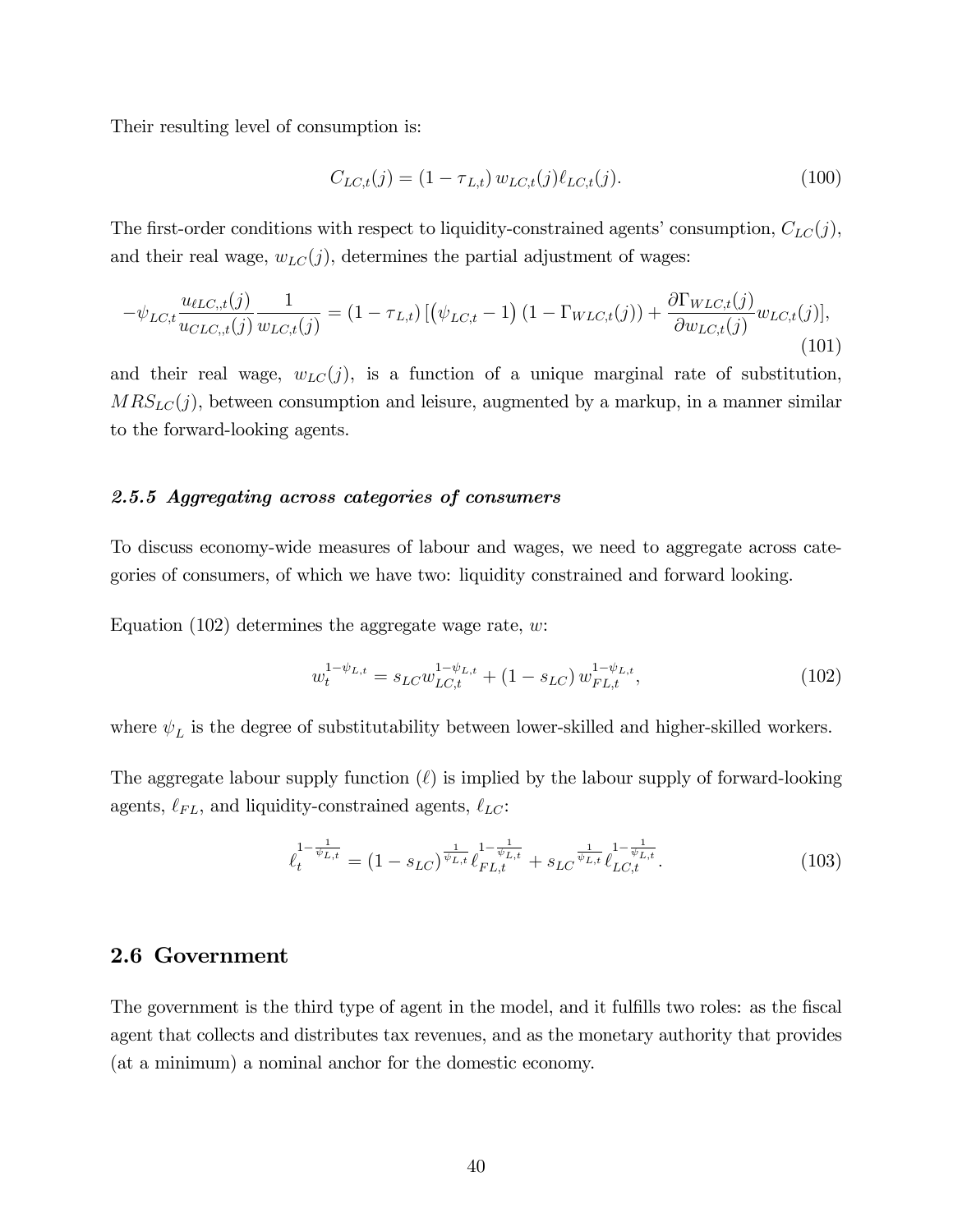Their resulting level of consumption is:

$$
C_{LC,t}(j) = (1 - \tau_{L,t}) w_{LC,t}(j) \ell_{LC,t}(j). \tag{100}
$$

The first-order conditions with respect to liquidity-constrained agents' consumption,  $C_{LC}(j)$ , and their real wage,  $w_{LC}(j)$ , determines the partial adjustment of wages:

$$
-\psi_{LC,t}\frac{u_{\ell LC,t}(j)}{u_{CLC,t}(j)}\frac{1}{w_{LC,t}(j)} = (1 - \tau_{L,t})\left[\left(\psi_{LC,t} - 1\right)(1 - \Gamma_{WLC,t}(j)) + \frac{\partial \Gamma_{WLC,t}(j)}{\partial w_{LC,t}(j)}w_{LC,t}(j)\right],\tag{101}
$$

and their real wage,  $w_{LC}(j)$ , is a function of a unique marginal rate of substitution,  $MRS_{LC}(j)$ , between consumption and leisure, augmented by a markup, in a manner similar to the forward-looking agents.

## 2.5.5 Aggregating across categories of consumers

To discuss economy-wide measures of labour and wages, we need to aggregate across categories of consumers, of which we have two: liquidity constrained and forward looking.

Equation  $(102)$  determines the aggregate wage rate, w:

$$
w_t^{1-\psi_{L,t}} = s_{LC} w_{LC,t}^{1-\psi_{L,t}} + (1 - s_{LC}) w_{FL,t}^{1-\psi_{L,t}},
$$
\n(102)

where  $\psi_L$  is the degree of substitutability between lower-skilled and higher-skilled workers.

The aggregate labour supply function  $(\ell)$  is implied by the labour supply of forward-looking agents,  $\ell_{FL},$  and liquidity-constrained agents,  $\ell_{LC}$ :

$$
\ell_t^{1-\frac{1}{\psi_{L,t}}} = (1 - s_{LC})^{\frac{1}{\psi_{L,t}}} \ell_{FL,t}^{1-\frac{1}{\psi_{L,t}}} + s_{LC}^{\frac{1}{\psi_{L,t}}} \ell_{LC,t}^{1-\frac{1}{\psi_{L,t}}}.
$$
(103)

## 2.6 Government

The government is the third type of agent in the model, and it fulfills two roles: as the fiscal agent that collects and distributes tax revenues, and as the monetary authority that provides (at a minimum) a nominal anchor for the domestic economy.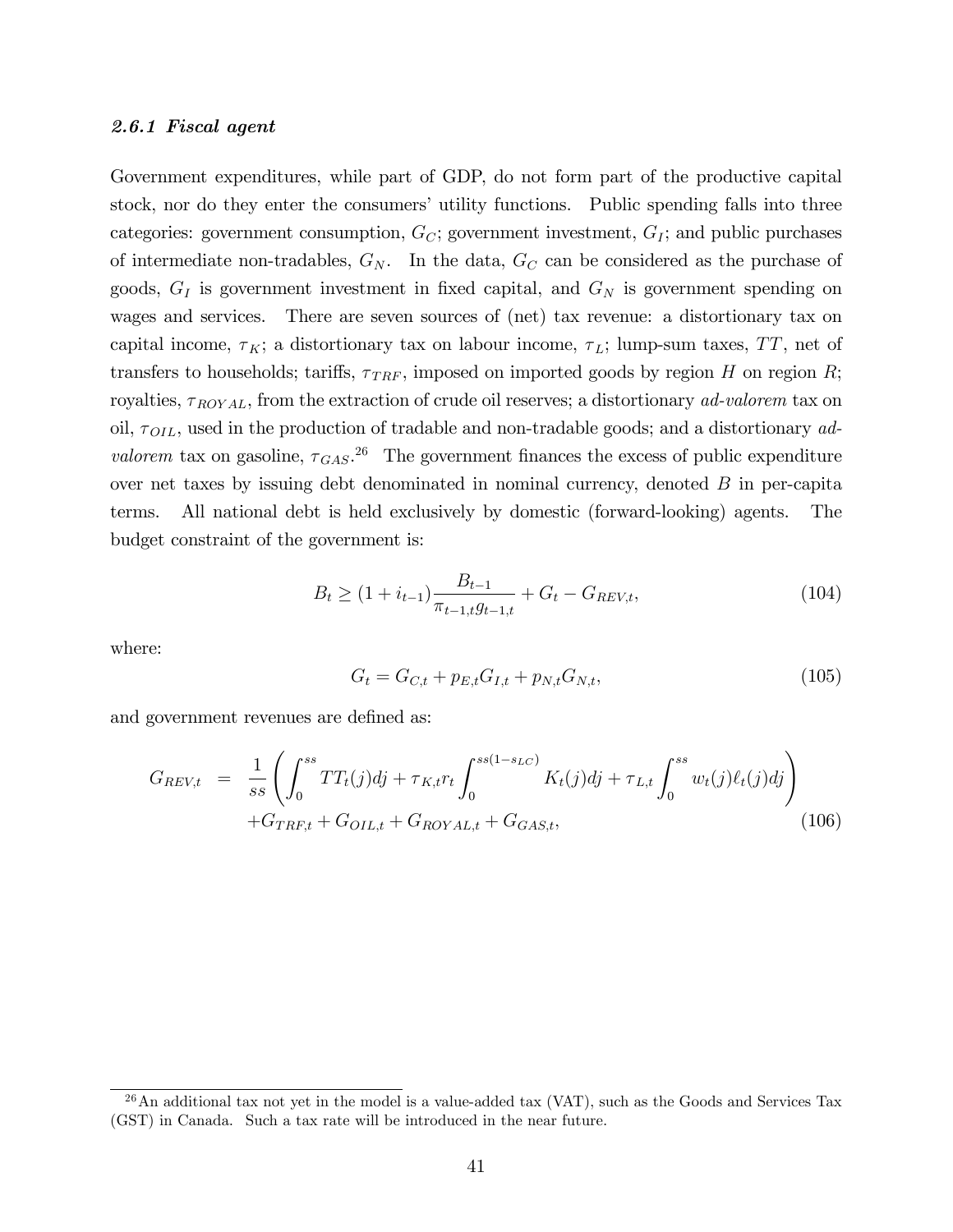#### 2.6.1 Fiscal agent

Government expenditures, while part of GDP, do not form part of the productive capital stock, nor do they enter the consumers' utility functions. Public spending falls into three categories: government consumption,  $G_C$ ; government investment,  $G_I$ ; and public purchases of intermediate non-tradables,  $G_N$ . In the data,  $G_C$  can be considered as the purchase of goods,  $G_I$  is government investment in fixed capital, and  $G_N$  is government spending on wages and services. There are seven sources of (net) tax revenue: a distortionary tax on capital income,  $\tau_K$ ; a distortionary tax on labour income,  $\tau_L$ ; lump-sum taxes, TT, net of transfers to households; tariffs,  $\tau_{TRF}$ , imposed on imported goods by region H on region R; royalties,  $\tau_{ROYAL}$ , from the extraction of crude oil reserves; a distortionary *ad-valorem* tax on oil,  $\tau_{OIL}$ , used in the production of tradable and non-tradable goods; and a distortionary ad*valorem* tax on gasoline,  $\tau_{GAS}^{26}$ . The government finances the excess of public expenditure over net taxes by issuing debt denominated in nominal currency, denoted  $B$  in per-capita terms. All national debt is held exclusively by domestic (forward-looking) agents. The budget constraint of the government is:

$$
B_t \ge (1 + i_{t-1}) \frac{B_{t-1}}{\pi_{t-1,t} g_{t-1,t}} + G_t - G_{REV,t},
$$
\n(104)

where:

$$
G_t = G_{C,t} + p_{E,t} G_{I,t} + p_{N,t} G_{N,t},\tag{105}
$$

and government revenues are defined as:

$$
G_{REV,t} = \frac{1}{ss} \left( \int_0^{ss} TT_t(j)dj + \tau_{K,t}r_t \int_0^{ss(1-s_{LC})} K_t(j)dj + \tau_{L,t} \int_0^{ss} w_t(j)\ell_t(j)dj \right) + G_{TRF,t} + G_{OLL,t} + G_{ROYAL,t} + G_{GAS,t},
$$
\n(106)

 $^{26}$ An additional tax not yet in the model is a value-added tax (VAT), such as the Goods and Services Tax (GST) in Canada. Such a tax rate will be introduced in the near future.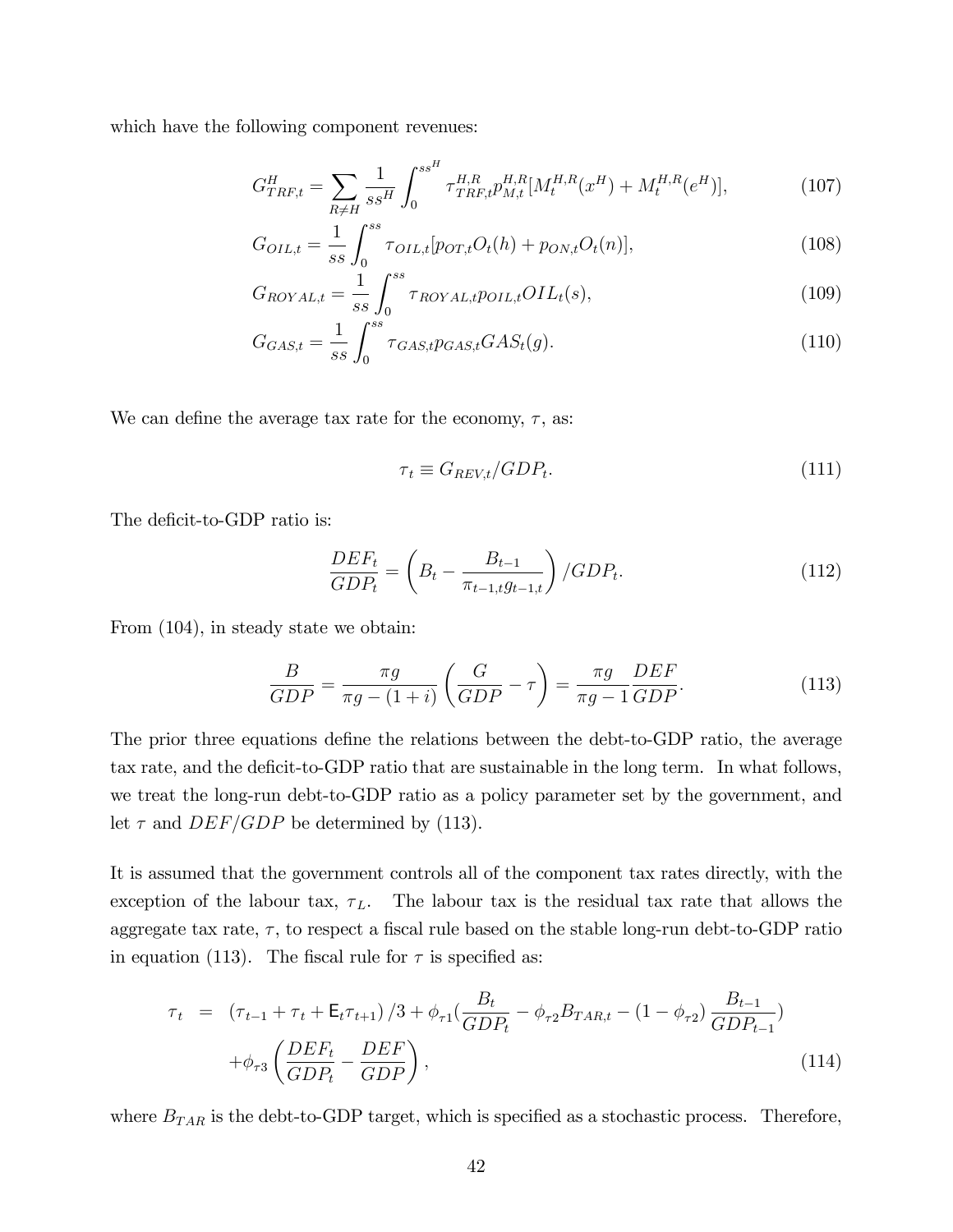which have the following component revenues:

$$
G_{TRF,t}^H = \sum_{R \neq H} \frac{1}{ss^H} \int_0^{ss^H} \tau_{TRF,t}^{H,R} p_{M,t}^{H,R}[M_t^{H,R}(x^H) + M_t^{H,R}(e^H)],\tag{107}
$$

$$
G_{OIL,t} = \frac{1}{ss} \int_0^{ss} \tau_{OIL,t} [p_{OT,t} O_t(h) + p_{ON,t} O_t(n)], \qquad (108)
$$

$$
G_{ROYAL,t} = \frac{1}{ss} \int_0^{ss} \tau_{ROYAL,t} p_{OIL,t} OIL_t(s), \qquad (109)
$$

$$
G_{GAS,t} = \frac{1}{ss} \int_0^{ss} \tau_{GAS,t} p_{GAS,t} GAS_t(g). \tag{110}
$$

We can define the average tax rate for the economy,  $\tau$ , as:

$$
\tau_t \equiv G_{REV,t}/GDP_t. \tag{111}
$$

The deficit-to-GDP ratio is:

$$
\frac{DEF_t}{GDP_t} = \left(B_t - \frac{B_{t-1}}{\pi_{t-1, t} g_{t-1, t}}\right) / GDP_t.
$$
\n(112)

From (104), in steady state we obtain:

$$
\frac{B}{GDP} = \frac{\pi g}{\pi g - (1+i)} \left( \frac{G}{GDP} - \tau \right) = \frac{\pi g}{\pi g - 1} \frac{DEF}{GDP}.
$$
 (113)

The prior three equations define the relations between the debt-to-GDP ratio, the average tax rate, and the deficit-to-GDP ratio that are sustainable in the long term. In what follows, we treat the long-run debt-to-GDP ratio as a policy parameter set by the government, and let  $\tau$  and  $DEF/GDP$  be determined by (113).

It is assumed that the government controls all of the component tax rates directly, with the exception of the labour tax,  $\tau_L$ . The labour tax is the residual tax rate that allows the aggregate tax rate,  $\tau$ , to respect a fiscal rule based on the stable long-run debt-to-GDP ratio in equation (113). The fiscal rule for  $\tau$  is specified as:

$$
\tau_t = (\tau_{t-1} + \tau_t + \mathsf{E}_t \tau_{t+1})/3 + \phi_{\tau 1} \left( \frac{B_t}{GDP_t} - \phi_{\tau 2} B_{TAR, t} - (1 - \phi_{\tau 2}) \frac{B_{t-1}}{GDP_{t-1}} \right) + \phi_{\tau 3} \left( \frac{DEF}{GDP_t} - \frac{DEF}{GDP} \right),
$$
(114)

where  $B_{TAR}$  is the debt-to-GDP target, which is specified as a stochastic process. Therefore,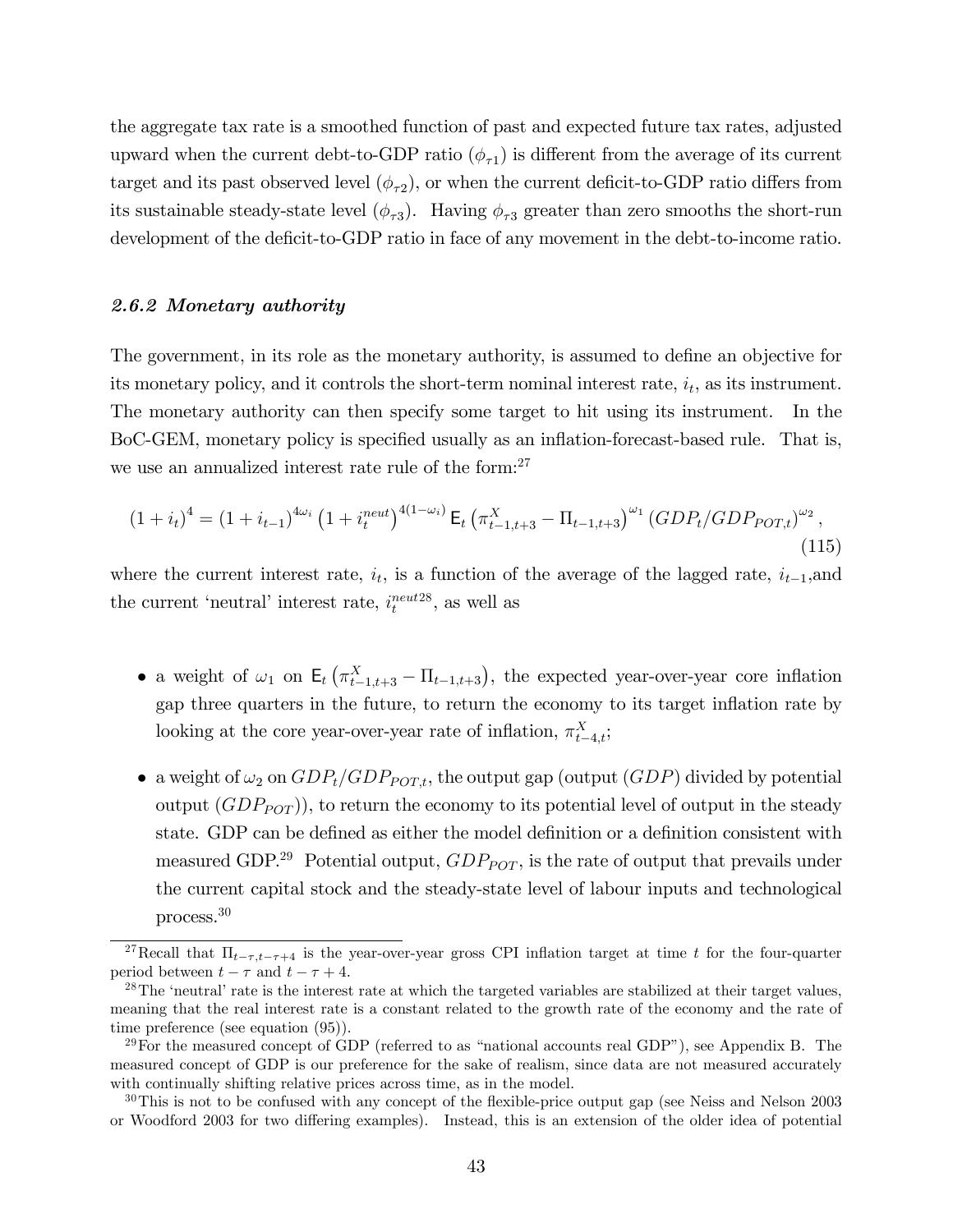the aggregate tax rate is a smoothed function of past and expected future tax rates, adjusted upward when the current debt-to-GDP ratio  $(\phi_{\tau1})$  is different from the average of its current target and its past observed level  $(\phi_{\tau2})$ , or when the current deficit-to-GDP ratio differs from its sustainable steady-state level  $(\phi_{\tau 3})$ . Having  $\phi_{\tau 3}$  greater than zero smooths the short-run development of the deficit-to-GDP ratio in face of any movement in the debt-to-income ratio.

#### 2.6.2 Monetary authority

The government, in its role as the monetary authority, is assumed to define an objective for its monetary policy, and it controls the short-term nominal interest rate,  $i_t$ , as its instrument. The monetary authority can then specify some target to hit using its instrument. In the BoC-GEM, monetary policy is specified usually as an inflation-forecast-based rule. That is, we use an annualized interest rate rule of the form: $27$ 

$$
(1+i_t)^4 = (1+i_{t-1})^{4\omega_i} \left(1+i_t^{neut}\right)^{4(1-\omega_i)} \mathsf{E}_t \left(\pi_{t-1,t+3}^X - \Pi_{t-1,t+3}\right)^{\omega_1} (GDP_t/GDP_{POT,t})^{\omega_2},\tag{115}
$$

where the current interest rate,  $i_t$ , is a function of the average of the lagged rate,  $i_{t-1}$ , and the current 'neutral' interest rate,  $i_t^{neut28}$ , as well as

- a weight of  $\omega_1$  on  $\mathsf{E}_t(\pi^X_{t-1,t+3} \Pi_{t-1,t+3})$ , the expected year-over-year core inflation gap three quarters in the future, to return the economy to its target inflation rate by looking at the core year-over-year rate of inflation,  $\pi_{t-4,t}^X$ ;
- a weight of  $\omega_2$  on  $GDP_t/GDP_{POT,t}$ , the output gap (output  $(GDP)$  divided by potential output  $(GDP_{POT})$ , to return the economy to its potential level of output in the steady state. GDP can be defined as either the model definition or a definition consistent with measured GDP.<sup>29</sup> Potential output,  $GDP_{POT}$ , is the rate of output that prevails under the current capital stock and the steady-state level of labour inputs and technological process.<sup>30</sup>

<sup>&</sup>lt;sup>27</sup>Recall that  $\Pi_{t-\tau,t-\tau+4}$  is the year-over-year gross CPI inflation target at time t for the four-quarter period between  $t - \tau$  and  $t - \tau + 4$ .

 $^{28}$ The 'neutral' rate is the interest rate at which the targeted variables are stabilized at their target values, meaning that the real interest rate is a constant related to the growth rate of the economy and the rate of time preference (see equation (95)).

<sup>&</sup>lt;sup>29</sup>For the measured concept of GDP (referred to as "national accounts real GDP"), see Appendix B. The measured concept of GDP is our preference for the sake of realism, since data are not measured accurately with continually shifting relative prices across time, as in the model.

<sup>&</sup>lt;sup>30</sup>This is not to be confused with any concept of the flexible-price output gap (see Neiss and Nelson 2003 or Woodford 2003 for two differing examples). Instead, this is an extension of the older idea of potential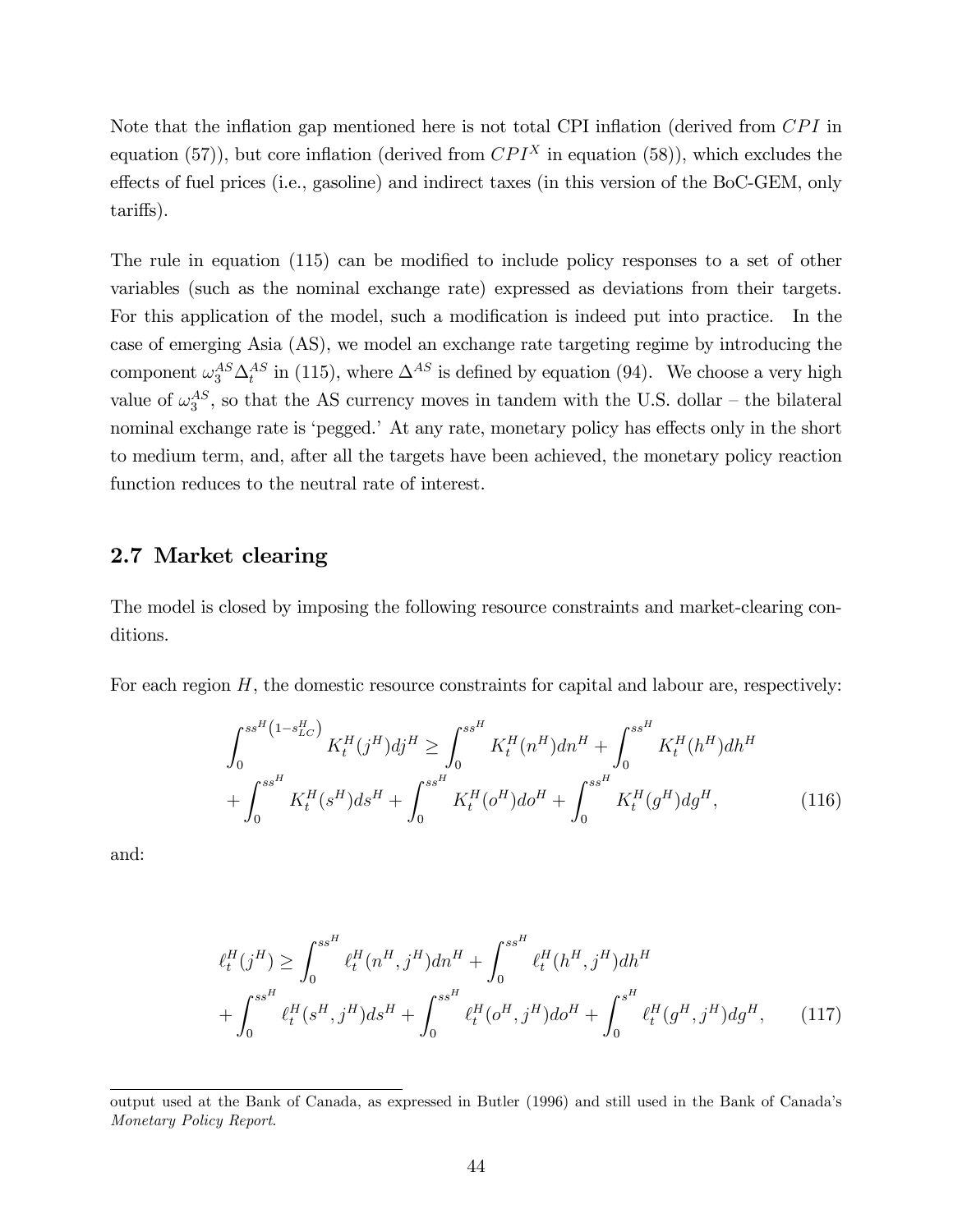Note that the inflation gap mentioned here is not total CPI inflation (derived from  $CPI$  in equation (57)), but core inflation (derived from  $CPI<sup>X</sup>$  in equation (58)), which excludes the effects of fuel prices (i.e., gasoline) and indirect taxes (in this version of the BoC-GEM, only tariffs).

The rule in equation  $(115)$  can be modified to include policy responses to a set of other variables (such as the nominal exchange rate) expressed as deviations from their targets. For this application of the model, such a modification is indeed put into practice. In the case of emerging Asia (AS), we model an exchange rate targeting regime by introducing the component  $\omega_3^{AS} \Delta_t^{AS}$  in (115), where  $\Delta^{AS}$  is defined by equation (94). We choose a very high value of  $\omega_3^{AS}$ , so that the AS currency moves in tandem with the U.S. dollar – the bilateral nominal exchange rate is 'pegged.' At any rate, monetary policy has effects only in the short to medium term, and, after all the targets have been achieved, the monetary policy reaction function reduces to the neutral rate of interest.

## 2.7 Market clearing

The model is closed by imposing the following resource constraints and market-clearing conditions.

For each region  $H$ , the domestic resource constraints for capital and labour are, respectively:

$$
\int_{0}^{s s^{H} (1 - s_{LC}^{H})} K_{t}^{H} (j^{H}) d j^{H} \geq \int_{0}^{s s^{H}} K_{t}^{H} (n^{H}) d n^{H} + \int_{0}^{s s^{H}} K_{t}^{H} (h^{H}) d h^{H}
$$

$$
+ \int_{0}^{s s^{H}} K_{t}^{H} (s^{H}) d s^{H} + \int_{0}^{s s^{H}} K_{t}^{H} (o^{H}) d o^{H} + \int_{0}^{s s^{H}} K_{t}^{H} (g^{H}) d g^{H}, \qquad (116)
$$

and:

$$
\ell_t^H(j^H) \ge \int_0^{s s^H} \ell_t^H(n^H, j^H) dn^H + \int_0^{s s^H} \ell_t^H(h^H, j^H) dh^H
$$

$$
+ \int_0^{s s^H} \ell_t^H(s^H, j^H) ds^H + \int_0^{s s^H} \ell_t^H(o^H, j^H) do^H + \int_0^{s^H} \ell_t^H(g^H, j^H) dg^H, \qquad (117)
$$

output used at the Bank of Canada, as expressed in Butler (1996) and still used in the Bank of Canadaís Monetary Policy Report.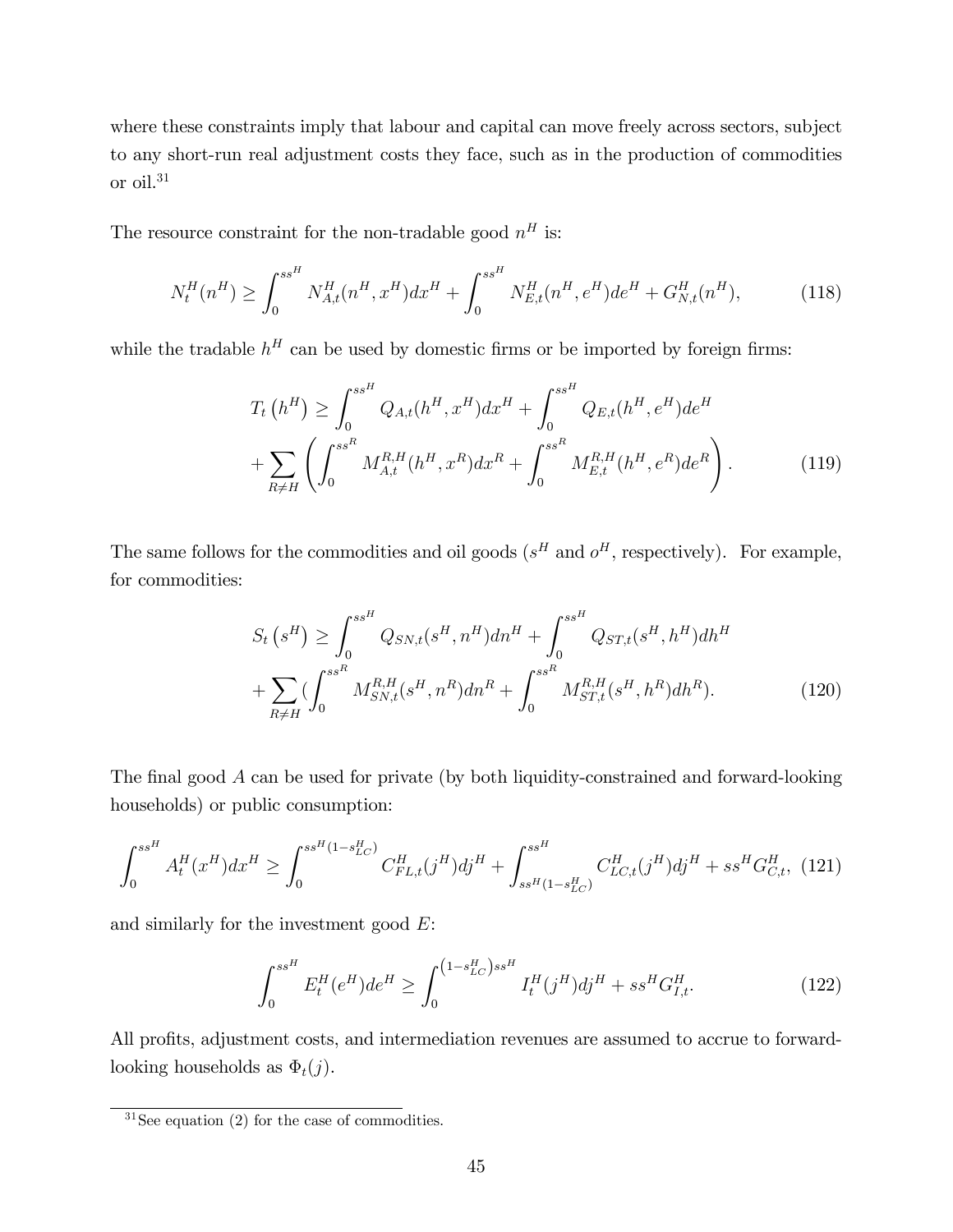where these constraints imply that labour and capital can move freely across sectors, subject to any short-run real adjustment costs they face, such as in the production of commodities or oil.<sup>31</sup>

The resource constraint for the non-tradable good  $n<sup>H</sup>$  is:

$$
N_t^H(n^H) \ge \int_0^{s s^H} N_{A,t}^H(n^H, x^H) dx^H + \int_0^{s s^H} N_{E,t}^H(n^H, e^H) de^H + G_{N,t}^H(n^H), \tag{118}
$$

while the tradable  $h^H$  can be used by domestic firms or be imported by foreign firms:

$$
T_t(h^H) \ge \int_0^{ss^H} Q_{A,t}(h^H, x^H) dx^H + \int_0^{ss^H} Q_{E,t}(h^H, e^H) de^H
$$
  
+ 
$$
\sum_{R \ne H} \left( \int_0^{ss^R} M_{A,t}^{R,H}(h^H, x^R) dx^R + \int_0^{ss^R} M_{E,t}^{R,H}(h^H, e^R) de^R \right).
$$
 (119)

The same follows for the commodities and oil goods  $(s^H \text{ and } o^H)$ , respectively). For example, for commodities:

$$
S_t\left(s^H\right) \ge \int_0^{s s^H} Q_{SN,t}(s^H, n^H) dn^H + \int_0^{s s^H} Q_{ST,t}(s^H, h^H) dh^H
$$

$$
+ \sum_{R \ne H} \left( \int_0^{s s^R} M_{SN,t}^{R,H}(s^H, n^R) dn^R + \int_0^{s s^R} M_{ST,t}^{R,H}(s^H, h^R) dh^R \right). \tag{120}
$$

The final good  $A$  can be used for private (by both liquidity-constrained and forward-looking households) or public consumption:

$$
\int_0^{ss^H} A_t^H(x^H) dx^H \ge \int_0^{ss^H(1-s_{LC}^H)} C_{FL,t}^H(j^H) dj^H + \int_{ss^H(1-s_{LC}^H)}^{ss^H} C_{LC,t}^H(j^H) dj^H + ss^H G_{C,t}^H, (121)
$$

and similarly for the investment good  $E$ :

$$
\int_0^{ss^H} E_t^H(e^H)de^H \ge \int_0^{(1-s_{LC}^H)ss^H} I_t^H(j^H)dj^H + ss^H G_{I,t}^H. \tag{122}
$$

All profits, adjustment costs, and intermediation revenues are assumed to accrue to forwardlooking households as  $\Phi_t(j)$ .

 $31$ See equation (2) for the case of commodities.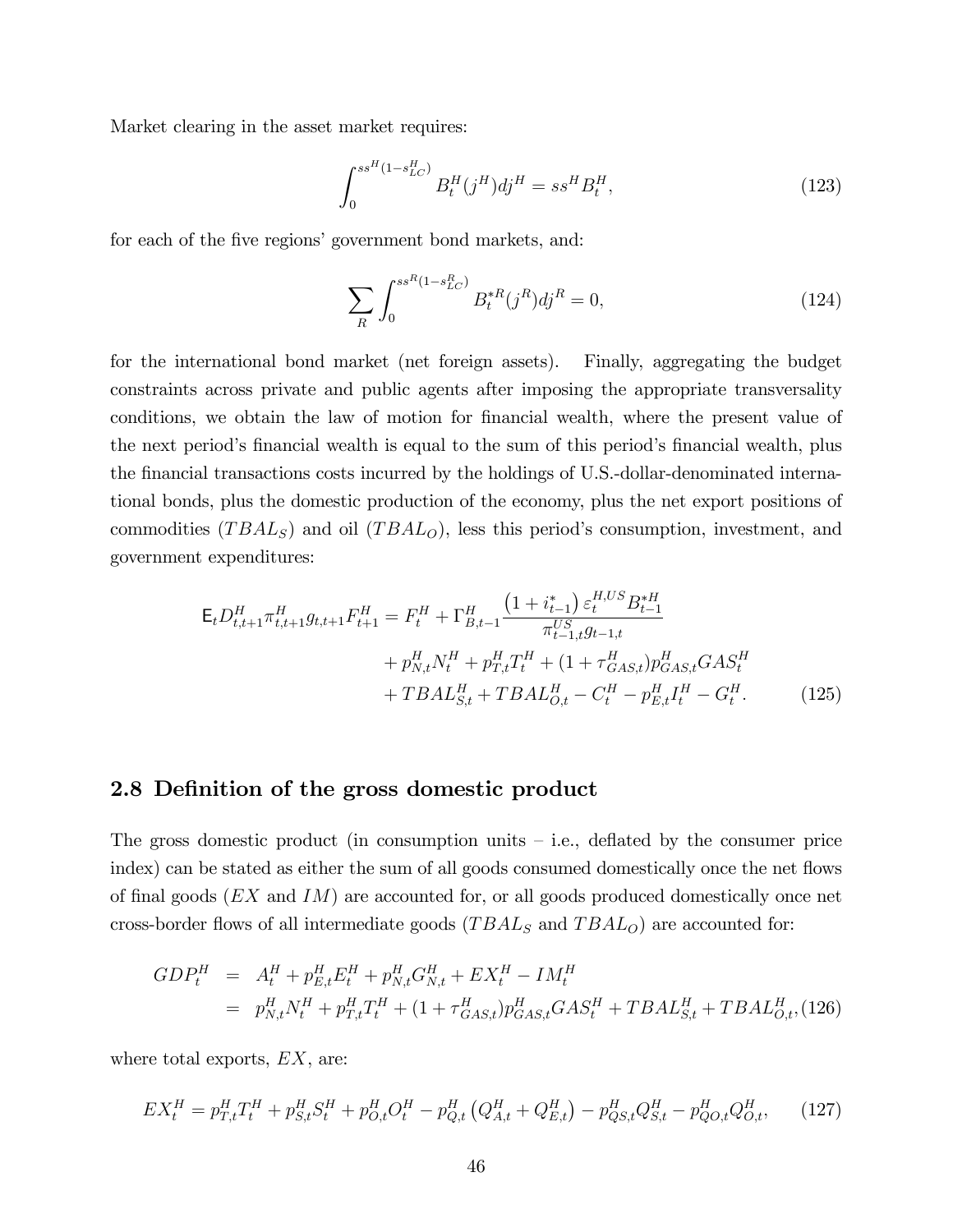Market clearing in the asset market requires:

$$
\int_{0}^{s s^{H} (1 - s_{LC}^{H})} B_{t}^{H} (j^{H}) d j^{H} = s s^{H} B_{t}^{H}, \qquad (123)
$$

for each of the five regions' government bond markets, and:

$$
\sum_{R} \int_{0}^{s s^{R} (1 - s_{LC}^{R})} B_{t}^{* R} (j^{R}) d j^{R} = 0,
$$
\n(124)

for the international bond market (net foreign assets). Finally, aggregating the budget constraints across private and public agents after imposing the appropriate transversality conditions, we obtain the law of motion for financial wealth, where the present value of the next period's financial wealth is equal to the sum of this period's financial wealth, plus the financial transactions costs incurred by the holdings of U.S.-dollar-denominated international bonds, plus the domestic production of the economy, plus the net export positions of commodities  $(TBAL_S)$  and oil  $(TBAL_O)$ , less this period's consumption, investment, and government expenditures:

$$
\mathsf{E}_{t}D_{t,t+1}^{H}\pi_{t,t+1}^{H}g_{t,t+1}F_{t+1}^{H} = F_{t}^{H} + \Gamma_{B,t-1}^{H} \frac{\left(1 + i_{t-1}^{*}\right) \varepsilon_{t}^{H,US} B_{t-1}^{*H}}{\pi_{t-1,t}^{US} g_{t-1,t}} + p_{N,t}^{H} N_{t}^{H} + p_{T,t}^{H} T_{t}^{H} + \left(1 + \tau_{GAS,t}^{H}\right) p_{GAS,t}^{H} GAS_{t}^{H} + TBAL_{O,t}^{H} - C_{t}^{H} - p_{E,t}^{H} I_{t}^{H} - G_{t}^{H}.
$$
\n(125)

## 2.8 Definition of the gross domestic product

The gross domestic product (in consumption units  $-$  i.e., deflated by the consumer price index) can be stated as either the sum of all goods consumed domestically once the net flows of final goods  $(EX \text{ and } IM)$  are accounted for, or all goods produced domestically once net cross-border flows of all intermediate goods  $(TBAL_S \text{ and } TBAL_O)$  are accounted for:

$$
GDP_t^H = A_t^H + p_{E,t}^H E_t^H + p_{N,t}^H G_{N,t}^H + EX_t^H - IM_t^H
$$
  
=  $p_{N,t}^H N_t^H + p_{T,t}^H T_t^H + (1 + \tau_{GAS,t}^H) p_{GAS,t}^H GAS_t^H + TBAL_{S,t}^H + TBAL_{O,t}^H, (126)$ 

where total exports,  $EX$ , are:

$$
EX_t^H = p_{T,t}^H T_t^H + p_{S,t}^H S_t^H + p_{O,t}^H O_t^H - p_{Q,t}^H \left( Q_{A,t}^H + Q_{E,t}^H \right) - p_{QS,t}^H Q_{S,t}^H - p_{QO,t}^H Q_{O,t}^H, \tag{127}
$$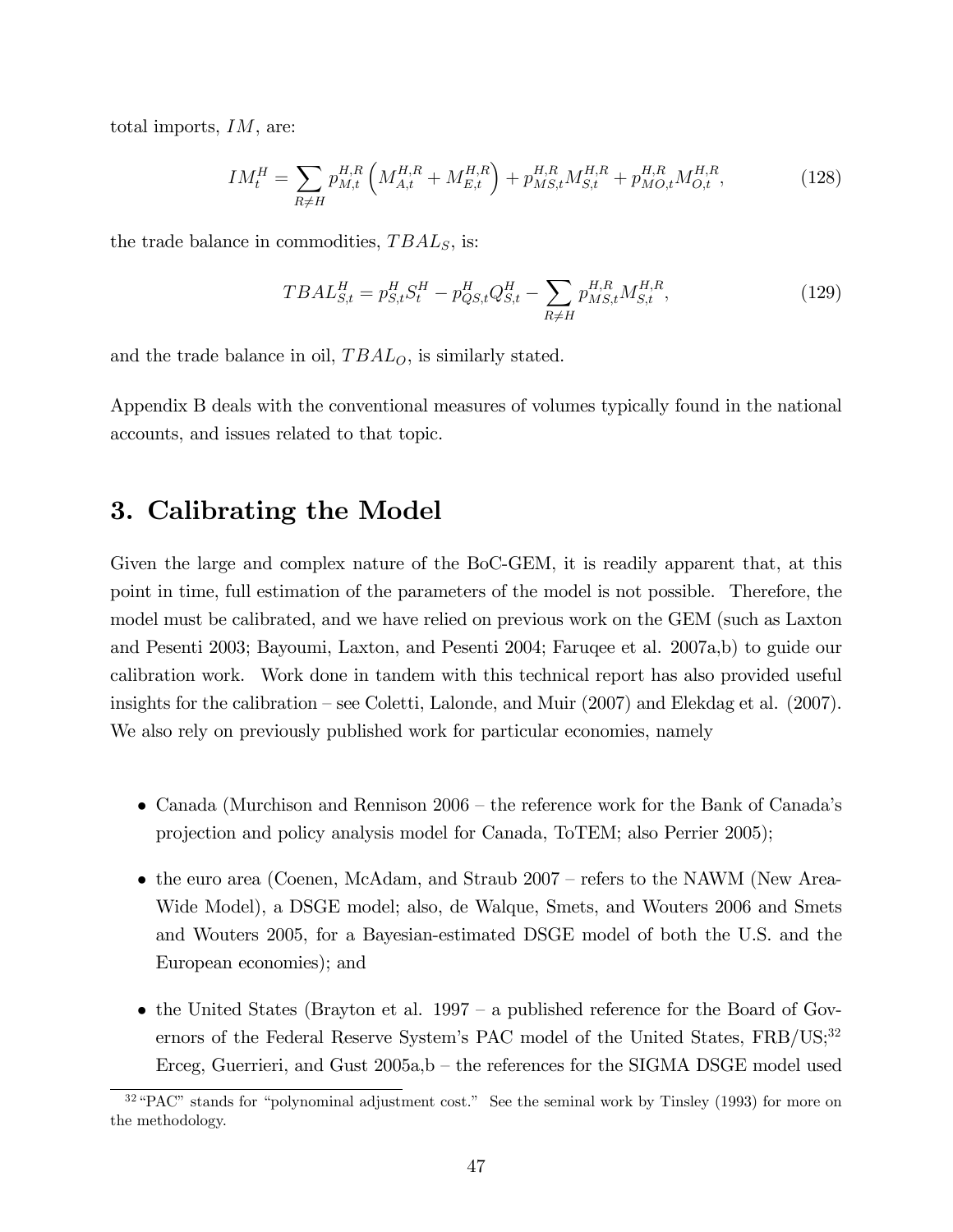total imports, IM, are:

$$
IM_t^H = \sum_{R \neq H} p_{M,t}^{H,R} \left( M_{A,t}^{H,R} + M_{E,t}^{H,R} \right) + p_{MS,t}^{H,R} M_{S,t}^{H,R} + p_{MO,t}^{H,R} M_{O,t}^{H,R}, \tag{128}
$$

the trade balance in commodities,  $TBAL<sub>S</sub>$ , is:

$$
TBAL_{S,t}^{H} = p_{S,t}^{H} S_{t}^{H} - p_{QS,t}^{H} Q_{S,t}^{H} - \sum_{R \neq H} p_{MS,t}^{H,R} M_{S,t}^{H,R},
$$
\n(129)

and the trade balance in oil,  $TBAL<sub>O</sub>$ , is similarly stated.

Appendix B deals with the conventional measures of volumes typically found in the national accounts, and issues related to that topic.

# 3. Calibrating the Model

Given the large and complex nature of the BoC-GEM, it is readily apparent that, at this point in time, full estimation of the parameters of the model is not possible. Therefore, the model must be calibrated, and we have relied on previous work on the GEM (such as Laxton and Pesenti 2003; Bayoumi, Laxton, and Pesenti 2004; Faruqee et al. 2007a,b) to guide our calibration work. Work done in tandem with this technical report has also provided useful insights for the calibration – see Coletti, Lalonde, and Muir  $(2007)$  and Elekdag et al.  $(2007)$ . We also rely on previously published work for particular economies, namely

- Canada (Murchison and Rennison  $2006$  the reference work for the Bank of Canada's projection and policy analysis model for Canada, ToTEM; also Perrier 2005);
- the euro area (Coenen, McAdam, and Straub  $2007$  refers to the NAWM (New Area-Wide Model), a DSGE model; also, de Walque, Smets, and Wouters 2006 and Smets and Wouters 2005, for a Bayesian-estimated DSGE model of both the U.S. and the European economies); and
- the United States (Brayton et al. 1997 a published reference for the Board of Governors of the Federal Reserve System's PAC model of the United States,  $FRB/US;^{32}$ Erceg, Guerrieri, and Gust  $2005a$ , b – the references for the SIGMA DSGE model used

 $32\text{ }\text{°PAC}$  stands for "polynominal adjustment cost." See the seminal work by Tinsley (1993) for more on the methodology.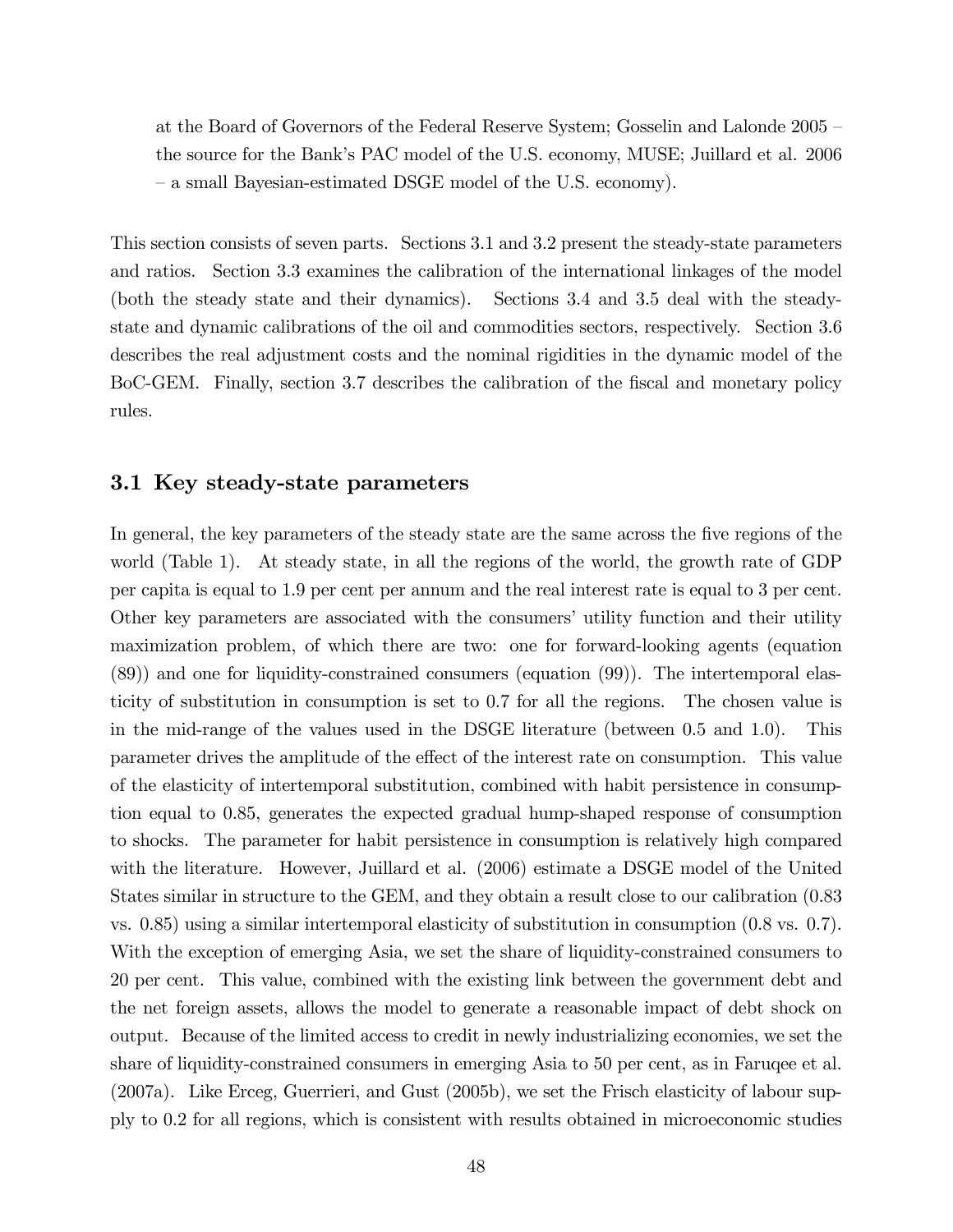at the Board of Governors of the Federal Reserve System; Gosselin and Lalonde  $2005$  – the source for the Bankís PAC model of the U.S. economy, MUSE; Juillard et al. 2006 – a small Bayesian-estimated DSGE model of the U.S. economy).

This section consists of seven parts. Sections 3.1 and 3.2 present the steady-state parameters and ratios. Section 3.3 examines the calibration of the international linkages of the model (both the steady state and their dynamics). Sections 3.4 and 3.5 deal with the steadystate and dynamic calibrations of the oil and commodities sectors, respectively. Section 3.6 describes the real adjustment costs and the nominal rigidities in the dynamic model of the BoC-GEM. Finally, section 3.7 describes the calibration of the fiscal and monetary policy rules.

## 3.1 Key steady-state parameters

In general, the key parameters of the steady state are the same across the five regions of the world (Table 1). At steady state, in all the regions of the world, the growth rate of GDP per capita is equal to 1.9 per cent per annum and the real interest rate is equal to 3 per cent. Other key parameters are associated with the consumers' utility function and their utility maximization problem, of which there are two: one for forward-looking agents (equation (89)) and one for liquidity-constrained consumers (equation (99)). The intertemporal elasticity of substitution in consumption is set to 0.7 for all the regions. The chosen value is in the mid-range of the values used in the DSGE literature (between 0.5 and 1.0). This parameter drives the amplitude of the effect of the interest rate on consumption. This value of the elasticity of intertemporal substitution, combined with habit persistence in consumption equal to 0.85, generates the expected gradual hump-shaped response of consumption to shocks. The parameter for habit persistence in consumption is relatively high compared with the literature. However, Juillard et al. (2006) estimate a DSGE model of the United States similar in structure to the GEM, and they obtain a result close to our calibration (0.83 vs. 0.85) using a similar intertemporal elasticity of substitution in consumption (0.8 vs. 0.7). With the exception of emerging Asia, we set the share of liquidity-constrained consumers to 20 per cent. This value, combined with the existing link between the government debt and the net foreign assets, allows the model to generate a reasonable impact of debt shock on output. Because of the limited access to credit in newly industrializing economies, we set the share of liquidity-constrained consumers in emerging Asia to 50 per cent, as in Faruqee et al. (2007a). Like Erceg, Guerrieri, and Gust (2005b), we set the Frisch elasticity of labour supply to 0.2 for all regions, which is consistent with results obtained in microeconomic studies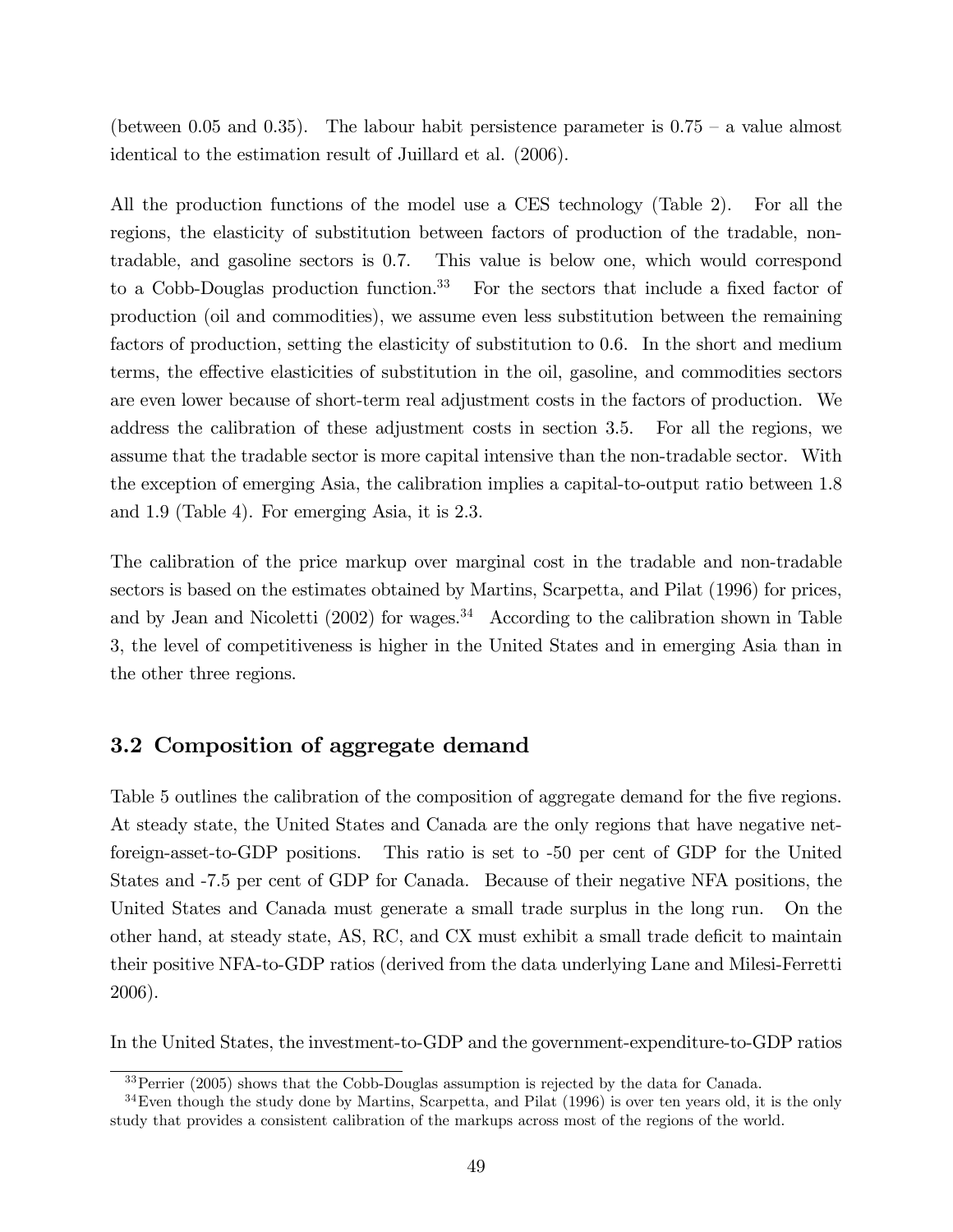(between 0.05 and 0.35). The labour habit persistence parameter is  $0.75 - a$  value almost identical to the estimation result of Juillard et al. (2006).

All the production functions of the model use a CES technology (Table 2). For all the regions, the elasticity of substitution between factors of production of the tradable, nontradable, and gasoline sectors is 0.7. This value is below one, which would correspond to a Cobb-Douglas production function.<sup>33</sup> For the sectors that include a fixed factor of production (oil and commodities), we assume even less substitution between the remaining factors of production, setting the elasticity of substitution to 0.6. In the short and medium terms, the effective elasticities of substitution in the oil, gasoline, and commodities sectors are even lower because of short-term real adjustment costs in the factors of production. We address the calibration of these adjustment costs in section 3.5. For all the regions, we assume that the tradable sector is more capital intensive than the non-tradable sector. With the exception of emerging Asia, the calibration implies a capital-to-output ratio between 1.8 and 1.9 (Table 4). For emerging Asia, it is 2.3.

The calibration of the price markup over marginal cost in the tradable and non-tradable sectors is based on the estimates obtained by Martins, Scarpetta, and Pilat (1996) for prices, and by Jean and Nicoletti  $(2002)$  for wages.<sup>34</sup> According to the calibration shown in Table 3, the level of competitiveness is higher in the United States and in emerging Asia than in the other three regions.

## 3.2 Composition of aggregate demand

Table 5 outlines the calibration of the composition of aggregate demand for the five regions. At steady state, the United States and Canada are the only regions that have negative netforeign-asset-to-GDP positions. This ratio is set to -50 per cent of GDP for the United States and -7.5 per cent of GDP for Canada. Because of their negative NFA positions, the United States and Canada must generate a small trade surplus in the long run. On the other hand, at steady state, AS, RC, and CX must exhibit a small trade deficit to maintain their positive NFA-to-GDP ratios (derived from the data underlying Lane and Milesi-Ferretti 2006).

In the United States, the investment-to-GDP and the government-expenditure-to-GDP ratios

<sup>&</sup>lt;sup>33</sup>Perrier (2005) shows that the Cobb-Douglas assumption is rejected by the data for Canada.

 $34$ Even though the study done by Martins, Scarpetta, and Pilat (1996) is over ten years old, it is the only study that provides a consistent calibration of the markups across most of the regions of the world.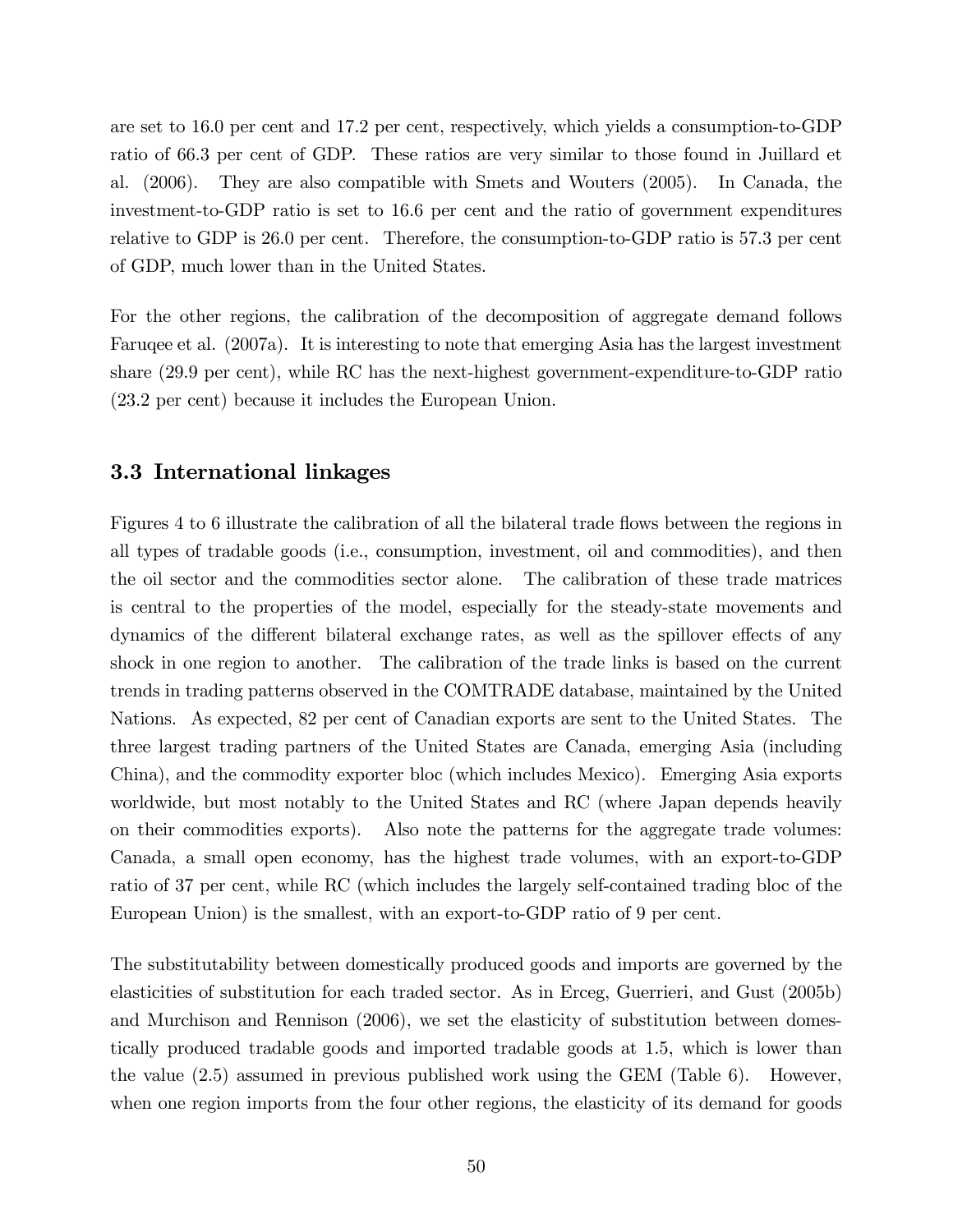are set to 16.0 per cent and 17.2 per cent, respectively, which yields a consumption-to-GDP ratio of 66.3 per cent of GDP. These ratios are very similar to those found in Juillard et al. (2006). They are also compatible with Smets and Wouters (2005). In Canada, the investment-to-GDP ratio is set to 16.6 per cent and the ratio of government expenditures relative to GDP is 26.0 per cent. Therefore, the consumption-to-GDP ratio is 57.3 per cent of GDP, much lower than in the United States.

For the other regions, the calibration of the decomposition of aggregate demand follows Faruqee et al. (2007a). It is interesting to note that emerging Asia has the largest investment share (29.9 per cent), while RC has the next-highest government-expenditure-to-GDP ratio (23.2 per cent) because it includes the European Union.

## 3.3 International linkages

Figures 4 to 6 illustrate the calibration of all the bilateral trade flows between the regions in all types of tradable goods (i.e., consumption, investment, oil and commodities), and then the oil sector and the commodities sector alone. The calibration of these trade matrices is central to the properties of the model, especially for the steady-state movements and dynamics of the different bilateral exchange rates, as well as the spillover effects of any shock in one region to another. The calibration of the trade links is based on the current trends in trading patterns observed in the COMTRADE database, maintained by the United Nations. As expected, 82 per cent of Canadian exports are sent to the United States. The three largest trading partners of the United States are Canada, emerging Asia (including China), and the commodity exporter bloc (which includes Mexico). Emerging Asia exports worldwide, but most notably to the United States and RC (where Japan depends heavily on their commodities exports). Also note the patterns for the aggregate trade volumes: Canada, a small open economy, has the highest trade volumes, with an export-to-GDP ratio of 37 per cent, while RC (which includes the largely self-contained trading bloc of the European Union) is the smallest, with an export-to-GDP ratio of 9 per cent.

The substitutability between domestically produced goods and imports are governed by the elasticities of substitution for each traded sector. As in Erceg, Guerrieri, and Gust (2005b) and Murchison and Rennison (2006), we set the elasticity of substitution between domestically produced tradable goods and imported tradable goods at 1.5, which is lower than the value (2.5) assumed in previous published work using the GEM (Table 6). However, when one region imports from the four other regions, the elasticity of its demand for goods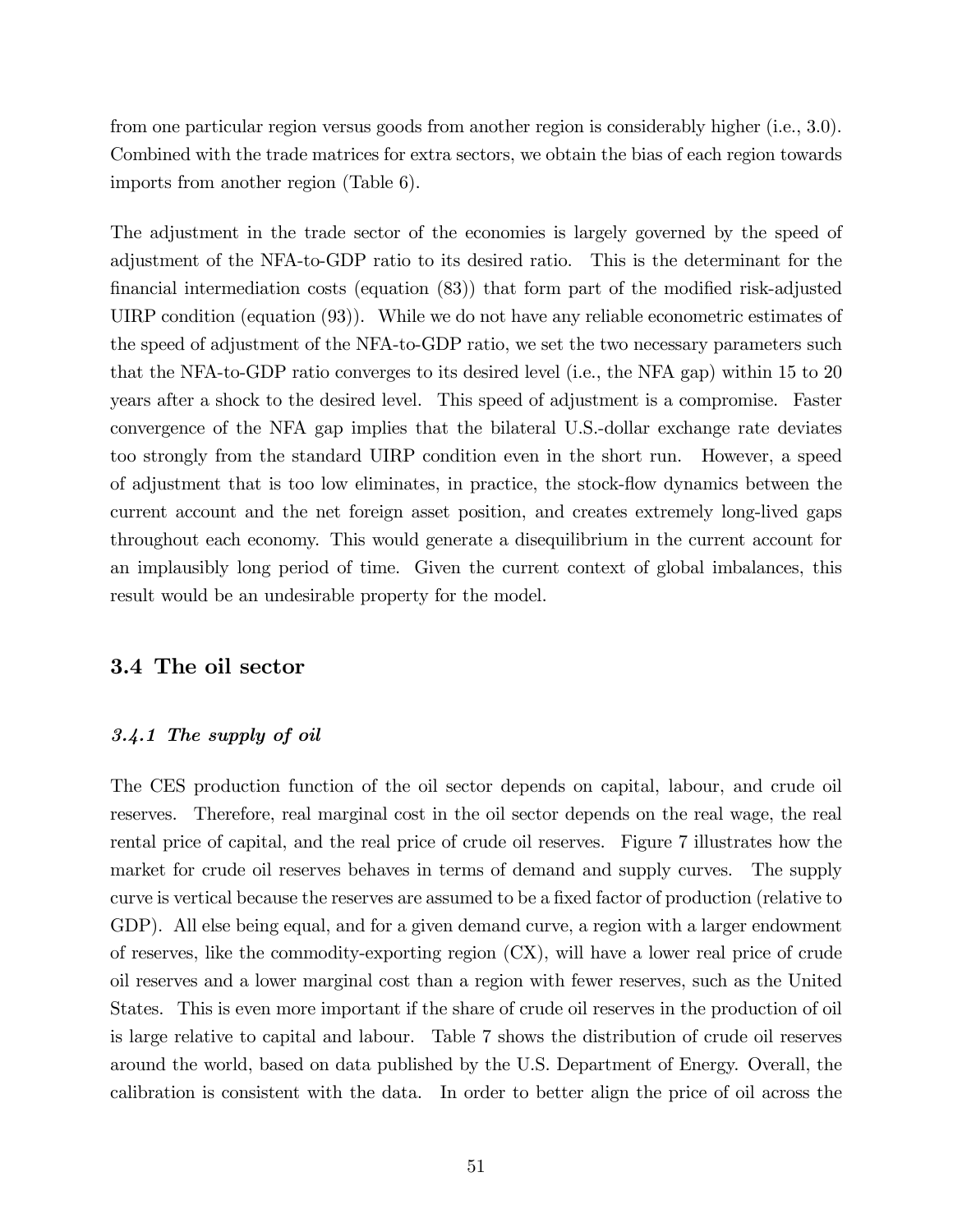from one particular region versus goods from another region is considerably higher (i.e., 3.0). Combined with the trade matrices for extra sectors, we obtain the bias of each region towards imports from another region (Table 6).

The adjustment in the trade sector of the economies is largely governed by the speed of adjustment of the NFA-to-GDP ratio to its desired ratio. This is the determinant for the financial intermediation costs (equation  $(83)$ ) that form part of the modified risk-adjusted UIRP condition (equation (93)). While we do not have any reliable econometric estimates of the speed of adjustment of the NFA-to-GDP ratio, we set the two necessary parameters such that the NFA-to-GDP ratio converges to its desired level (i.e., the NFA gap) within 15 to 20 years after a shock to the desired level. This speed of adjustment is a compromise. Faster convergence of the NFA gap implies that the bilateral U.S.-dollar exchange rate deviates too strongly from the standard UIRP condition even in the short run. However, a speed of adjustment that is too low eliminates, in practice, the stock-áow dynamics between the current account and the net foreign asset position, and creates extremely long-lived gaps throughout each economy. This would generate a disequilibrium in the current account for an implausibly long period of time. Given the current context of global imbalances, this result would be an undesirable property for the model.

## 3.4 The oil sector

## 3.4.1 The supply of oil

The CES production function of the oil sector depends on capital, labour, and crude oil reserves. Therefore, real marginal cost in the oil sector depends on the real wage, the real rental price of capital, and the real price of crude oil reserves. Figure 7 illustrates how the market for crude oil reserves behaves in terms of demand and supply curves. The supply curve is vertical because the reserves are assumed to be a fixed factor of production (relative to GDP). All else being equal, and for a given demand curve, a region with a larger endowment of reserves, like the commodity-exporting region (CX), will have a lower real price of crude oil reserves and a lower marginal cost than a region with fewer reserves, such as the United States. This is even more important if the share of crude oil reserves in the production of oil is large relative to capital and labour. Table 7 shows the distribution of crude oil reserves around the world, based on data published by the U.S. Department of Energy. Overall, the calibration is consistent with the data. In order to better align the price of oil across the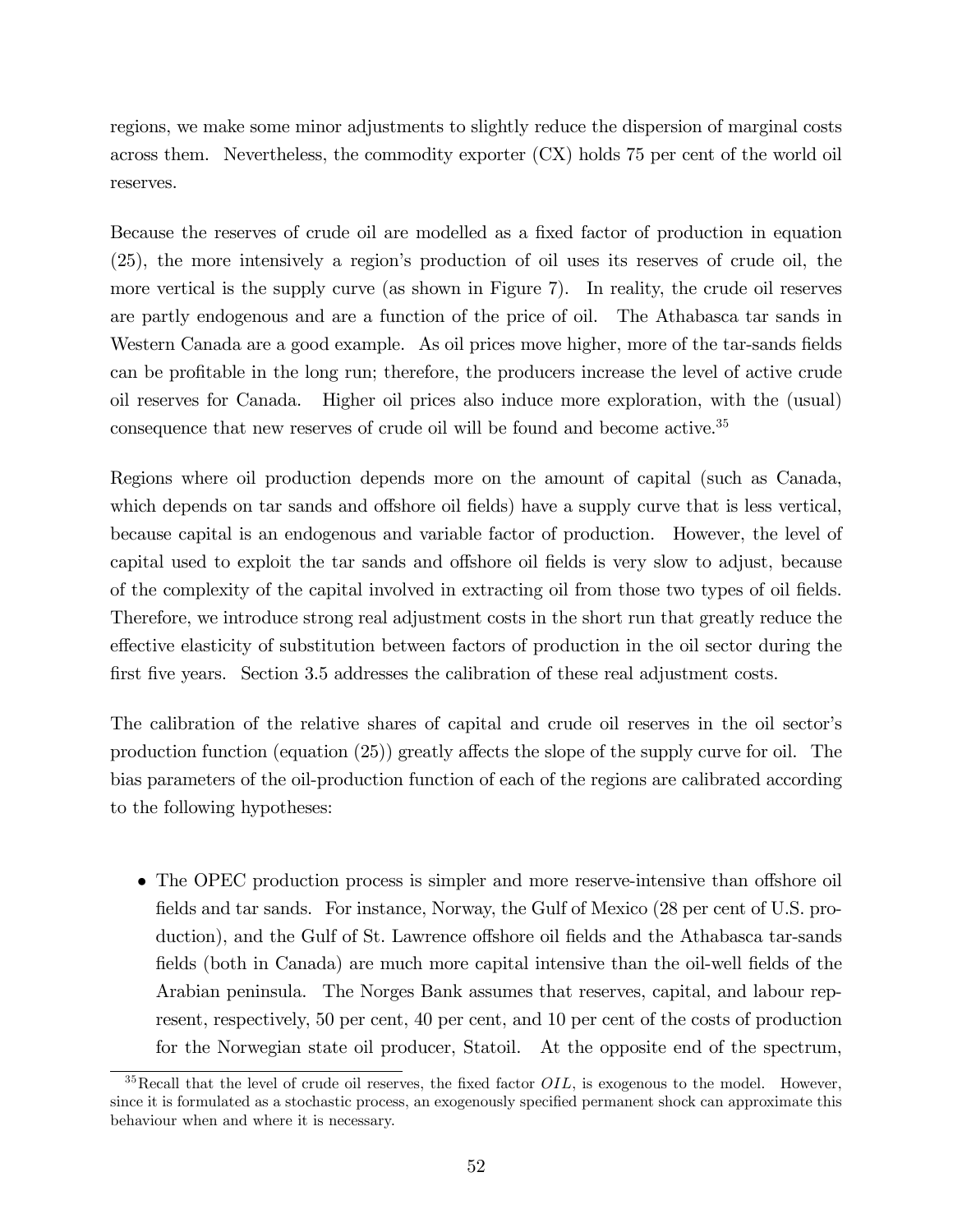regions, we make some minor adjustments to slightly reduce the dispersion of marginal costs across them. Nevertheless, the commodity exporter (CX) holds 75 per cent of the world oil reserves.

Because the reserves of crude oil are modelled as a fixed factor of production in equation (25), the more intensively a regionís production of oil uses its reserves of crude oil, the more vertical is the supply curve (as shown in Figure 7). In reality, the crude oil reserves are partly endogenous and are a function of the price of oil. The Athabasca tar sands in Western Canada are a good example. As oil prices move higher, more of the tar-sands fields can be profitable in the long run; therefore, the producers increase the level of active crude oil reserves for Canada. Higher oil prices also induce more exploration, with the (usual) consequence that new reserves of crude oil will be found and become active.<sup>35</sup>

Regions where oil production depends more on the amount of capital (such as Canada, which depends on tar sands and offshore oil fields) have a supply curve that is less vertical, because capital is an endogenous and variable factor of production. However, the level of capital used to exploit the tar sands and offshore oil fields is very slow to adjust, because of the complexity of the capital involved in extracting oil from those two types of oil Öelds. Therefore, we introduce strong real adjustment costs in the short run that greatly reduce the effective elasticity of substitution between factors of production in the oil sector during the first five years. Section 3.5 addresses the calibration of these real adjustment costs.

The calibration of the relative shares of capital and crude oil reserves in the oil sector's production function (equation  $(25)$ ) greatly affects the slope of the supply curve for oil. The bias parameters of the oil-production function of each of the regions are calibrated according to the following hypotheses:

• The OPEC production process is simpler and more reserve-intensive than offshore oil fields and tar sands. For instance, Norway, the Gulf of Mexico (28 per cent of U.S. production), and the Gulf of St. Lawrence offshore oil fields and the Athabasca tar-sands fields (both in Canada) are much more capital intensive than the oil-well fields of the Arabian peninsula. The Norges Bank assumes that reserves, capital, and labour represent, respectively, 50 per cent, 40 per cent, and 10 per cent of the costs of production for the Norwegian state oil producer, Statoil. At the opposite end of the spectrum,

 $35$ Recall that the level of crude oil reserves, the fixed factor  $OIL$ , is exogenous to the model. However, since it is formulated as a stochastic process, an exogenously specified permanent shock can approximate this behaviour when and where it is necessary.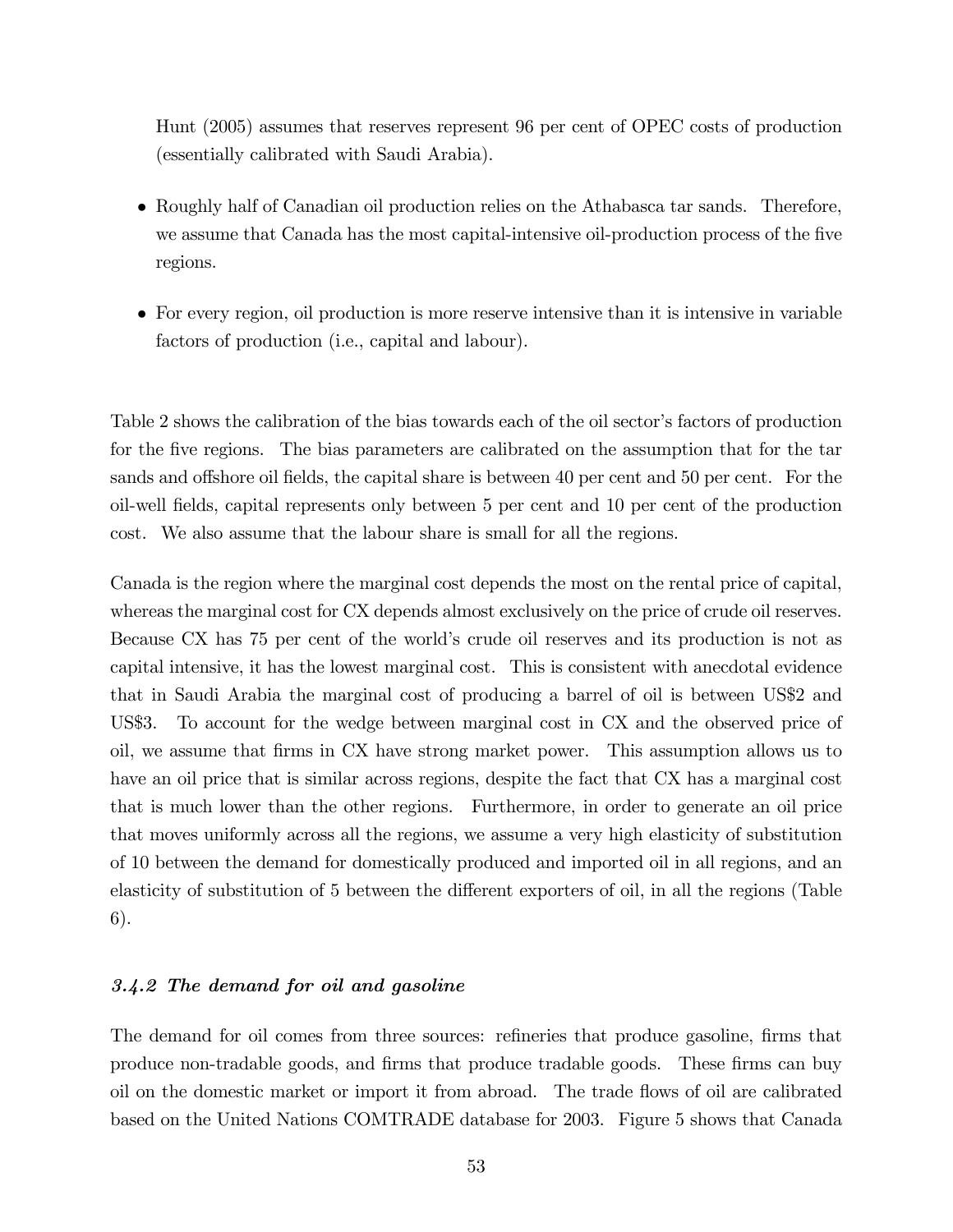Hunt (2005) assumes that reserves represent 96 per cent of OPEC costs of production (essentially calibrated with Saudi Arabia).

- Roughly half of Canadian oil production relies on the Athabasca tar sands. Therefore, we assume that Canada has the most capital-intensive oil-production process of the five regions.
- For every region, oil production is more reserve intensive than it is intensive in variable factors of production (i.e., capital and labour).

Table 2 shows the calibration of the bias towards each of the oil sector's factors of production for the five regions. The bias parameters are calibrated on the assumption that for the tar sands and offshore oil fields, the capital share is between 40 per cent and 50 per cent. For the oil-well Öelds, capital represents only between 5 per cent and 10 per cent of the production cost. We also assume that the labour share is small for all the regions.

Canada is the region where the marginal cost depends the most on the rental price of capital, whereas the marginal cost for CX depends almost exclusively on the price of crude oil reserves. Because CX has 75 per cent of the world's crude oil reserves and its production is not as capital intensive, it has the lowest marginal cost. This is consistent with anecdotal evidence that in Saudi Arabia the marginal cost of producing a barrel of oil is between US\$2 and US\$3. To account for the wedge between marginal cost in CX and the observed price of oil, we assume that Örms in CX have strong market power. This assumption allows us to have an oil price that is similar across regions, despite the fact that CX has a marginal cost that is much lower than the other regions. Furthermore, in order to generate an oil price that moves uniformly across all the regions, we assume a very high elasticity of substitution of 10 between the demand for domestically produced and imported oil in all regions, and an elasticity of substitution of 5 between the different exporters of oil, in all the regions (Table 6).

## 3.4.2 The demand for oil and gasoline

The demand for oil comes from three sources: refineries that produce gasoline, firms that produce non-tradable goods, and Örms that produce tradable goods. These Örms can buy oil on the domestic market or import it from abroad. The trade flows of oil are calibrated based on the United Nations COMTRADE database for 2003. Figure 5 shows that Canada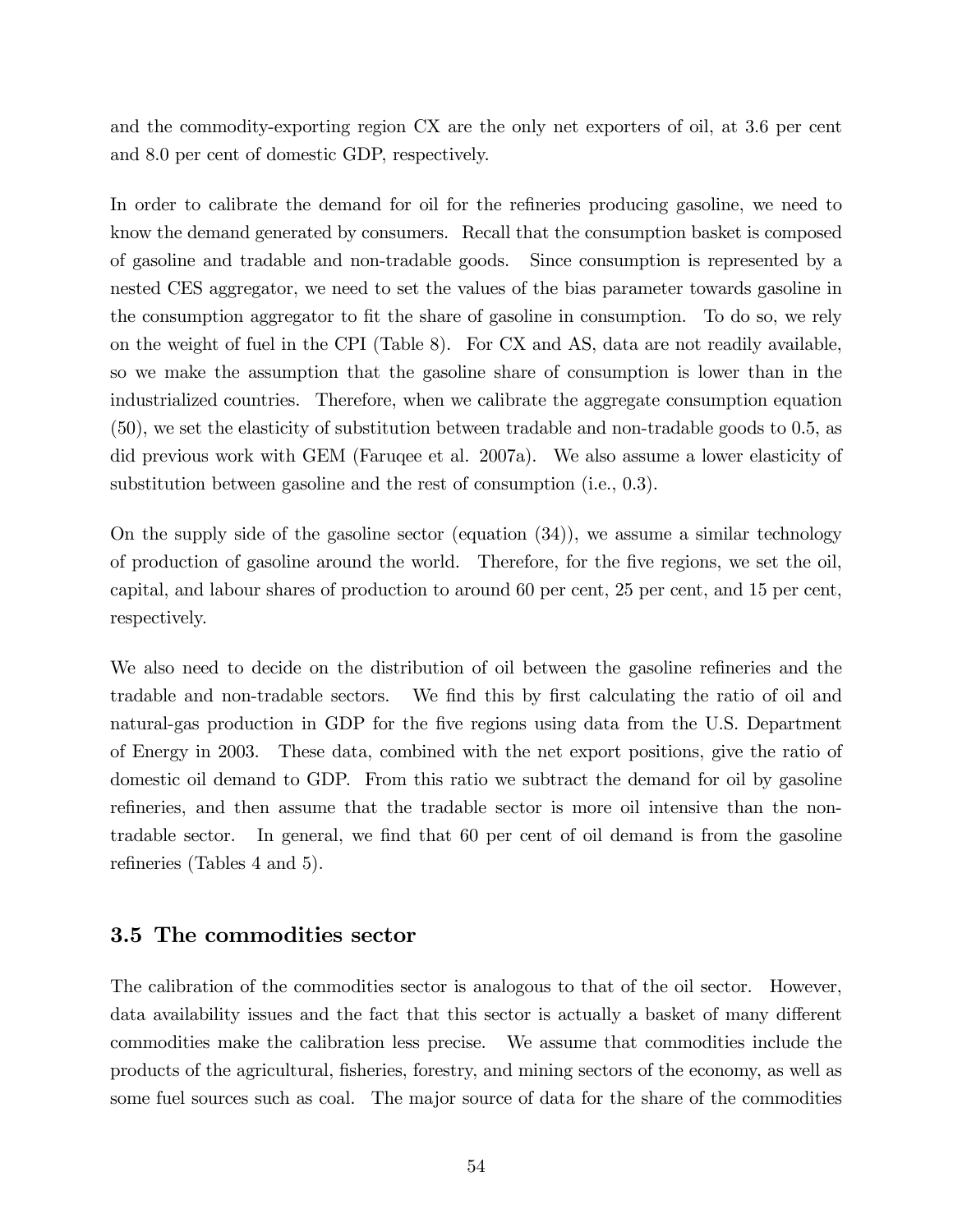and the commodity-exporting region CX are the only net exporters of oil, at 3.6 per cent and 8.0 per cent of domestic GDP, respectively.

In order to calibrate the demand for oil for the refineries producing gasoline, we need to know the demand generated by consumers. Recall that the consumption basket is composed of gasoline and tradable and non-tradable goods. Since consumption is represented by a nested CES aggregator, we need to set the values of the bias parameter towards gasoline in the consumption aggregator to fit the share of gasoline in consumption. To do so, we rely on the weight of fuel in the CPI (Table 8). For CX and AS, data are not readily available, so we make the assumption that the gasoline share of consumption is lower than in the industrialized countries. Therefore, when we calibrate the aggregate consumption equation (50), we set the elasticity of substitution between tradable and non-tradable goods to 0.5, as did previous work with GEM (Faruqee et al. 2007a). We also assume a lower elasticity of substitution between gasoline and the rest of consumption (i.e., 0.3).

On the supply side of the gasoline sector (equation (34)), we assume a similar technology of production of gasoline around the world. Therefore, for the five regions, we set the oil, capital, and labour shares of production to around 60 per cent, 25 per cent, and 15 per cent, respectively.

We also need to decide on the distribution of oil between the gasoline refineries and the tradable and non-tradable sectors. We find this by first calculating the ratio of oil and natural-gas production in GDP for the five regions using data from the U.S. Department of Energy in 2003. These data, combined with the net export positions, give the ratio of domestic oil demand to GDP. From this ratio we subtract the demand for oil by gasoline refineries, and then assume that the tradable sector is more oil intensive than the nontradable sector. In general, we find that 60 per cent of oil demand is from the gasoline refineries (Tables 4 and 5).

## 3.5 The commodities sector

The calibration of the commodities sector is analogous to that of the oil sector. However, data availability issues and the fact that this sector is actually a basket of many different commodities make the calibration less precise. We assume that commodities include the products of the agricultural, Ösheries, forestry, and mining sectors of the economy, as well as some fuel sources such as coal. The major source of data for the share of the commodities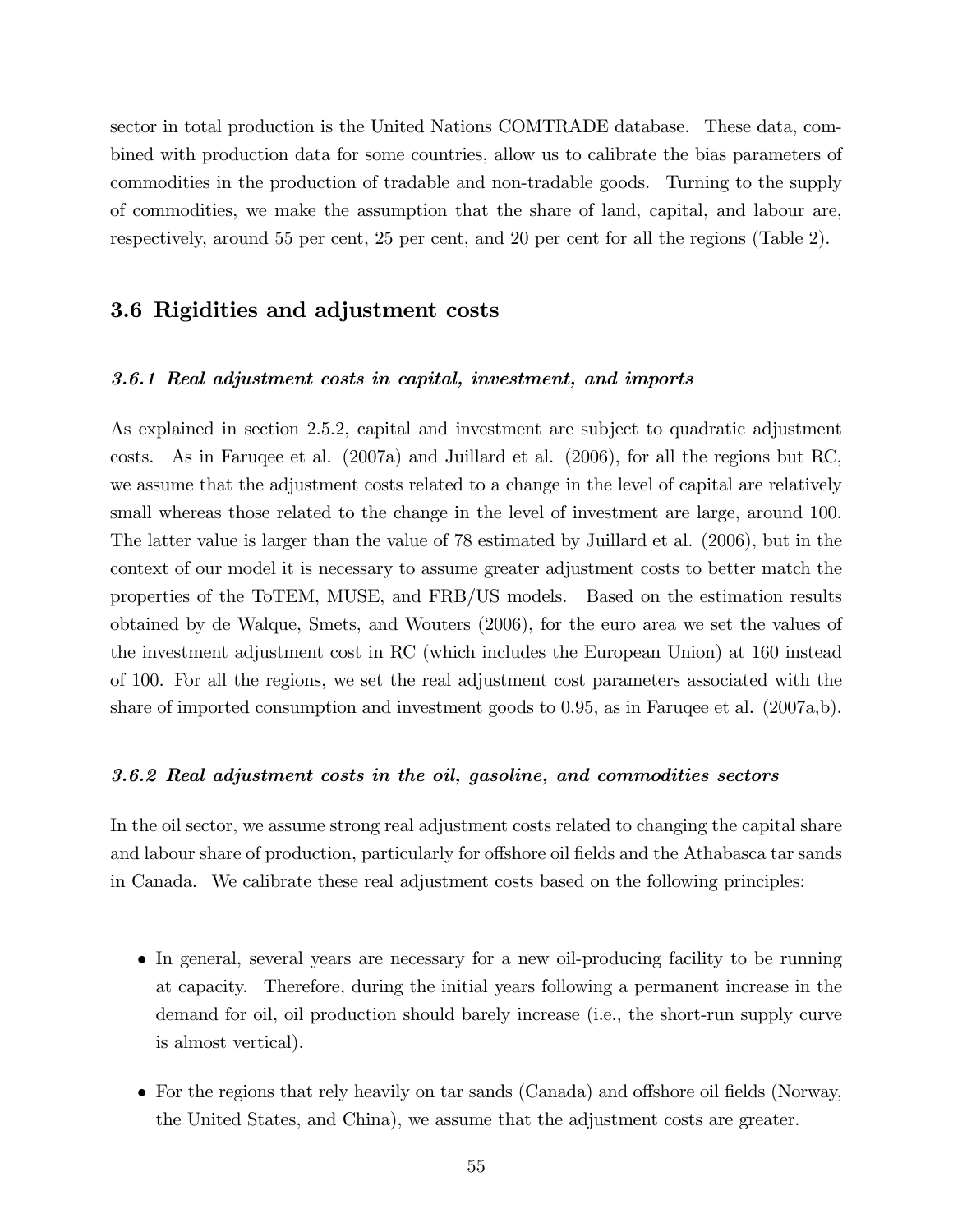sector in total production is the United Nations COMTRADE database. These data, combined with production data for some countries, allow us to calibrate the bias parameters of commodities in the production of tradable and non-tradable goods. Turning to the supply of commodities, we make the assumption that the share of land, capital, and labour are, respectively, around 55 per cent, 25 per cent, and 20 per cent for all the regions (Table 2).

## 3.6 Rigidities and adjustment costs

#### 3.6.1 Real adjustment costs in capital, investment, and imports

As explained in section 2.5.2, capital and investment are subject to quadratic adjustment costs. As in Faruqee et al. (2007a) and Juillard et al. (2006), for all the regions but RC, we assume that the adjustment costs related to a change in the level of capital are relatively small whereas those related to the change in the level of investment are large, around 100. The latter value is larger than the value of 78 estimated by Juillard et al. (2006), but in the context of our model it is necessary to assume greater adjustment costs to better match the properties of the ToTEM, MUSE, and FRB/US models. Based on the estimation results obtained by de Walque, Smets, and Wouters (2006), for the euro area we set the values of the investment adjustment cost in RC (which includes the European Union) at 160 instead of 100. For all the regions, we set the real adjustment cost parameters associated with the share of imported consumption and investment goods to 0.95, as in Faruqee et al. (2007a,b).

#### 3.6.2 Real adjustment costs in the oil, gasoline, and commodities sectors

In the oil sector, we assume strong real adjustment costs related to changing the capital share and labour share of production, particularly for offshore oil fields and the Athabasca tar sands in Canada. We calibrate these real adjustment costs based on the following principles:

- In general, several years are necessary for a new oil-producing facility to be running at capacity. Therefore, during the initial years following a permanent increase in the demand for oil, oil production should barely increase (i.e., the short-run supply curve is almost vertical).
- For the regions that rely heavily on tar sands (Canada) and offshore oil fields (Norway, the United States, and China), we assume that the adjustment costs are greater.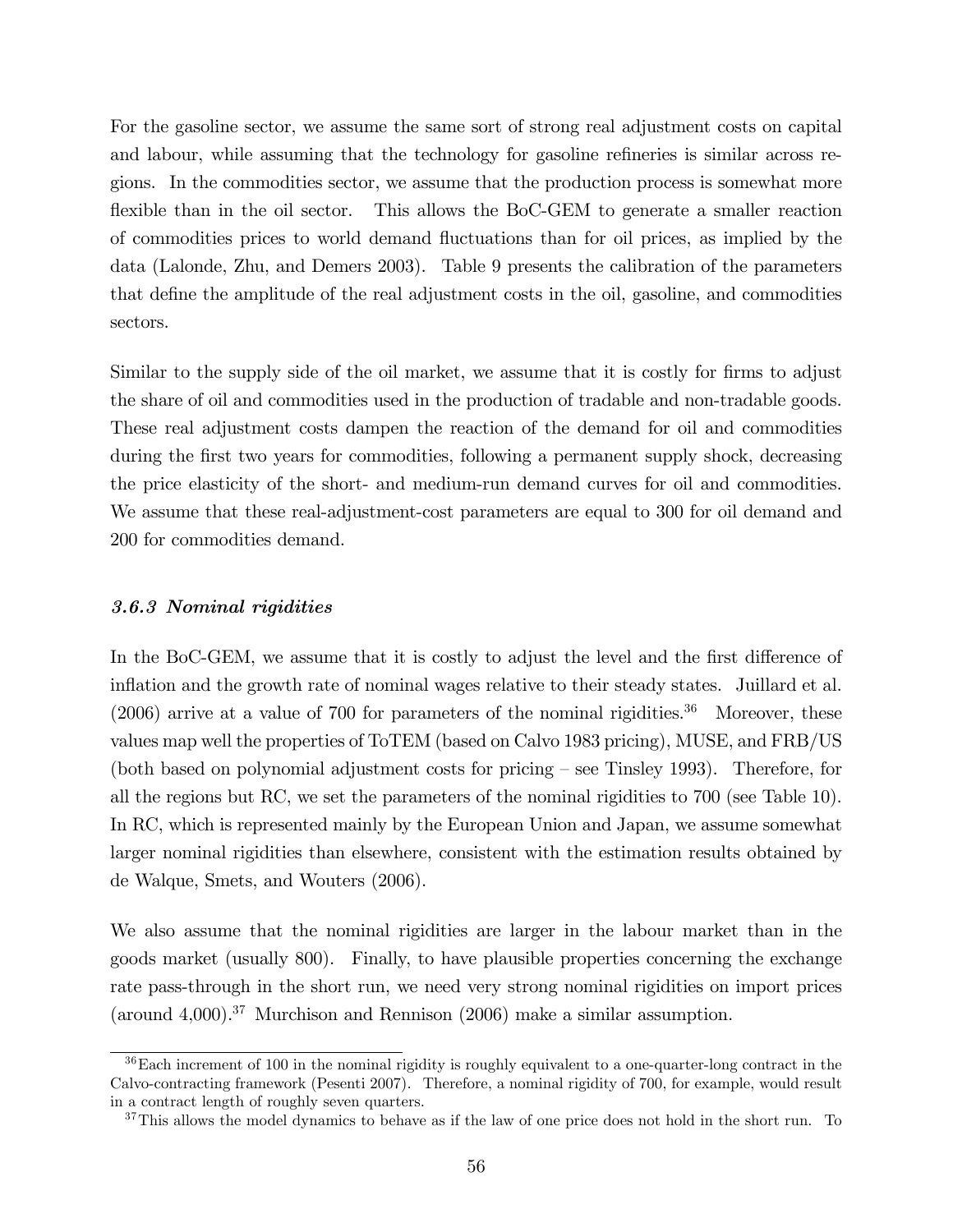For the gasoline sector, we assume the same sort of strong real adjustment costs on capital and labour, while assuming that the technology for gasoline refineries is similar across regions. In the commodities sector, we assume that the production process is somewhat more flexible than in the oil sector. This allows the BoC-GEM to generate a smaller reaction of commodities prices to world demand áuctuations than for oil prices, as implied by the data (Lalonde, Zhu, and Demers 2003). Table 9 presents the calibration of the parameters that define the amplitude of the real adjustment costs in the oil, gasoline, and commodities sectors.

Similar to the supply side of the oil market, we assume that it is costly for firms to adjust the share of oil and commodities used in the production of tradable and non-tradable goods. These real adjustment costs dampen the reaction of the demand for oil and commodities during the first two years for commodities, following a permanent supply shock, decreasing the price elasticity of the short- and medium-run demand curves for oil and commodities. We assume that these real-adjustment-cost parameters are equal to 300 for oil demand and 200 for commodities demand.

#### 3.6.3 Nominal rigidities

In the BoC-GEM, we assume that it is costly to adjust the level and the first difference of inflation and the growth rate of nominal wages relative to their steady states. Juillard et al.  $(2006)$  arrive at a value of 700 for parameters of the nominal rigidities.<sup>36</sup> Moreover, these values map well the properties of ToTEM (based on Calvo 1983 pricing), MUSE, and FRB/US (both based on polynomial adjustment costs for pricing  $-$  see Tinsley 1993). Therefore, for all the regions but RC, we set the parameters of the nominal rigidities to 700 (see Table 10). In RC, which is represented mainly by the European Union and Japan, we assume somewhat larger nominal rigidities than elsewhere, consistent with the estimation results obtained by de Walque, Smets, and Wouters (2006).

We also assume that the nominal rigidities are larger in the labour market than in the goods market (usually 800). Finally, to have plausible properties concerning the exchange rate pass-through in the short run, we need very strong nominal rigidities on import prices (around 4,000).<sup>37</sup> Murchison and Rennison  $(2006)$  make a similar assumption.

<sup>36</sup>Each increment of 100 in the nominal rigidity is roughly equivalent to a one-quarter-long contract in the Calvo-contracting framework (Pesenti 2007). Therefore, a nominal rigidity of 700, for example, would result in a contract length of roughly seven quarters.

<sup>&</sup>lt;sup>37</sup>This allows the model dynamics to behave as if the law of one price does not hold in the short run. To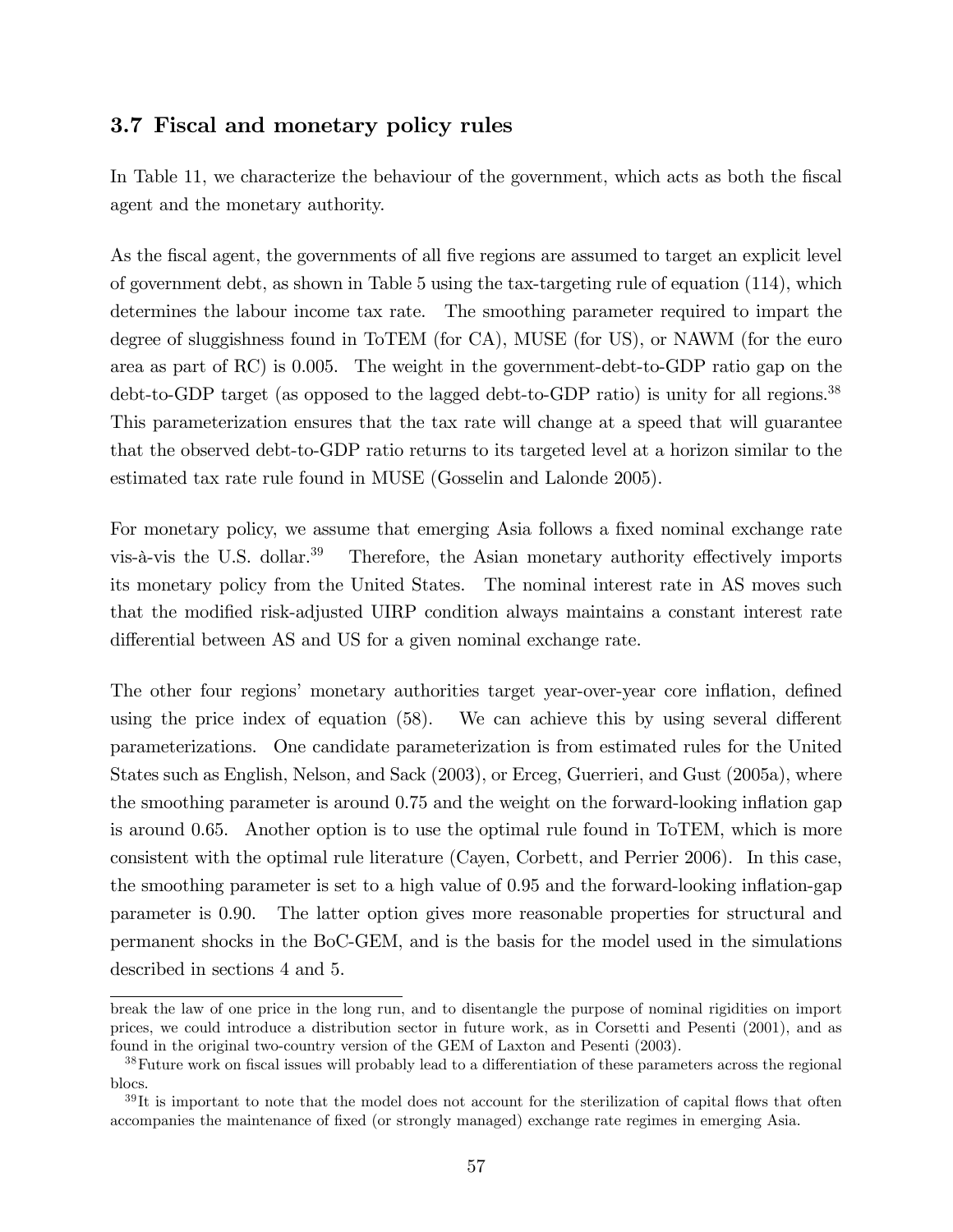## 3.7 Fiscal and monetary policy rules

In Table 11, we characterize the behaviour of the government, which acts as both the fiscal agent and the monetary authority.

As the fiscal agent, the governments of all five regions are assumed to target an explicit level of government debt, as shown in Table 5 using the tax-targeting rule of equation (114), which determines the labour income tax rate. The smoothing parameter required to impart the degree of sluggishness found in ToTEM (for CA), MUSE (for US), or NAWM (for the euro area as part of RC) is 0.005. The weight in the government-debt-to-GDP ratio gap on the debt-to-GDP target (as opposed to the lagged debt-to-GDP ratio) is unity for all regions.<sup>38</sup> This parameterization ensures that the tax rate will change at a speed that will guarantee that the observed debt-to-GDP ratio returns to its targeted level at a horizon similar to the estimated tax rate rule found in MUSE (Gosselin and Lalonde 2005).

For monetary policy, we assume that emerging Asia follows a fixed nominal exchange rate vis- $\hat{a}$ -vis the U.S. dollar.<sup>39</sup> Therefore, the Asian monetary authority effectively imports its monetary policy from the United States. The nominal interest rate in AS moves such that the modified risk-adjusted UIRP condition always maintains a constant interest rate differential between AS and US for a given nominal exchange rate.

The other four regions' monetary authorities target year-over-year core inflation, defined using the price index of equation  $(58)$ . We can achieve this by using several different parameterizations. One candidate parameterization is from estimated rules for the United States such as English, Nelson, and Sack (2003), or Erceg, Guerrieri, and Gust (2005a), where the smoothing parameter is around 0.75 and the weight on the forward-looking ináation gap is around 0.65. Another option is to use the optimal rule found in ToTEM, which is more consistent with the optimal rule literature (Cayen, Corbett, and Perrier 2006). In this case, the smoothing parameter is set to a high value of 0.95 and the forward-looking ináation-gap parameter is 0.90. The latter option gives more reasonable properties for structural and permanent shocks in the BoC-GEM, and is the basis for the model used in the simulations described in sections 4 and 5.

break the law of one price in the long run, and to disentangle the purpose of nominal rigidities on import prices, we could introduce a distribution sector in future work, as in Corsetti and Pesenti (2001), and as found in the original two-country version of the GEM of Laxton and Pesenti (2003).

<sup>&</sup>lt;sup>38</sup>Future work on fiscal issues will probably lead to a differentiation of these parameters across the regional blocs.

 $39$ It is important to note that the model does not account for the sterilization of capital flows that often accompanies the maintenance of fixed (or strongly managed) exchange rate regimes in emerging Asia.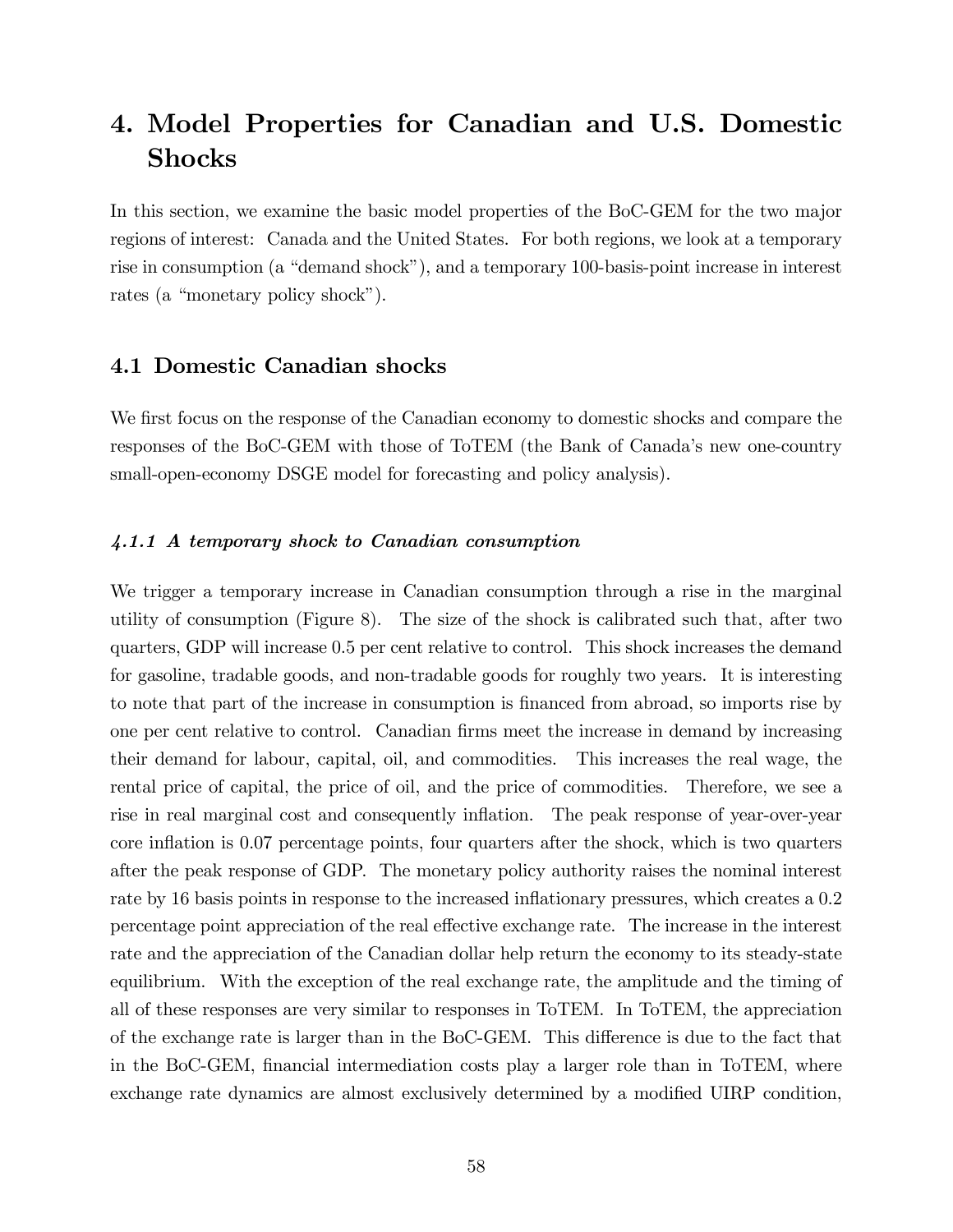# 4. Model Properties for Canadian and U.S. Domestic Shocks

In this section, we examine the basic model properties of the BoC-GEM for the two major regions of interest: Canada and the United States. For both regions, we look at a temporary rise in consumption (a "demand shock"), and a temporary 100-basis-point increase in interest rates (a "monetary policy shock").

## 4.1 Domestic Canadian shocks

We first focus on the response of the Canadian economy to domestic shocks and compare the responses of the BoC-GEM with those of ToTEM (the Bank of Canada's new one-country small-open-economy DSGE model for forecasting and policy analysis).

#### 4.1.1 A temporary shock to Canadian consumption

We trigger a temporary increase in Canadian consumption through a rise in the marginal utility of consumption (Figure 8). The size of the shock is calibrated such that, after two quarters, GDP will increase 0.5 per cent relative to control. This shock increases the demand for gasoline, tradable goods, and non-tradable goods for roughly two years. It is interesting to note that part of the increase in consumption is financed from abroad, so imports rise by one per cent relative to control. Canadian firms meet the increase in demand by increasing their demand for labour, capital, oil, and commodities. This increases the real wage, the rental price of capital, the price of oil, and the price of commodities. Therefore, we see a rise in real marginal cost and consequently inflation. The peak response of year-over-year core inflation is 0.07 percentage points, four quarters after the shock, which is two quarters after the peak response of GDP. The monetary policy authority raises the nominal interest rate by 16 basis points in response to the increased inflationary pressures, which creates a 0.2 percentage point appreciation of the real effective exchange rate. The increase in the interest rate and the appreciation of the Canadian dollar help return the economy to its steady-state equilibrium. With the exception of the real exchange rate, the amplitude and the timing of all of these responses are very similar to responses in ToTEM. In ToTEM, the appreciation of the exchange rate is larger than in the BoC-GEM. This difference is due to the fact that in the BoC-GEM, financial intermediation costs play a larger role than in ToTEM, where exchange rate dynamics are almost exclusively determined by a modified UIRP condition,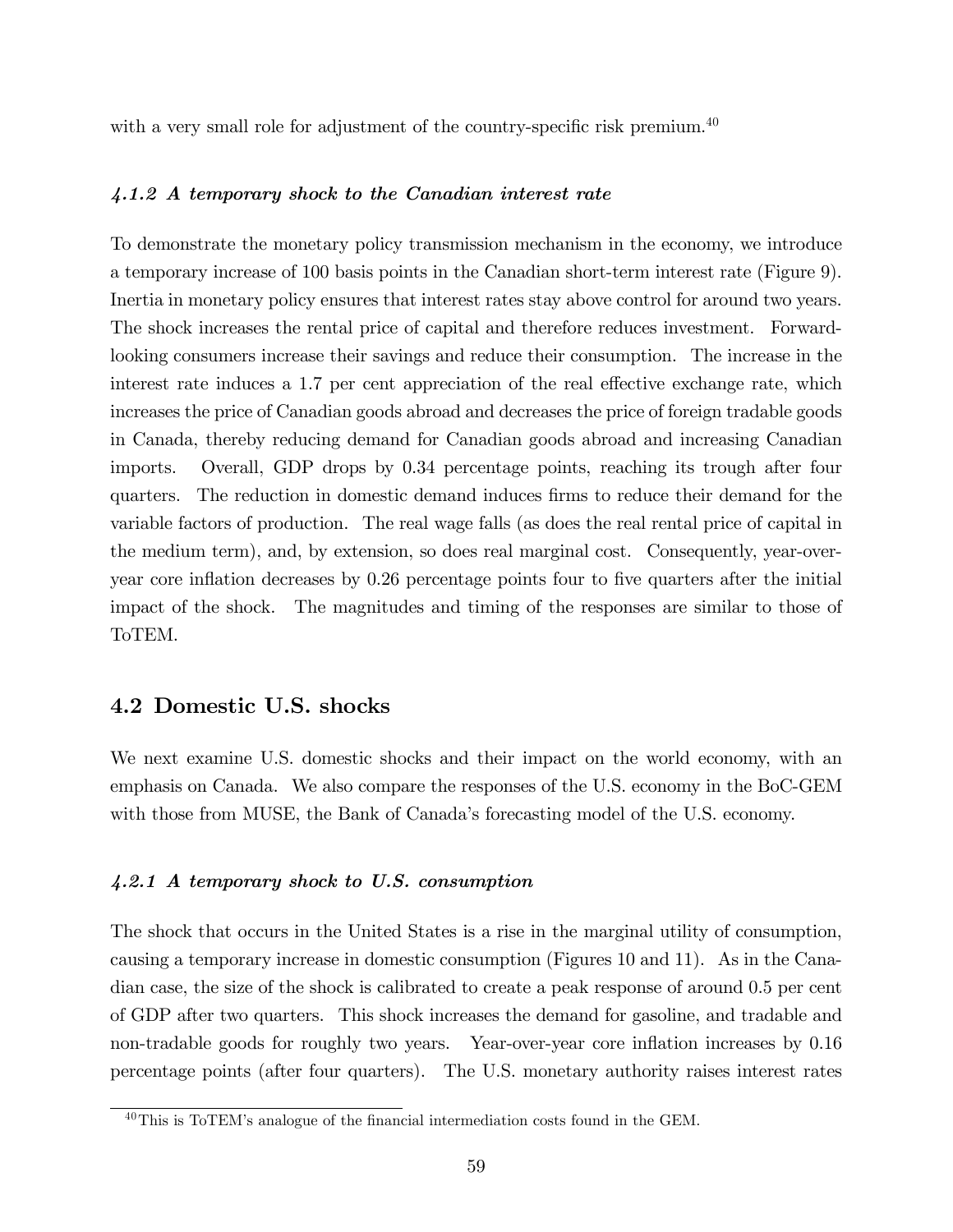with a very small role for adjustment of the country-specific risk premium. $^{40}$ 

#### 4.1.2 A temporary shock to the Canadian interest rate

To demonstrate the monetary policy transmission mechanism in the economy, we introduce a temporary increase of 100 basis points in the Canadian short-term interest rate (Figure 9). Inertia in monetary policy ensures that interest rates stay above control for around two years. The shock increases the rental price of capital and therefore reduces investment. Forwardlooking consumers increase their savings and reduce their consumption. The increase in the interest rate induces a 1.7 per cent appreciation of the real effective exchange rate, which increases the price of Canadian goods abroad and decreases the price of foreign tradable goods in Canada, thereby reducing demand for Canadian goods abroad and increasing Canadian imports. Overall, GDP drops by 0.34 percentage points, reaching its trough after four quarters. The reduction in domestic demand induces firms to reduce their demand for the variable factors of production. The real wage falls (as does the real rental price of capital in the medium term), and, by extension, so does real marginal cost. Consequently, year-overyear core inflation decreases by 0.26 percentage points four to five quarters after the initial impact of the shock. The magnitudes and timing of the responses are similar to those of ToTEM.

## 4.2 Domestic U.S. shocks

We next examine U.S. domestic shocks and their impact on the world economy, with an emphasis on Canada. We also compare the responses of the U.S. economy in the BoC-GEM with those from MUSE, the Bank of Canada's forecasting model of the U.S. economy.

#### 4.2.1 A temporary shock to U.S. consumption

The shock that occurs in the United States is a rise in the marginal utility of consumption, causing a temporary increase in domestic consumption (Figures 10 and 11). As in the Canadian case, the size of the shock is calibrated to create a peak response of around 0.5 per cent of GDP after two quarters. This shock increases the demand for gasoline, and tradable and non-tradable goods for roughly two years. Year-over-year core inflation increases by 0.16 percentage points (after four quarters). The U.S. monetary authority raises interest rates

 $^{40}$ This is ToTEM's analogue of the financial intermediation costs found in the GEM.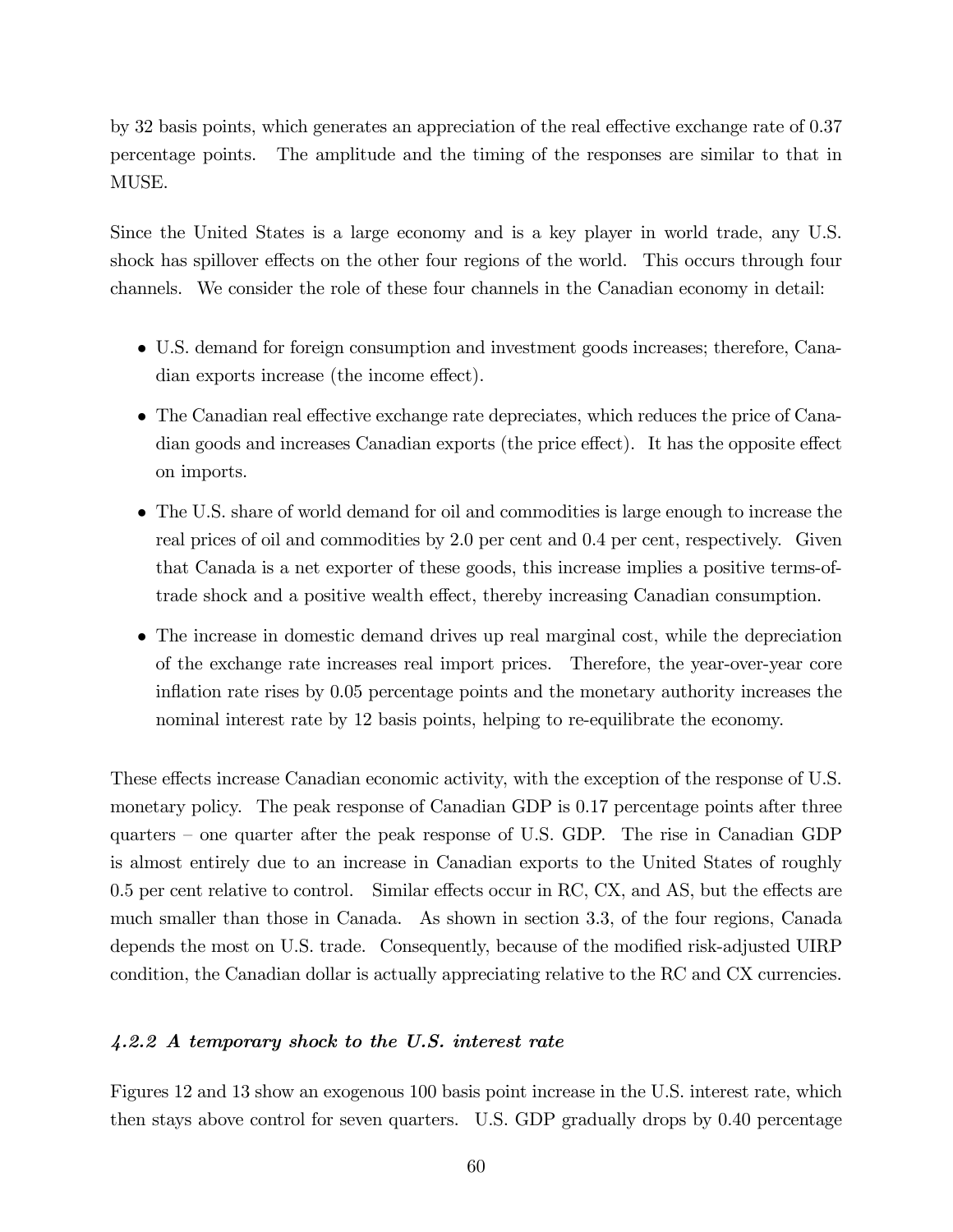by 32 basis points, which generates an appreciation of the real effective exchange rate of 0.37 percentage points. The amplitude and the timing of the responses are similar to that in MUSE.

Since the United States is a large economy and is a key player in world trade, any U.S. shock has spillover effects on the other four regions of the world. This occurs through four channels. We consider the role of these four channels in the Canadian economy in detail:

- U.S. demand for foreign consumption and investment goods increases; therefore, Canadian exports increase (the income effect).
- The Canadian real effective exchange rate depreciates, which reduces the price of Canadian goods and increases Canadian exports (the price effect). It has the opposite effect on imports.
- The U.S. share of world demand for oil and commodities is large enough to increase the real prices of oil and commodities by 2.0 per cent and 0.4 per cent, respectively. Given that Canada is a net exporter of these goods, this increase implies a positive terms-oftrade shock and a positive wealth effect, thereby increasing Canadian consumption.
- The increase in domestic demand drives up real marginal cost, while the depreciation of the exchange rate increases real import prices. Therefore, the year-over-year core inflation rate rises by 0.05 percentage points and the monetary authority increases the nominal interest rate by 12 basis points, helping to re-equilibrate the economy.

These effects increase Canadian economic activity, with the exception of the response of U.S. monetary policy. The peak response of Canadian GDP is 0.17 percentage points after three quarters  $-$  one quarter after the peak response of U.S. GDP. The rise in Canadian GDP is almost entirely due to an increase in Canadian exports to the United States of roughly  $0.5$  per cent relative to control. Similar effects occur in RC, CX, and AS, but the effects are much smaller than those in Canada. As shown in section 3.3, of the four regions, Canada depends the most on U.S. trade. Consequently, because of the modified risk-adjusted UIRP condition, the Canadian dollar is actually appreciating relative to the RC and CX currencies.

#### 4.2.2 A temporary shock to the U.S. interest rate

Figures 12 and 13 show an exogenous 100 basis point increase in the U.S. interest rate, which then stays above control for seven quarters. U.S. GDP gradually drops by 0.40 percentage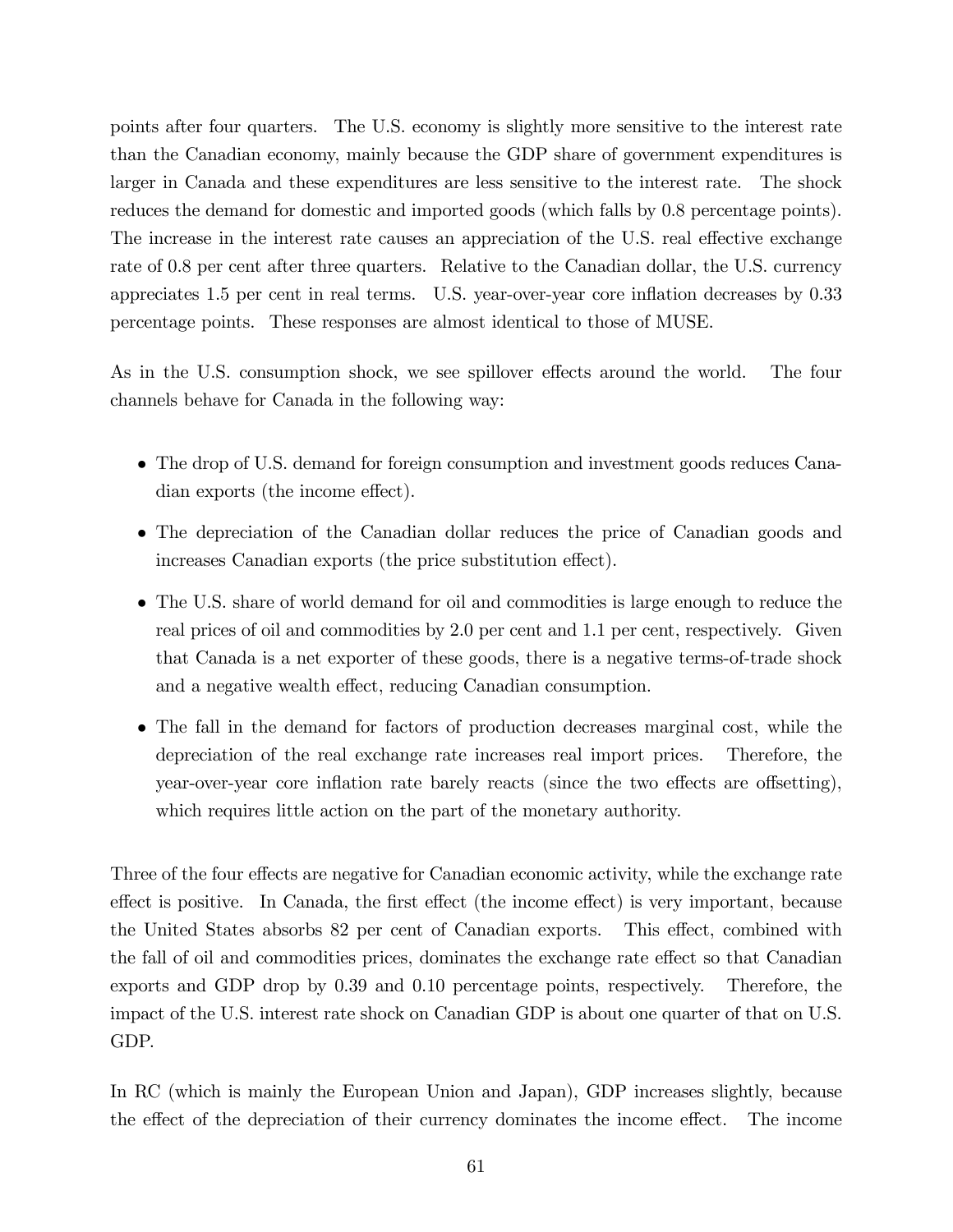points after four quarters. The U.S. economy is slightly more sensitive to the interest rate than the Canadian economy, mainly because the GDP share of government expenditures is larger in Canada and these expenditures are less sensitive to the interest rate. The shock reduces the demand for domestic and imported goods (which falls by 0.8 percentage points). The increase in the interest rate causes an appreciation of the U.S. real effective exchange rate of 0.8 per cent after three quarters. Relative to the Canadian dollar, the U.S. currency appreciates 1.5 per cent in real terms. U.S. year-over-year core ináation decreases by 0.33 percentage points. These responses are almost identical to those of MUSE.

As in the U.S. consumption shock, we see spillover effects around the world. The four channels behave for Canada in the following way:

- The drop of U.S. demand for foreign consumption and investment goods reduces Canadian exports (the income effect).
- The depreciation of the Canadian dollar reduces the price of Canadian goods and increases Canadian exports (the price substitution effect).
- The U.S. share of world demand for oil and commodities is large enough to reduce the real prices of oil and commodities by 2.0 per cent and 1.1 per cent, respectively. Given that Canada is a net exporter of these goods, there is a negative terms-of-trade shock and a negative wealth effect, reducing Canadian consumption.
- The fall in the demand for factors of production decreases marginal cost, while the depreciation of the real exchange rate increases real import prices. Therefore, the year-over-year core inflation rate barely reacts (since the two effects are offsetting), which requires little action on the part of the monetary authority.

Three of the four effects are negative for Canadian economic activity, while the exchange rate effect is positive. In Canada, the first effect (the income effect) is very important, because the United States absorbs 82 per cent of Canadian exports. This effect, combined with the fall of oil and commodities prices, dominates the exchange rate effect so that Canadian exports and GDP drop by 0.39 and 0.10 percentage points, respectively. Therefore, the impact of the U.S. interest rate shock on Canadian GDP is about one quarter of that on U.S. GDP.

In RC (which is mainly the European Union and Japan), GDP increases slightly, because the effect of the depreciation of their currency dominates the income effect. The income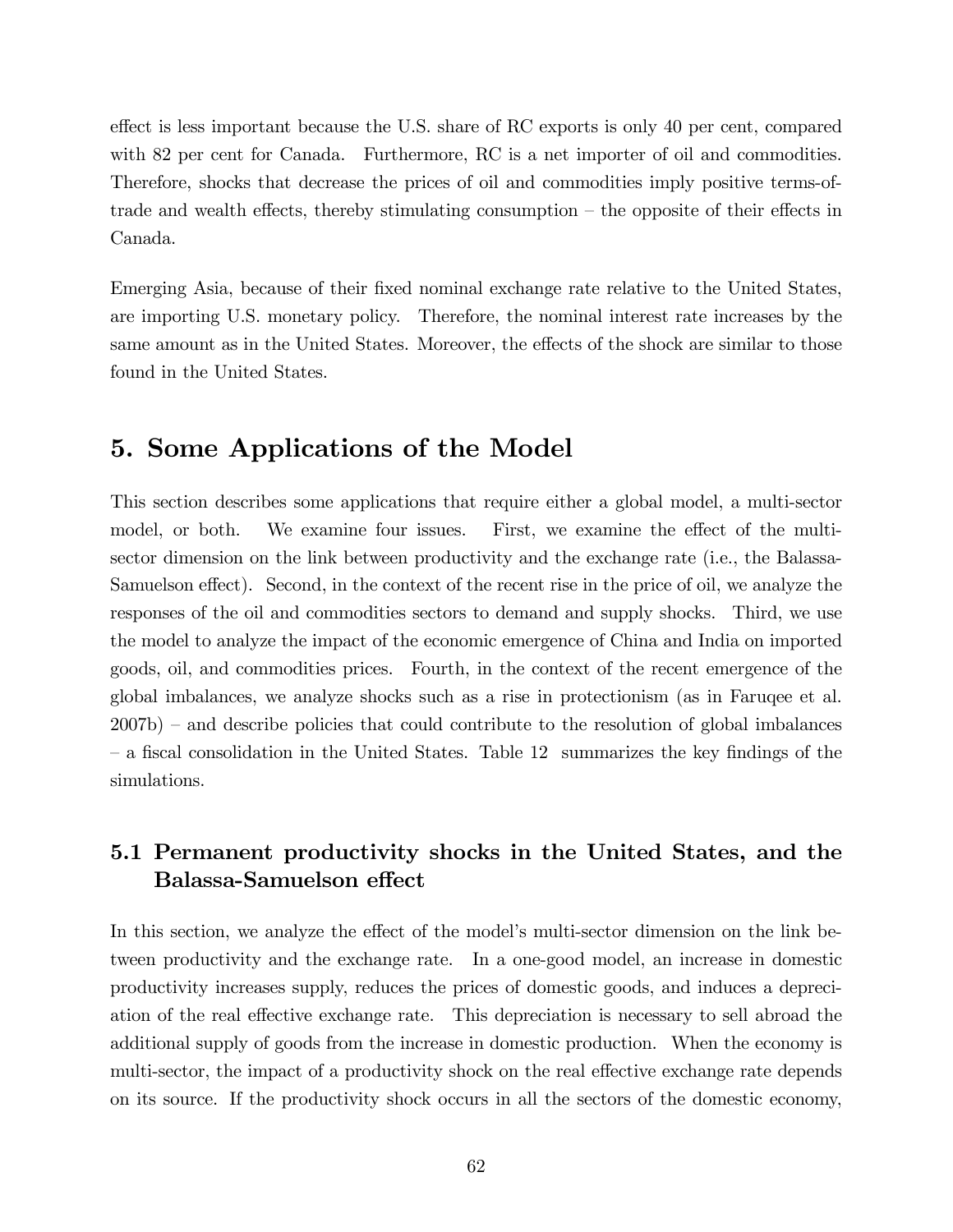effect is less important because the U.S. share of RC exports is only 40 per cent, compared with 82 per cent for Canada. Furthermore, RC is a net importer of oil and commodities. Therefore, shocks that decrease the prices of oil and commodities imply positive terms-oftrade and wealth effects, thereby stimulating consumption  $-$  the opposite of their effects in Canada.

Emerging Asia, because of their fixed nominal exchange rate relative to the United States, are importing U.S. monetary policy. Therefore, the nominal interest rate increases by the same amount as in the United States. Moreover, the effects of the shock are similar to those found in the United States.

# 5. Some Applications of the Model

This section describes some applications that require either a global model, a multi-sector model, or both. We examine four issues. First, we examine the effect of the multisector dimension on the link between productivity and the exchange rate (i.e., the Balassa-Samuelson effect). Second, in the context of the recent rise in the price of oil, we analyze the responses of the oil and commodities sectors to demand and supply shocks. Third, we use the model to analyze the impact of the economic emergence of China and India on imported goods, oil, and commodities prices. Fourth, in the context of the recent emergence of the global imbalances, we analyze shocks such as a rise in protectionism (as in Faruqee et al.  $2007b$  – and describe policies that could contribute to the resolution of global imbalances – a fiscal consolidation in the United States. Table 12 summarizes the key findings of the simulations.

## 5.1 Permanent productivity shocks in the United States, and the Balassa-Samuelson effect

In this section, we analyze the effect of the model's multi-sector dimension on the link between productivity and the exchange rate. In a one-good model, an increase in domestic productivity increases supply, reduces the prices of domestic goods, and induces a depreciation of the real effective exchange rate. This depreciation is necessary to sell abroad the additional supply of goods from the increase in domestic production. When the economy is multi-sector, the impact of a productivity shock on the real effective exchange rate depends on its source. If the productivity shock occurs in all the sectors of the domestic economy,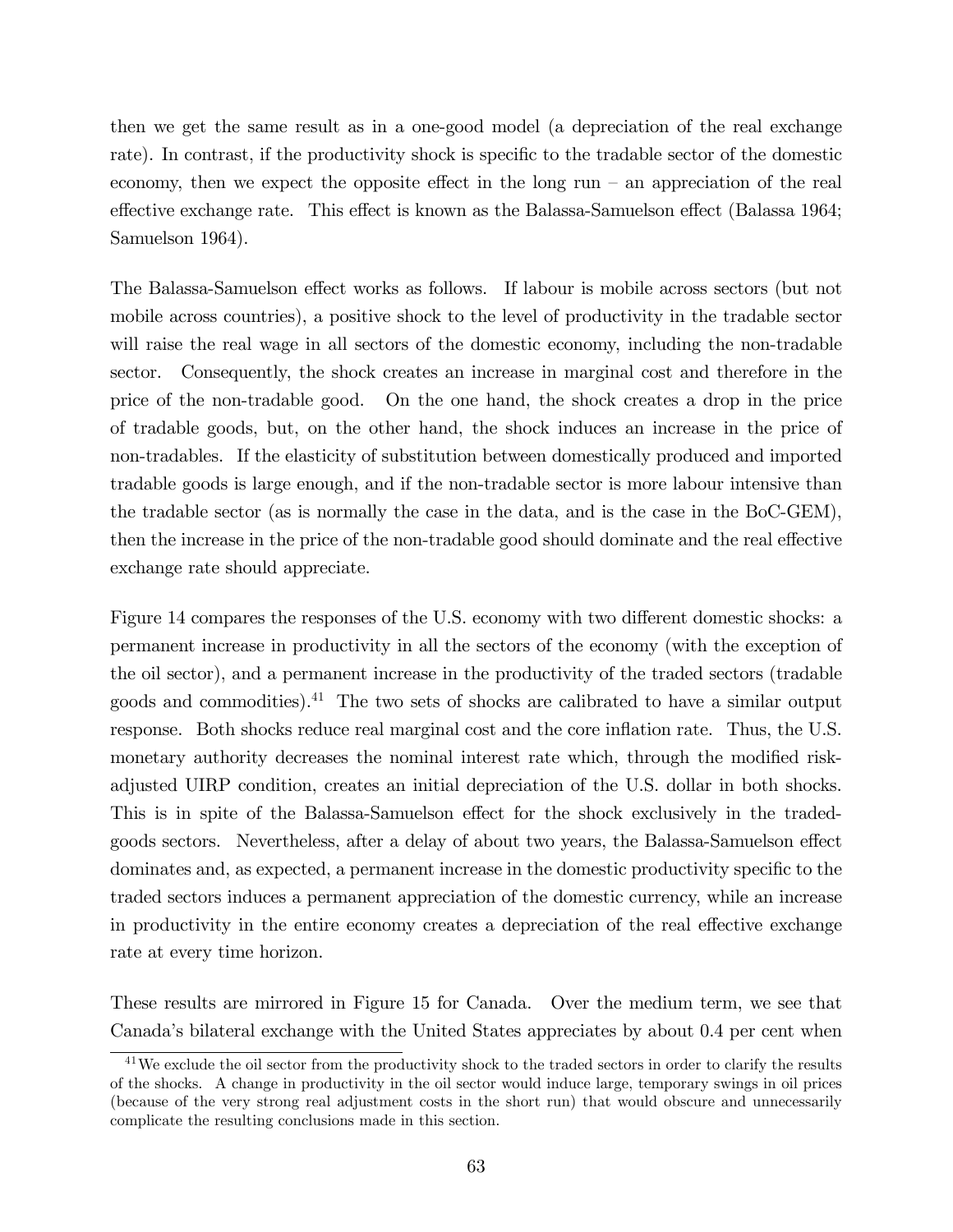then we get the same result as in a one-good model (a depreciation of the real exchange rate). In contrast, if the productivity shock is specific to the tradable sector of the domestic economy, then we expect the opposite effect in the long run  $-$  an appreciation of the real effective exchange rate. This effect is known as the Balassa-Samuelson effect (Balassa 1964; Samuelson 1964).

The Balassa-Samuelson effect works as follows. If labour is mobile across sectors (but not mobile across countries), a positive shock to the level of productivity in the tradable sector will raise the real wage in all sectors of the domestic economy, including the non-tradable sector. Consequently, the shock creates an increase in marginal cost and therefore in the price of the non-tradable good. On the one hand, the shock creates a drop in the price of tradable goods, but, on the other hand, the shock induces an increase in the price of non-tradables. If the elasticity of substitution between domestically produced and imported tradable goods is large enough, and if the non-tradable sector is more labour intensive than the tradable sector (as is normally the case in the data, and is the case in the BoC-GEM), then the increase in the price of the non-tradable good should dominate and the real effective exchange rate should appreciate.

Figure 14 compares the responses of the U.S. economy with two different domestic shocks: a permanent increase in productivity in all the sectors of the economy (with the exception of the oil sector), and a permanent increase in the productivity of the traded sectors (tradable goods and commodities).<sup>41</sup> The two sets of shocks are calibrated to have a similar output response. Both shocks reduce real marginal cost and the core inflation rate. Thus, the U.S. monetary authority decreases the nominal interest rate which, through the modified riskadjusted UIRP condition, creates an initial depreciation of the U.S. dollar in both shocks. This is in spite of the Balassa-Samuelson effect for the shock exclusively in the tradedgoods sectors. Nevertheless, after a delay of about two years, the Balassa-Samuelson effect dominates and, as expected, a permanent increase in the domestic productivity specific to the traded sectors induces a permanent appreciation of the domestic currency, while an increase in productivity in the entire economy creates a depreciation of the real effective exchange rate at every time horizon.

These results are mirrored in Figure 15 for Canada. Over the medium term, we see that Canadaís bilateral exchange with the United States appreciates by about 0.4 per cent when

<sup>&</sup>lt;sup>41</sup>We exclude the oil sector from the productivity shock to the traded sectors in order to clarify the results of the shocks. A change in productivity in the oil sector would induce large, temporary swings in oil prices (because of the very strong real adjustment costs in the short run) that would obscure and unnecessarily complicate the resulting conclusions made in this section.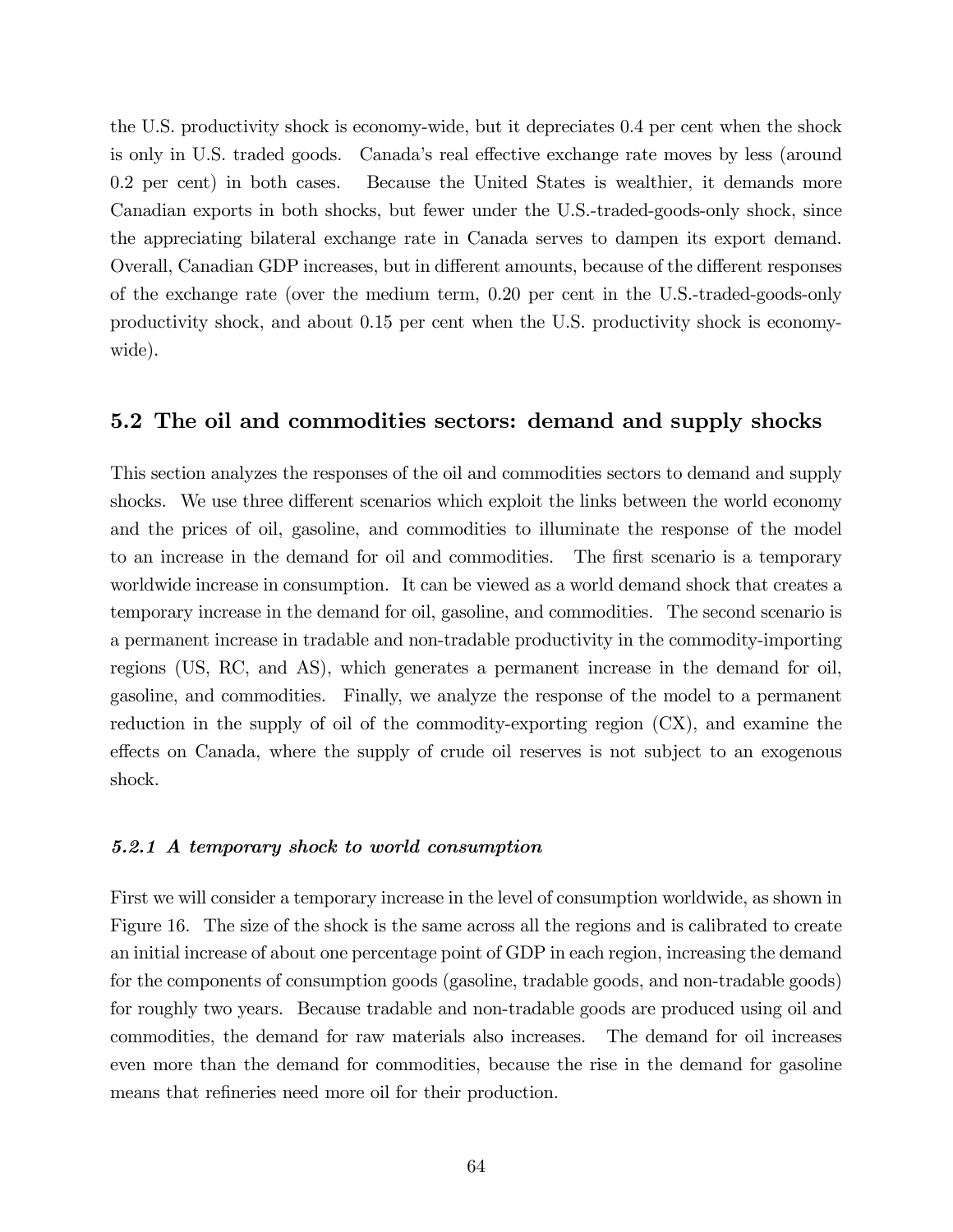the U.S. productivity shock is economy-wide, but it depreciates 0.4 per cent when the shock is only in U.S. traded goods. Canada's real effective exchange rate moves by less (around 0.2 per cent) in both cases. Because the United States is wealthier, it demands more Canadian exports in both shocks, but fewer under the U.S.-traded-goods-only shock, since the appreciating bilateral exchange rate in Canada serves to dampen its export demand. Overall, Canadian GDP increases, but in different amounts, because of the different responses of the exchange rate (over the medium term, 0.20 per cent in the U.S.-traded-goods-only productivity shock, and about 0.15 per cent when the U.S. productivity shock is economywide).

## 5.2 The oil and commodities sectors: demand and supply shocks

This section analyzes the responses of the oil and commodities sectors to demand and supply shocks. We use three different scenarios which exploit the links between the world economy and the prices of oil, gasoline, and commodities to illuminate the response of the model to an increase in the demand for oil and commodities. The first scenario is a temporary worldwide increase in consumption. It can be viewed as a world demand shock that creates a temporary increase in the demand for oil, gasoline, and commodities. The second scenario is a permanent increase in tradable and non-tradable productivity in the commodity-importing regions (US, RC, and AS), which generates a permanent increase in the demand for oil, gasoline, and commodities. Finally, we analyze the response of the model to a permanent reduction in the supply of oil of the commodity-exporting region (CX), and examine the effects on Canada, where the supply of crude oil reserves is not subject to an exogenous shock.

#### 5.2.1 A temporary shock to world consumption

First we will consider a temporary increase in the level of consumption worldwide, as shown in Figure 16. The size of the shock is the same across all the regions and is calibrated to create an initial increase of about one percentage point of GDP in each region, increasing the demand for the components of consumption goods (gasoline, tradable goods, and non-tradable goods) for roughly two years. Because tradable and non-tradable goods are produced using oil and commodities, the demand for raw materials also increases. The demand for oil increases even more than the demand for commodities, because the rise in the demand for gasoline means that refineries need more oil for their production.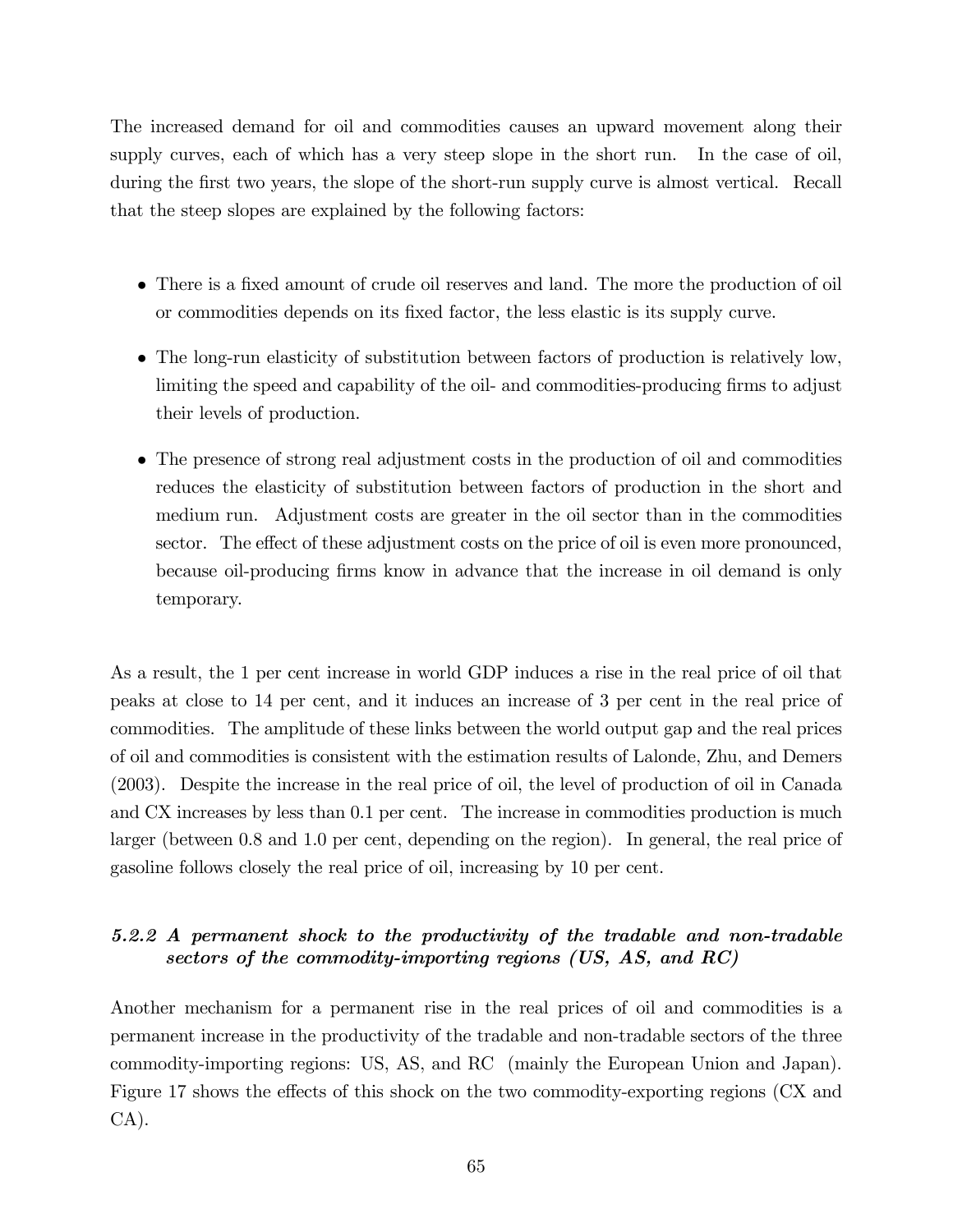The increased demand for oil and commodities causes an upward movement along their supply curves, each of which has a very steep slope in the short run. In the case of oil, during the first two years, the slope of the short-run supply curve is almost vertical. Recall that the steep slopes are explained by the following factors:

- There is a fixed amount of crude oil reserves and land. The more the production of oil or commodities depends on its Öxed factor, the less elastic is its supply curve.
- The long-run elasticity of substitution between factors of production is relatively low, limiting the speed and capability of the oil- and commodities-producing firms to adjust their levels of production.
- The presence of strong real adjustment costs in the production of oil and commodities reduces the elasticity of substitution between factors of production in the short and medium run. Adjustment costs are greater in the oil sector than in the commodities sector. The effect of these adjustment costs on the price of oil is even more pronounced, because oil-producing firms know in advance that the increase in oil demand is only temporary.

As a result, the 1 per cent increase in world GDP induces a rise in the real price of oil that peaks at close to 14 per cent, and it induces an increase of 3 per cent in the real price of commodities. The amplitude of these links between the world output gap and the real prices of oil and commodities is consistent with the estimation results of Lalonde, Zhu, and Demers (2003). Despite the increase in the real price of oil, the level of production of oil in Canada and CX increases by less than 0.1 per cent. The increase in commodities production is much larger (between 0.8 and 1.0 per cent, depending on the region). In general, the real price of gasoline follows closely the real price of oil, increasing by 10 per cent.

## 5.2.2 A permanent shock to the productivity of the tradable and non-tradable sectors of the commodity-importing regions (US, AS, and RC)

Another mechanism for a permanent rise in the real prices of oil and commodities is a permanent increase in the productivity of the tradable and non-tradable sectors of the three commodity-importing regions: US, AS, and RC (mainly the European Union and Japan). Figure 17 shows the effects of this shock on the two commodity-exporting regions (CX and CA).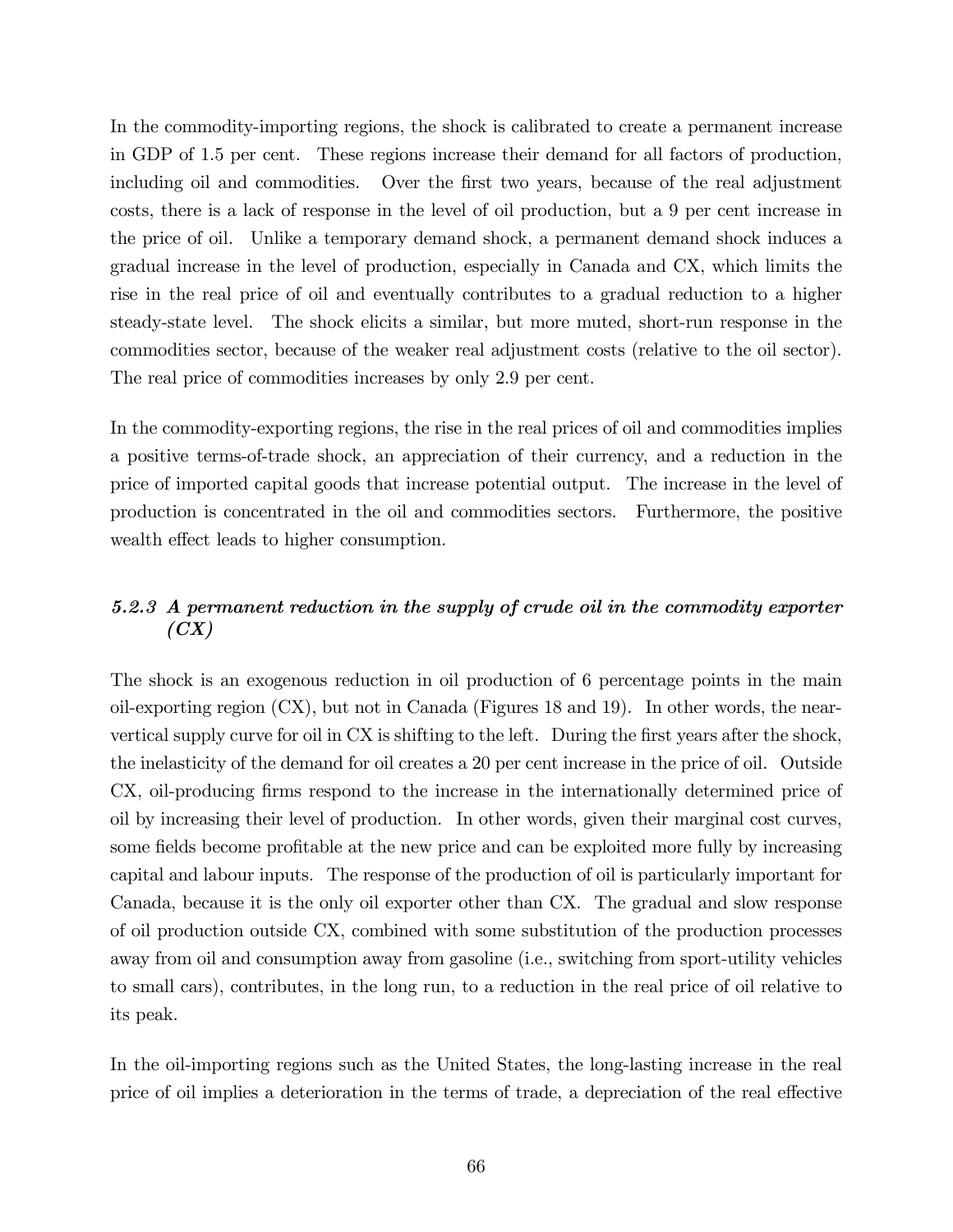In the commodity-importing regions, the shock is calibrated to create a permanent increase in GDP of 1.5 per cent. These regions increase their demand for all factors of production, including oil and commodities. Over the first two years, because of the real adjustment costs, there is a lack of response in the level of oil production, but a 9 per cent increase in the price of oil. Unlike a temporary demand shock, a permanent demand shock induces a gradual increase in the level of production, especially in Canada and CX, which limits the rise in the real price of oil and eventually contributes to a gradual reduction to a higher steady-state level. The shock elicits a similar, but more muted, short-run response in the commodities sector, because of the weaker real adjustment costs (relative to the oil sector). The real price of commodities increases by only 2.9 per cent.

In the commodity-exporting regions, the rise in the real prices of oil and commodities implies a positive terms-of-trade shock, an appreciation of their currency, and a reduction in the price of imported capital goods that increase potential output. The increase in the level of production is concentrated in the oil and commodities sectors. Furthermore, the positive wealth effect leads to higher consumption.

### 5.2.3 A permanent reduction in the supply of crude oil in the commodity exporter  $(CX)$

The shock is an exogenous reduction in oil production of 6 percentage points in the main oil-exporting region (CX), but not in Canada (Figures 18 and 19). In other words, the nearvertical supply curve for oil in CX is shifting to the left. During the first years after the shock, the inelasticity of the demand for oil creates a 20 per cent increase in the price of oil. Outside CX, oil-producing Örms respond to the increase in the internationally determined price of oil by increasing their level of production. In other words, given their marginal cost curves, some fields become profitable at the new price and can be exploited more fully by increasing capital and labour inputs. The response of the production of oil is particularly important for Canada, because it is the only oil exporter other than CX. The gradual and slow response of oil production outside CX, combined with some substitution of the production processes away from oil and consumption away from gasoline (i.e., switching from sport-utility vehicles to small cars), contributes, in the long run, to a reduction in the real price of oil relative to its peak.

In the oil-importing regions such as the United States, the long-lasting increase in the real price of oil implies a deterioration in the terms of trade, a depreciation of the real effective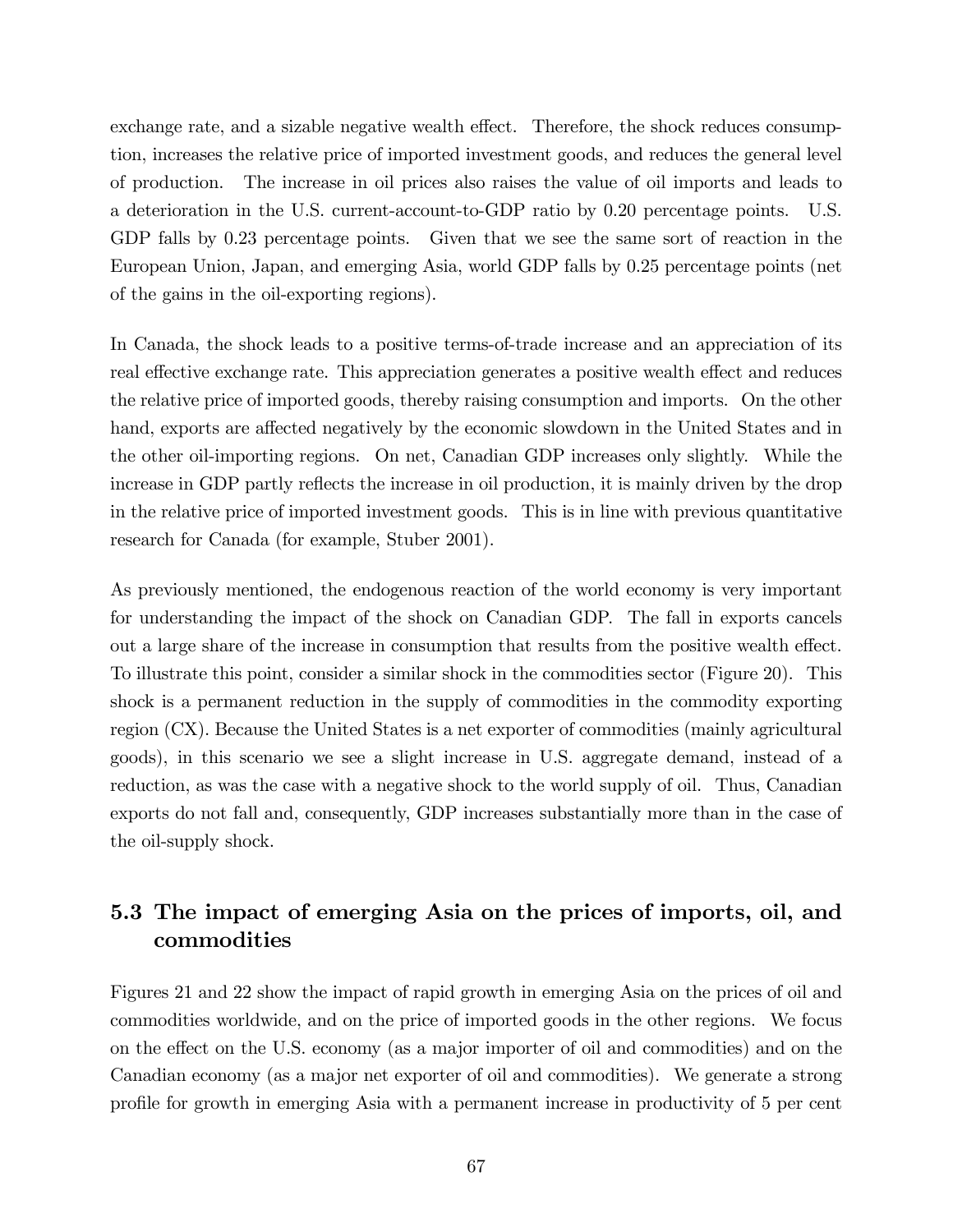exchange rate, and a sizable negative wealth effect. Therefore, the shock reduces consumption, increases the relative price of imported investment goods, and reduces the general level of production. The increase in oil prices also raises the value of oil imports and leads to a deterioration in the U.S. current-account-to-GDP ratio by 0.20 percentage points. U.S. GDP falls by 0.23 percentage points. Given that we see the same sort of reaction in the European Union, Japan, and emerging Asia, world GDP falls by 0.25 percentage points (net of the gains in the oil-exporting regions).

In Canada, the shock leads to a positive terms-of-trade increase and an appreciation of its real effective exchange rate. This appreciation generates a positive wealth effect and reduces the relative price of imported goods, thereby raising consumption and imports. On the other hand, exports are affected negatively by the economic slowdown in the United States and in the other oil-importing regions. On net, Canadian GDP increases only slightly. While the increase in GDP partly reflects the increase in oil production, it is mainly driven by the drop in the relative price of imported investment goods. This is in line with previous quantitative research for Canada (for example, Stuber 2001).

As previously mentioned, the endogenous reaction of the world economy is very important for understanding the impact of the shock on Canadian GDP. The fall in exports cancels out a large share of the increase in consumption that results from the positive wealth effect. To illustrate this point, consider a similar shock in the commodities sector (Figure 20). This shock is a permanent reduction in the supply of commodities in the commodity exporting region (CX). Because the United States is a net exporter of commodities (mainly agricultural goods), in this scenario we see a slight increase in U.S. aggregate demand, instead of a reduction, as was the case with a negative shock to the world supply of oil. Thus, Canadian exports do not fall and, consequently, GDP increases substantially more than in the case of the oil-supply shock.

## 5.3 The impact of emerging Asia on the prices of imports, oil, and commodities

Figures 21 and 22 show the impact of rapid growth in emerging Asia on the prices of oil and commodities worldwide, and on the price of imported goods in the other regions. We focus on the effect on the U.S. economy (as a major importer of oil and commodities) and on the Canadian economy (as a major net exporter of oil and commodities). We generate a strong profile for growth in emerging Asia with a permanent increase in productivity of 5 per cent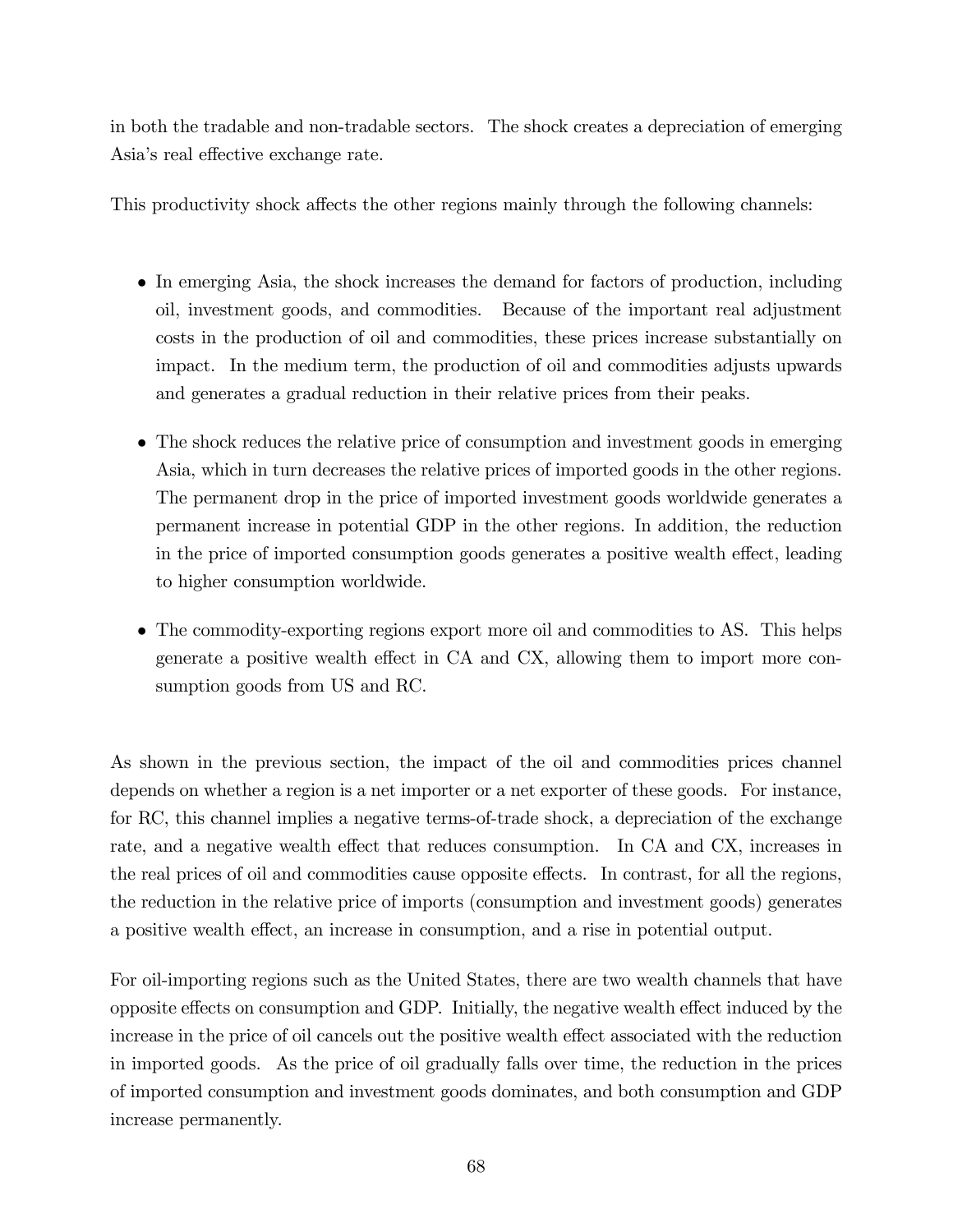in both the tradable and non-tradable sectors. The shock creates a depreciation of emerging Asia's real effective exchange rate.

This productivity shock affects the other regions mainly through the following channels:

- In emerging Asia, the shock increases the demand for factors of production, including oil, investment goods, and commodities. Because of the important real adjustment costs in the production of oil and commodities, these prices increase substantially on impact. In the medium term, the production of oil and commodities adjusts upwards and generates a gradual reduction in their relative prices from their peaks.
- The shock reduces the relative price of consumption and investment goods in emerging Asia, which in turn decreases the relative prices of imported goods in the other regions. The permanent drop in the price of imported investment goods worldwide generates a permanent increase in potential GDP in the other regions. In addition, the reduction in the price of imported consumption goods generates a positive wealth effect, leading to higher consumption worldwide.
- The commodity-exporting regions export more oil and commodities to AS. This helps generate a positive wealth effect in CA and CX, allowing them to import more consumption goods from US and RC.

As shown in the previous section, the impact of the oil and commodities prices channel depends on whether a region is a net importer or a net exporter of these goods. For instance, for RC, this channel implies a negative terms-of-trade shock, a depreciation of the exchange rate, and a negative wealth effect that reduces consumption. In CA and CX, increases in the real prices of oil and commodities cause opposite effects. In contrast, for all the regions, the reduction in the relative price of imports (consumption and investment goods) generates a positive wealth effect, an increase in consumption, and a rise in potential output.

For oil-importing regions such as the United States, there are two wealth channels that have opposite effects on consumption and GDP. Initially, the negative wealth effect induced by the increase in the price of oil cancels out the positive wealth effect associated with the reduction in imported goods. As the price of oil gradually falls over time, the reduction in the prices of imported consumption and investment goods dominates, and both consumption and GDP increase permanently.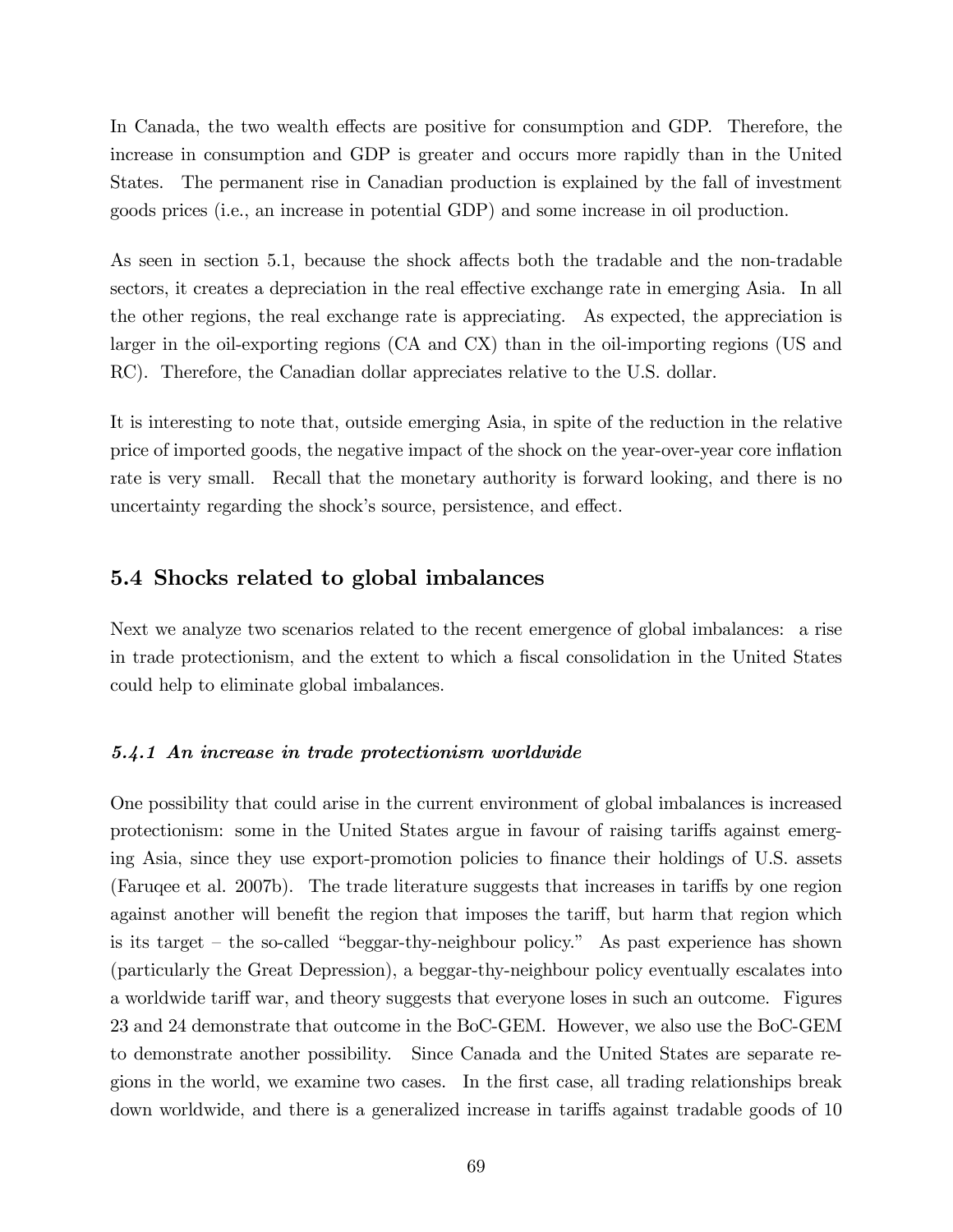In Canada, the two wealth effects are positive for consumption and GDP. Therefore, the increase in consumption and GDP is greater and occurs more rapidly than in the United States. The permanent rise in Canadian production is explained by the fall of investment goods prices (i.e., an increase in potential GDP) and some increase in oil production.

As seen in section 5.1, because the shock affects both the tradable and the non-tradable sectors, it creates a depreciation in the real effective exchange rate in emerging Asia. In all the other regions, the real exchange rate is appreciating. As expected, the appreciation is larger in the oil-exporting regions (CA and CX) than in the oil-importing regions (US and RC). Therefore, the Canadian dollar appreciates relative to the U.S. dollar.

It is interesting to note that, outside emerging Asia, in spite of the reduction in the relative price of imported goods, the negative impact of the shock on the year-over-year core ináation rate is very small. Recall that the monetary authority is forward looking, and there is no uncertainty regarding the shock's source, persistence, and effect.

#### 5.4 Shocks related to global imbalances

Next we analyze two scenarios related to the recent emergence of global imbalances: a rise in trade protectionism, and the extent to which a fiscal consolidation in the United States could help to eliminate global imbalances.

#### 5.4.1 An increase in trade protectionism worldwide

One possibility that could arise in the current environment of global imbalances is increased protectionism: some in the United States argue in favour of raising tariffs against emerging Asia, since they use export-promotion policies to finance their holdings of U.S. assets (Faruqee et al. 2007b). The trade literature suggests that increases in tariffs by one region against another will benefit the region that imposes the tariff, but harm that region which is its target  $-$  the so-called "beggar-thy-neighbour policy." As past experience has shown (particularly the Great Depression), a beggar-thy-neighbour policy eventually escalates into a worldwide tariff war, and theory suggests that everyone loses in such an outcome. Figures 23 and 24 demonstrate that outcome in the BoC-GEM. However, we also use the BoC-GEM to demonstrate another possibility. Since Canada and the United States are separate regions in the world, we examine two cases. In the Örst case, all trading relationships break down worldwide, and there is a generalized increase in tariffs against tradable goods of 10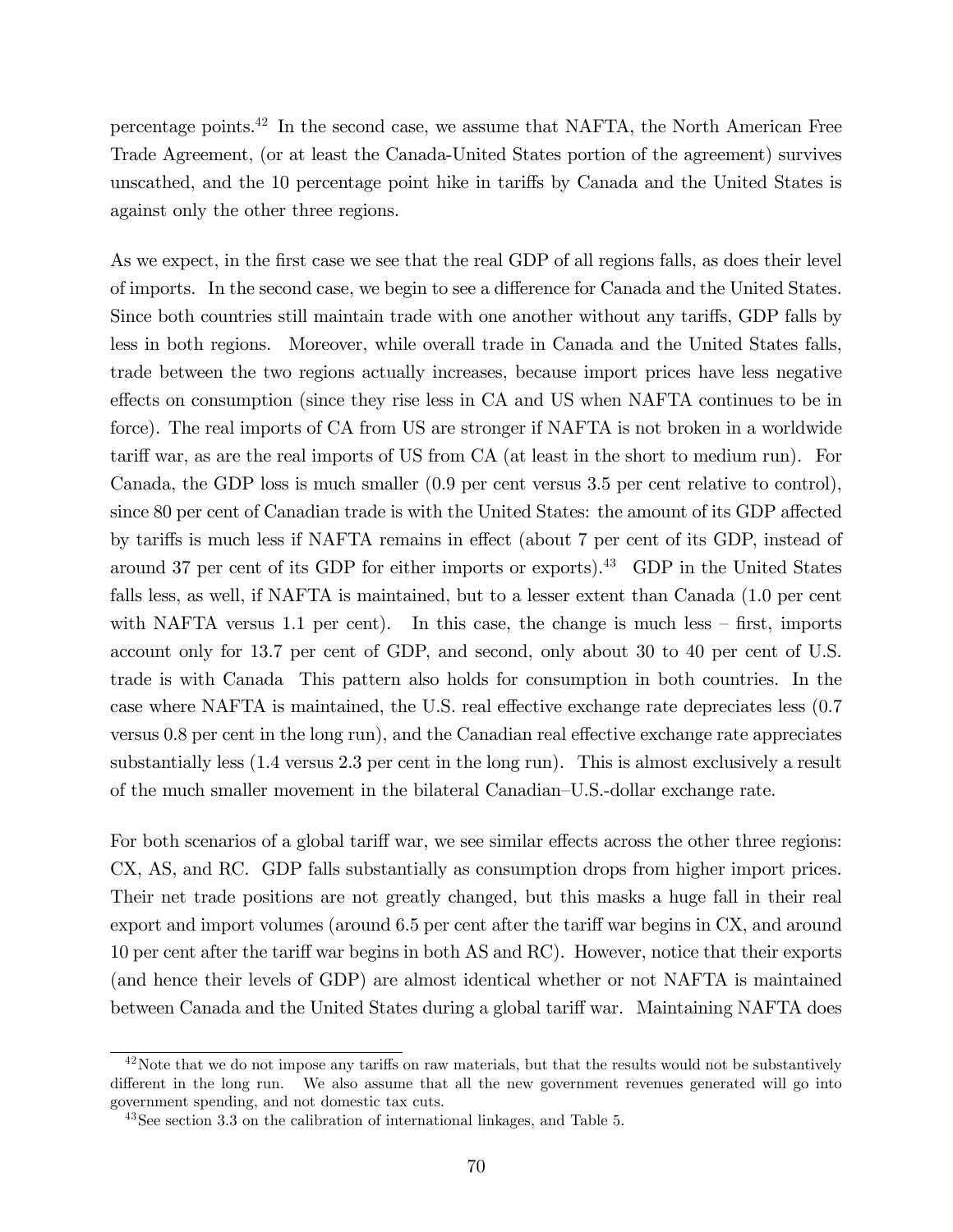percentage points.<sup>42</sup> In the second case, we assume that NAFTA, the North American Free Trade Agreement, (or at least the Canada-United States portion of the agreement) survives unscathed, and the 10 percentage point hike in tariffs by Canada and the United States is against only the other three regions.

As we expect, in the first case we see that the real GDP of all regions falls, as does their level of imports. In the second case, we begin to see a difference for Canada and the United States. Since both countries still maintain trade with one another without any tariffs, GDP falls by less in both regions. Moreover, while overall trade in Canada and the United States falls, trade between the two regions actually increases, because import prices have less negative effects on consumption (since they rise less in CA and US when NAFTA continues to be in force). The real imports of CA from US are stronger if NAFTA is not broken in a worldwide tariff war, as are the real imports of US from CA (at least in the short to medium run). For Canada, the GDP loss is much smaller (0.9 per cent versus 3.5 per cent relative to control), since 80 per cent of Canadian trade is with the United States: the amount of its GDP affected by tariffs is much less if NAFTA remains in effect (about 7 per cent of its GDP, instead of around 37 per cent of its GDP for either imports or exports).<sup>43</sup> GDP in the United States falls less, as well, if NAFTA is maintained, but to a lesser extent than Canada (1.0 per cent with NAFTA versus 1.1 per cent). In this case, the change is much less  $-$  first, imports account only for 13.7 per cent of GDP, and second, only about 30 to 40 per cent of U.S. trade is with Canada This pattern also holds for consumption in both countries. In the case where NAFTA is maintained, the U.S. real effective exchange rate depreciates less  $(0.7)$ versus  $0.8$  per cent in the long run), and the Canadian real effective exchange rate appreciates substantially less (1.4 versus 2.3 per cent in the long run). This is almost exclusively a result of the much smaller movement in the bilateral Canadian–U.S.-dollar exchange rate.

For both scenarios of a global tariff war, we see similar effects across the other three regions: CX, AS, and RC. GDP falls substantially as consumption drops from higher import prices. Their net trade positions are not greatly changed, but this masks a huge fall in their real export and import volumes (around  $6.5$  per cent after the tariff war begins in CX, and around 10 per cent after the tariff war begins in both AS and RC). However, notice that their exports (and hence their levels of GDP) are almost identical whether or not NAFTA is maintained between Canada and the United States during a global tariff war. Maintaining NAFTA does

 $42$ Note that we do not impose any tariffs on raw materials, but that the results would not be substantively different in the long run. We also assume that all the new government revenues generated will go into government spending, and not domestic tax cuts.

<sup>43</sup>See section 3.3 on the calibration of international linkages, and Table 5.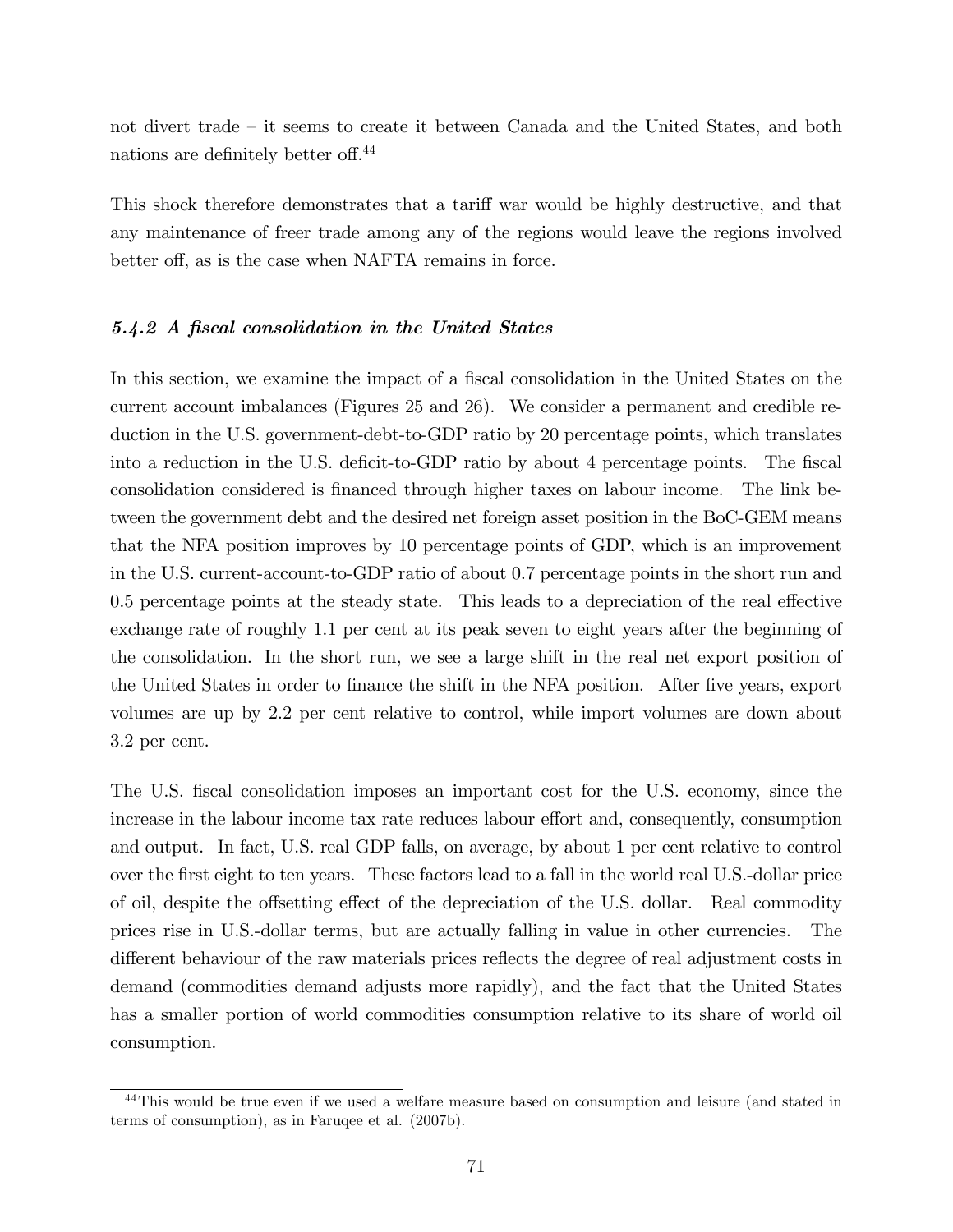not divert trade  $\overline{\phantom{a}}$  it seems to create it between Canada and the United States, and both nations are definitely better off.<sup>44</sup>

This shock therefore demonstrates that a tariff war would be highly destructive, and that any maintenance of freer trade among any of the regions would leave the regions involved better off, as is the case when NAFTA remains in force.

#### 5.4.2 A fiscal consolidation in the United States

In this section, we examine the impact of a fiscal consolidation in the United States on the current account imbalances (Figures 25 and 26). We consider a permanent and credible reduction in the U.S. government-debt-to-GDP ratio by 20 percentage points, which translates into a reduction in the U.S. deficit-to-GDP ratio by about 4 percentage points. The fiscal consolidation considered is financed through higher taxes on labour income. The link between the government debt and the desired net foreign asset position in the BoC-GEM means that the NFA position improves by 10 percentage points of GDP, which is an improvement in the U.S. current-account-to-GDP ratio of about 0.7 percentage points in the short run and  $0.5$  percentage points at the steady state. This leads to a depreciation of the real effective exchange rate of roughly 1.1 per cent at its peak seven to eight years after the beginning of the consolidation. In the short run, we see a large shift in the real net export position of the United States in order to finance the shift in the NFA position. After five years, export volumes are up by 2.2 per cent relative to control, while import volumes are down about 3.2 per cent.

The U.S. fiscal consolidation imposes an important cost for the U.S. economy, since the increase in the labour income tax rate reduces labour effort and, consequently, consumption and output. In fact, U.S. real GDP falls, on average, by about 1 per cent relative to control over the first eight to ten years. These factors lead to a fall in the world real U.S.-dollar price of oil, despite the offsetting effect of the depreciation of the U.S. dollar. Real commodity prices rise in U.S.-dollar terms, but are actually falling in value in other currencies. The different behaviour of the raw materials prices reflects the degree of real adjustment costs in demand (commodities demand adjusts more rapidly), and the fact that the United States has a smaller portion of world commodities consumption relative to its share of world oil consumption.

<sup>&</sup>lt;sup>44</sup>This would be true even if we used a welfare measure based on consumption and leisure (and stated in terms of consumption), as in Faruqee et al. (2007b).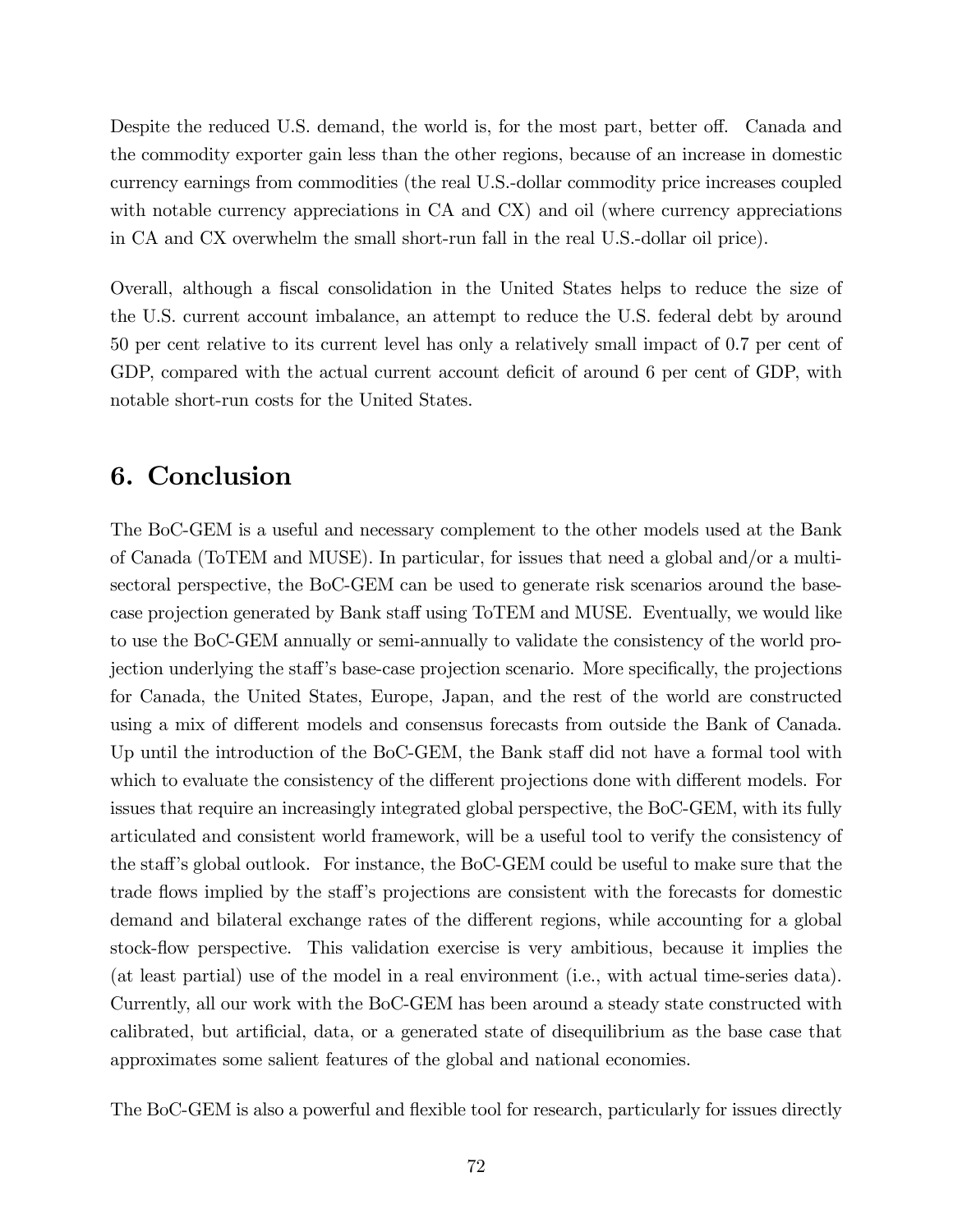Despite the reduced U.S. demand, the world is, for the most part, better off. Canada and the commodity exporter gain less than the other regions, because of an increase in domestic currency earnings from commodities (the real U.S.-dollar commodity price increases coupled with notable currency appreciations in CA and CX) and oil (where currency appreciations in CA and CX overwhelm the small short-run fall in the real U.S.-dollar oil price).

Overall, although a fiscal consolidation in the United States helps to reduce the size of the U.S. current account imbalance, an attempt to reduce the U.S. federal debt by around 50 per cent relative to its current level has only a relatively small impact of 0.7 per cent of GDP, compared with the actual current account deficit of around 6 per cent of GDP, with notable short-run costs for the United States.

## 6. Conclusion

The BoC-GEM is a useful and necessary complement to the other models used at the Bank of Canada (ToTEM and MUSE). In particular, for issues that need a global and/or a multisectoral perspective, the BoC-GEM can be used to generate risk scenarios around the basecase projection generated by Bank staff using ToTEM and MUSE. Eventually, we would like to use the BoC-GEM annually or semi-annually to validate the consistency of the world projection underlying the staff's base-case projection scenario. More specifically, the projections for Canada, the United States, Europe, Japan, and the rest of the world are constructed using a mix of different models and consensus forecasts from outside the Bank of Canada. Up until the introduction of the BoC-GEM, the Bank staff did not have a formal tool with which to evaluate the consistency of the different projections done with different models. For issues that require an increasingly integrated global perspective, the BoC-GEM, with its fully articulated and consistent world framework, will be a useful tool to verify the consistency of the staff's global outlook. For instance, the BoC-GEM could be useful to make sure that the trade flows implied by the staff's projections are consistent with the forecasts for domestic demand and bilateral exchange rates of the different regions, while accounting for a global stock-flow perspective. This validation exercise is very ambitious, because it implies the (at least partial) use of the model in a real environment (i.e., with actual time-series data). Currently, all our work with the BoC-GEM has been around a steady state constructed with calibrated, but artificial, data, or a generated state of disequilibrium as the base case that approximates some salient features of the global and national economies.

The BoC-GEM is also a powerful and flexible tool for research, particularly for issues directly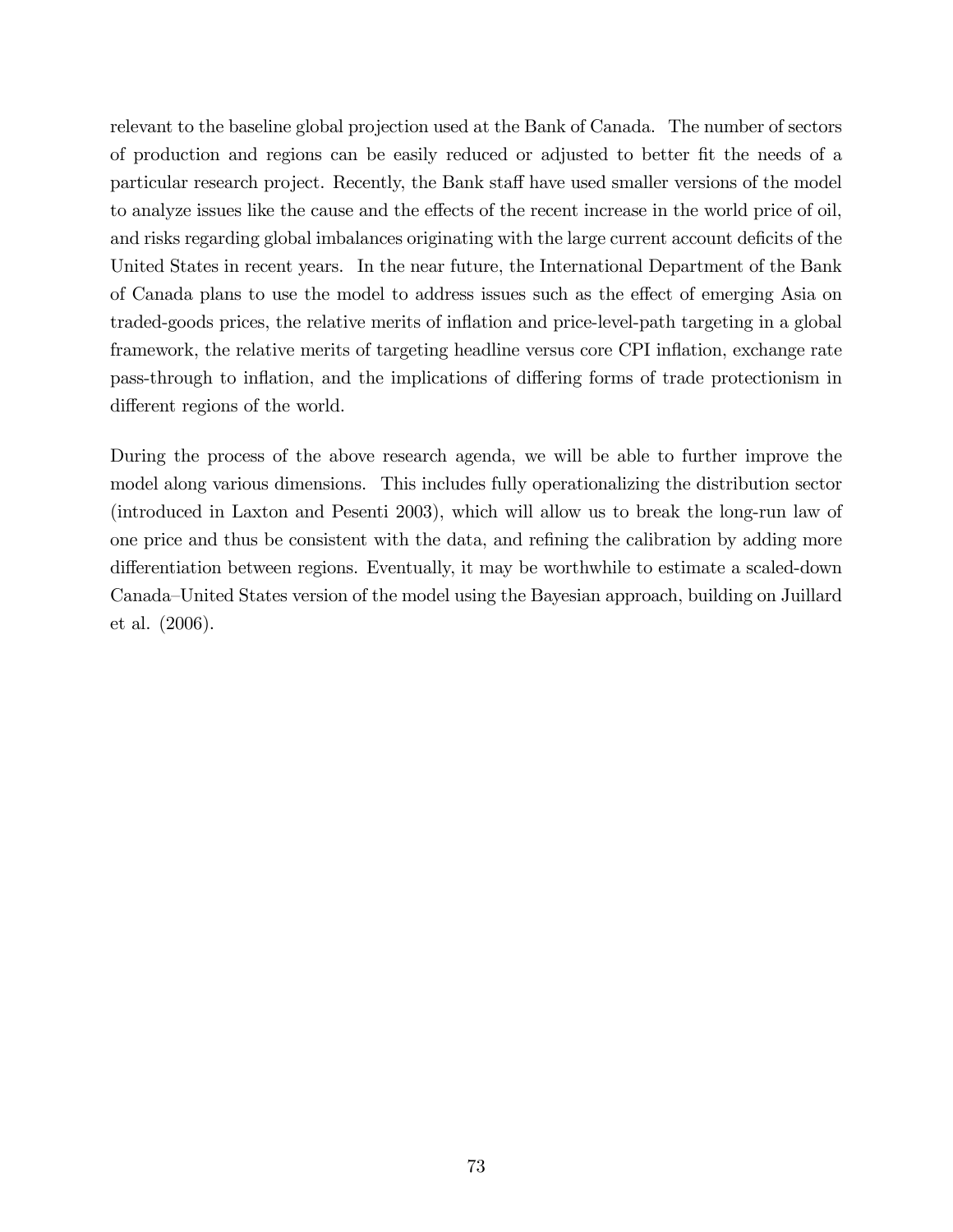relevant to the baseline global projection used at the Bank of Canada. The number of sectors of production and regions can be easily reduced or adjusted to better Öt the needs of a particular research project. Recently, the Bank staff have used smaller versions of the model to analyze issues like the cause and the effects of the recent increase in the world price of oil, and risks regarding global imbalances originating with the large current account deficits of the United States in recent years. In the near future, the International Department of the Bank of Canada plans to use the model to address issues such as the effect of emerging Asia on traded-goods prices, the relative merits of ináation and price-level-path targeting in a global framework, the relative merits of targeting headline versus core CPI inflation, exchange rate pass-through to inflation, and the implications of differing forms of trade protectionism in different regions of the world.

During the process of the above research agenda, we will be able to further improve the model along various dimensions. This includes fully operationalizing the distribution sector (introduced in Laxton and Pesenti 2003), which will allow us to break the long-run law of one price and thus be consistent with the data, and refining the calibration by adding more differentiation between regions. Eventually, it may be worthwhile to estimate a scaled-down Canada–United States version of the model using the Bayesian approach, building on Juillard et al. (2006).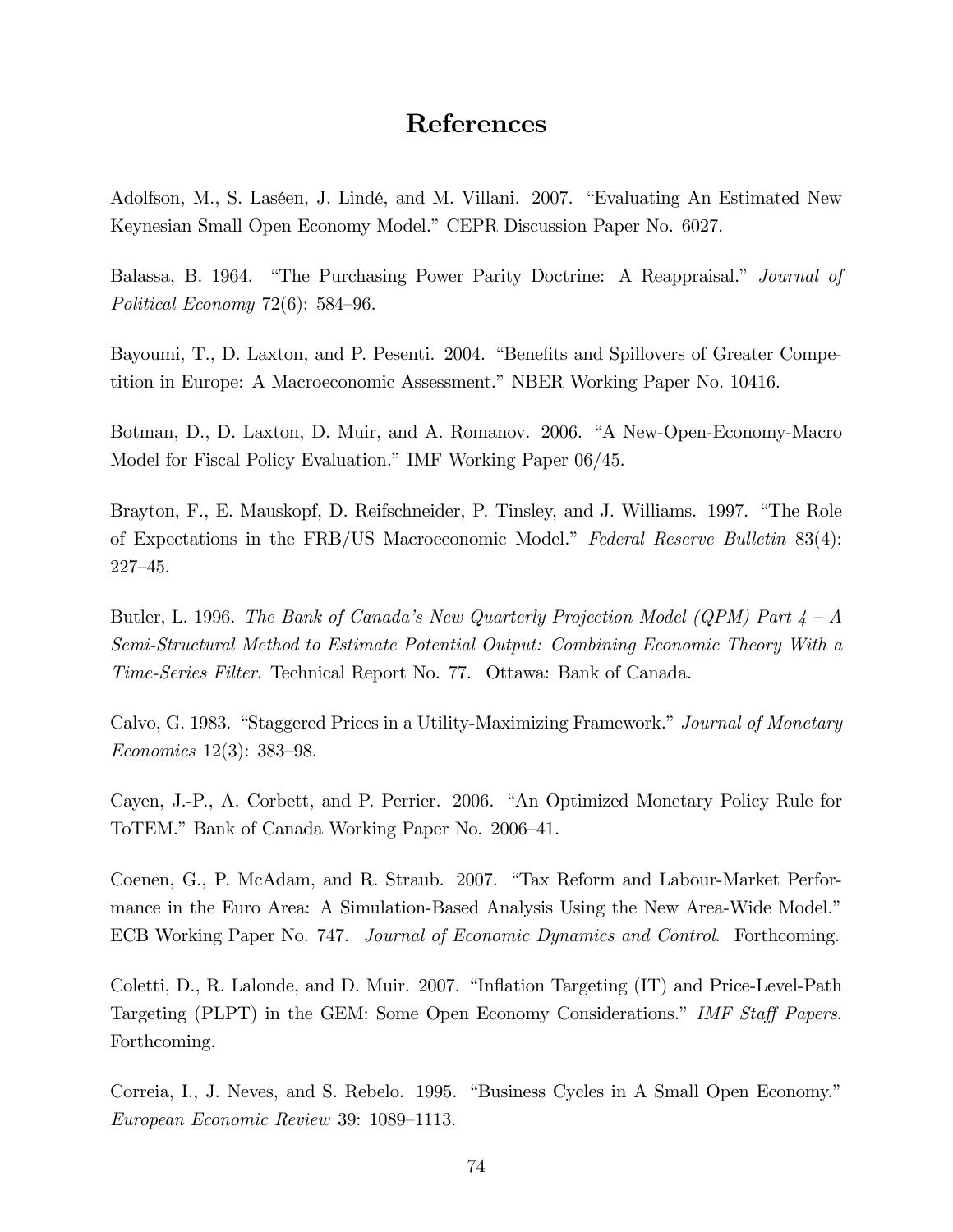## References

Adolfson, M., S. Laséen, J. Lindé, and M. Villani. 2007. "Evaluating An Estimated New Keynesian Small Open Economy Model." CEPR Discussion Paper No. 6027.

Balassa, B. 1964. "The Purchasing Power Parity Doctrine: A Reappraisal." Journal of Political Economy  $72(6)$ : 584-96.

Bayoumi, T., D. Laxton, and P. Pesenti. 2004. "Benefits and Spillovers of Greater Competition in Europe: A Macroeconomic Assessment." NBER Working Paper No. 10416.

Botman, D., D. Laxton, D. Muir, and A. Romanov. 2006. "A New-Open-Economy-Macro" Model for Fiscal Policy Evaluation." IMF Working Paper 06/45.

Brayton, F., E. Mauskopf, D. Reifschneider, P. Tinsley, and J. Williams. 1997. "The Role of Expectations in the FRB/US Macroeconomic Model." Federal Reserve Bulletin 83(4):  $227 - 45.$ 

Butler, L. 1996. The Bank of Canada's New Quarterly Projection Model (QPM) Part  $\lambda - A$ Semi-Structural Method to Estimate Potential Output: Combining Economic Theory With a *Time-Series Filter.* Technical Report No. 77. Ottawa: Bank of Canada.

Calvo, G. 1983. "Staggered Prices in a Utility-Maximizing Framework." Journal of Monetary *Economics* 12(3): 383–98.

Cayen, J.-P., A. Corbett, and P. Perrier. 2006. "An Optimized Monetary Policy Rule for ToTEM." Bank of Canada Working Paper No. 2006-41.

Coenen, G., P. McAdam, and R. Straub. 2007. "Tax Reform and Labour-Market Performance in the Euro Area: A Simulation-Based Analysis Using the New Area-Wide Model." ECB Working Paper No. 747. Journal of Economic Dynamics and Control. Forthcoming.

Coletti, D., R. Lalonde, and D. Muir. 2007. "Inflation Targeting (IT) and Price-Level-Path Targeting (PLPT) in the GEM: Some Open Economy Considerations." IMF Staff Papers. Forthcoming.

Correia, I., J. Neves, and S. Rebelo. 1995. "Business Cycles in A Small Open Economy." European Economic Review 39: 1089–1113.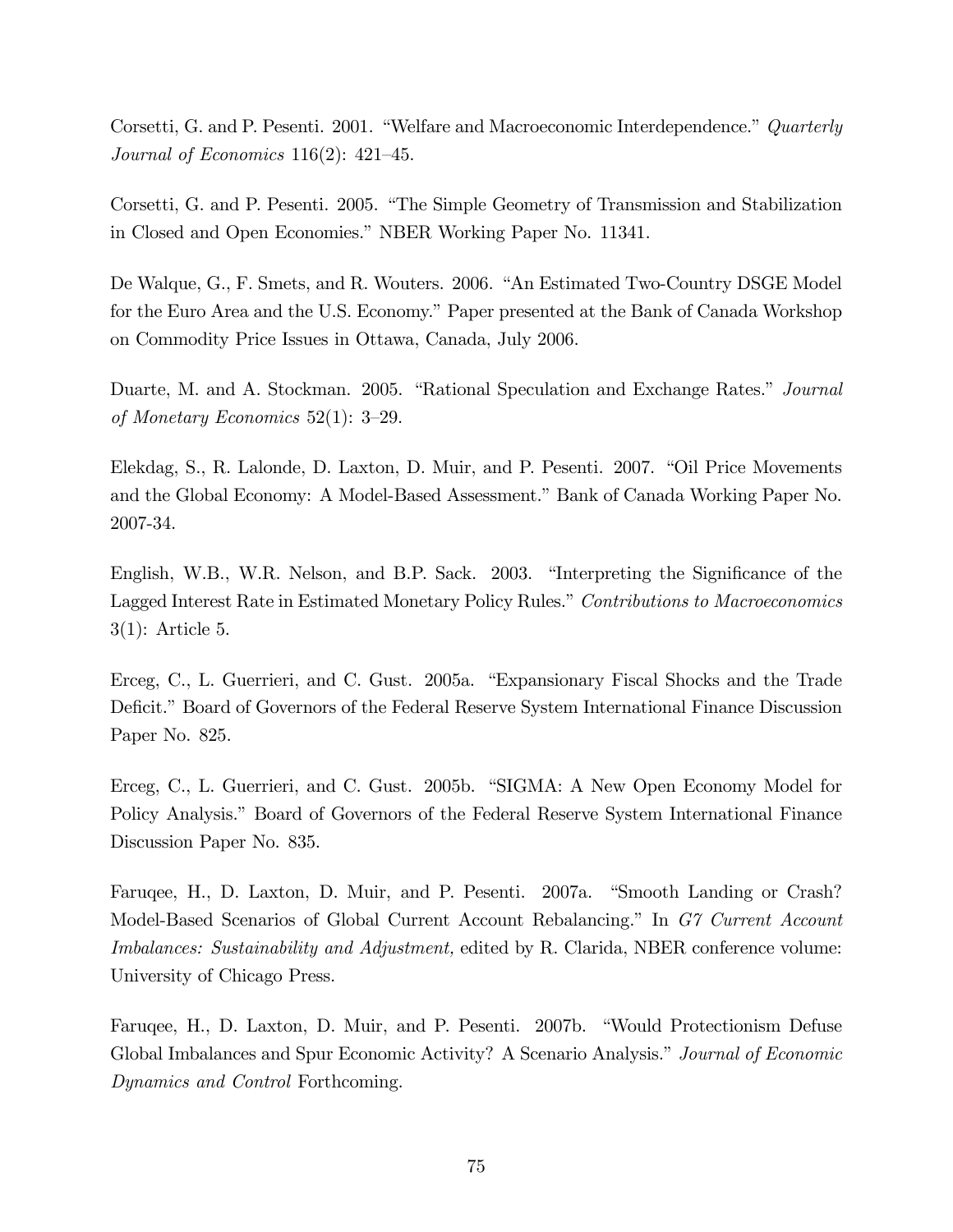Corsetti, G. and P. Pesenti. 2001. "Welfare and Macroeconomic Interdependence." Quarterly Journal of Economics  $116(2)$ :  $421-45$ .

Corsetti, G. and P. Pesenti. 2005. "The Simple Geometry of Transmission and Stabilization" in Closed and Open Economies." NBER Working Paper No. 11341.

De Walque, G., F. Smets, and R. Wouters. 2006. "An Estimated Two-Country DSGE Model for the Euro Area and the U.S. Economy." Paper presented at the Bank of Canada Workshop on Commodity Price Issues in Ottawa, Canada, July 2006.

Duarte, M. and A. Stockman. 2005. "Rational Speculation and Exchange Rates." Journal of Monetary Economics 52(1):  $3-29$ .

Elekdag, S., R. Lalonde, D. Laxton, D. Muir, and P. Pesenti. 2007. "Oil Price Movements and the Global Economy: A Model-Based Assessment." Bank of Canada Working Paper No. 2007-34.

English, W.B., W.R. Nelson, and B.P. Sack. 2003. "Interpreting the Significance of the Lagged Interest Rate in Estimated Monetary Policy Rules." Contributions to Macroeconomics  $3(1)$ : Article 5.

Erceg, C., L. Guerrieri, and C. Gust. 2005a. "Expansionary Fiscal Shocks and the Trade Deficit." Board of Governors of the Federal Reserve System International Finance Discussion Paper No. 825.

Erceg, C., L. Guerrieri, and C. Gust. 2005b. "SIGMA: A New Open Economy Model for Policy Analysis." Board of Governors of the Federal Reserve System International Finance Discussion Paper No. 835.

Faruqee, H., D. Laxton, D. Muir, and P. Pesenti. 2007a. "Smooth Landing or Crash? Model-Based Scenarios of Global Current Account Rebalancing." In G7 Current Account *Imbalances: Sustainability and Adjustment,* edited by R. Clarida, NBER conference volume: University of Chicago Press.

Faruqee, H., D. Laxton, D. Muir, and P. Pesenti. 2007b. "Would Protectionism Defuse Global Imbalances and Spur Economic Activity? A Scenario Analysis." Journal of Economic Dynamics and Control Forthcoming.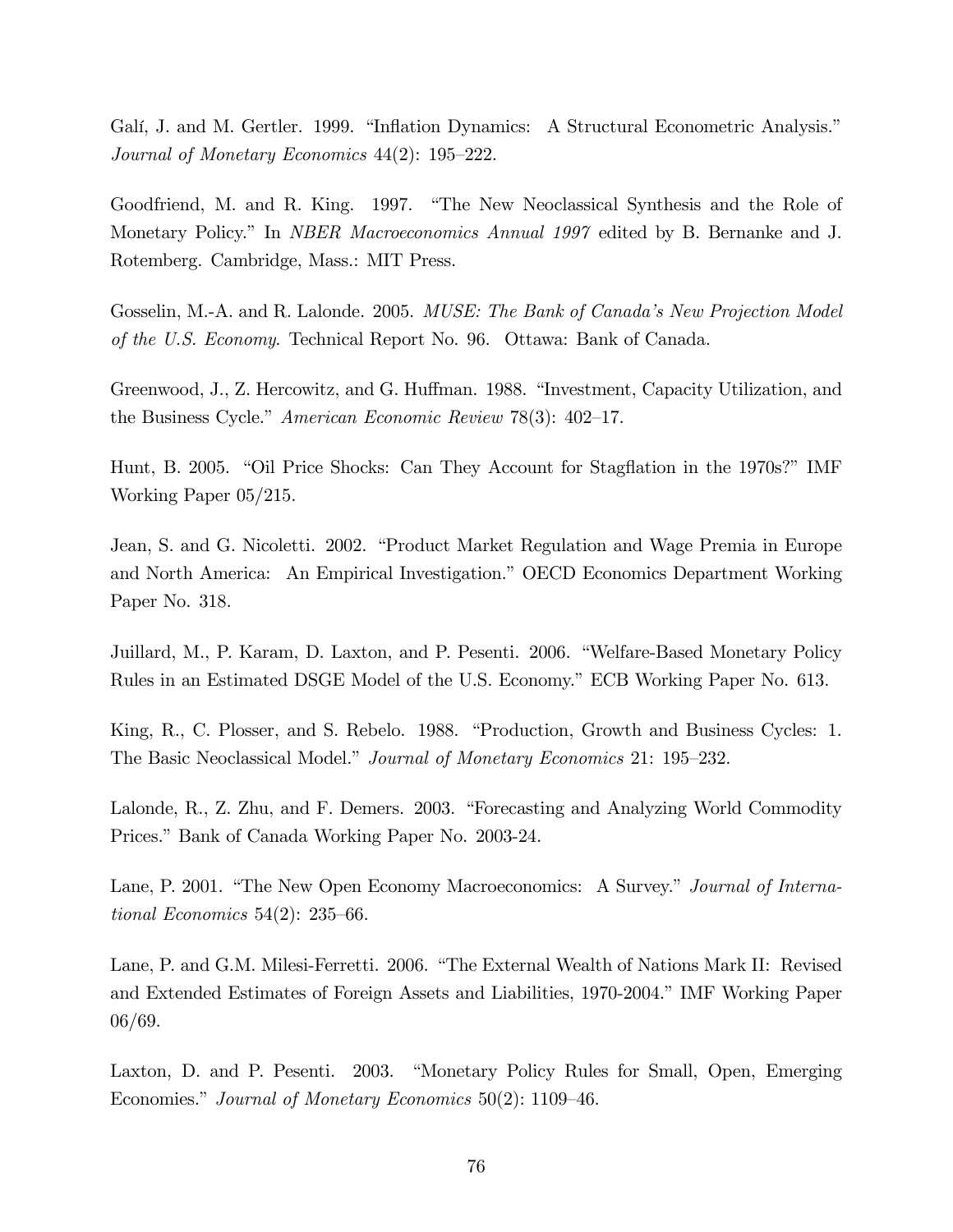Galí, J. and M. Gertler. 1999. "Inflation Dynamics: A Structural Econometric Analysis." Journal of Monetary Economics  $44(2)$ : 195-222.

Goodfriend, M. and R. King. 1997. "The New Neoclassical Synthesis and the Role of Monetary Policy." In *NBER Macroeconomics Annual 1997* edited by B. Bernanke and J. Rotemberg. Cambridge, Mass.: MIT Press.

Gosselin, M.-A. and R. Lalonde. 2005. MUSE: The Bank of Canada's New Projection Model of the U.S. Economy. Technical Report No. 96. Ottawa: Bank of Canada.

Greenwood, J., Z. Hercowitz, and G. Huffman. 1988. "Investment, Capacity Utilization, and the Business Cycle." American Economic Review 78(3):  $402-17$ .

Hunt, B. 2005. "Oil Price Shocks: Can They Account for Stagflation in the 1970s?" IMF Working Paper  $05/215$ .

Jean, S. and G. Nicoletti. 2002. "Product Market Regulation and Wage Premia in Europe and North America: An Empirical Investigation." OECD Economics Department Working Paper No. 318.

Juillard, M., P. Karam, D. Laxton, and P. Pesenti. 2006. "Welfare-Based Monetary Policy Rules in an Estimated DSGE Model of the U.S. Economy." ECB Working Paper No. 613.

King, R., C. Plosser, and S. Rebelo. 1988. "Production, Growth and Business Cycles: 1. The Basic Neoclassical Model." Journal of Monetary Economics 21: 195–232.

Lalonde, R., Z. Zhu, and F. Demers. 2003. "Forecasting and Analyzing World Commodity Prices." Bank of Canada Working Paper No. 2003-24.

Lane, P. 2001. "The New Open Economy Macroeconomics: A Survey." Journal of Interna*tional Economics* 54(2): 235–66.

Lane, P. and G.M. Milesi-Ferretti. 2006. "The External Wealth of Nations Mark II: Revised and Extended Estimates of Foreign Assets and Liabilities, 1970-2004." IMF Working Paper  $06/69.$ 

Laxton, D. and P. Pesenti. 2003. "Monetary Policy Rules for Small, Open, Emerging Economies." Journal of Monetary Economics  $50(2)$ : 1109–46.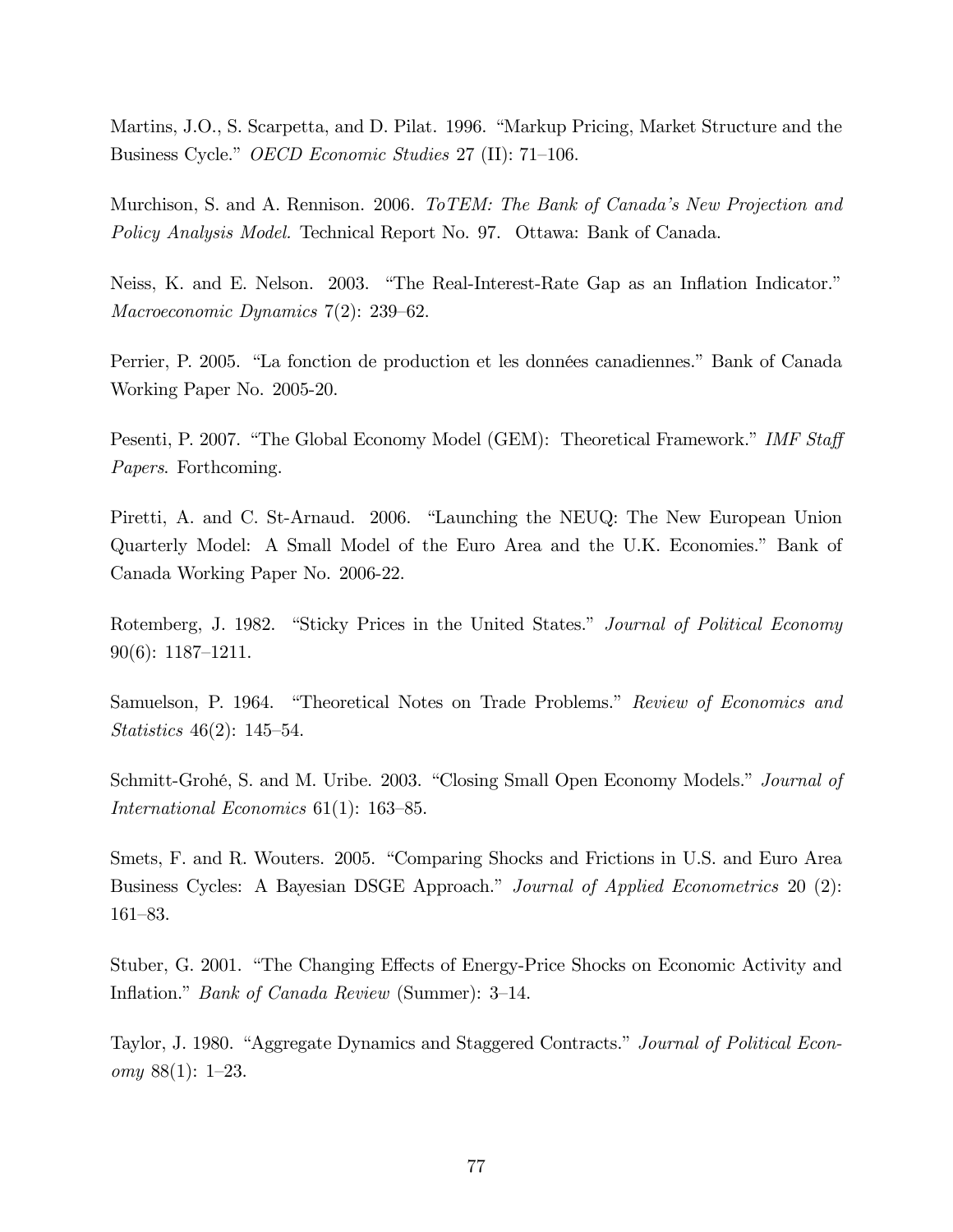Martins, J.O., S. Scarpetta, and D. Pilat. 1996. "Markup Pricing, Market Structure and the Business Cycle." *OECD Economic Studies* 27 (II): 71–106.

Murchison, S. and A. Rennison. 2006. ToTEM: The Bank of Canada's New Projection and *Policy Analysis Model.* Technical Report No. 97. Ottawa: Bank of Canada.

Neiss, K. and E. Nelson. 2003. "The Real-Interest-Rate Gap as an Inflation Indicator." Macroeconomic Dynamics  $7(2)$ : 239–62.

Perrier, P. 2005. "La fonction de production et les données canadiennes." Bank of Canada Working Paper No. 2005-20.

Pesenti, P. 2007. "The Global Economy Model (GEM): Theoretical Framework." IMF Staff *Papers.* Forthcoming.

Piretti, A. and C. St-Arnaud. 2006. "Launching the NEUQ: The New European Union Quarterly Model: A Small Model of the Euro Area and the U.K. Economies." Bank of Canada Working Paper No. 2006-22.

Rotemberg, J. 1982. "Sticky Prices in the United States." Journal of Political Economy  $90(6): 1187-1211.$ 

Samuelson, P. 1964. "Theoretical Notes on Trade Problems." Review of Economics and *Statistics* 46(2): 145–54.

Schmitt-Grohé, S. and M. Uribe. 2003. "Closing Small Open Economy Models." Journal of *International Economics*  $61(1)$ : 163–85.

Smets, F. and R. Wouters. 2005. "Comparing Shocks and Frictions in U.S. and Euro Area Business Cycles: A Bayesian DSGE Approach." Journal of Applied Econometrics 20 (2):  $161 - 83.$ 

Stuber, G. 2001. "The Changing Effects of Energy-Price Shocks on Economic Activity and Inflation." *Bank of Canada Review* (Summer): 3–14.

Taylor, J. 1980. "Aggregate Dynamics and Staggered Contracts." Journal of Political Economy  $88(1)$ : 1-23.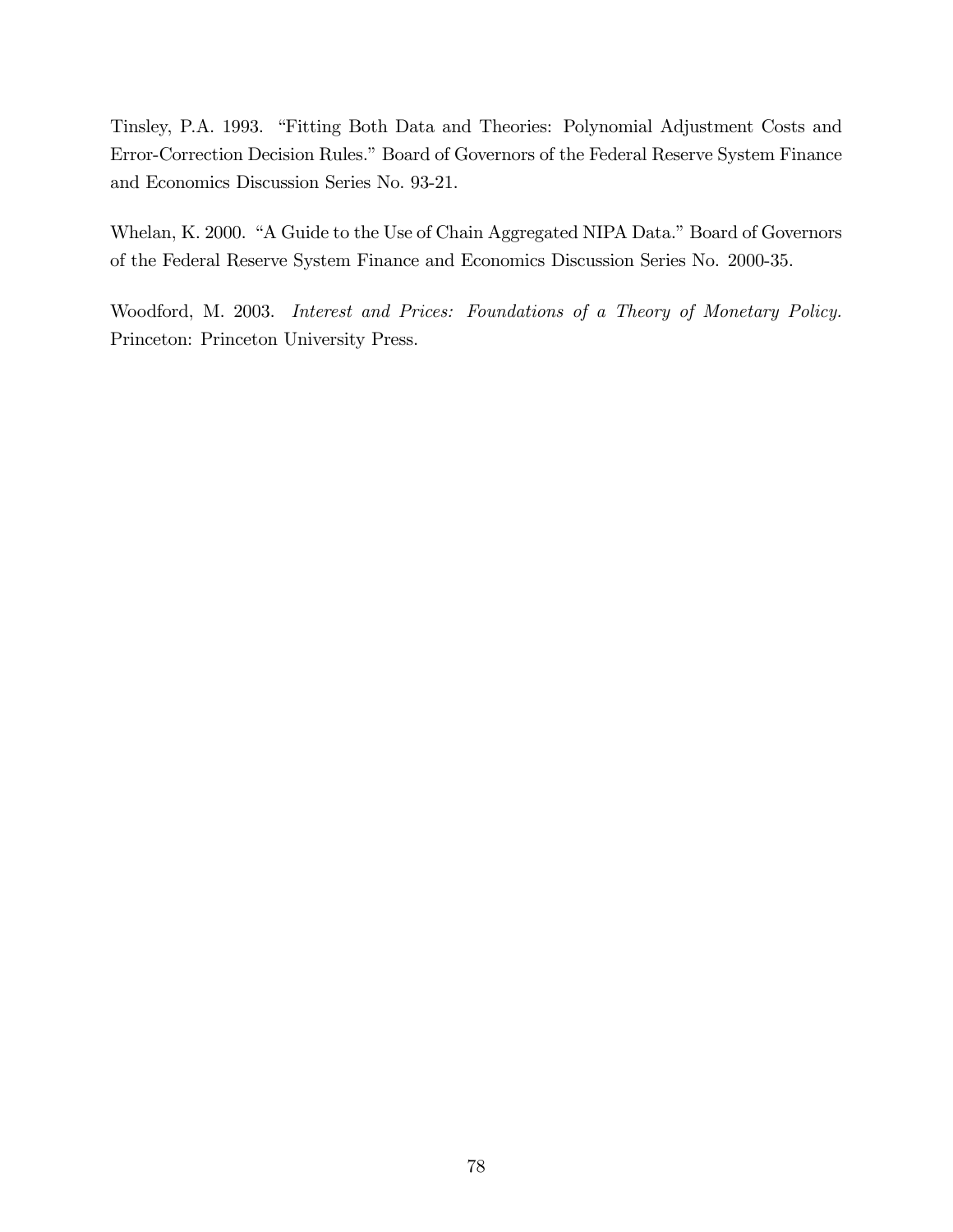Tinsley, P.A. 1993. "Fitting Both Data and Theories: Polynomial Adjustment Costs and Error-Correction Decision Rules." Board of Governors of the Federal Reserve System Finance and Economics Discussion Series No. 93-21.

Whelan, K. 2000. "A Guide to the Use of Chain Aggregated NIPA Data." Board of Governors of the Federal Reserve System Finance and Economics Discussion Series No. 2000-35.

Woodford, M. 2003. Interest and Prices: Foundations of a Theory of Monetary Policy. Princeton: Princeton University Press.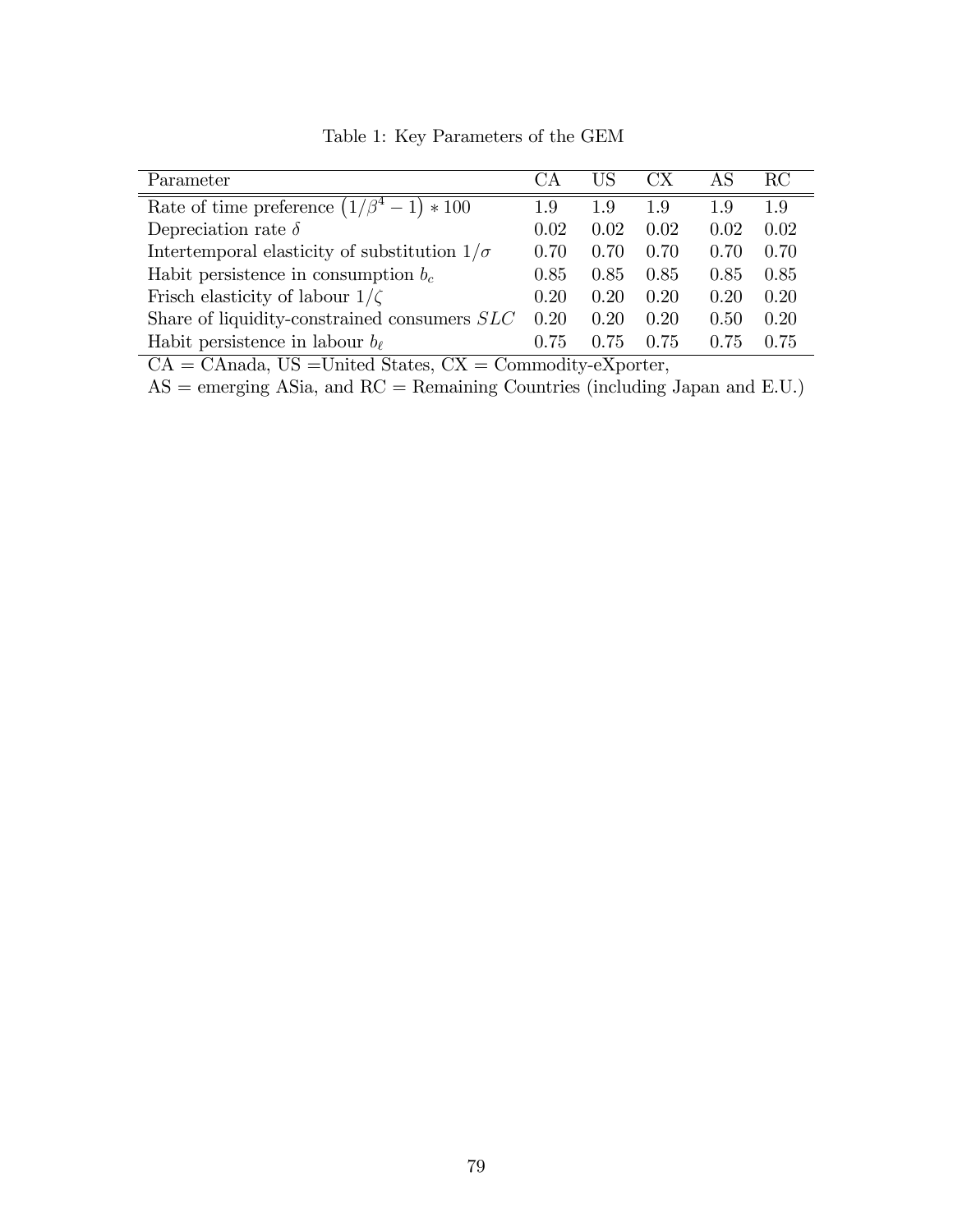| Parameter                                                  |      | US   | $\mathbf{C} \mathbf{X}$ | AS   | RC.  |
|------------------------------------------------------------|------|------|-------------------------|------|------|
| Rate of time preference $\left(1/\beta^4 - 1\right) * 100$ | 1.9  | 1.9  | 1.9                     | 1.9  | 1.9  |
| Depreciation rate $\delta$                                 | 0.02 | 0.02 | 0.02                    | 0.02 | 0.02 |
| Intertemporal elasticity of substitution $1/\sigma$        | 0.70 | 0.70 | 0.70                    | 0.70 | 0.70 |
| Habit persistence in consumption $b_c$                     | 0.85 | 0.85 | 0.85                    | 0.85 | 0.85 |
| Frisch elasticity of labour $1/\zeta$                      | 0.20 | 0.20 | 0.20                    | 0.20 | 0.20 |
| Share of liquidity-constrained consumers SLC               | 0.20 | 0.20 | 0.20                    | 0.50 | 0.20 |
| Habit persistence in labour $b_{\ell}$                     | 0.75 | 0.75 | 0.75                    | 0.75 | 0.75 |

Table 1: Key Parameters of the GEM

CA = CAnada, US =United States, CX = Commodity-eXporter,

 $AS =$ emerging ASia, and  $RC =$  Remaining Countries (including Japan and E.U.)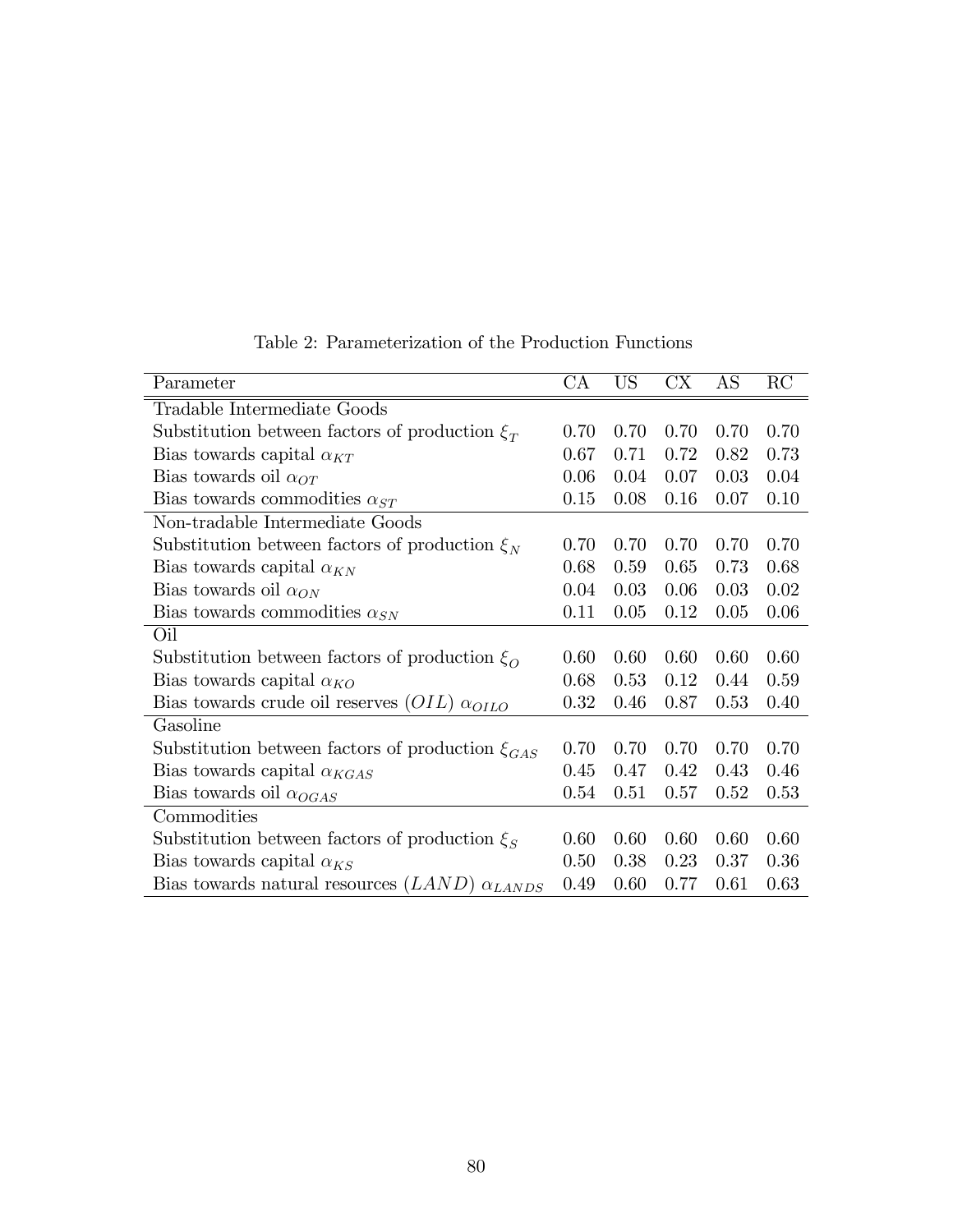| Parameter                                                | CA   | <b>US</b> | CX   | AS   | RC   |
|----------------------------------------------------------|------|-----------|------|------|------|
| Tradable Intermediate Goods                              |      |           |      |      |      |
| Substitution between factors of production $\xi_T$       | 0.70 | 0.70      | 0.70 | 0.70 | 0.70 |
| Bias towards capital $\alpha_{KT}$                       | 0.67 | 0.71      | 0.72 | 0.82 | 0.73 |
| Bias towards oil $\alpha_{OT}$                           | 0.06 | 0.04      | 0.07 | 0.03 | 0.04 |
| Bias towards commodities $\alpha_{ST}$                   | 0.15 | 0.08      | 0.16 | 0.07 | 0.10 |
| Non-tradable Intermediate Goods                          |      |           |      |      |      |
| Substitution between factors of production $\xi_N$       | 0.70 | 0.70      | 0.70 | 0.70 | 0.70 |
| Bias towards capital $\alpha_{KN}$                       | 0.68 | 0.59      | 0.65 | 0.73 | 0.68 |
| Bias towards oil $\alpha_{ON}$                           | 0.04 | 0.03      | 0.06 | 0.03 | 0.02 |
| Bias towards commodities $\alpha_{SN}$                   | 0.11 | 0.05      | 0.12 | 0.05 | 0.06 |
| Oil                                                      |      |           |      |      |      |
| Substitution between factors of production $\xi_0$       | 0.60 | 0.60      | 0.60 | 0.60 | 0.60 |
| Bias towards capital $\alpha_{KO}$                       | 0.68 | 0.53      | 0.12 | 0.44 | 0.59 |
| Bias towards crude oil reserves $(OIL)$ $\alpha_{OILO}$  | 0.32 | 0.46      | 0.87 | 0.53 | 0.40 |
| Gasoline                                                 |      |           |      |      |      |
| Substitution between factors of production $\xi_{GAS}$   | 0.70 | 0.70      | 0.70 | 0.70 | 0.70 |
| Bias towards capital $\alpha_{KGAS}$                     | 0.45 | 0.47      | 0.42 | 0.43 | 0.46 |
| Bias towards oil $\alpha_{OGAS}$                         | 0.54 | 0.51      | 0.57 | 0.52 | 0.53 |
| Commodities                                              |      |           |      |      |      |
| Substitution between factors of production $\xi_S$       | 0.60 | 0.60      | 0.60 | 0.60 | 0.60 |
| Bias towards capital $\alpha_{KS}$                       | 0.50 | 0.38      | 0.23 | 0.37 | 0.36 |
| Bias towards natural resources $(LAND)$ $\alpha_{LANDS}$ | 0.49 | 0.60      | 0.77 | 0.61 | 0.63 |

Table 2: Parameterization of the Production Functions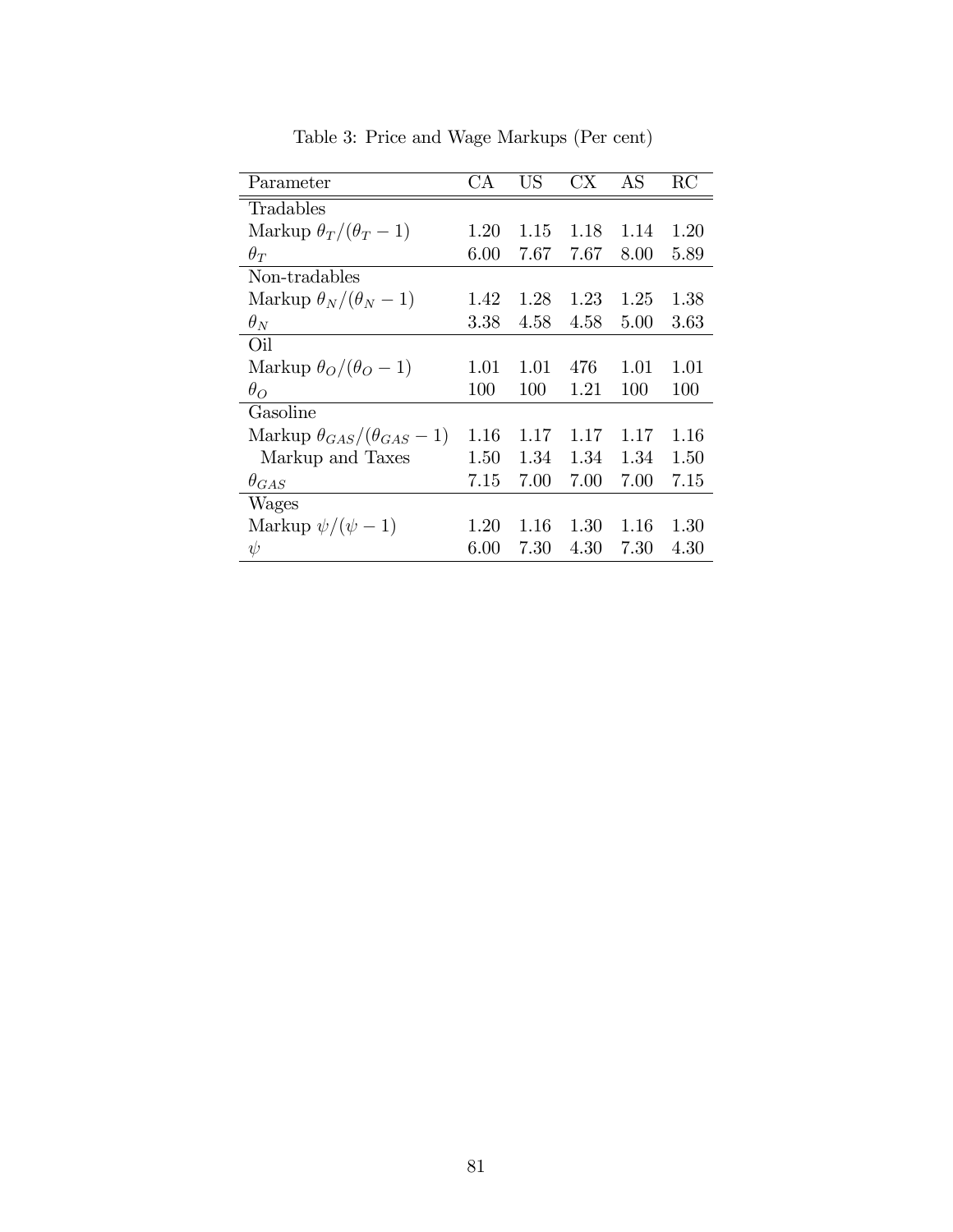| Parameter                                | СA   | US   | CX   | AS   | RC   |
|------------------------------------------|------|------|------|------|------|
| Tradables                                |      |      |      |      |      |
| Markup $\theta_T/(\theta_T-1)$           | 1.20 | 1.15 | 1.18 | 1.14 | 1.20 |
| $\theta_T$                               | 6.00 | 7.67 | 7.67 | 8.00 | 5.89 |
| Non-tradables                            |      |      |      |      |      |
| Markup $\theta_N/(\theta_N-1)$           | 1.42 | 1.28 | 1.23 | 1.25 | 1.38 |
| $\theta_N$                               | 3.38 | 4.58 | 4.58 | 5.00 | 3.63 |
| Oil                                      |      |      |      |      |      |
| Markup $\theta_O/(\theta_O - 1)$         | 1.01 | 1.01 | 476  | 1.01 | 1.01 |
| $\theta_{O}$                             | 100  | 100  | 1.21 | 100  | 100  |
| Gasoline                                 |      |      |      |      |      |
| Markup $\theta_{GAS}/(\theta_{GAS} - 1)$ | 1.16 | 1.17 | 1.17 | 1.17 | 1.16 |
| Markup and Taxes                         | 1.50 | 1.34 | 1.34 | 1.34 | 1.50 |
| $\theta_{GAS}$                           | 7.15 | 7.00 | 7.00 | 7.00 | 7.15 |
| Wages                                    |      |      |      |      |      |
| Markup $\psi/(\psi - 1)$                 | 1.20 | 1.16 | 1.30 | 1.16 | 1.30 |
| $\psi$                                   | 6.00 | 7.30 | 4.30 | 7.30 | 4.30 |

Table 3: Price and Wage Markups (Per cent)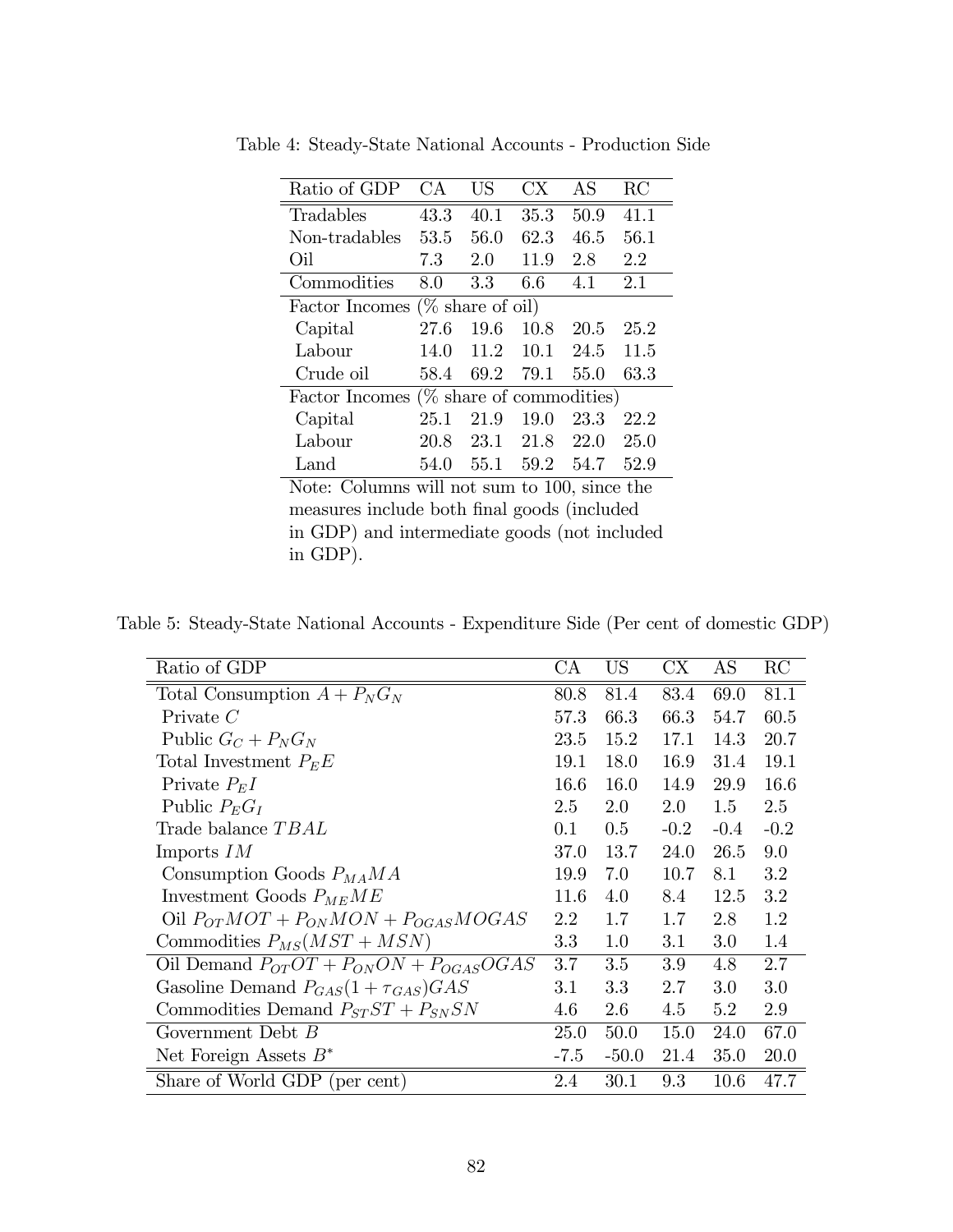| Ratio of GDP                                 | CА   | US   | CX.       | AS   | RC   |
|----------------------------------------------|------|------|-----------|------|------|
| Tradables                                    | 43.3 | 40.1 | 35.3      | 50.9 | 41.1 |
| Non-tradables                                | 53.5 | 56.0 | 62.3      | 46.5 | 56.1 |
| Oil                                          | 7.3  | 2.0  | 11.9      | 2.8  | 2.2  |
| Commodities                                  | 8.0  | 3.3  | 6.6       | 4.1  | 2.1  |
| Factor Incomes ( $\%$ share of oil)          |      |      |           |      |      |
| Capital                                      | 27.6 | 19.6 | 10.8      | 20.5 | 25.2 |
| Labour                                       | 14.0 | 11.2 | 10.1      | 24.5 | 11.5 |
| Crude oil                                    | 58.4 | 69.2 | 79.1      | 55.0 | 63.3 |
| Factor Incomes $(\%$ share of commodities)   |      |      |           |      |      |
| Capital                                      | 25.1 | 21.9 | 19.0      | 23.3 | 22.2 |
| Labour                                       | 20.8 |      | 23.1 21.8 | 22.0 | 25.0 |
| Land                                         | 54.0 |      | 55.1 59.2 | 54.7 | 52.9 |
| Note: Columns will not sum to 100, since the |      |      |           |      |      |

Table 4: Steady-State National Accounts - Production Side

measures include both final goods (included in GDP) and intermediate goods (not included in GDP).

Table 5: Steady-State National Accounts - Expenditure Side (Per cent of domestic GDP)

| Ratio of GDP                                    | CA     | US      | $\mathop{\rm CX}\nolimits$ | AS      | RC     |
|-------------------------------------------------|--------|---------|----------------------------|---------|--------|
| Total Consumption $A + P_N G_N$                 | 80.8   | 81.4    | 83.4                       | 69.0    | 81.1   |
| Private $C$                                     | 57.3   | 66.3    | 66.3                       | 54.7    | 60.5   |
| Public $G_C + P_N G_N$                          | 23.5   | 15.2    | 17.1                       | 14.3    | 20.7   |
| Total Investment $P_E E$                        | 19.1   | 18.0    | 16.9                       | 31.4    | 19.1   |
| Private $P_E I$                                 | 16.6   | 16.0    | 14.9                       | 29.9    | 16.6   |
| Public $P_E G_I$                                | 2.5    | 2.0     | $2.0\,$                    | 1.5     | 2.5    |
| Trade balance TBAL                              | 0.1    | 0.5     | $-0.2$                     | $-0.4$  | $-0.2$ |
| Imports $IM$                                    | 37.0   | 13.7    | 24.0                       | 26.5    | 9.0    |
| Consumption Goods $P_{MA}MA$                    | 19.9   | 7.0     | 10.7                       | 8.1     | 3.2    |
| Investment Goods $P_{ME}ME$                     | 11.6   | 4.0     | 8.4                        | 12.5    | 3.2    |
| Oil $P_{OT}MOT + P_{ON}MON + P_{OGAS}MOGAS$     | 2.2    | 1.7     | 1.7                        | 2.8     | 1.2    |
| Commodities $P_{MS}(MST + MSN)$                 | 3.3    | 1.0     | 3.1                        | $3.0\,$ | 1.4    |
| Oil Demand $P_{OT}OT + P_{ON}ON + P_{OGAS}OGAS$ | 3.7    | 3.5     | 3.9                        | 4.8     | 2.7    |
| Gasoline Demand $P_{GAS}(1+\tau_{GAS})GAS$      | 3.1    | 3.3     | 2.7                        | 3.0     | 3.0    |
| Commodities Demand $P_{ST}ST + P_{SN}SN$        | 4.6    | 2.6     | 4.5                        | 5.2     | 2.9    |
| Government Debt $B$                             | 25.0   | 50.0    | 15.0                       | 24.0    | 67.0   |
| Net Foreign Assets $B^*$                        | $-7.5$ | $-50.0$ | 21.4                       | 35.0    | 20.0   |
| Share of World GDP (per cent)                   | 2.4    | 30.1    | 9.3                        | 10.6    | 47.7   |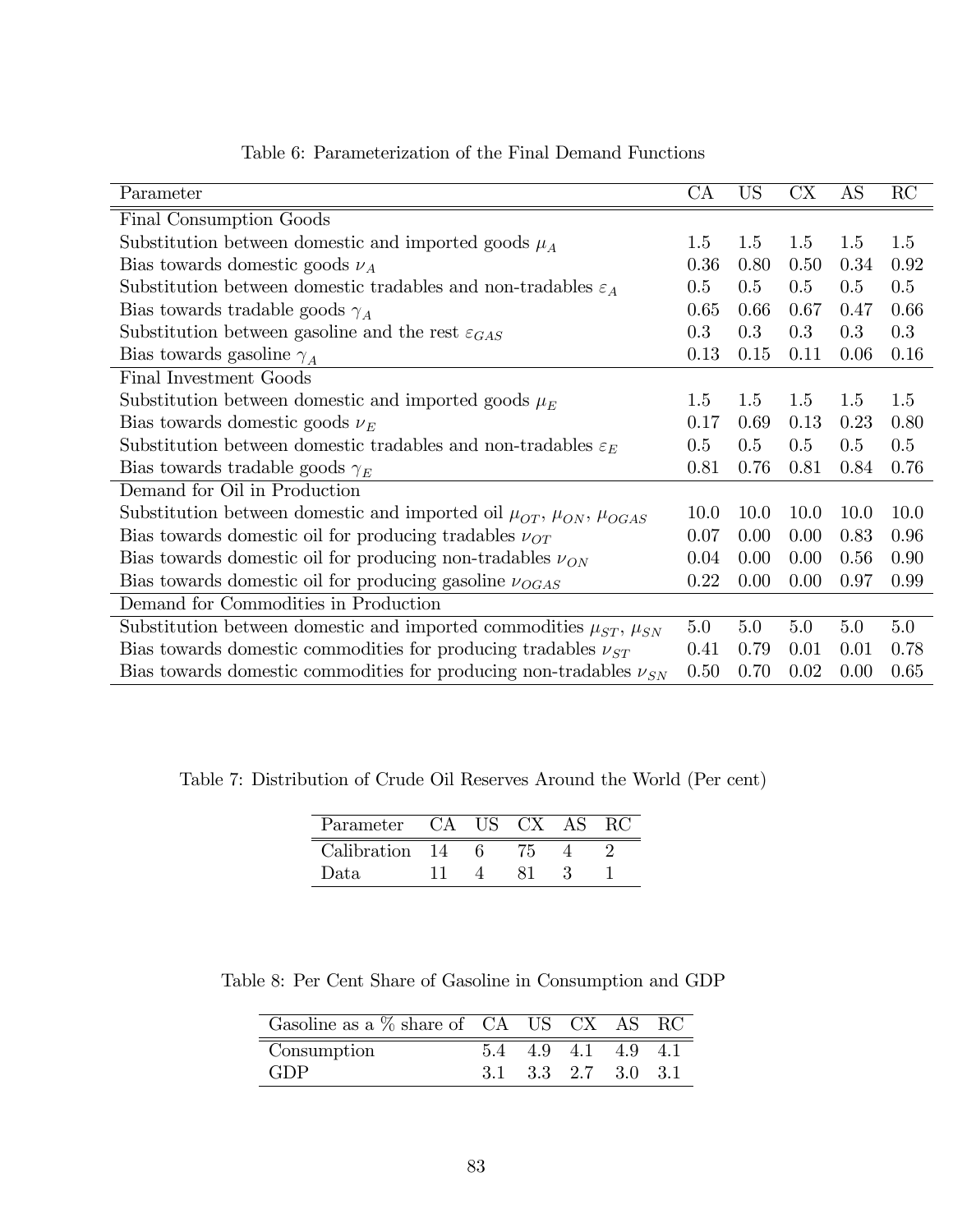| Parameter                                                                             | СA      | <b>US</b> | $\mathbf{C} \mathbf{X}$ | AS   | RC   |
|---------------------------------------------------------------------------------------|---------|-----------|-------------------------|------|------|
| Final Consumption Goods                                                               |         |           |                         |      |      |
| Substitution between domestic and imported goods $\mu_A$                              | 1.5     | 1.5       | 1.5                     | 1.5  | 1.5  |
| Bias towards domestic goods $\nu_A$                                                   | 0.36    | 0.80      | 0.50                    | 0.34 | 0.92 |
| Substitution between domestic tradables and non-tradables $\varepsilon_A$             | $0.5\,$ | $0.5\,$   | 0.5                     | 0.5  | 0.5  |
| Bias towards tradable goods $\gamma_A$                                                | 0.65    | 0.66      | 0.67                    | 0.47 | 0.66 |
| Substitution between gasoline and the rest $\varepsilon_{GAS}$                        | 0.3     | 0.3       | 0.3                     | 0.3  | 0.3  |
| Bias towards gasoline $\gamma_A$                                                      | 0.13    | 0.15      | 0.11                    | 0.06 | 0.16 |
| Final Investment Goods                                                                |         |           |                         |      |      |
| Substitution between domestic and imported goods $\mu_E$                              | 1.5     | 1.5       | 1.5                     | 1.5  | 1.5  |
| Bias towards domestic goods $\nu_E$                                                   | 0.17    | 0.69      | 0.13                    | 0.23 | 0.80 |
| Substitution between domestic tradables and non-tradables $\varepsilon_E$             | $0.5\,$ | $0.5\,$   | $0.5\,$                 | 0.5  | 0.5  |
| Bias towards tradable goods $\gamma_E$                                                | 0.81    | 0.76      | 0.81                    | 0.84 | 0.76 |
| Demand for Oil in Production                                                          |         |           |                         |      |      |
| Substitution between domestic and imported oil $\mu_{OT}$ , $\mu_{ON}$ , $\mu_{OGAS}$ | 10.0    | 10.0      | 10.0                    | 10.0 | 10.0 |
| Bias towards domestic oil for producing tradables $\nu_{OT}$                          | 0.07    | 0.00      | 0.00                    | 0.83 | 0.96 |
| Bias towards domestic oil for producing non-tradables $\nu_{ON}$                      | 0.04    | 0.00      | 0.00                    | 0.56 | 0.90 |
| Bias towards domestic oil for producing gasoline $\nu_{OGAS}$                         | 0.22    | 0.00      | 0.00                    | 0.97 | 0.99 |
| Demand for Commodities in Production                                                  |         |           |                         |      |      |
| Substitution between domestic and imported commodities $\mu_{ST}$ , $\mu_{SN}$        | 5.0     | 5.0       | 5.0                     | 5.0  | 5.0  |
| Bias towards domestic commodities for producing tradables $\nu_{ST}$                  | 0.41    | 0.79      | 0.01                    | 0.01 | 0.78 |
| Bias towards domestic commodities for producing non-tradables $\nu_{SN}$              | 0.50    | 0.70      | 0.02                    | 0.00 | 0.65 |

Table 6: Parameterization of the Final Demand Functions

Table 7: Distribution of Crude Oil Reserves Around the World (Per cent)

| Parameter      | - CA | TIS. | $\overline{CX}$ |  |
|----------------|------|------|-----------------|--|
| Calibration 14 |      |      |                 |  |
| Data.          |      |      |                 |  |

Table 8: Per Cent Share of Gasoline in Consumption and GDP

| Gasoline as a $\%$ share of CA US CX AS RC |  |                     |     |    |
|--------------------------------------------|--|---------------------|-----|----|
| Consumption                                |  | 4.9 4.1             | 4.9 | 41 |
| GDP                                        |  | 3.1 3.3 2.7 3.0 3.1 |     |    |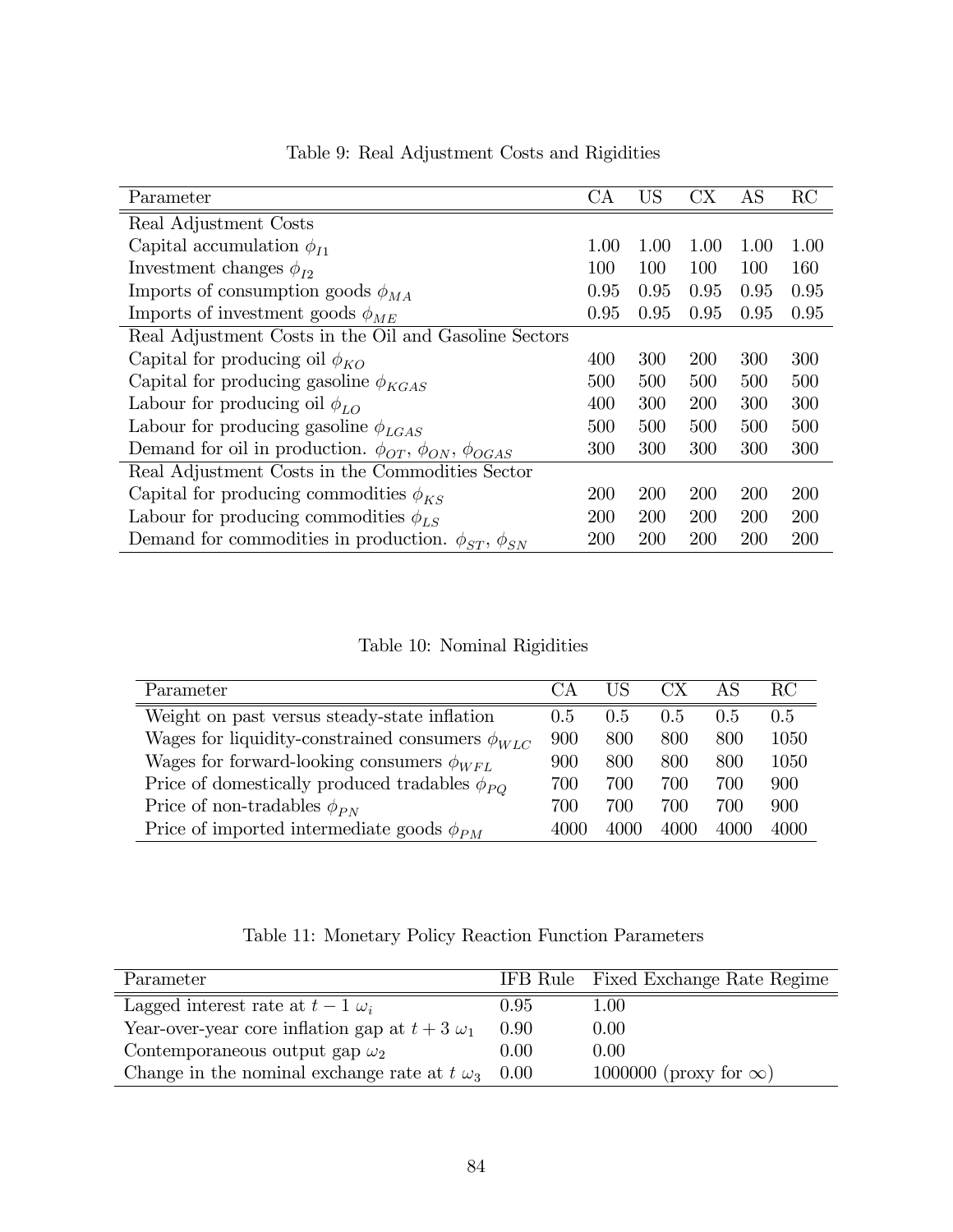| Parameter                                                               | СA         | <b>US</b>  | CX         | AS         | RC   |
|-------------------------------------------------------------------------|------------|------------|------------|------------|------|
|                                                                         |            |            |            |            |      |
| Real Adjustment Costs                                                   |            |            |            |            |      |
| Capital accumulation $\phi_{I1}$                                        | 1.00       | 1.00       | 1.00       | 1.00       | 1.00 |
| Investment changes $\phi_{I2}$                                          | 100        | 100        | 100        | 100        | 160  |
| Imports of consumption goods $\phi_{MA}$                                | 0.95       | 0.95       | 0.95       | 0.95       | 0.95 |
| Imports of investment goods $\phi_{ME}$                                 | 0.95       | 0.95       | 0.95       | 0.95       | 0.95 |
| Real Adjustment Costs in the Oil and Gasoline Sectors                   |            |            |            |            |      |
| Capital for producing oil $\phi_{KO}$                                   | 400        | 300        | <b>200</b> | 300        | 300  |
| Capital for producing gasoline $\phi_{KGAS}$                            | 500        | 500        | 500        | 500        | 500  |
| Labour for producing oil $\phi_{LO}$                                    | 400        | 300        | 200        | 300        | 300  |
| Labour for producing gasoline $\phi_{LGAS}$                             | 500        | 500        | 500        | 500        | 500  |
| Demand for oil in production. $\phi_{OT}$ , $\phi_{ON}$ , $\phi_{OGAS}$ | 300        | 300        | 300        | 300        | 300  |
| Real Adjustment Costs in the Commodities Sector                         |            |            |            |            |      |
| Capital for producing commodities $\phi_{KS}$                           | <b>200</b> | <b>200</b> | <b>200</b> | <b>200</b> | 200  |
| Labour for producing commodities $\phi_{LS}$                            | 200        | 200        | 200        | <b>200</b> | 200  |
| Demand for commodities in production. $\phi_{ST}$ , $\phi_{SN}$         | 200        | 200        | 200        | 200        | 200  |

Table 9: Real Adjustment Costs and Rigidities

Table 10: Nominal Rigidities

| Parameter                                              | $C_A$ | НS   | CX.  | AS   | RС   |
|--------------------------------------------------------|-------|------|------|------|------|
| Weight on past versus steady-state inflation           | 0.5   | 0.5  | 0.5  | 0.5  | 0.5  |
| Wages for liquidity-constrained consumers $\phi_{WLC}$ | 900   | 800  | 800  | 800  | 1050 |
| Wages for forward-looking consumers $\phi_{WFL}$       | 900   | 800  | 800  | 800  | 1050 |
| Price of domestically produced tradables $\phi_{PO}$   | 700   | 700  | 700  | 700  | 900  |
| Price of non-tradables $\phi_{PN}$                     | 700   | 700  | 700  | 700  | 900  |
| Price of imported intermediate goods $\phi_{PM}$       | 4000  | 4000 | 4000 | 4000 | 4000 |

Table 11: Monetary Policy Reaction Function Parameters

| Parameter                                             |      | IFB Rule Fixed Exchange Rate Regime |
|-------------------------------------------------------|------|-------------------------------------|
| Lagged interest rate at $t-1 \omega_i$                | 0.95 | 1.00                                |
| Year-over-year core inflation gap at $t + 3 \omega_1$ | 0.90 | 0.00                                |
| Contemporaneous output gap $\omega_2$                 | 0.00 | 0.00                                |
| Change in the nominal exchange rate at $t \omega_3$   | 0.00 | 1000000 (proxy for $\infty$ )       |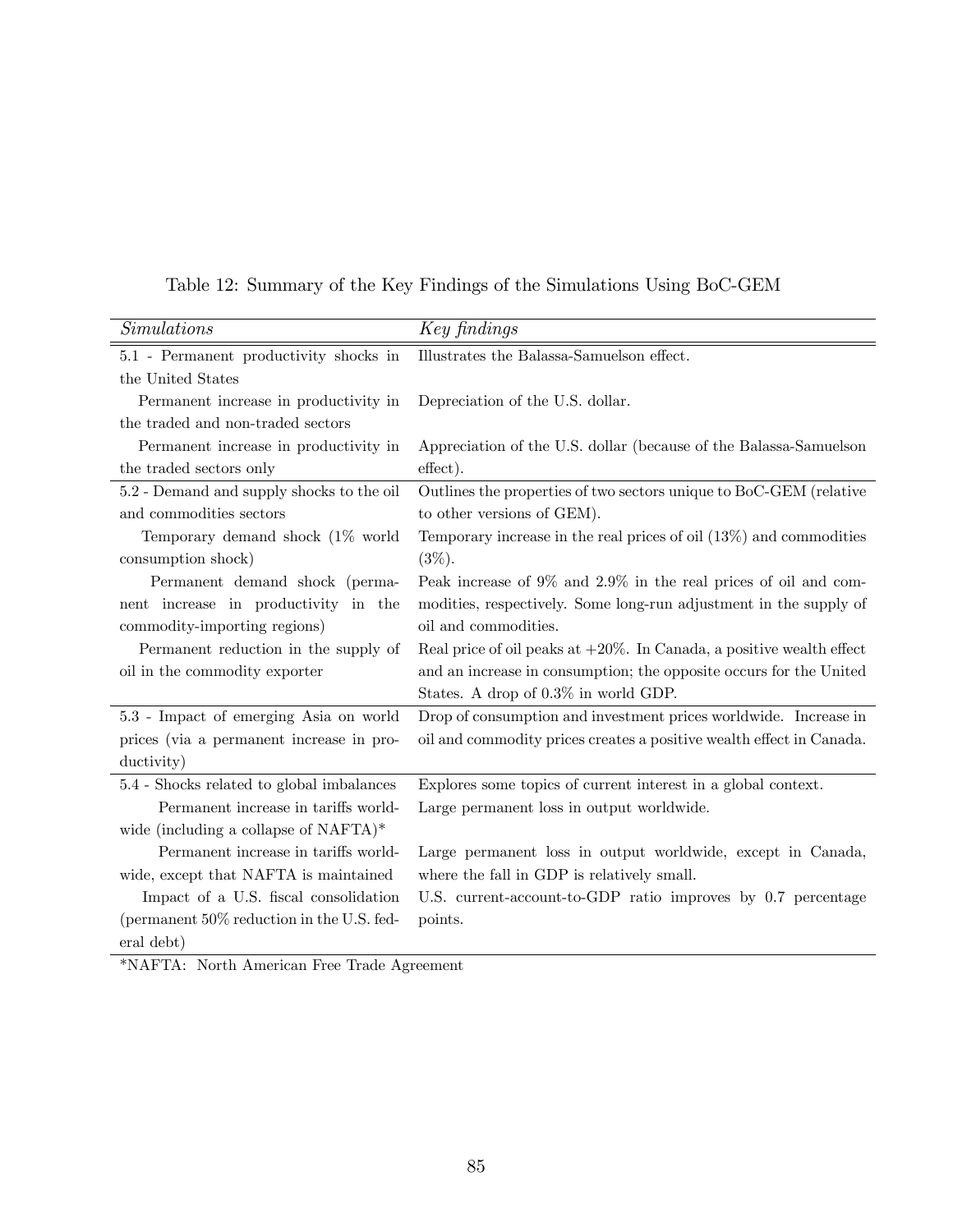| <i>Simulations</i>                           | Key findings                                                             |
|----------------------------------------------|--------------------------------------------------------------------------|
| 5.1 - Permanent productivity shocks in       | Illustrates the Balassa-Samuelson effect.                                |
| the United States                            |                                                                          |
| Permanent increase in productivity in        | Depreciation of the U.S. dollar.                                         |
| the traded and non-traded sectors            |                                                                          |
| Permanent increase in productivity in        | Appreciation of the U.S. dollar (because of the Balassa-Samuelson        |
| the traded sectors only                      | effect).                                                                 |
| 5.2 - Demand and supply shocks to the oil    | Outlines the properties of two sectors unique to BoC-GEM (relative       |
| and commodities sectors                      | to other versions of GEM).                                               |
| Temporary demand shock $(1\%$ world          | Temporary increase in the real prices of oil $(13\%)$ and commodities    |
| consumption shock)                           | $(3\%).$                                                                 |
| Permanent demand shock (perma-               | Peak increase of $9\%$ and $2.9\%$ in the real prices of oil and com-    |
| nent increase in productivity in the         | modities, respectively. Some long-run adjustment in the supply of        |
| commodity-importing regions)                 | oil and commodities.                                                     |
| Permanent reduction in the supply of         | Real price of oil peaks at $+20\%$ . In Canada, a positive wealth effect |
| oil in the commodity exporter                | and an increase in consumption; the opposite occurs for the United       |
|                                              | States. A drop of 0.3% in world GDP.                                     |
| 5.3 - Impact of emerging Asia on world       | Drop of consumption and investment prices worldwide. Increase in         |
| prices (via a permanent increase in pro-     | oil and commodity prices creates a positive wealth effect in Canada.     |
| ductivity)                                   |                                                                          |
| 5.4 - Shocks related to global imbalances    | Explores some topics of current interest in a global context.            |
| Permanent increase in tariffs world-         | Large permanent loss in output worldwide.                                |
| wide (including a collapse of $NAFTA$ )*     |                                                                          |
| Permanent increase in tariffs world-         | Large permanent loss in output worldwide, except in Canada,              |
| wide, except that NAFTA is maintained        | where the fall in GDP is relatively small.                               |
| Impact of a U.S. fiscal consolidation        | U.S. current-account-to-GDP ratio improves by 0.7 percentage             |
| (permanent $50\%$ reduction in the U.S. fed- | points.                                                                  |
| eral debt)                                   |                                                                          |

Table 12: Summary of the Key Findings of the Simulations Using BoC-GEM

\*NAFTA: North American Free Trade Agreement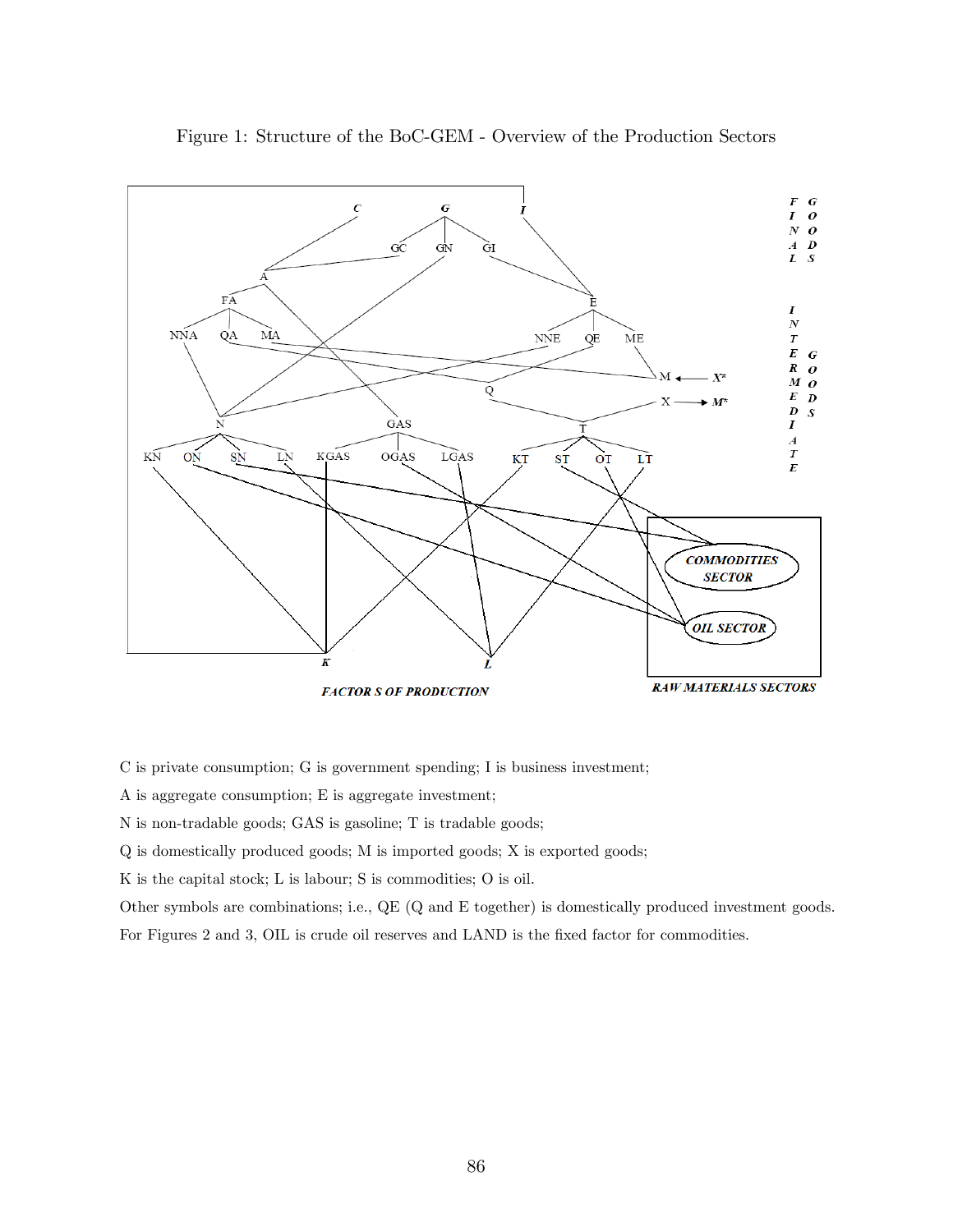

Figure 1: Structure of the BoC-GEM - Overview of the Production Sectors

C is private consumption; G is government spending; I is business investment;

A is aggregate consumption; E is aggregate investment;

N is non-tradable goods; GAS is gasoline; T is tradable goods;

Q is domestically produced goods; M is imported goods; X is exported goods;

K is the capital stock; L is labour; S is commodities; O is oil.

Other symbols are combinations; i.e., QE (Q and E together) is domestically produced investment goods.

For Figures 2 and 3, OIL is crude oil reserves and LAND is the fixed factor for commodities.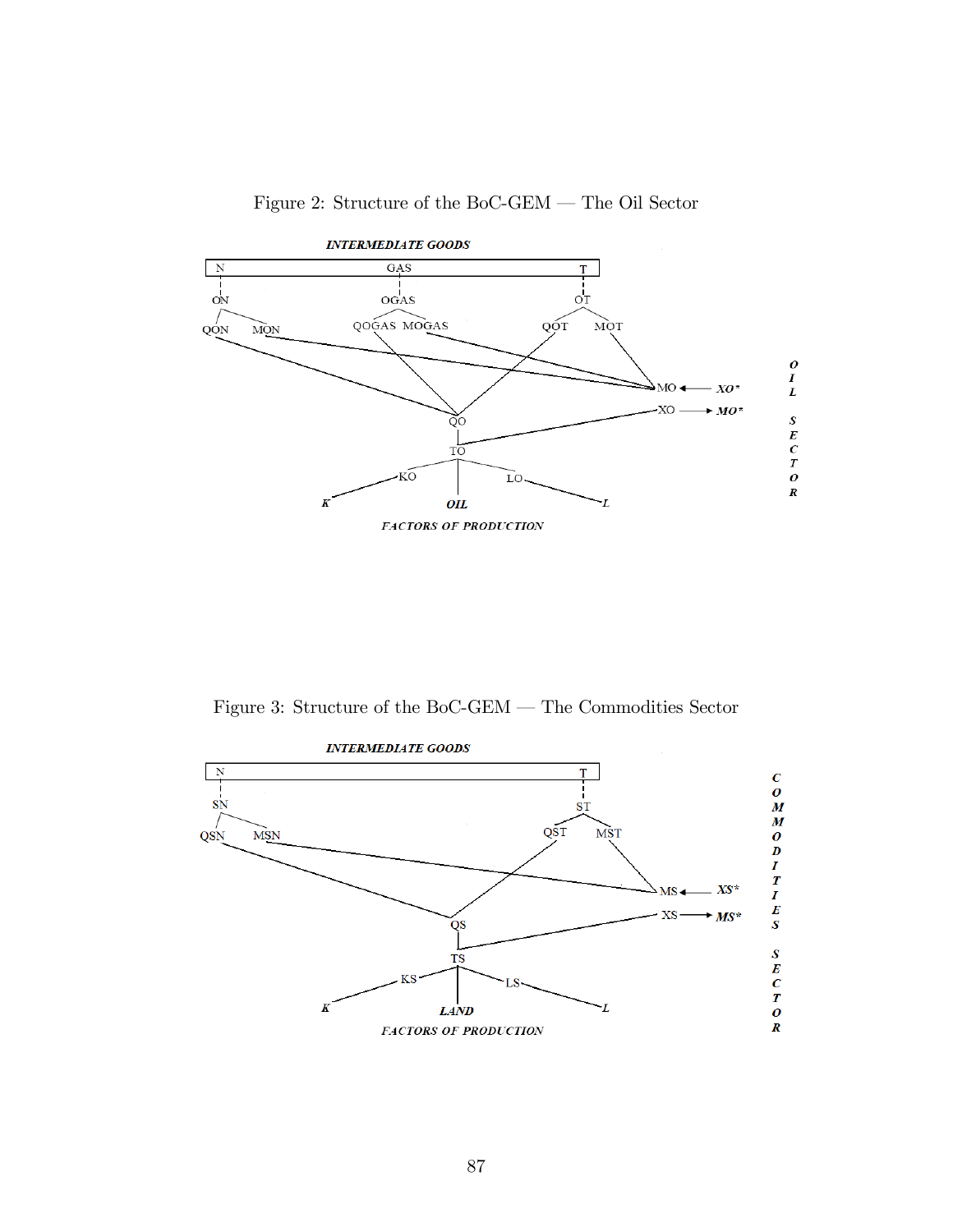

Figure 2: Structure of the BoC-GEM  $-$  The Oil Sector

Figure 3: Structure of the BoC-GEM  $-$  The Commodities Sector

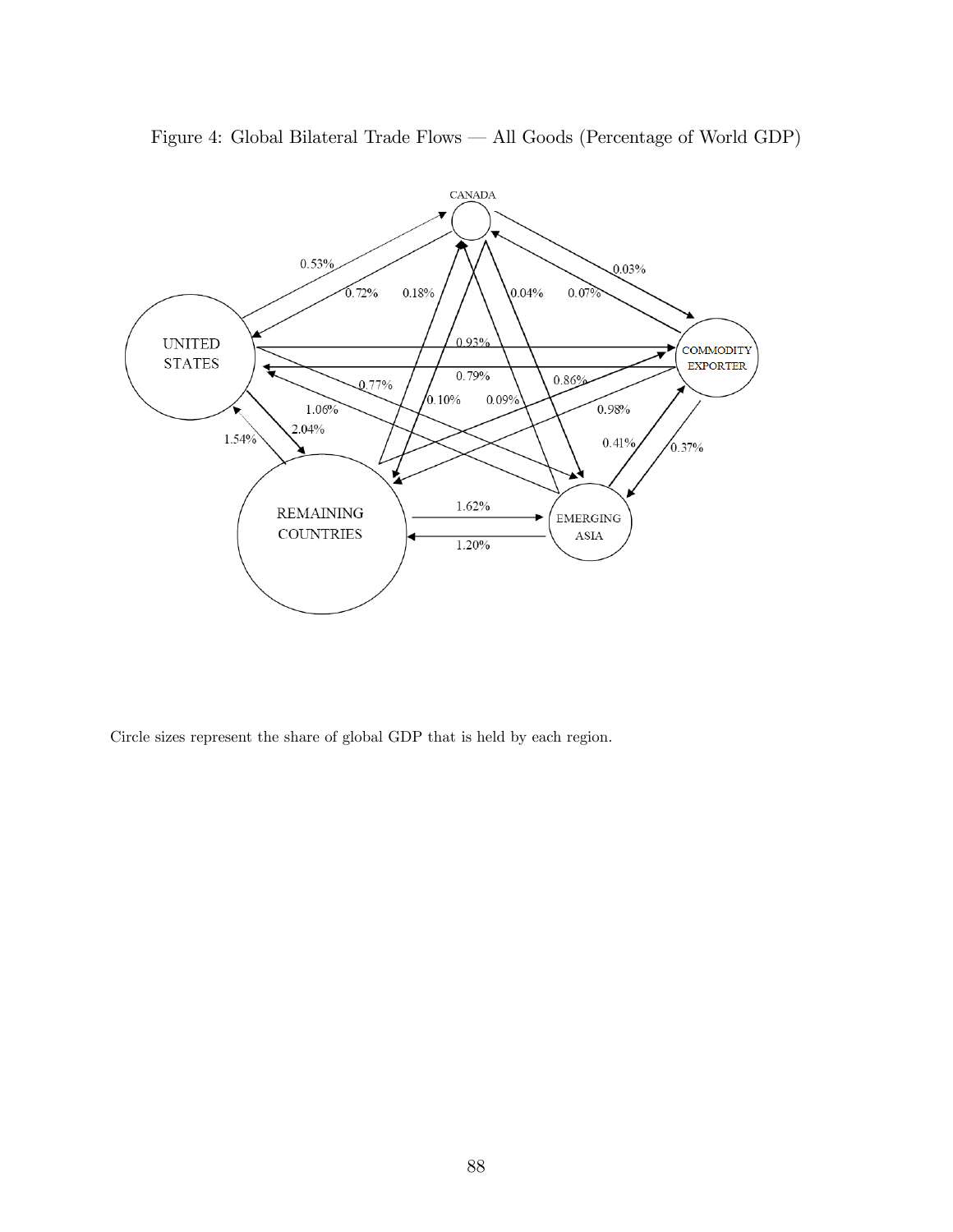

Figure 4: Global Bilateral Trade Flows – All Goods (Percentage of World GDP)

Circle sizes represent the share of global GDP that is held by each region.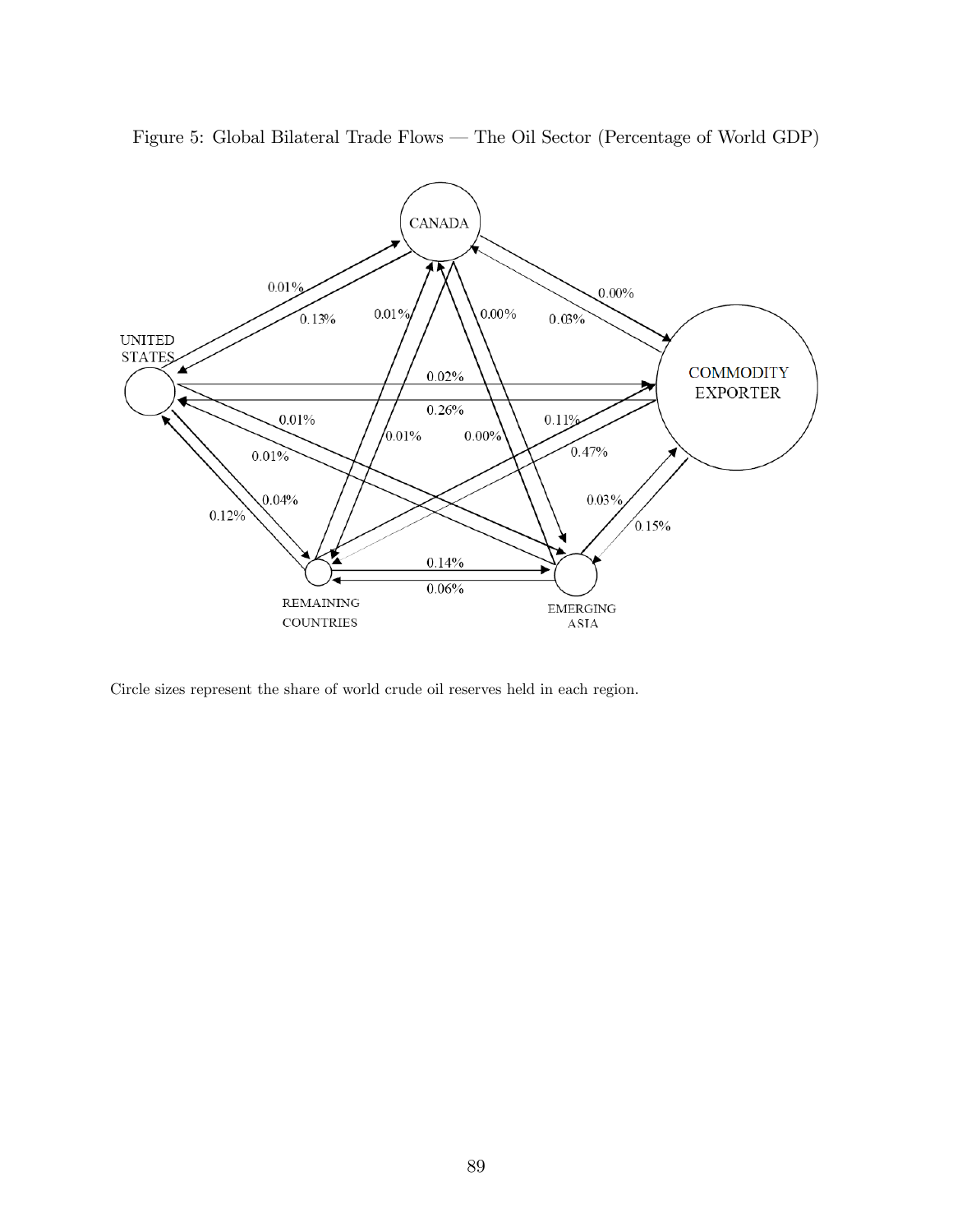



Circle sizes represent the share of world crude oil reserves held in each region.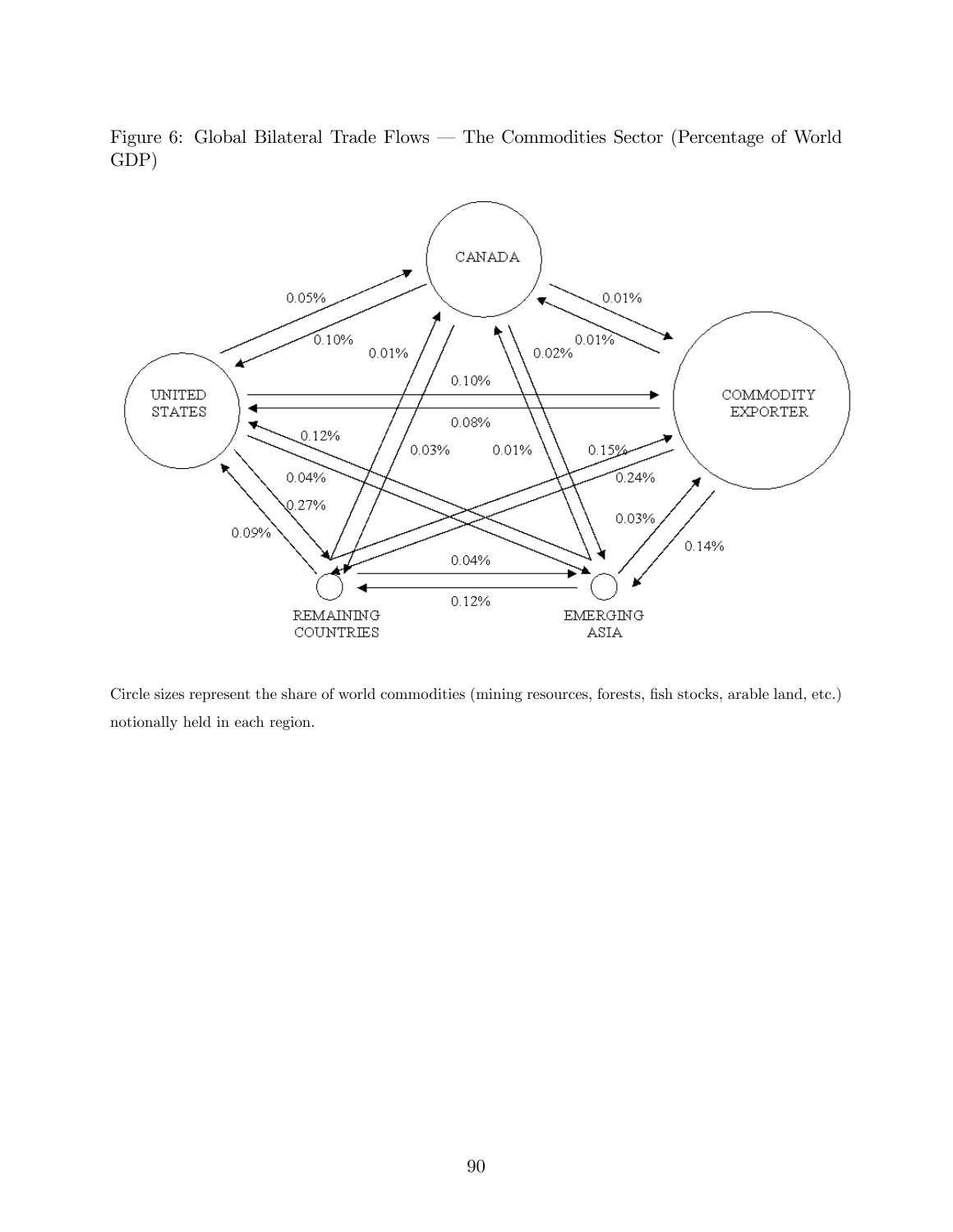Figure 6: Global Bilateral Trade Flows – The Commodities Sector (Percentage of World GDP)



Circle sizes represent the share of world commodities (mining resources, forests, fish stocks, arable land, etc.) notionally held in each region.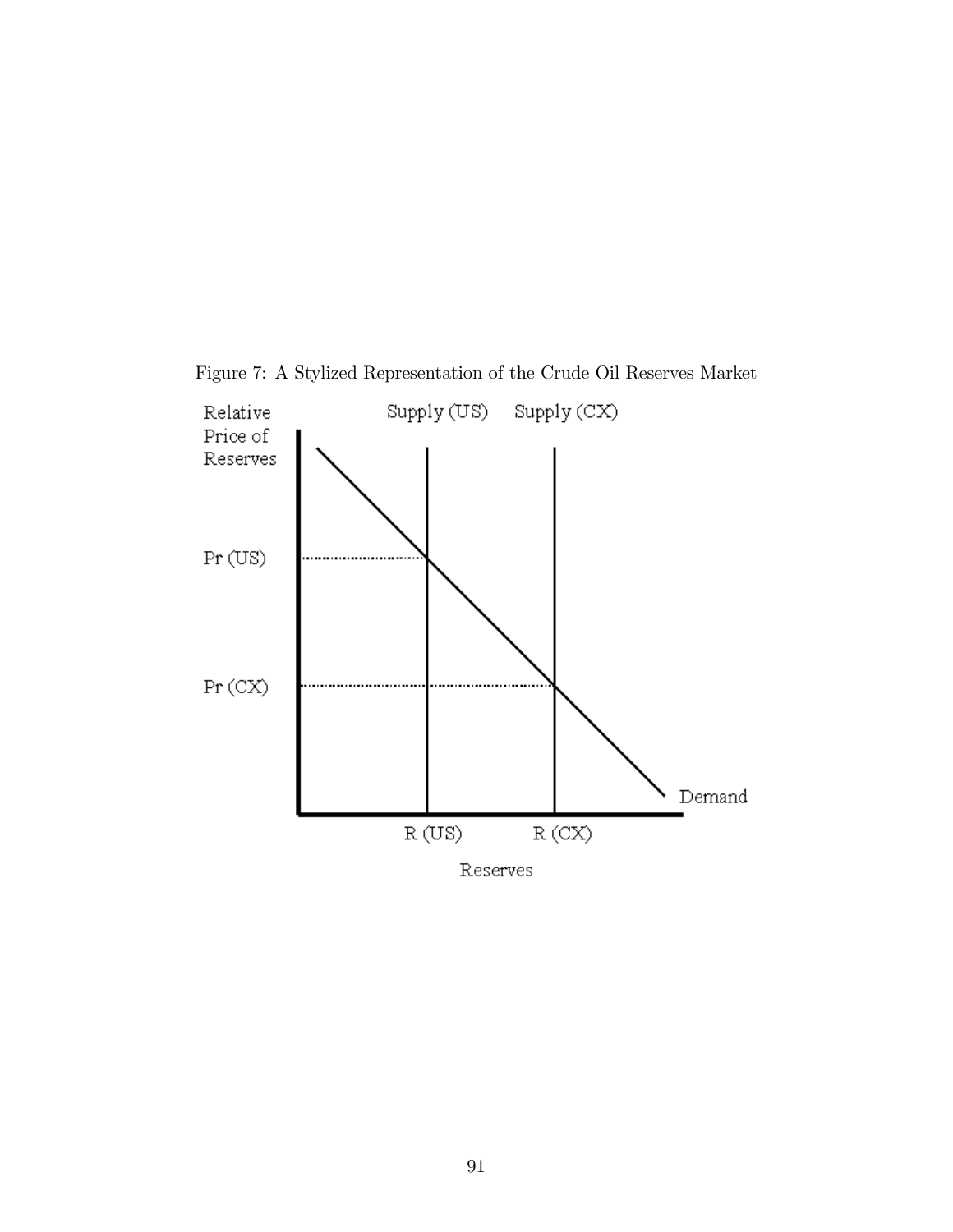

Figure 7: A Stylized Representation of the Crude Oil Reserves Market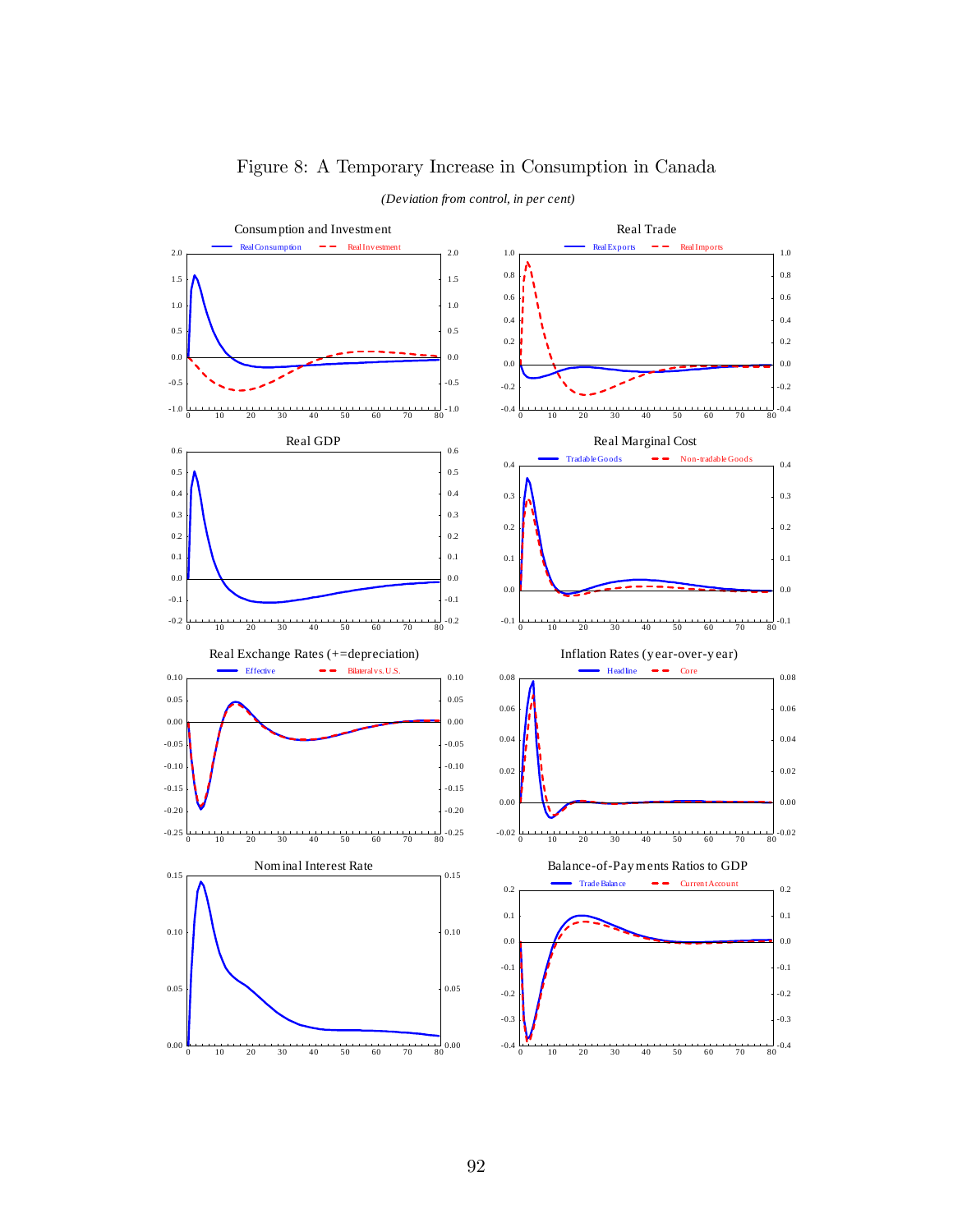

### Figure 8: A Temporary Increase in Consumption in Canada

92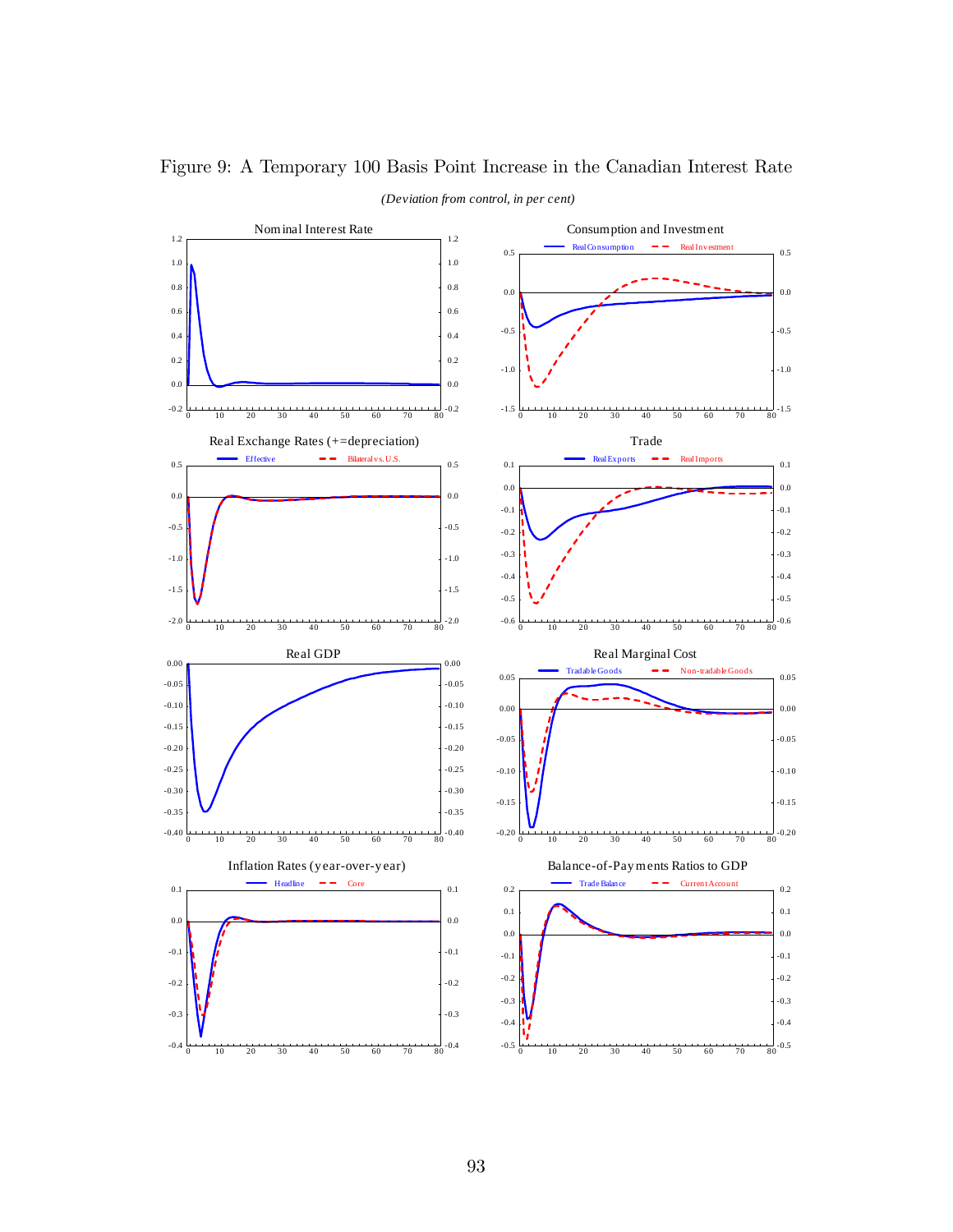

Figure 9: A Temporary 100 Basis Point Increase in the Canadian Interest Rate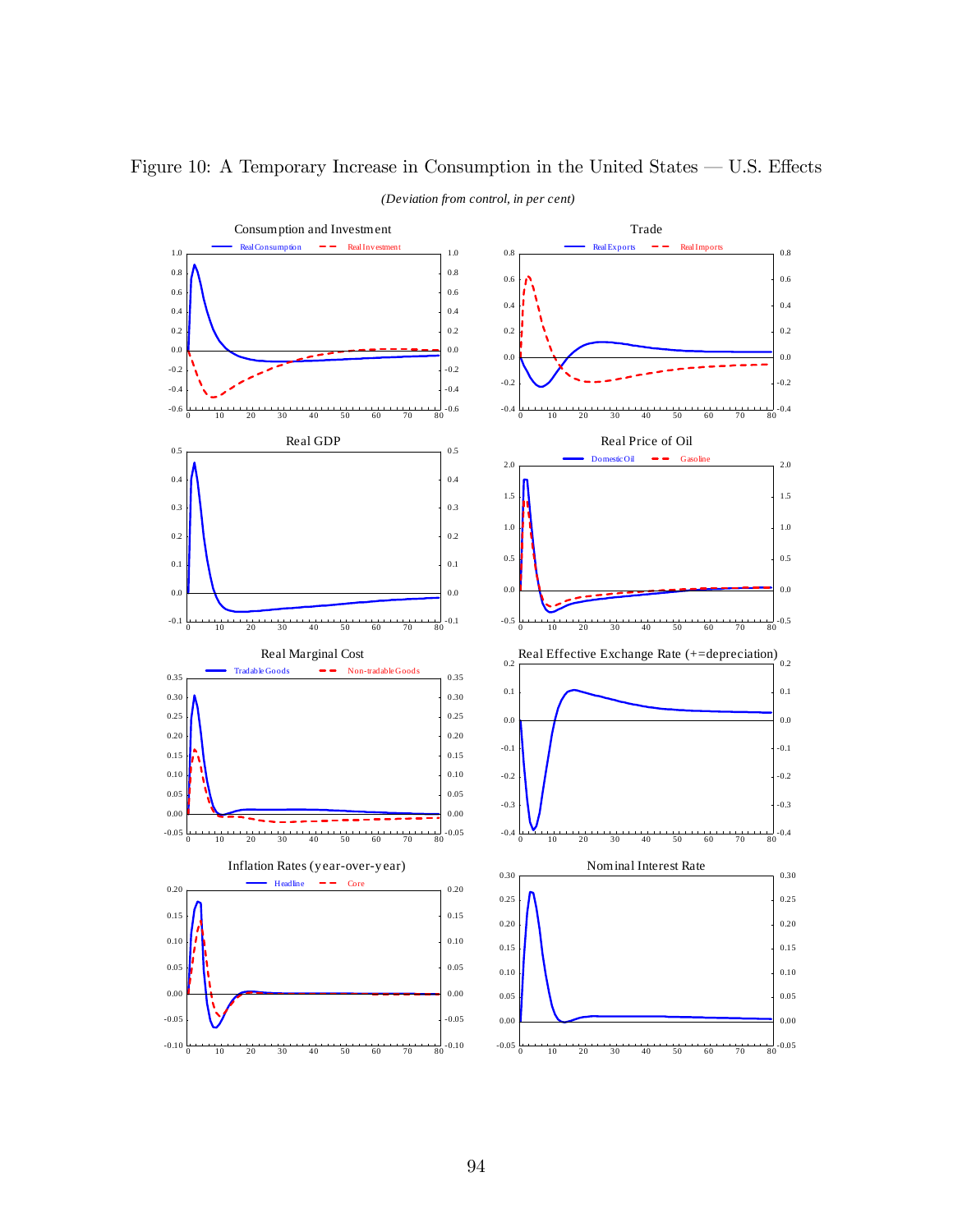

# Figure 10: A Temporary Increase in Consumption in the United States  $-$  U.S. Effects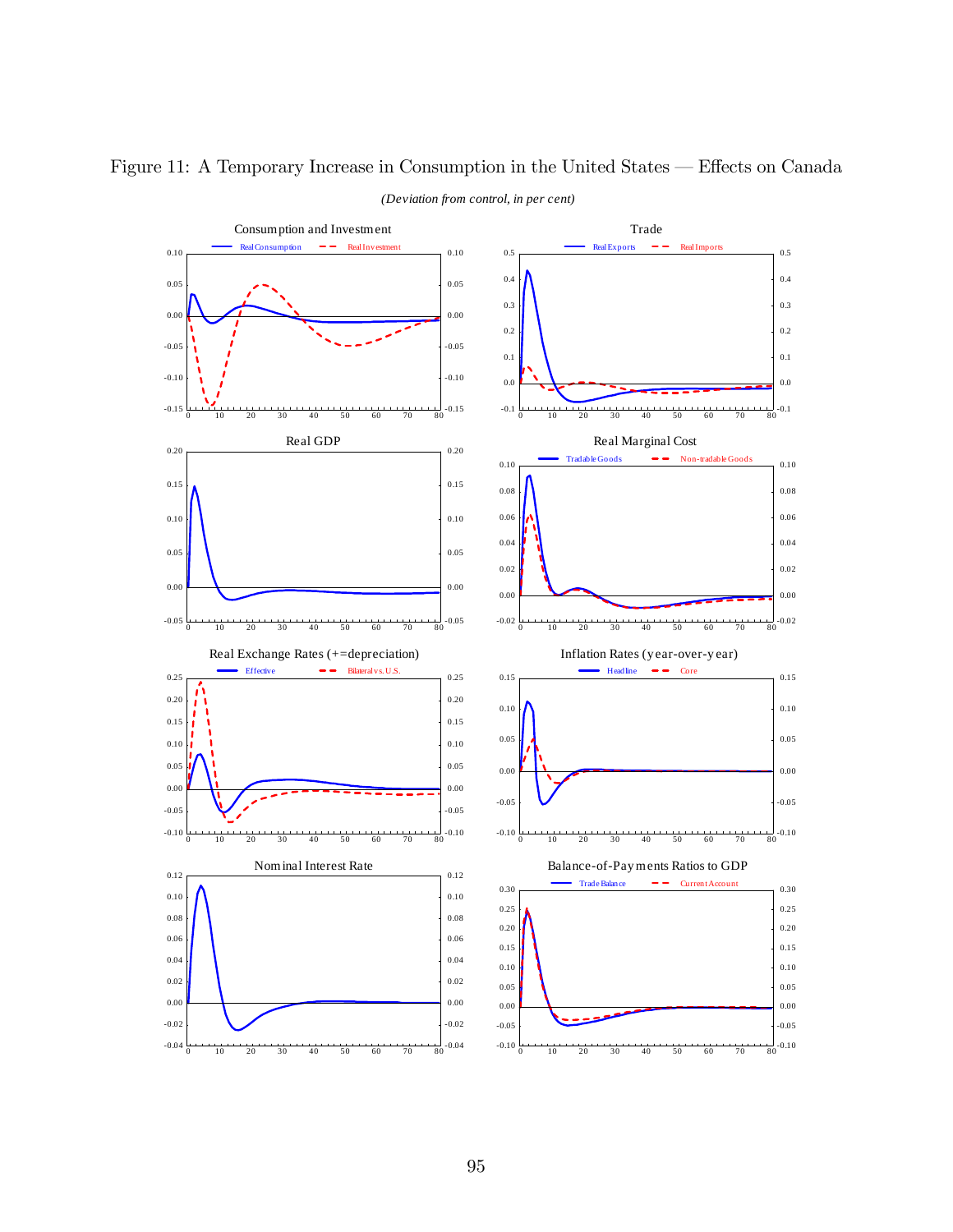

# Figure 11: A Temporary Increase in Consumption in the United States – Effects on Canada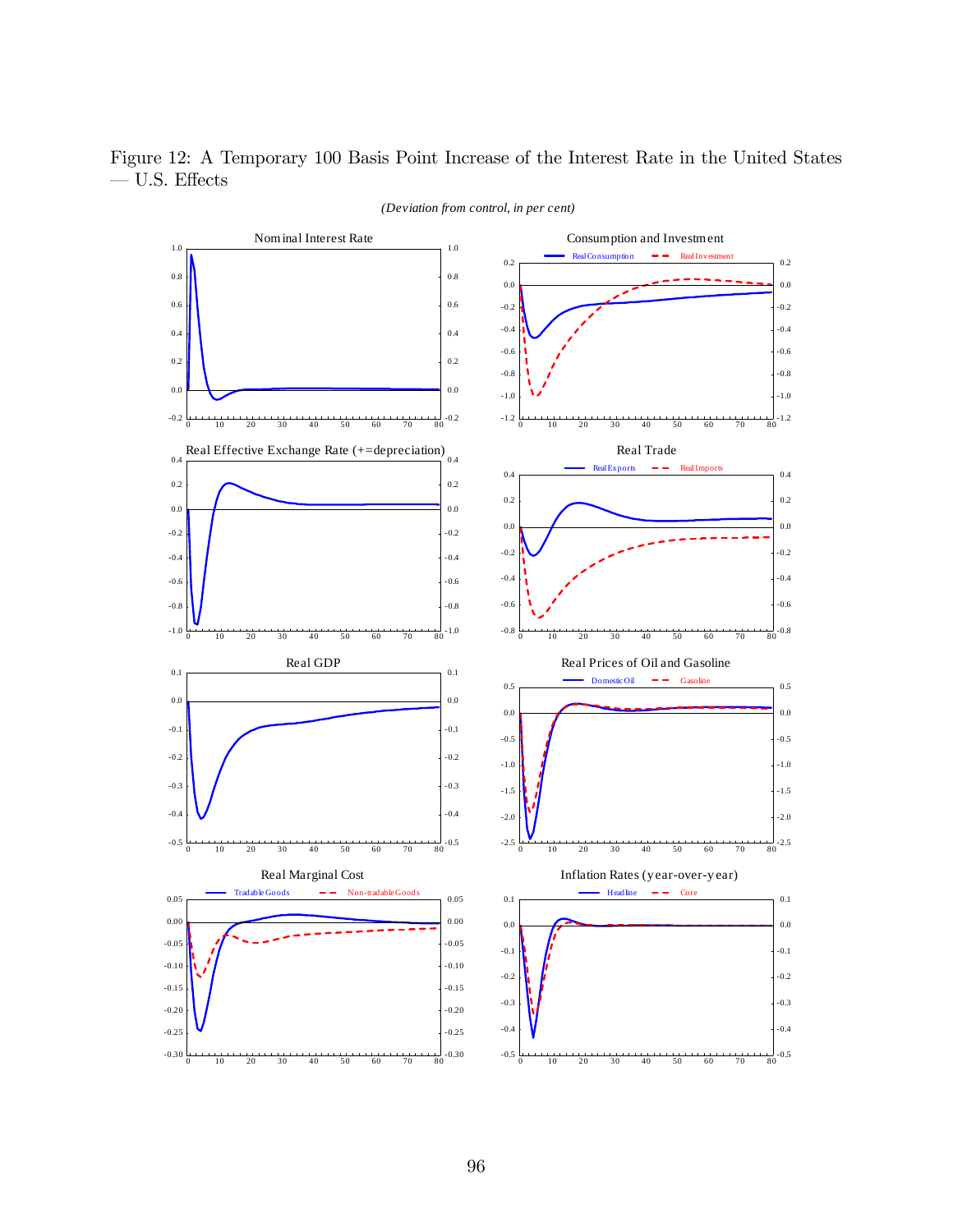Figure 12: A Temporary 100 Basis Point Increase of the Interest Rate in the United States  $-$  U.S. Effects

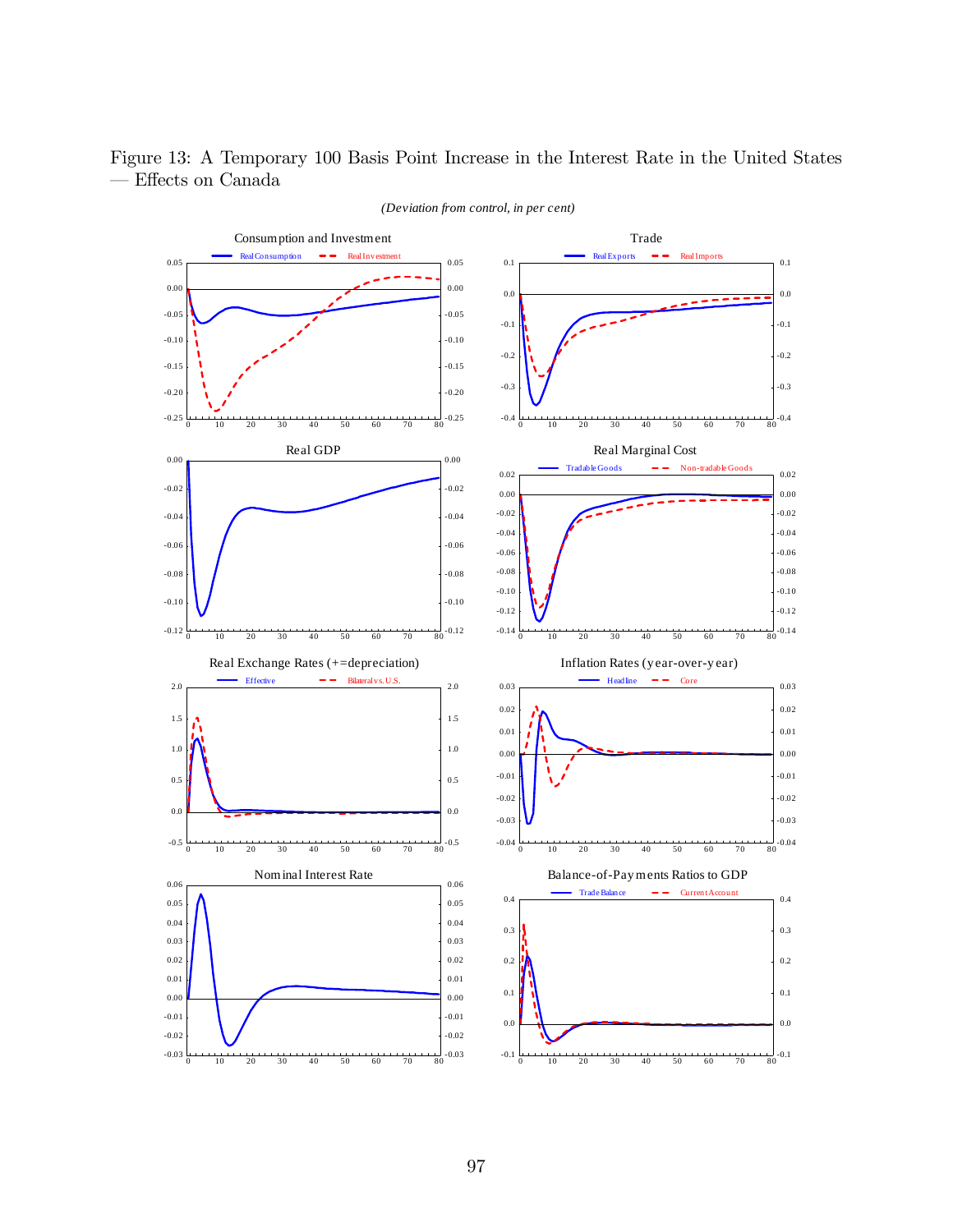#### Figure 13: A Temporary 100 Basis Point Increase in the Interest Rate in the United States  $-$  Effects on Canada

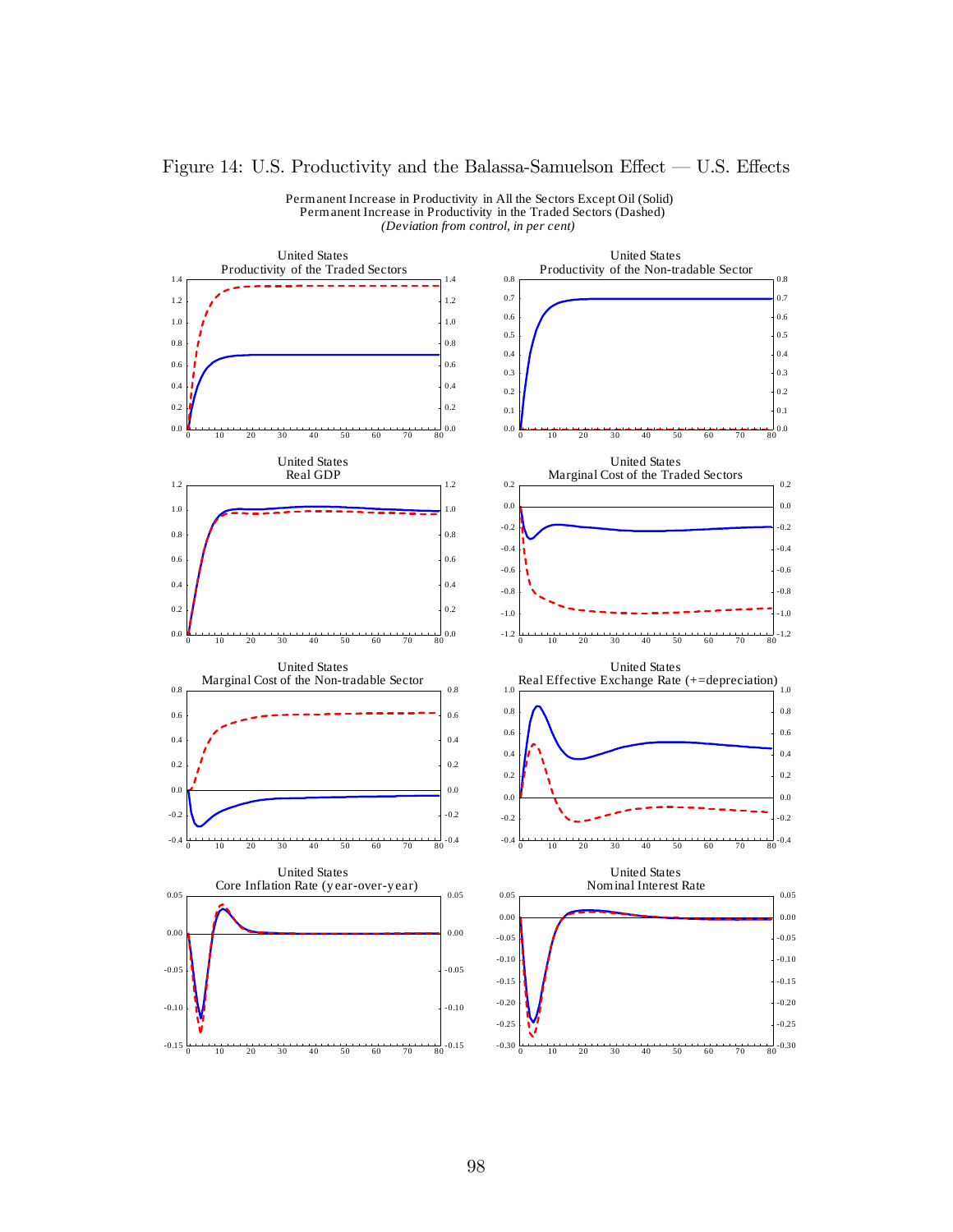### Figure 14: U.S. Productivity and the Balassa-Samuelson Effect — U.S. Effects



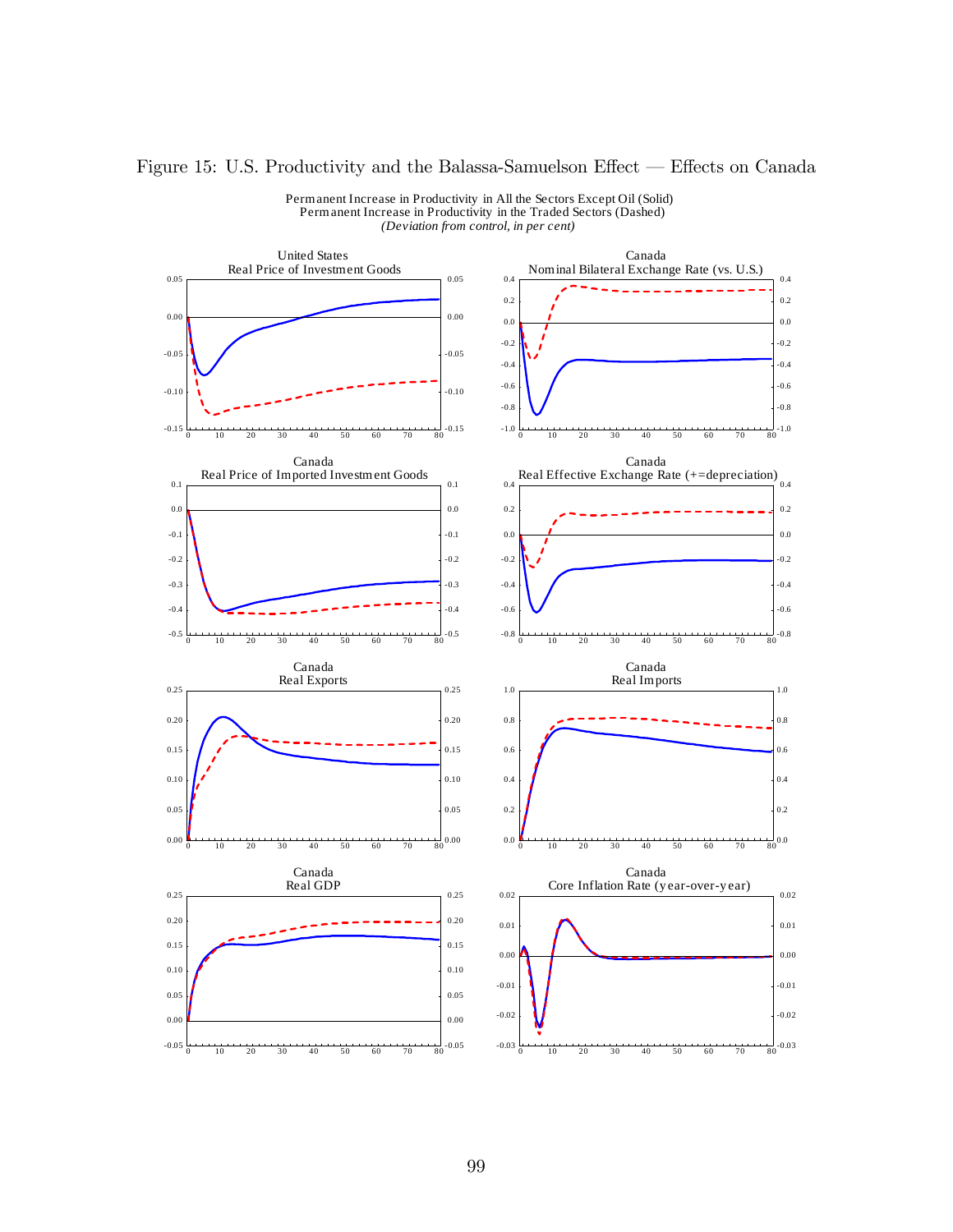

### Figure 15: U.S. Productivity and the Balassa-Samuelson Effect — Effects on Canada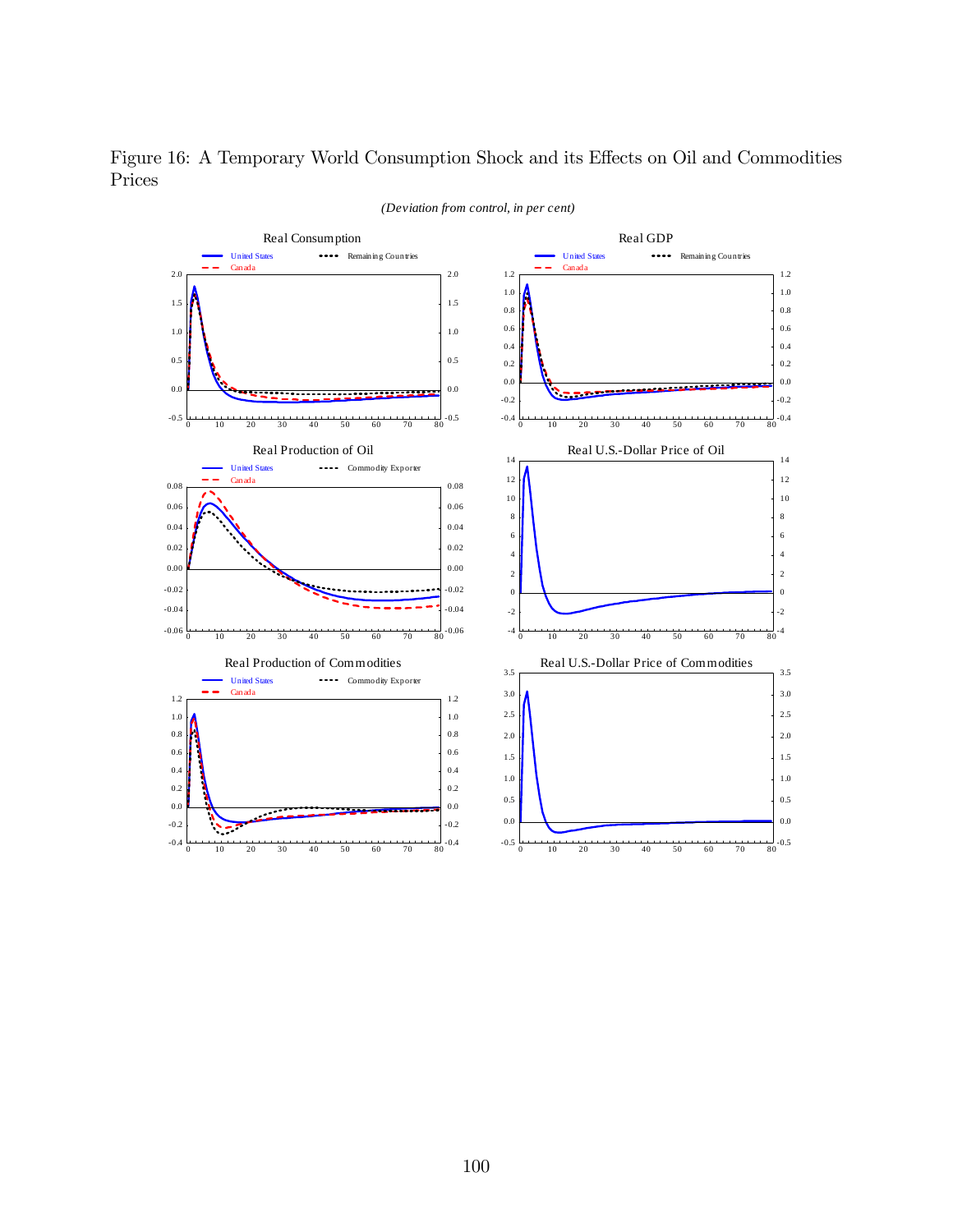Figure 16: A Temporary World Consumption Shock and its Effects on Oil and Commodities Prices

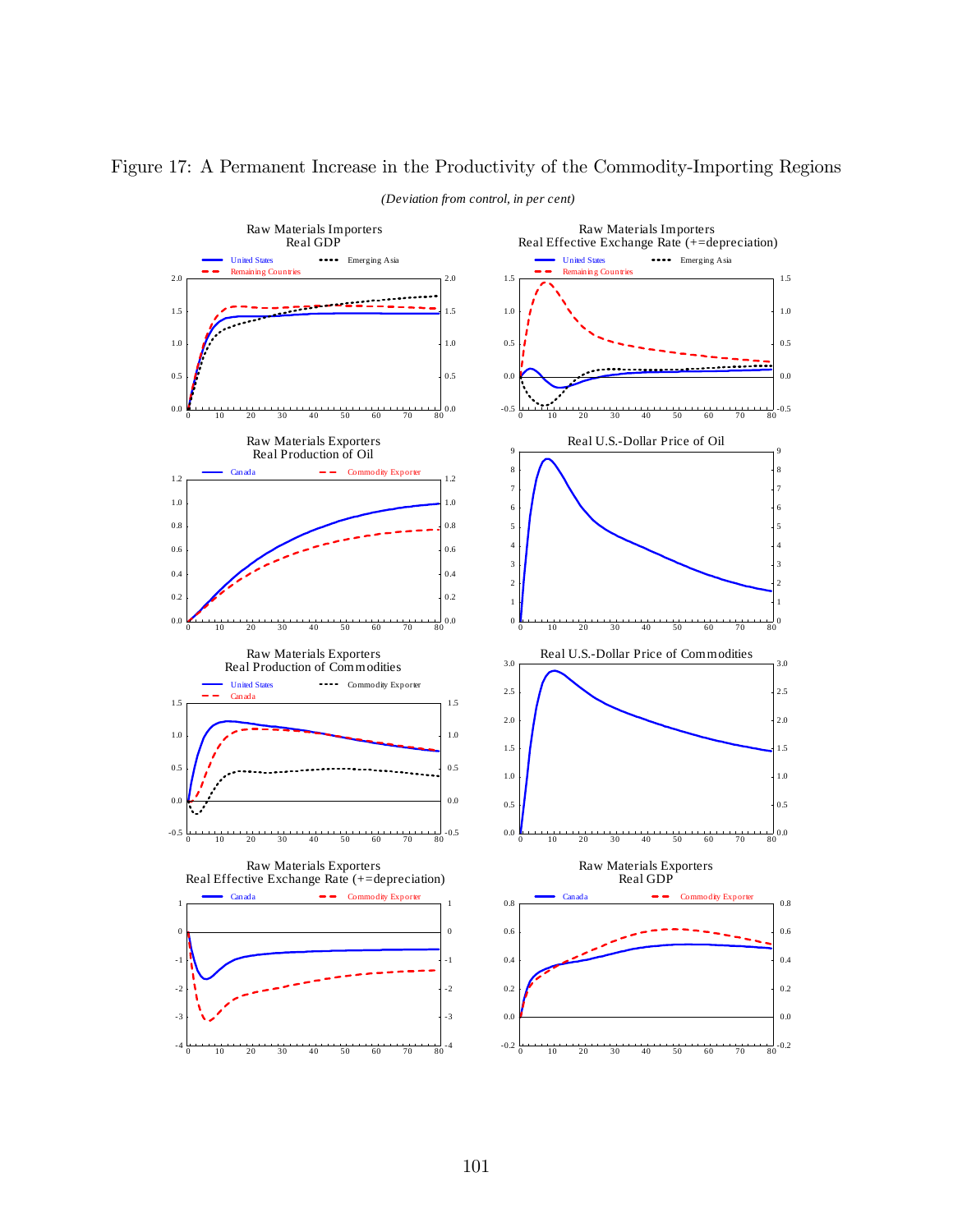

Figure 17: A Permanent Increase in the Productivity of the Commodity-Importing Regions *(Deviation from control, in per cent)*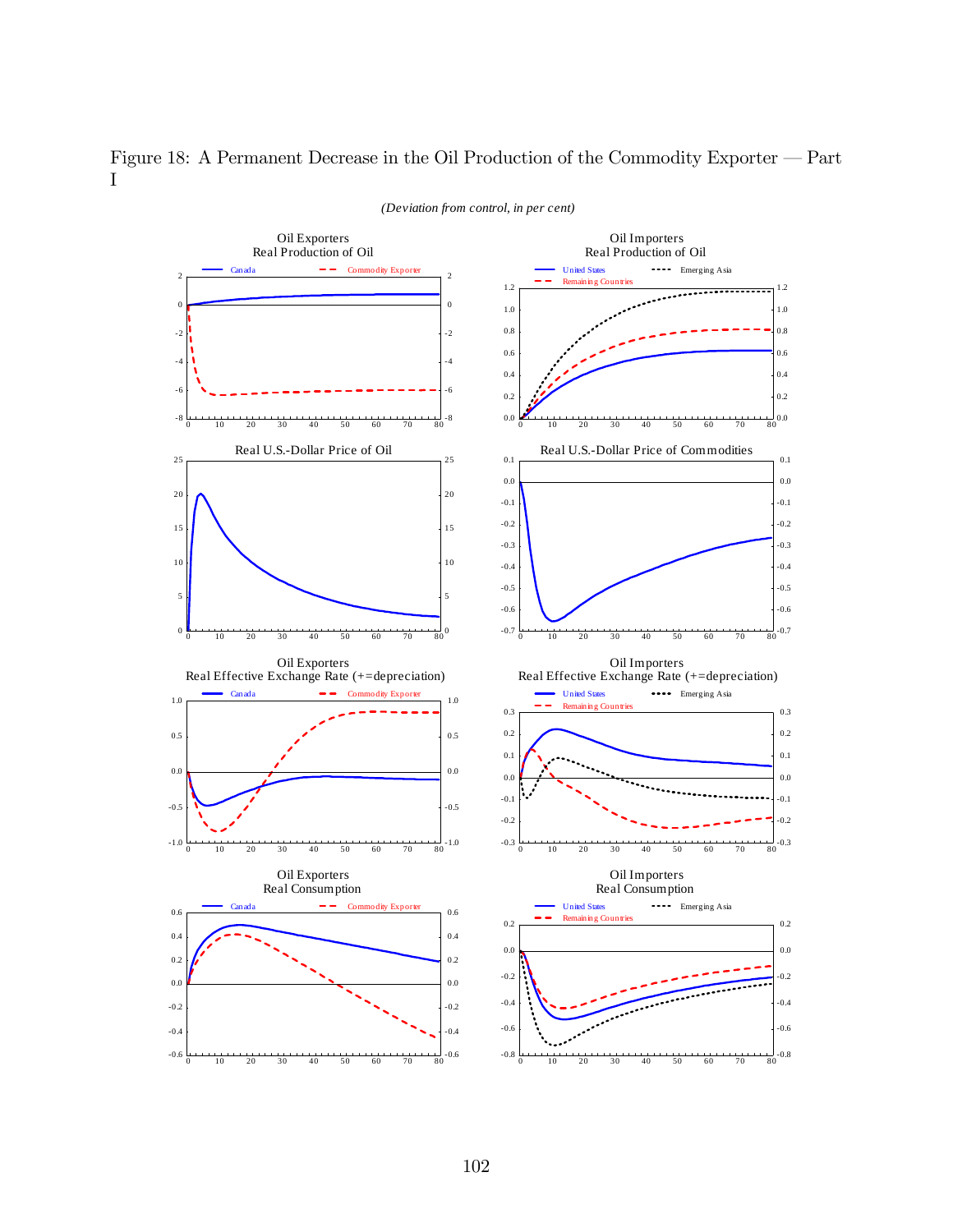

## Figure 18: A Permanent Decrease in the Oil Production of the Commodity Exporter  $-$  Part I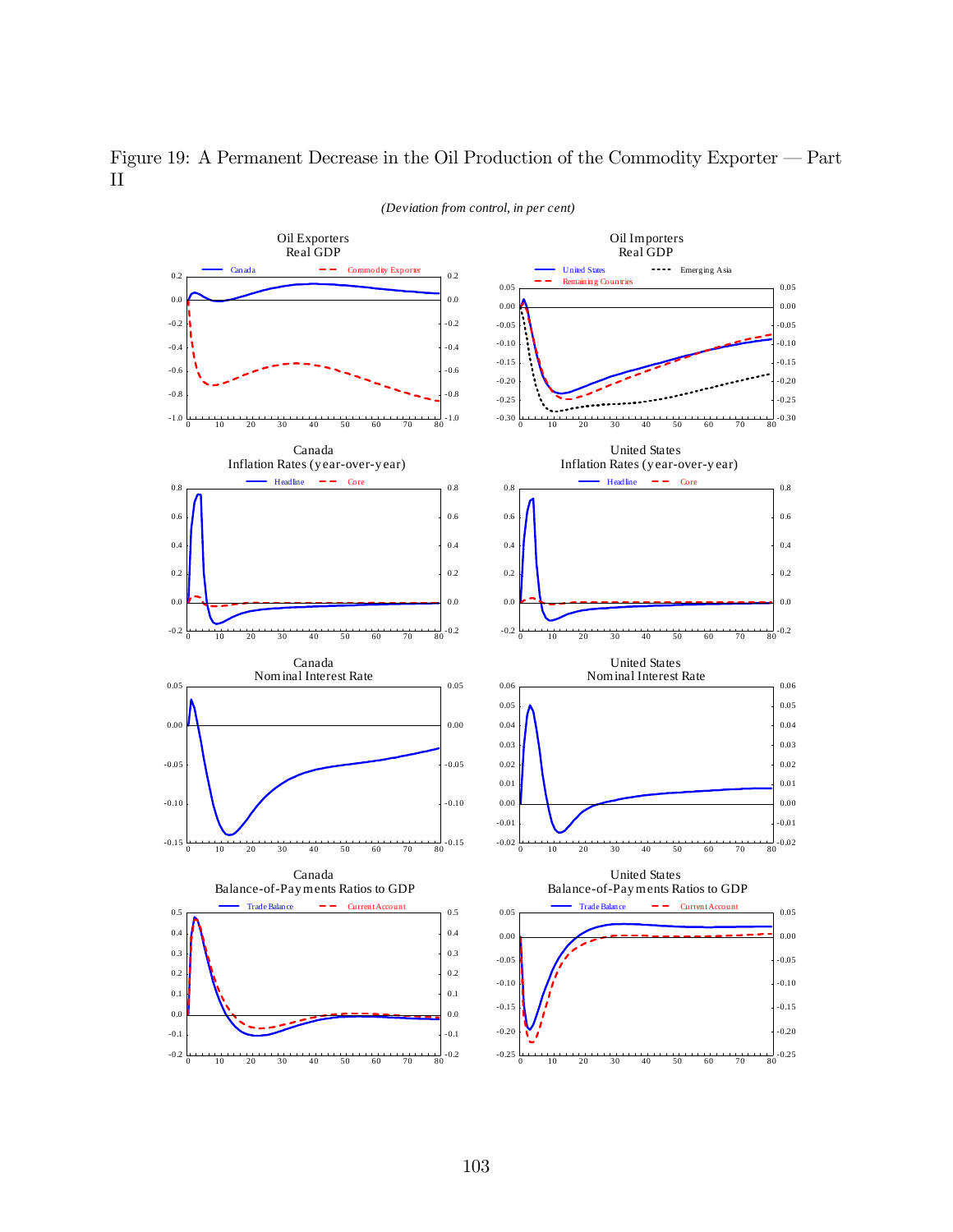

Figure 19: A Permanent Decrease in the Oil Production of the Commodity Exporter — Part  $\rm II$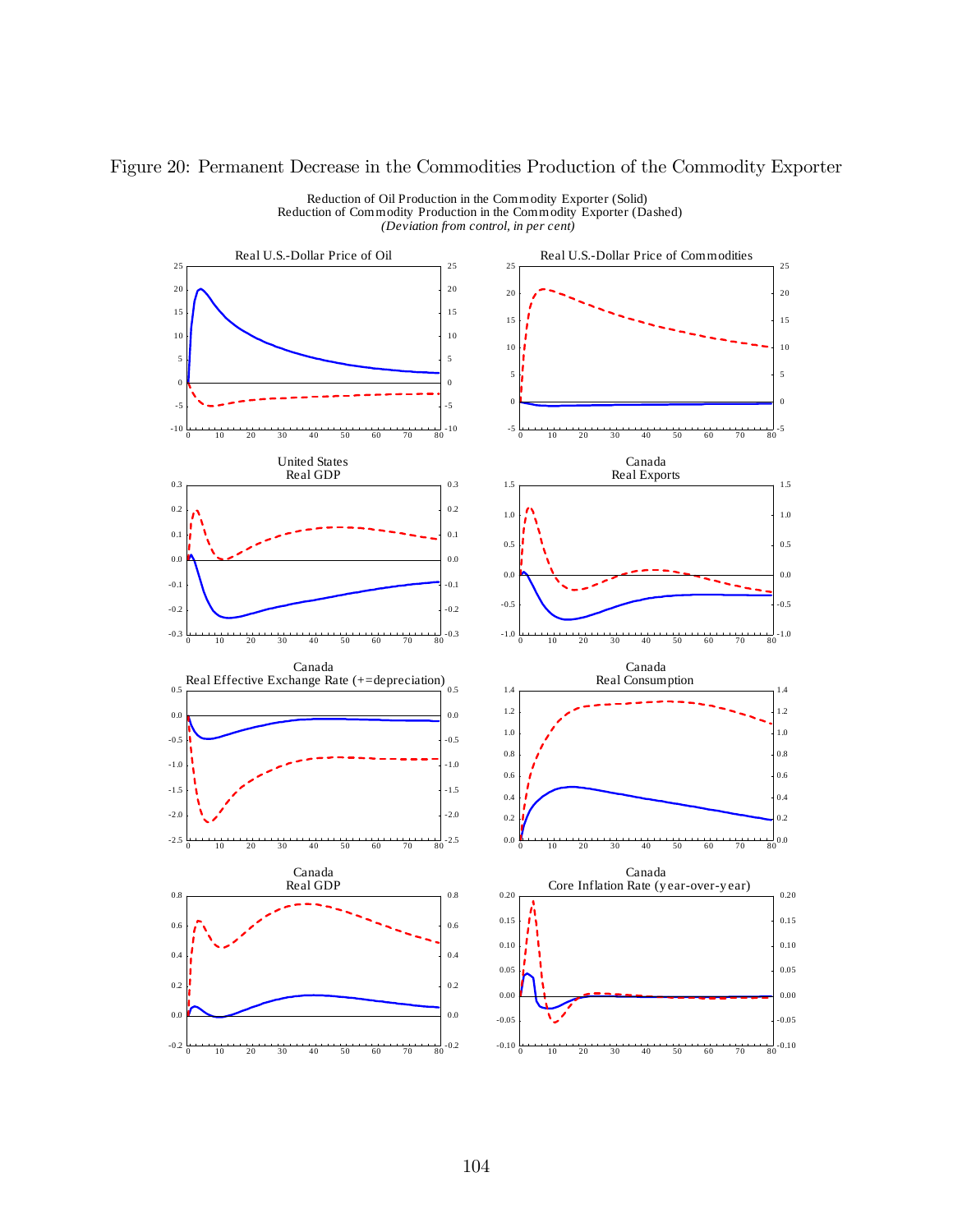### Figure 20: Permanent Decrease in the Commodities Production of the Commodity Exporter



Reduction of Oil Production in the Commodity Exporter (Solid) Reduction of Commodity Production in the Commodity Exporter (Dashed) *(Deviation from control, in per cent)*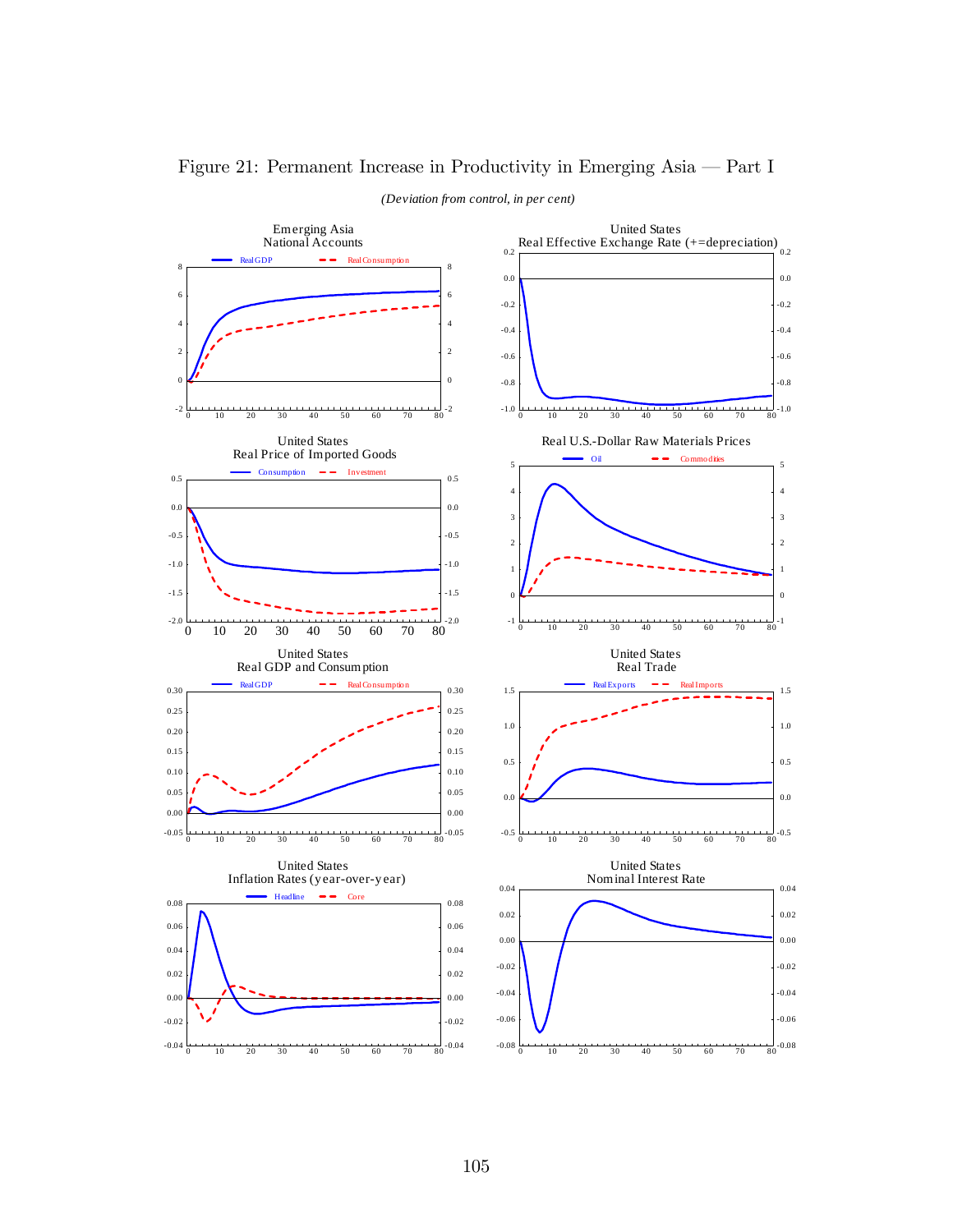

## Figure 21: Permanent Increase in Productivity in Emerging Asia — Part I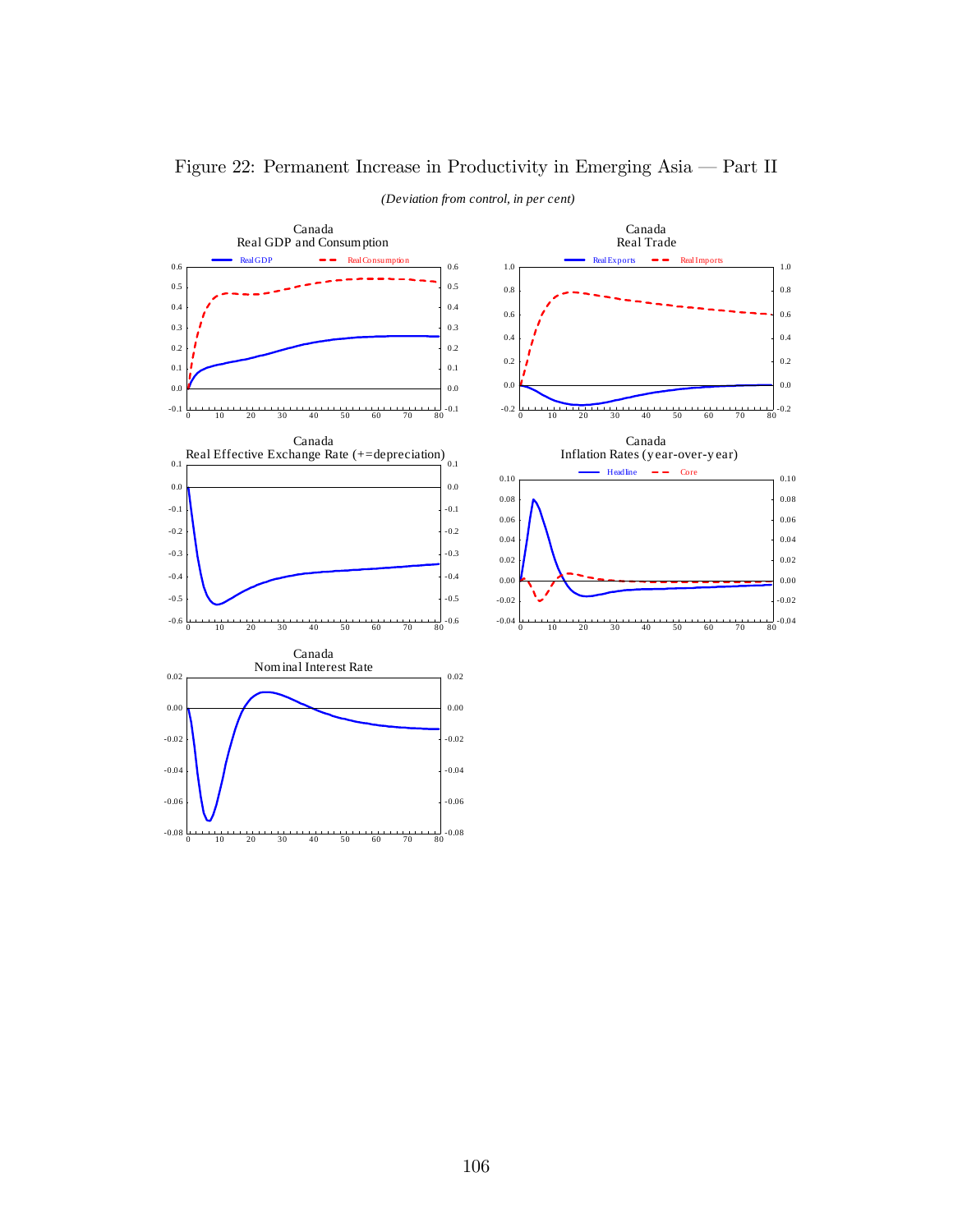

## Figure 22: Permanent Increase in Productivity in Emerging Asia – Part II

106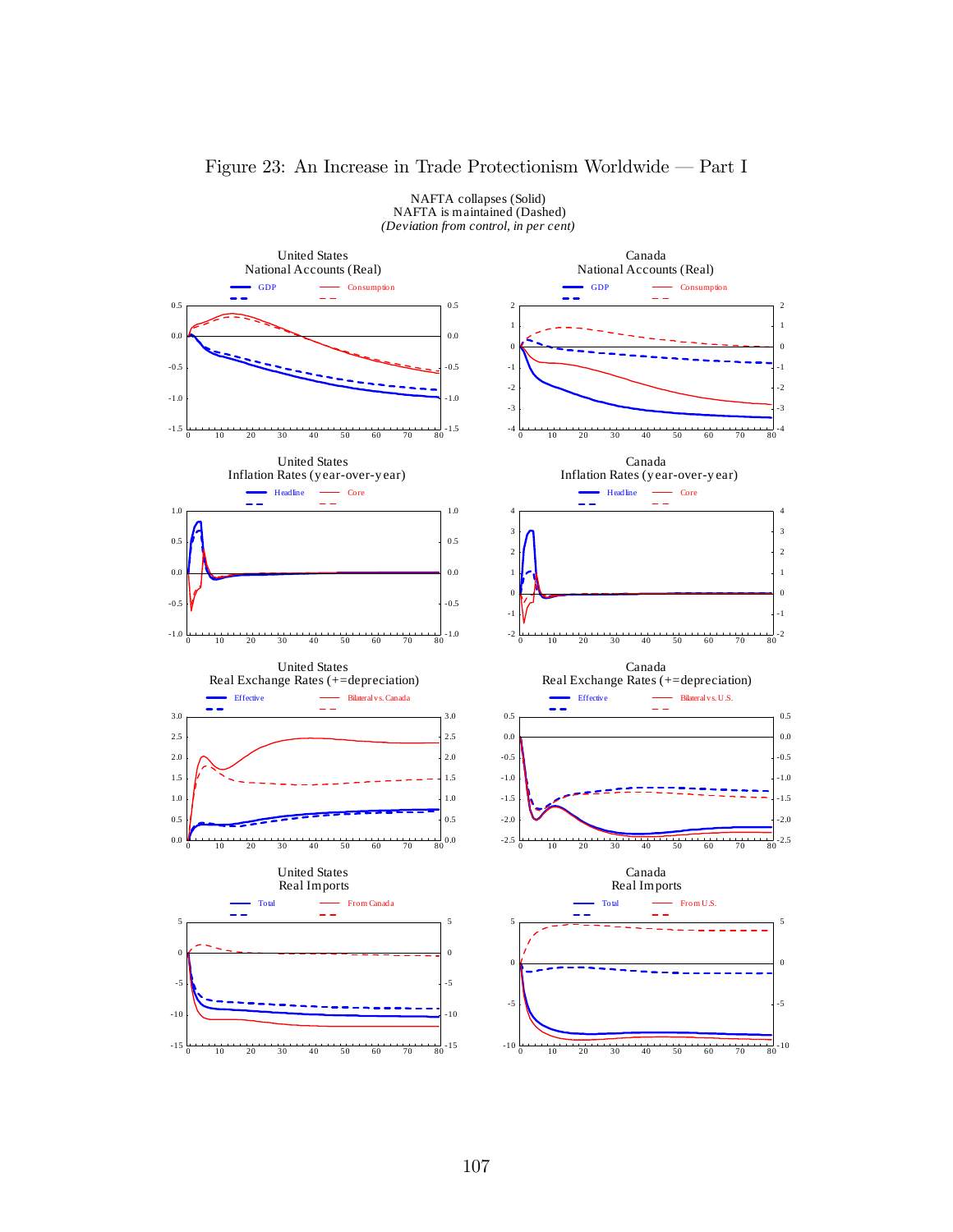

### Figure 23: An Increase in Trade Protectionism Worldwide – Part I

NAFTA collapses (Solid)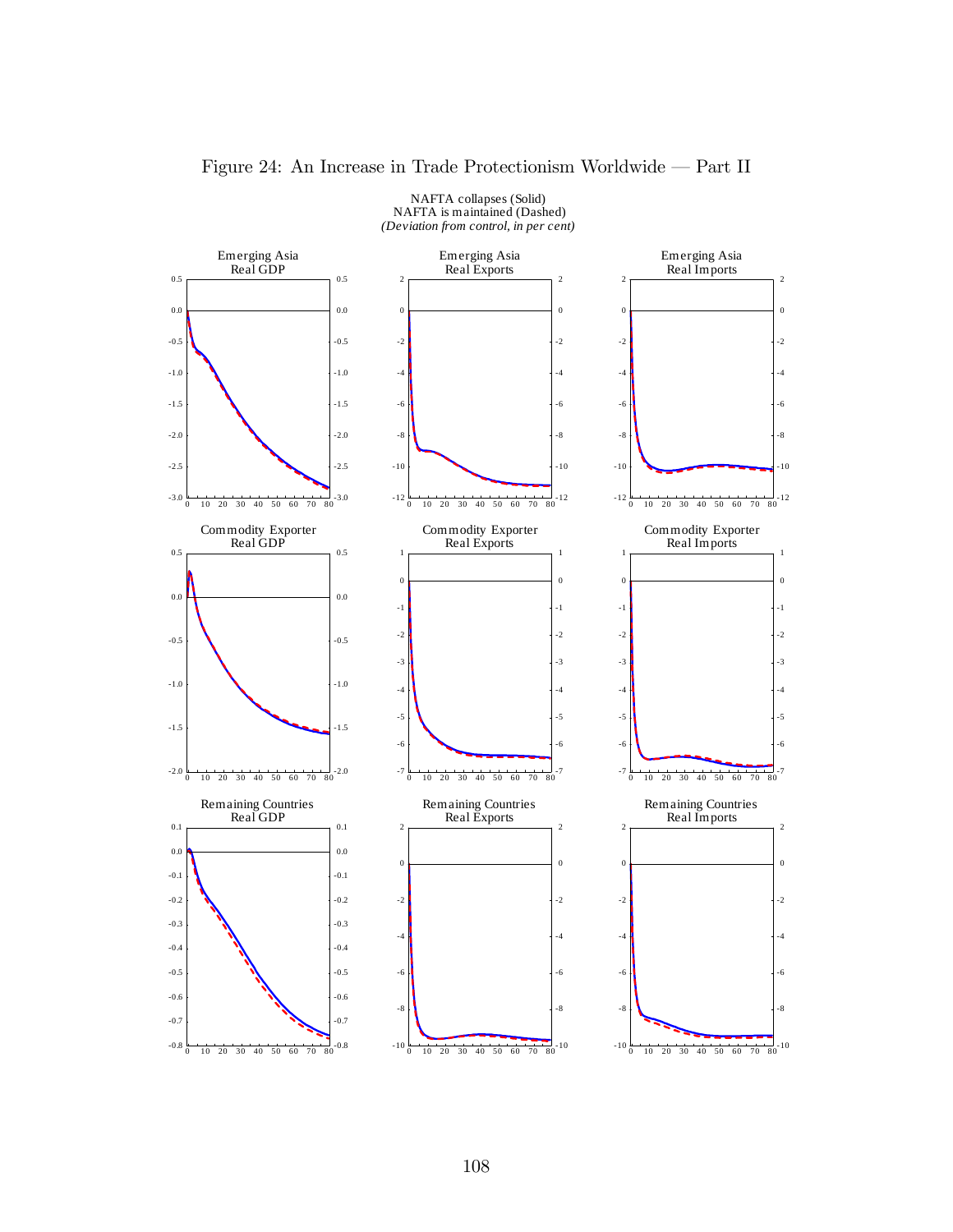

### Figure 24: An Increase in Trade Protectionism Worldwide – Part II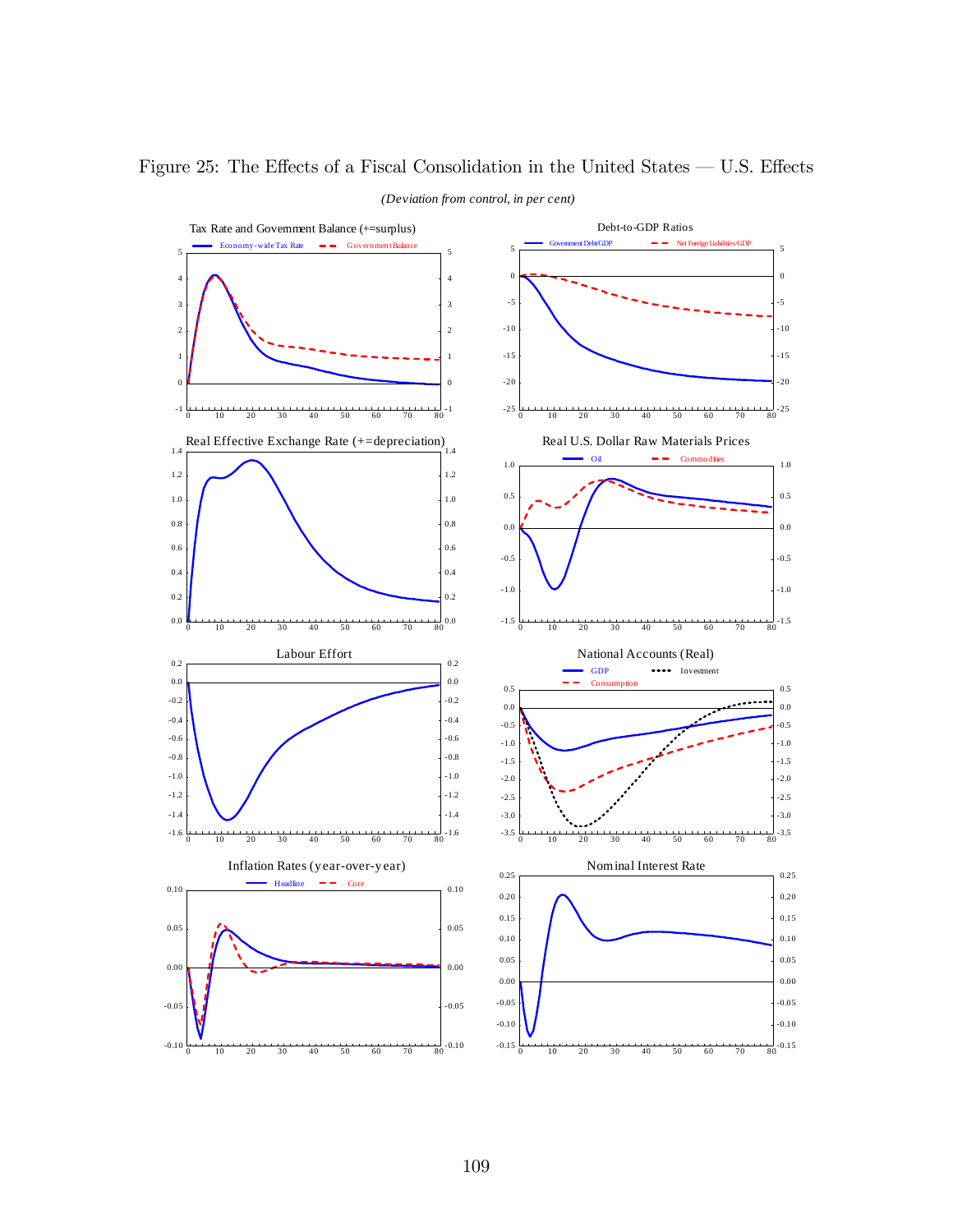

# Figure 25: The Effects of a Fiscal Consolidation in the United States  $-$  U.S. Effects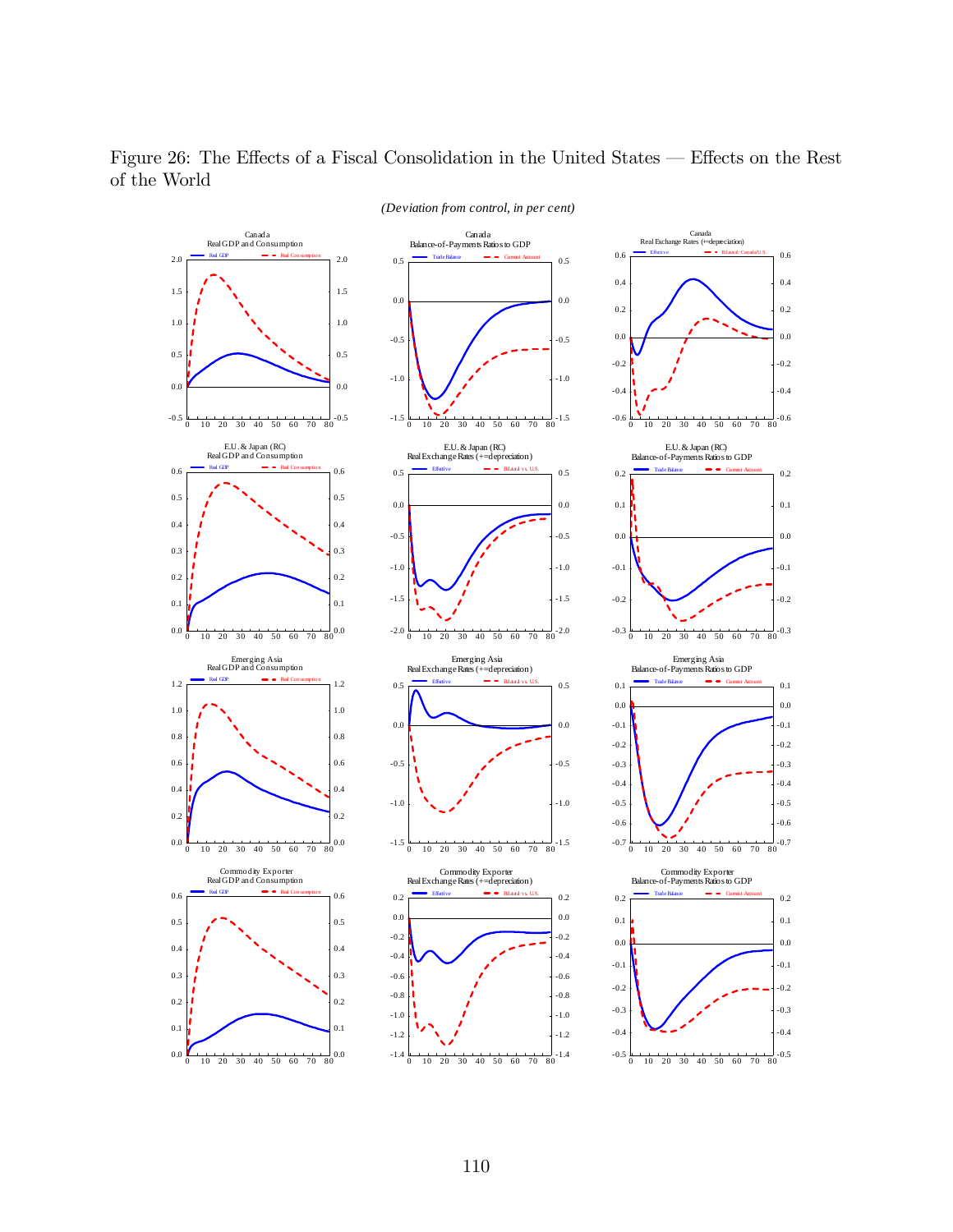

Figure 26: The Effects of a Fiscal Consolidation in the United States – Effects on the Rest of the World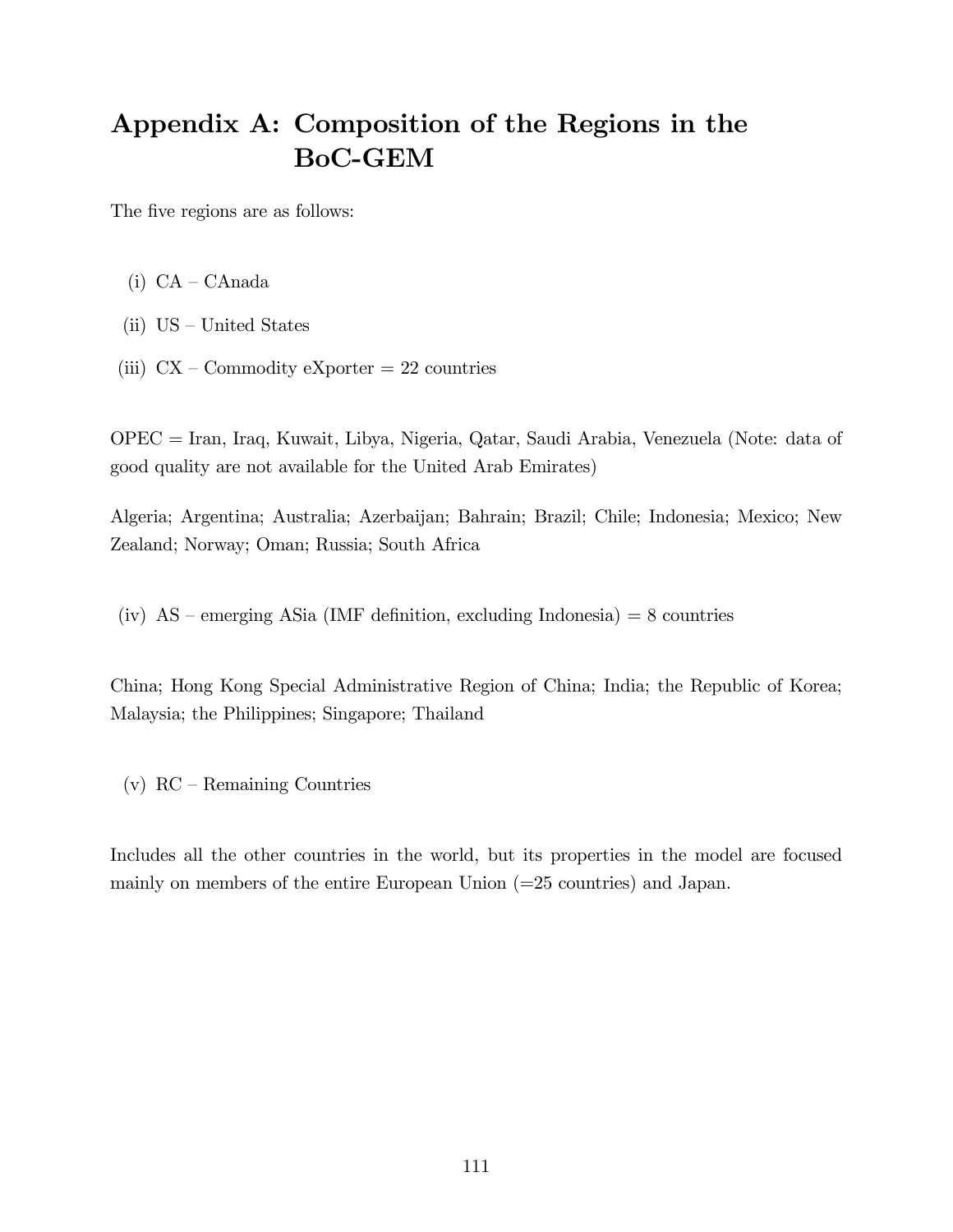# Appendix A: Composition of the Regions in the BoC-GEM

The five regions are as follows:

- $(i)$  CA CAnada
- (ii)  $US United States$
- (iii)  $CX Commodity$  eXporter = 22 countries

OPEC = Iran, Iraq, Kuwait, Libya, Nigeria, Qatar, Saudi Arabia, Venezuela (Note: data of good quality are not available for the United Arab Emirates)

Algeria; Argentina; Australia; Azerbaijan; Bahrain; Brazil; Chile; Indonesia; Mexico; New Zealand; Norway; Oman; Russia; South Africa

(iv)  $AS$  – emerging ASia (IMF definition, excluding Indonesia) = 8 countries

China; Hong Kong Special Administrative Region of China; India; the Republic of Korea; Malaysia; the Philippines; Singapore; Thailand

(v)  $RC - Remaining$  Countries

Includes all the other countries in the world, but its properties in the model are focused mainly on members of the entire European Union (=25 countries) and Japan.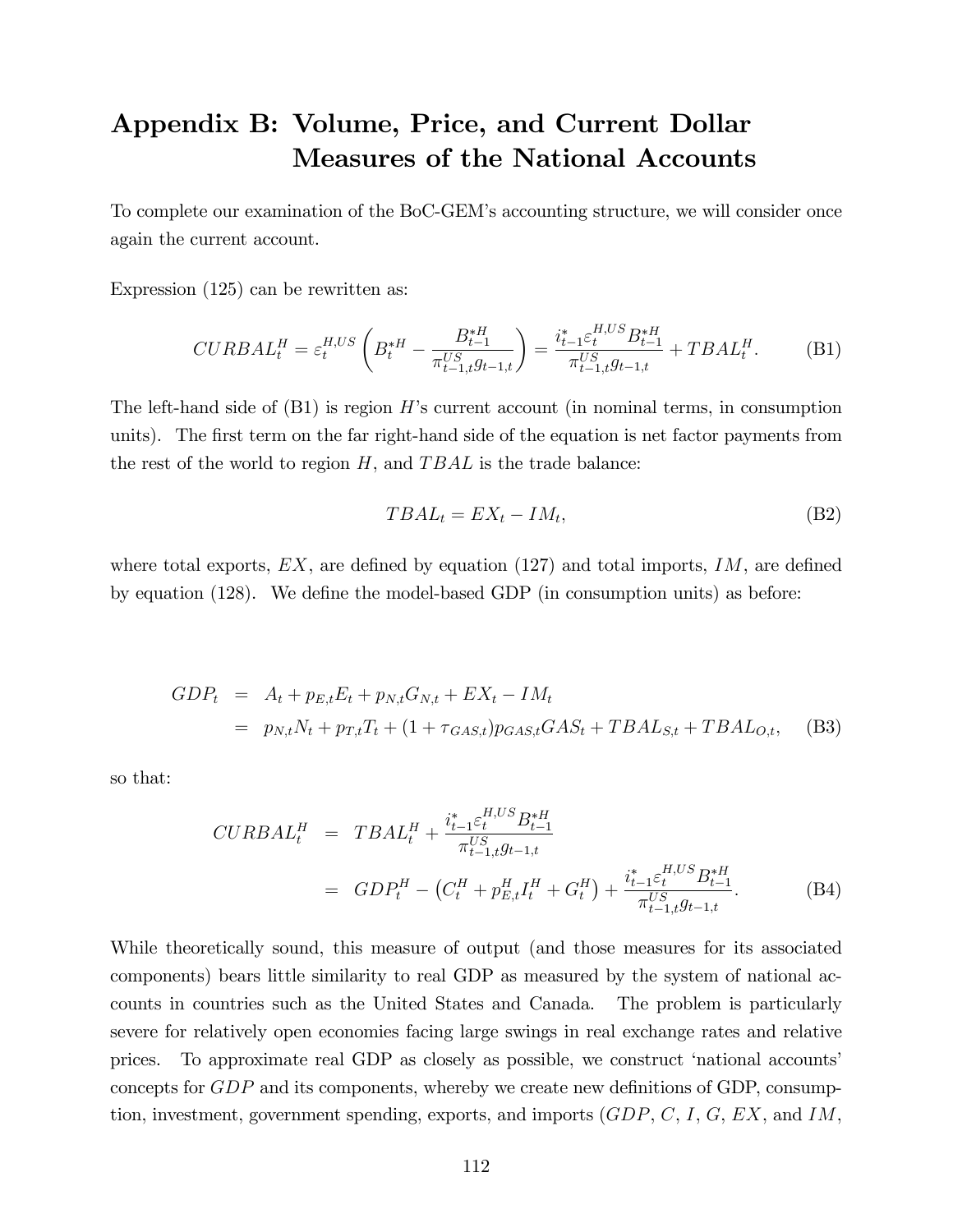# Appendix B: Volume, Price, and Current Dollar Measures of the National Accounts

To complete our examination of the BoC-GEMís accounting structure, we will consider once again the current account.

Expression (125) can be rewritten as:

$$
CURBAL_t^H = \varepsilon_t^{H, US} \left( B_t^{*H} - \frac{B_{t-1}^{*H}}{\pi_{t-1,t}^{US} g_{t-1,t}} \right) = \frac{i_{t-1}^* \varepsilon_t^{H, US} B_{t-1}^{*H}}{\pi_{t-1,t}^{US} g_{t-1,t}} + TBAL_t^H.
$$
 (B1)

The left-hand side of  $(B1)$  is region H's current account (in nominal terms, in consumption units). The first term on the far right-hand side of the equation is net factor payments from the rest of the world to region  $H$ , and  $T B A L$  is the trade balance:

$$
TBAL_t = EX_t - IM_t,\tag{B2}
$$

where total exports,  $EX$ , are defined by equation (127) and total imports, IM, are defined by equation  $(128)$ . We define the model-based GDP (in consumption units) as before:

$$
GDP_t = A_t + p_{E,t}E_t + p_{N,t}G_{N,t} + EX_t - IM_t
$$
  
=  $p_{N,t}N_t + p_{T,t}T_t + (1 + \tau_{GAS,t})p_{GAS,t}GAS_t + TBAL_{S,t} + TBAL_{O,t},$  (B3)

so that:

$$
CURBAL_t^H = TBAL_t^H + \frac{i_{t-1}^* \varepsilon_t^{H, US} B_{t-1}^{*H}}{\pi_{t-1,t}^{US} g_{t-1,t}}
$$
  
= 
$$
GDP_t^H - (C_t^H + p_{E,t}^H I_t^H + G_t^H) + \frac{i_{t-1}^* \varepsilon_t^{H, US} B_{t-1}^{*H}}{\pi_{t-1,t}^{US} g_{t-1,t}}.
$$
 (B4)

While theoretically sound, this measure of output (and those measures for its associated components) bears little similarity to real GDP as measured by the system of national accounts in countries such as the United States and Canada. The problem is particularly severe for relatively open economies facing large swings in real exchange rates and relative prices. To approximate real GDP as closely as possible, we construct 'national accounts' concepts for  $GDP$  and its components, whereby we create new definitions of GDP, consumption, investment, government spending, exports, and imports  $(GDP, C, I, G, EX, \text{and } IM,$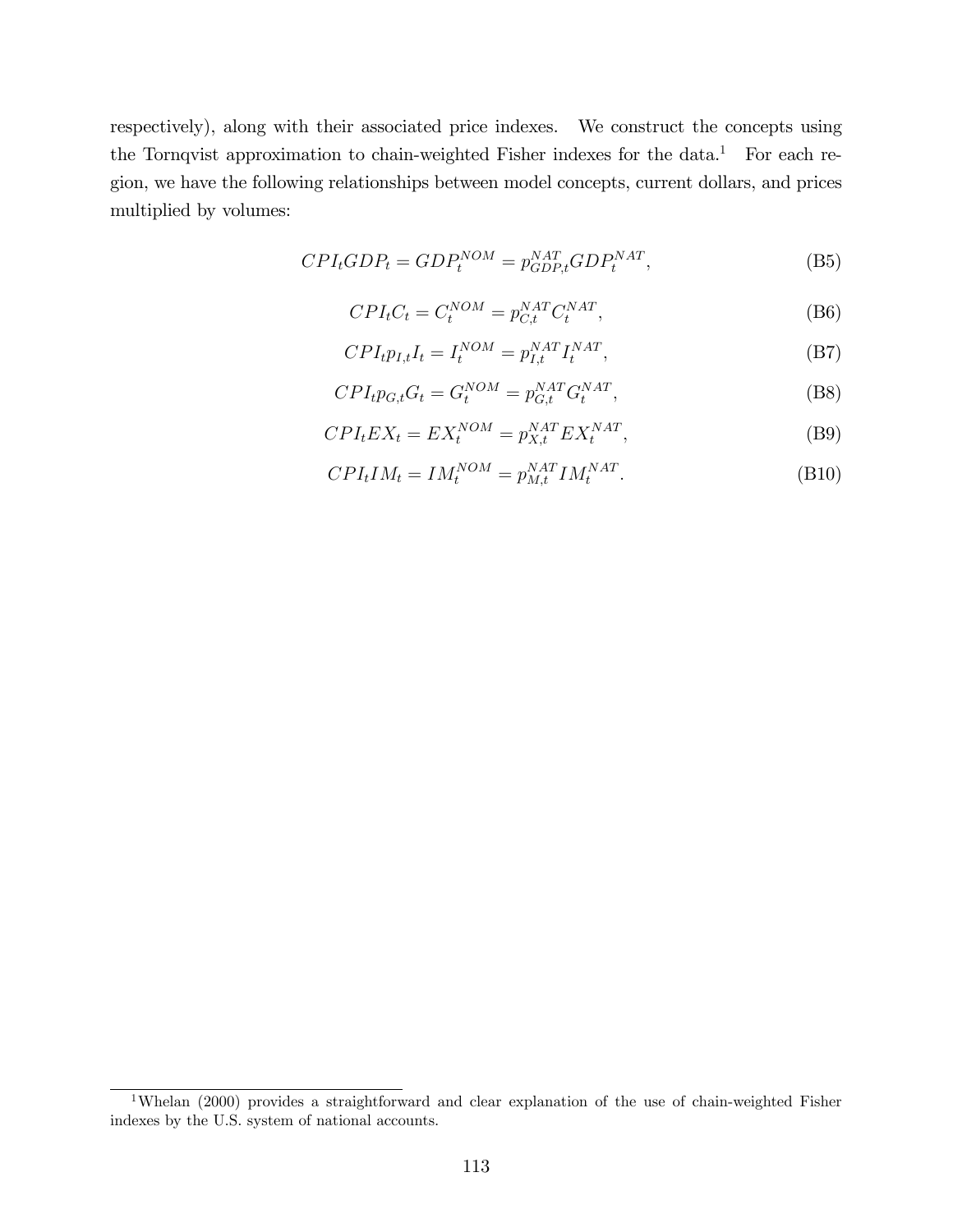respectively), along with their associated price indexes. We construct the concepts using the Tornqvist approximation to chain-weighted Fisher indexes for the data.<sup>1</sup> For each region, we have the following relationships between model concepts, current dollars, and prices multiplied by volumes:

$$
CPI_tGDP_t = GDP_t^{NOM} = p_{GDP,t}^{NAT}GDP_t^{NAT},
$$
\n(B5)

$$
CPI_tC_t = C_t^{NOM} = p_{C,t}^{NAT} C_t^{NAT},
$$
\n(B6)

$$
CPI_t p_{I,t} I_t = I_t^{NOM} = p_{I,t}^{NAT} I_t^{NAT},
$$
\n(B7)

$$
CPI_t p_{G,t} G_t = G_t^{NOM} = p_{G,t}^{NAT} G_t^{NAT},
$$
\n(B8)

$$
CPI_tEX_t = EX_t^{NOM} = p_{X,t}^{NAT}EX_t^{NAT},
$$
\n(B9)

$$
CPI_tIM_t = IM_t^{NOM} = p_{M,t}^{NAT} IM_t^{NAT}.
$$
\n(B10)

<sup>&</sup>lt;sup>1</sup>Whelan (2000) provides a straightforward and clear explanation of the use of chain-weighted Fisher indexes by the U.S. system of national accounts.